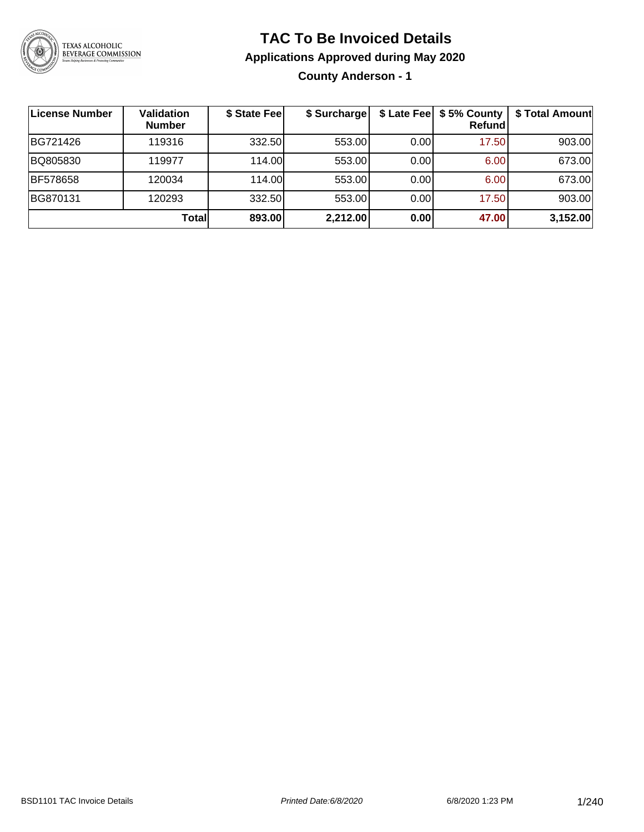

## **TAC To Be Invoiced Details**

### **Applications Approved during May 2020**

**County Anderson - 1**

| License Number | Validation<br><b>Number</b> | \$ State Feel | \$ Surcharge |      | \$ Late Fee   \$5% County<br>Refund | \$ Total Amount |
|----------------|-----------------------------|---------------|--------------|------|-------------------------------------|-----------------|
| BG721426       | 119316                      | 332.50        | 553.00       | 0.00 | 17.50                               | 903.00          |
| BQ805830       | 119977                      | 114.00L       | 553.00       | 0.00 | 6.00                                | 673.00          |
| BF578658       | 120034                      | 114.00L       | 553.00       | 0.00 | 6.00                                | 673.00          |
| BG870131       | 120293                      | 332.50        | 553.00       | 0.00 | 17.50                               | 903.00          |
|                | <b>Total</b>                | 893.00        | 2,212.00     | 0.00 | 47.00                               | 3,152.00        |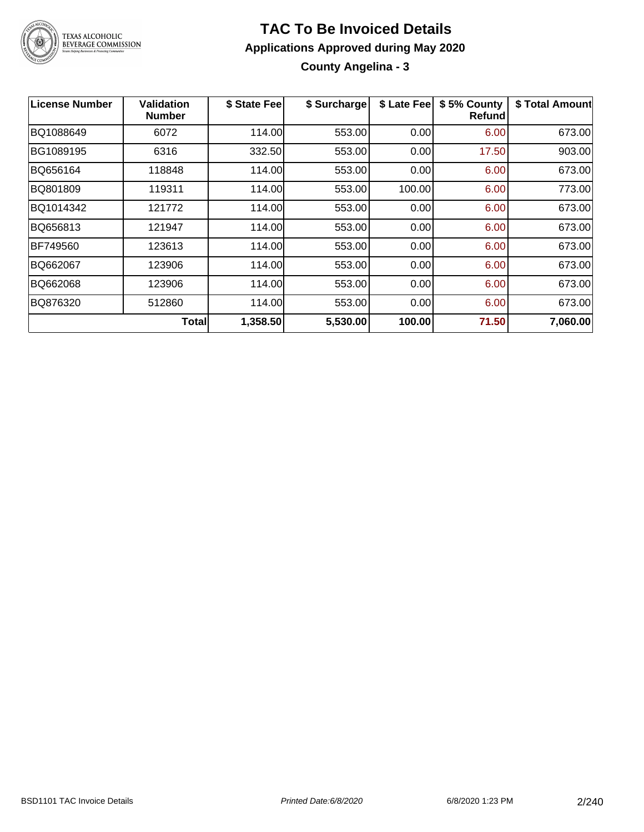

# **TAC To Be Invoiced Details**

### **Applications Approved during May 2020 County Angelina - 3**

| <b>License Number</b> | Validation<br><b>Number</b> | \$ State Fee | \$ Surcharge | \$ Late Fee | \$5% County<br><b>Refund</b> | \$ Total Amount |
|-----------------------|-----------------------------|--------------|--------------|-------------|------------------------------|-----------------|
| BQ1088649             | 6072                        | 114.00       | 553.00       | 0.00        | 6.00                         | 673.00          |
| BG1089195             | 6316                        | 332.50       | 553.00       | 0.00        | 17.50                        | 903.00          |
| BQ656164              | 118848                      | 114.00       | 553.00       | 0.00        | 6.00                         | 673.00          |
| BQ801809              | 119311                      | 114.00       | 553.00       | 100.00      | 6.00                         | 773.00          |
| BQ1014342             | 121772                      | 114.00       | 553.00       | 0.00        | 6.00                         | 673.00          |
| BQ656813              | 121947                      | 114.00       | 553.00       | 0.00        | 6.00                         | 673.00          |
| BF749560              | 123613                      | 114.00       | 553.00       | 0.00        | 6.00                         | 673.00          |
| BQ662067              | 123906                      | 114.00       | 553.00       | 0.00        | 6.00                         | 673.00          |
| BQ662068              | 123906                      | 114.00       | 553.00       | 0.00        | 6.00                         | 673.00          |
| BQ876320              | 512860                      | 114.00       | 553.00       | 0.00        | 6.00                         | 673.00          |
|                       | <b>Total</b>                | 1,358.50     | 5,530.00     | 100.00      | 71.50                        | 7,060.00        |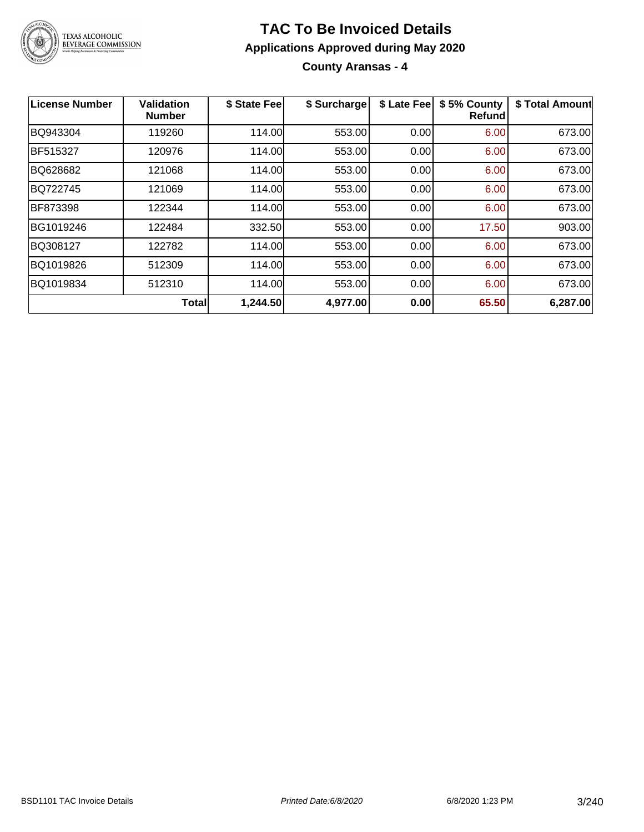

**County Aransas - 4**

| <b>License Number</b> | <b>Validation</b><br><b>Number</b> | \$ State Fee | \$ Surcharge | \$ Late Fee | \$5% County<br>Refundl | \$ Total Amount |
|-----------------------|------------------------------------|--------------|--------------|-------------|------------------------|-----------------|
| BQ943304              | 119260                             | 114.00       | 553.00       | 0.00        | 6.00                   | 673.00          |
| <b>BF515327</b>       | 120976                             | 114.00       | 553.00       | 0.00        | 6.00                   | 673.00          |
| BQ628682              | 121068                             | 114.00       | 553.00       | 0.00        | 6.00                   | 673.00          |
| BQ722745              | 121069                             | 114.00       | 553.00       | 0.00        | 6.00                   | 673.00          |
| BF873398              | 122344                             | 114.00       | 553.00       | 0.00        | 6.00                   | 673.00          |
| BG1019246             | 122484                             | 332.50       | 553.00       | 0.00        | 17.50                  | 903.00          |
| BQ308127              | 122782                             | 114.00       | 553.00       | 0.00        | 6.00                   | 673.00          |
| BQ1019826             | 512309                             | 114.00       | 553.00       | 0.00        | 6.00                   | 673.00          |
| BQ1019834             | 512310                             | 114.00       | 553.00       | 0.00        | 6.00                   | 673.00          |
|                       | <b>Total</b>                       | 1,244.50     | 4,977.00     | 0.00        | 65.50                  | 6,287.00        |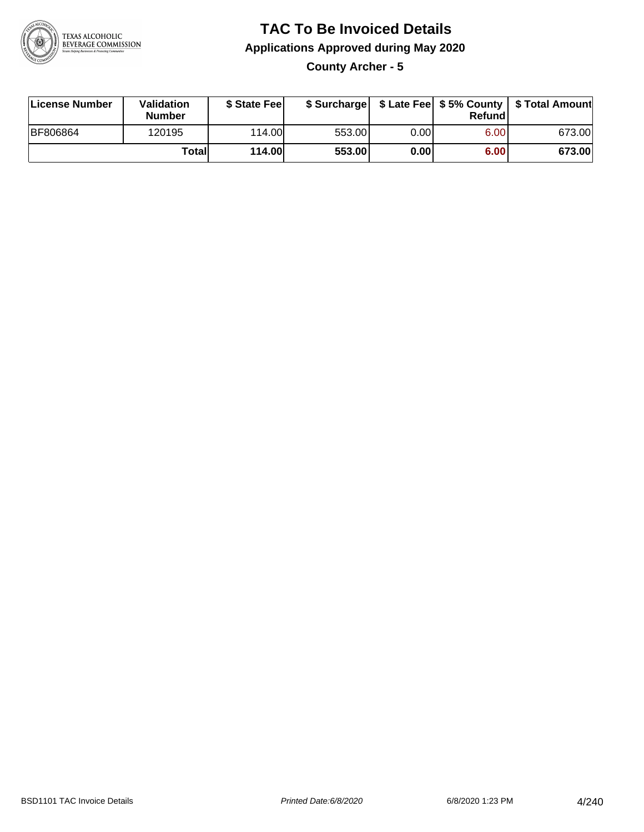

**County Archer - 5**

| License Number  | <b>Validation</b><br><b>Number</b> | \$ State Feel |        |       | Refundl | \$ Surcharge   \$ Late Fee   \$5% County   \$ Total Amount |
|-----------------|------------------------------------|---------------|--------|-------|---------|------------------------------------------------------------|
| <b>BF806864</b> | 120195                             | 114.00        | 553.00 | 0.00  | 6.00    | 673.00                                                     |
|                 | Totall                             | <b>114.00</b> | 553.00 | 0.001 | 6.00    | 673.00                                                     |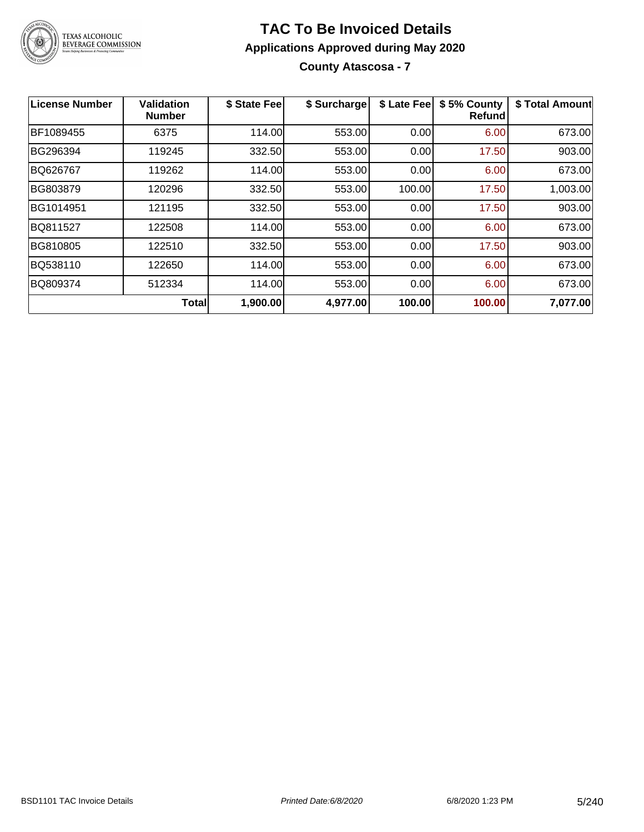

**County Atascosa - 7**

| <b>License Number</b> | <b>Validation</b><br><b>Number</b> | \$ State Fee | \$ Surcharge | \$ Late Fee | \$5% County<br>Refundl | \$ Total Amount |
|-----------------------|------------------------------------|--------------|--------------|-------------|------------------------|-----------------|
| BF1089455             | 6375                               | 114.00       | 553.00       | 0.00        | 6.00                   | 673.00          |
| BG296394              | 119245                             | 332.50       | 553.00       | 0.00        | 17.50                  | 903.00          |
| BQ626767              | 119262                             | 114.00       | 553.00       | 0.00        | 6.00                   | 673.00          |
| BG803879              | 120296                             | 332.50       | 553.00       | 100.00      | 17.50                  | 1,003.00        |
| BG1014951             | 121195                             | 332.50       | 553.00       | 0.00        | 17.50                  | 903.00          |
| BQ811527              | 122508                             | 114.00       | 553.00       | 0.00        | 6.00                   | 673.00          |
| BG810805              | 122510                             | 332.50       | 553.00       | 0.00        | 17.50                  | 903.00          |
| BQ538110              | 122650                             | 114.00       | 553.00       | 0.00        | 6.00                   | 673.00          |
| BQ809374              | 512334                             | 114.00       | 553.00       | 0.00        | 6.00                   | 673.00          |
|                       | <b>Total</b>                       | 1,900.00     | 4,977.00     | 100.00      | 100.00                 | 7,077.00        |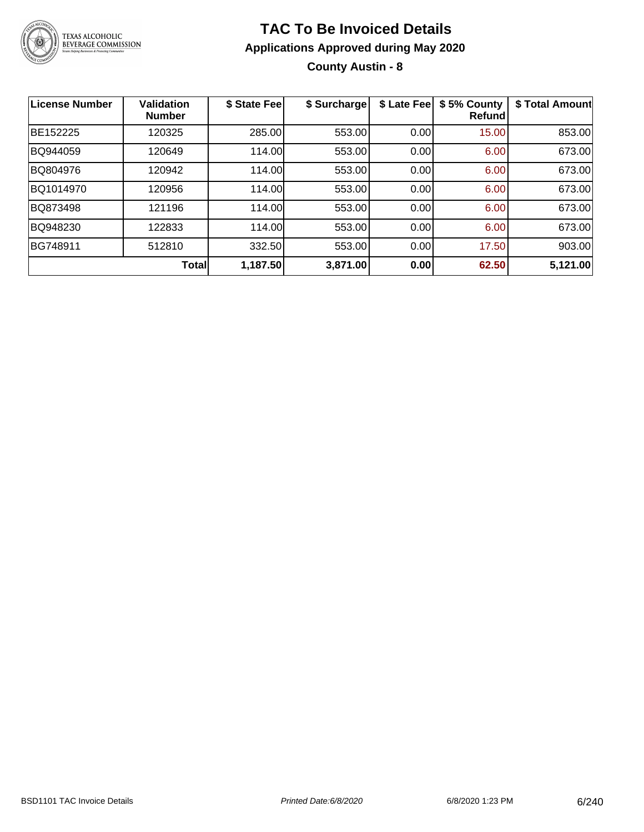

**County Austin - 8**

| License Number | Validation<br><b>Number</b> | \$ State Fee | \$ Surcharge | \$ Late Fee | \$5% County<br>Refundl | \$ Total Amount |
|----------------|-----------------------------|--------------|--------------|-------------|------------------------|-----------------|
| BE152225       | 120325                      | 285.00       | 553.00       | 0.00        | 15.00                  | 853.00          |
| BQ944059       | 120649                      | 114.00       | 553.00       | 0.00        | 6.00                   | 673.00          |
| BQ804976       | 120942                      | 114.00       | 553.00       | 0.00        | 6.00                   | 673.00          |
| BQ1014970      | 120956                      | 114.00       | 553.00       | 0.00        | 6.00                   | 673.00          |
| BQ873498       | 121196                      | 114.00       | 553.00       | 0.00        | 6.00                   | 673.00          |
| BQ948230       | 122833                      | 114.00       | 553.00       | 0.00        | 6.00                   | 673.00          |
| BG748911       | 512810                      | 332.50       | 553.00       | 0.00        | 17.50                  | 903.00          |
|                | <b>Total</b>                | 1,187.50     | 3,871.00     | 0.00        | 62.50                  | 5,121.00        |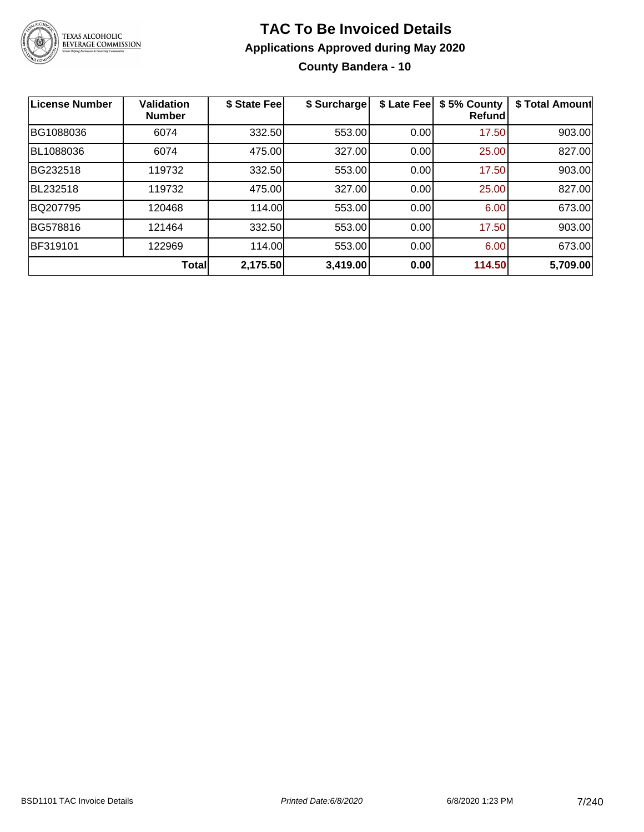

### **TAC To Be Invoiced Details Applications Approved during May 2020 County Bandera - 10**

| <b>License Number</b> | <b>Validation</b><br><b>Number</b> | \$ State Fee | \$ Surcharge | \$ Late Fee | \$5% County<br>Refundl | \$ Total Amount |
|-----------------------|------------------------------------|--------------|--------------|-------------|------------------------|-----------------|
| BG1088036             | 6074                               | 332.50       | 553.00       | 0.00        | 17.50                  | 903.00          |
| BL1088036             | 6074                               | 475.00       | 327.00       | 0.00        | 25.00                  | 827.00          |
| BG232518              | 119732                             | 332.50       | 553.00       | 0.00        | 17.50                  | 903.00          |
| BL232518              | 119732                             | 475.00       | 327.00       | 0.00        | 25.00                  | 827.00          |
| BQ207795              | 120468                             | 114.00       | 553.00       | 0.00        | 6.00                   | 673.00          |
| BG578816              | 121464                             | 332.50       | 553.00       | 0.00        | 17.50                  | 903.00          |
| BF319101              | 122969                             | 114.00       | 553.00       | 0.00        | 6.00                   | 673.00          |
|                       | <b>Total</b>                       | 2,175.50     | 3,419.00     | 0.00        | 114.50                 | 5,709.00        |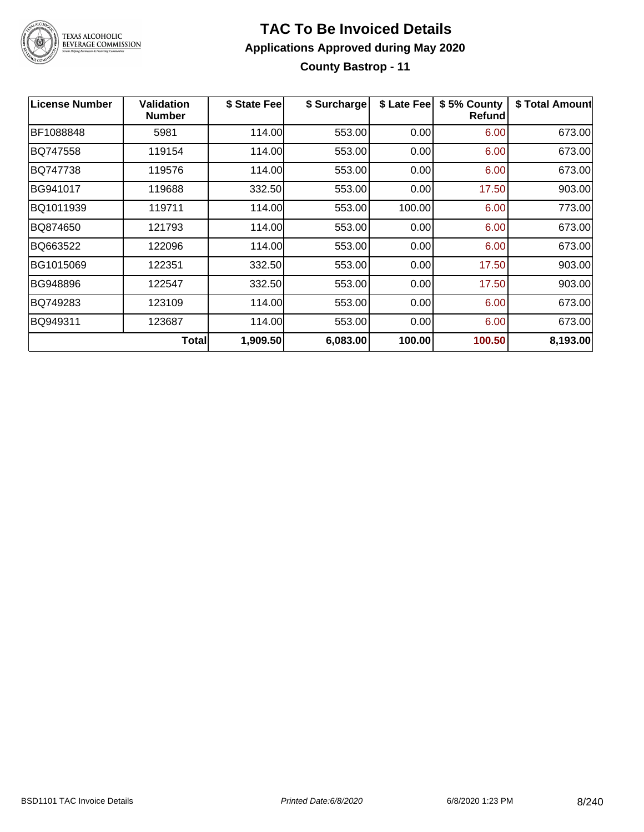

### **TAC To Be Invoiced Details Applications Approved during May 2020 County Bastrop - 11**

| <b>License Number</b> | <b>Validation</b><br><b>Number</b> | \$ State Fee | \$ Surcharge | \$ Late Fee | \$5% County<br>Refund | \$ Total Amount |
|-----------------------|------------------------------------|--------------|--------------|-------------|-----------------------|-----------------|
| BF1088848             | 5981                               | 114.00       | 553.00       | 0.00        | 6.00                  | 673.00          |
| BQ747558              | 119154                             | 114.00       | 553.00       | 0.00        | 6.00                  | 673.00          |
| BQ747738              | 119576                             | 114.00       | 553.00       | 0.00        | 6.00                  | 673.00          |
| BG941017              | 119688                             | 332.50       | 553.00       | 0.00        | 17.50                 | 903.00          |
| BQ1011939             | 119711                             | 114.00       | 553.00       | 100.00      | 6.00                  | 773.00          |
| BQ874650              | 121793                             | 114.00       | 553.00       | 0.00        | 6.00                  | 673.00          |
| BQ663522              | 122096                             | 114.00       | 553.00       | 0.00        | 6.00                  | 673.00          |
| BG1015069             | 122351                             | 332.50       | 553.00       | 0.00        | 17.50                 | 903.00          |
| BG948896              | 122547                             | 332.50       | 553.00       | 0.00        | 17.50                 | 903.00          |
| BQ749283              | 123109                             | 114.00       | 553.00       | 0.00        | 6.00                  | 673.00          |
| BQ949311              | 123687                             | 114.00       | 553.00       | 0.00        | 6.00                  | 673.00          |
|                       | <b>Total</b>                       | 1,909.50     | 6,083.00     | 100.00      | 100.50                | 8,193.00        |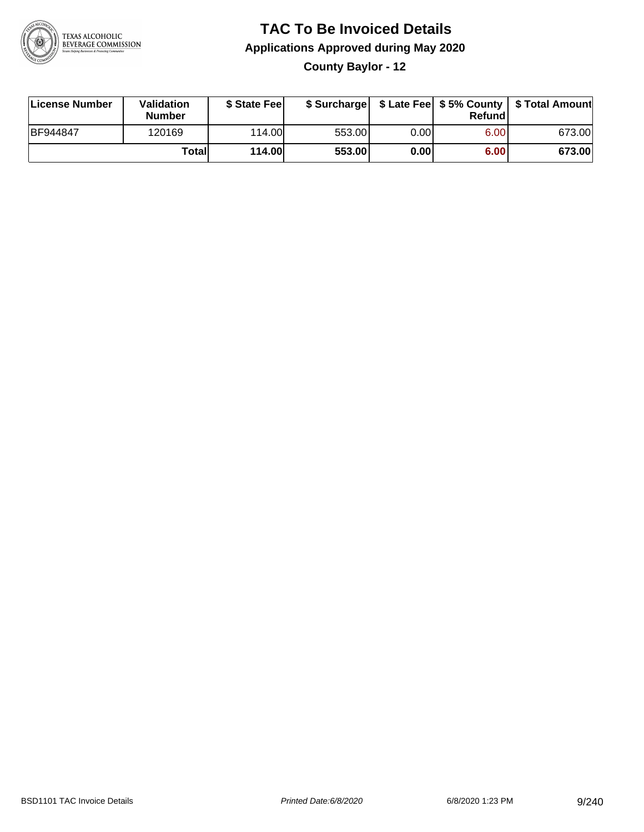

**County Baylor - 12**

| License Number | <b>Validation</b><br><b>Number</b> | \$ State Fee  | \$ Surcharge |      | Refundl | \$ Late Fee   \$5% County   \$ Total Amount |
|----------------|------------------------------------|---------------|--------------|------|---------|---------------------------------------------|
| BF944847       | 120169                             | 114.00L       | 553.00       | 0.00 | 6.00    | 673.00                                      |
|                | Totall                             | <b>114.00</b> | 553.00       | 0.00 | 6.00    | 673.00                                      |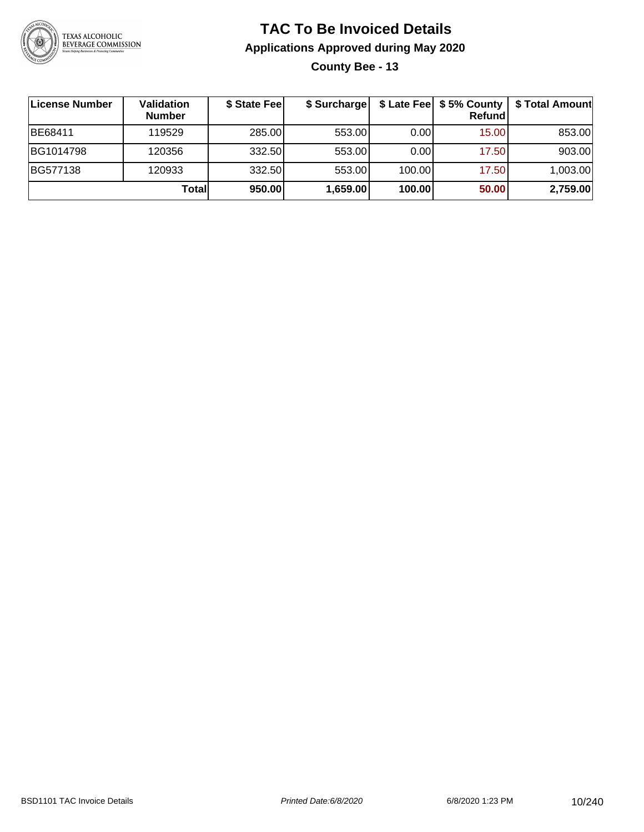

**County Bee - 13**

| <b>License Number</b> | Validation<br><b>Number</b> | \$ State Feel | \$ Surcharge |        | \$ Late Fee   \$5% County  <br>Refundl | \$ Total Amount |
|-----------------------|-----------------------------|---------------|--------------|--------|----------------------------------------|-----------------|
| BE68411               | 119529                      | 285.00        | 553.00       | 0.001  | 15.00                                  | 853.00          |
| BG1014798             | 120356                      | 332.50        | 553.00       | 0.00   | 17.50                                  | 903.00          |
| BG577138              | 120933                      | 332.50        | 553.00       | 100.00 | 17.50                                  | 1,003.00        |
|                       | Totall                      | 950.00        | 1,659.00     | 100.00 | 50.00                                  | 2,759.00        |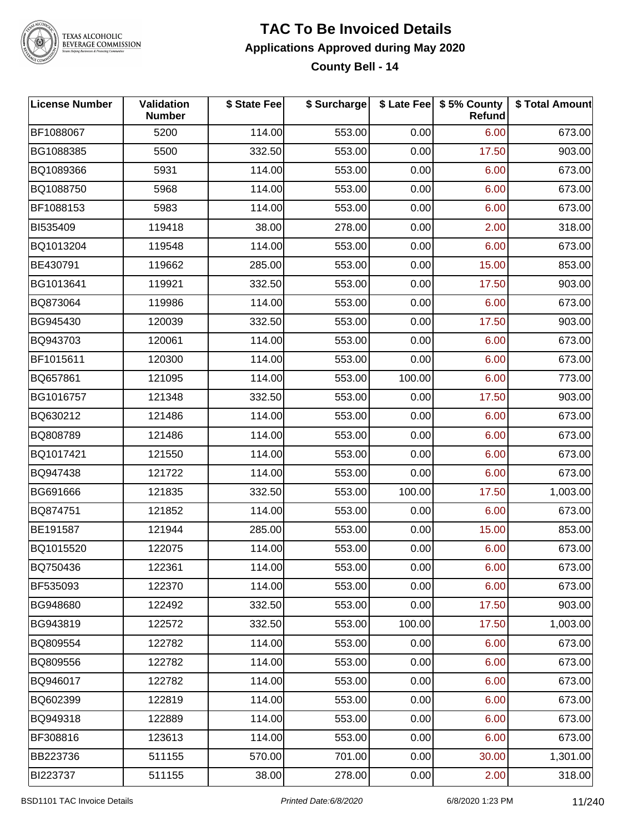

### **TAC To Be Invoiced Details Applications Approved during May 2020 County Bell - 14**

| <b>License Number</b> | Validation<br><b>Number</b> | \$ State Fee | \$ Surcharge |        | \$ Late Fee   \$5% County<br><b>Refund</b> | \$ Total Amount |
|-----------------------|-----------------------------|--------------|--------------|--------|--------------------------------------------|-----------------|
| BF1088067             | 5200                        | 114.00       | 553.00       | 0.00   | 6.00                                       | 673.00          |
| BG1088385             | 5500                        | 332.50       | 553.00       | 0.00   | 17.50                                      | 903.00          |
| BQ1089366             | 5931                        | 114.00       | 553.00       | 0.00   | 6.00                                       | 673.00          |
| BQ1088750             | 5968                        | 114.00       | 553.00       | 0.00   | 6.00                                       | 673.00          |
| BF1088153             | 5983                        | 114.00       | 553.00       | 0.00   | 6.00                                       | 673.00          |
| BI535409              | 119418                      | 38.00        | 278.00       | 0.00   | 2.00                                       | 318.00          |
| BQ1013204             | 119548                      | 114.00       | 553.00       | 0.00   | 6.00                                       | 673.00          |
| BE430791              | 119662                      | 285.00       | 553.00       | 0.00   | 15.00                                      | 853.00          |
| BG1013641             | 119921                      | 332.50       | 553.00       | 0.00   | 17.50                                      | 903.00          |
| BQ873064              | 119986                      | 114.00       | 553.00       | 0.00   | 6.00                                       | 673.00          |
| BG945430              | 120039                      | 332.50       | 553.00       | 0.00   | 17.50                                      | 903.00          |
| BQ943703              | 120061                      | 114.00       | 553.00       | 0.00   | 6.00                                       | 673.00          |
| BF1015611             | 120300                      | 114.00       | 553.00       | 0.00   | 6.00                                       | 673.00          |
| BQ657861              | 121095                      | 114.00       | 553.00       | 100.00 | 6.00                                       | 773.00          |
| BG1016757             | 121348                      | 332.50       | 553.00       | 0.00   | 17.50                                      | 903.00          |
| BQ630212              | 121486                      | 114.00       | 553.00       | 0.00   | 6.00                                       | 673.00          |
| BQ808789              | 121486                      | 114.00       | 553.00       | 0.00   | 6.00                                       | 673.00          |
| BQ1017421             | 121550                      | 114.00       | 553.00       | 0.00   | 6.00                                       | 673.00          |
| BQ947438              | 121722                      | 114.00       | 553.00       | 0.00   | 6.00                                       | 673.00          |
| BG691666              | 121835                      | 332.50       | 553.00       | 100.00 | 17.50                                      | 1,003.00        |
| BQ874751              | 121852                      | 114.00       | 553.00       | 0.00   | 6.00                                       | 673.00          |
| BE191587              | 121944                      | 285.00       | 553.00       | 0.00   | 15.00                                      | 853.00          |
| BQ1015520             | 122075                      | 114.00       | 553.00       | 0.00   | 6.00                                       | 673.00          |
| BQ750436              | 122361                      | 114.00       | 553.00       | 0.00   | 6.00                                       | 673.00          |
| BF535093              | 122370                      | 114.00       | 553.00       | 0.00   | 6.00                                       | 673.00          |
| BG948680              | 122492                      | 332.50       | 553.00       | 0.00   | 17.50                                      | 903.00          |
| BG943819              | 122572                      | 332.50       | 553.00       | 100.00 | 17.50                                      | 1,003.00        |
| BQ809554              | 122782                      | 114.00       | 553.00       | 0.00   | 6.00                                       | 673.00          |
| BQ809556              | 122782                      | 114.00       | 553.00       | 0.00   | 6.00                                       | 673.00          |
| BQ946017              | 122782                      | 114.00       | 553.00       | 0.00   | 6.00                                       | 673.00          |
| BQ602399              | 122819                      | 114.00       | 553.00       | 0.00   | 6.00                                       | 673.00          |
| BQ949318              | 122889                      | 114.00       | 553.00       | 0.00   | 6.00                                       | 673.00          |
| BF308816              | 123613                      | 114.00       | 553.00       | 0.00   | 6.00                                       | 673.00          |
| BB223736              | 511155                      | 570.00       | 701.00       | 0.00   | 30.00                                      | 1,301.00        |
| BI223737              | 511155                      | 38.00        | 278.00       | 0.00   | 2.00                                       | 318.00          |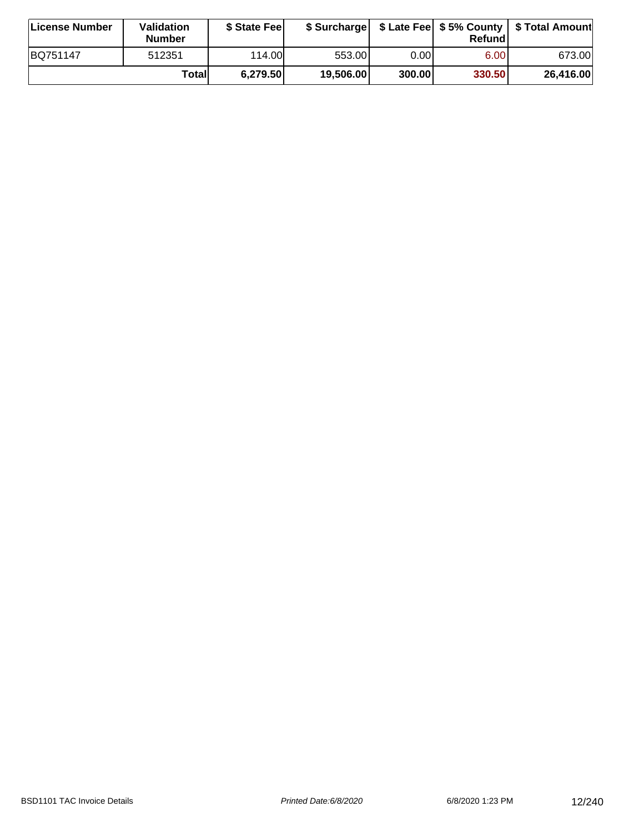| License Number | <b>Validation</b><br><b>Number</b> | \$ State Fee |           |        | Refundl           | \$ Surcharge   \$ Late Fee   \$5% County   \$ Total Amount |
|----------------|------------------------------------|--------------|-----------|--------|-------------------|------------------------------------------------------------|
| BQ751147       | 512351                             | 114.00       | 553.001   | 0.001  | 6.00 <sub>1</sub> | 673.00                                                     |
|                | Totall                             | 6,279.50     | 19,506.00 | 300.00 | 330.50            | 26,416.00                                                  |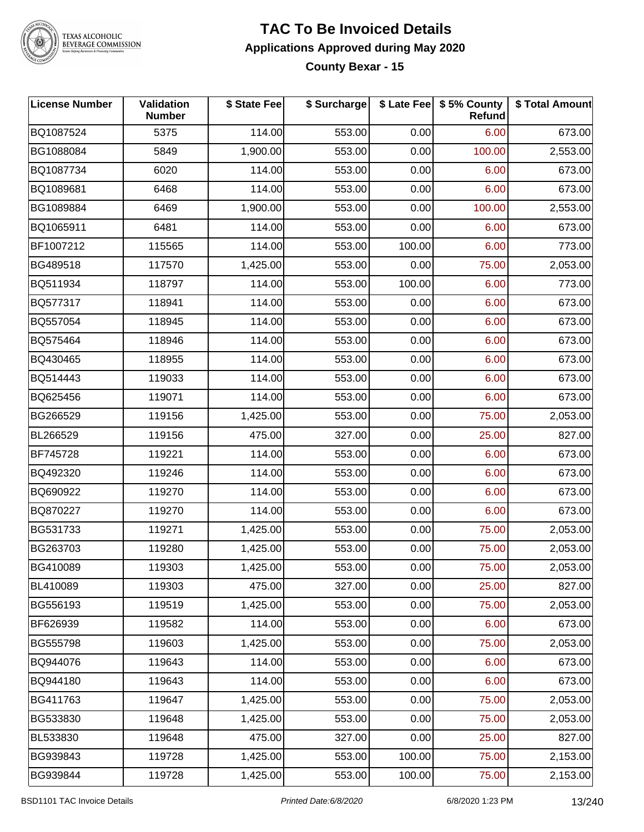

TEXAS ALCOHOLIC<br>BEVERAGE COMMISSION

### **TAC To Be Invoiced Details Applications Approved during May 2020 County Bexar - 15**

| <b>License Number</b> | Validation<br><b>Number</b> | \$ State Fee | \$ Surcharge |        | \$ Late Fee   \$5% County<br><b>Refund</b> | \$ Total Amount |
|-----------------------|-----------------------------|--------------|--------------|--------|--------------------------------------------|-----------------|
| BQ1087524             | 5375                        | 114.00       | 553.00       | 0.00   | 6.00                                       | 673.00          |
| BG1088084             | 5849                        | 1,900.00     | 553.00       | 0.00   | 100.00                                     | 2,553.00        |
| BQ1087734             | 6020                        | 114.00       | 553.00       | 0.00   | 6.00                                       | 673.00          |
| BQ1089681             | 6468                        | 114.00       | 553.00       | 0.00   | 6.00                                       | 673.00          |
| BG1089884             | 6469                        | 1,900.00     | 553.00       | 0.00   | 100.00                                     | 2,553.00        |
| BQ1065911             | 6481                        | 114.00       | 553.00       | 0.00   | 6.00                                       | 673.00          |
| BF1007212             | 115565                      | 114.00       | 553.00       | 100.00 | 6.00                                       | 773.00          |
| BG489518              | 117570                      | 1,425.00     | 553.00       | 0.00   | 75.00                                      | 2,053.00        |
| BQ511934              | 118797                      | 114.00       | 553.00       | 100.00 | 6.00                                       | 773.00          |
| BQ577317              | 118941                      | 114.00       | 553.00       | 0.00   | 6.00                                       | 673.00          |
| BQ557054              | 118945                      | 114.00       | 553.00       | 0.00   | 6.00                                       | 673.00          |
| BQ575464              | 118946                      | 114.00       | 553.00       | 0.00   | 6.00                                       | 673.00          |
| BQ430465              | 118955                      | 114.00       | 553.00       | 0.00   | 6.00                                       | 673.00          |
| BQ514443              | 119033                      | 114.00       | 553.00       | 0.00   | 6.00                                       | 673.00          |
| BQ625456              | 119071                      | 114.00       | 553.00       | 0.00   | 6.00                                       | 673.00          |
| BG266529              | 119156                      | 1,425.00     | 553.00       | 0.00   | 75.00                                      | 2,053.00        |
| BL266529              | 119156                      | 475.00       | 327.00       | 0.00   | 25.00                                      | 827.00          |
| BF745728              | 119221                      | 114.00       | 553.00       | 0.00   | 6.00                                       | 673.00          |
| BQ492320              | 119246                      | 114.00       | 553.00       | 0.00   | 6.00                                       | 673.00          |
| BQ690922              | 119270                      | 114.00       | 553.00       | 0.00   | 6.00                                       | 673.00          |
| BQ870227              | 119270                      | 114.00       | 553.00       | 0.00   | 6.00                                       | 673.00          |
| BG531733              | 119271                      | 1,425.00     | 553.00       | 0.00   | 75.00                                      | 2,053.00        |
| BG263703              | 119280                      | 1,425.00     | 553.00       | 0.00   | 75.00                                      | 2,053.00        |
| BG410089              | 119303                      | 1,425.00     | 553.00       | 0.00   | 75.00                                      | 2,053.00        |
| BL410089              | 119303                      | 475.00       | 327.00       | 0.00   | 25.00                                      | 827.00          |
| BG556193              | 119519                      | 1,425.00     | 553.00       | 0.00   | 75.00                                      | 2,053.00        |
| BF626939              | 119582                      | 114.00       | 553.00       | 0.00   | 6.00                                       | 673.00          |
| BG555798              | 119603                      | 1,425.00     | 553.00       | 0.00   | 75.00                                      | 2,053.00        |
| BQ944076              | 119643                      | 114.00       | 553.00       | 0.00   | 6.00                                       | 673.00          |
| BQ944180              | 119643                      | 114.00       | 553.00       | 0.00   | 6.00                                       | 673.00          |
| BG411763              | 119647                      | 1,425.00     | 553.00       | 0.00   | 75.00                                      | 2,053.00        |
| BG533830              | 119648                      | 1,425.00     | 553.00       | 0.00   | 75.00                                      | 2,053.00        |
| BL533830              | 119648                      | 475.00       | 327.00       | 0.00   | 25.00                                      | 827.00          |
| BG939843              | 119728                      | 1,425.00     | 553.00       | 100.00 | 75.00                                      | 2,153.00        |
| BG939844              | 119728                      | 1,425.00     | 553.00       | 100.00 | 75.00                                      | 2,153.00        |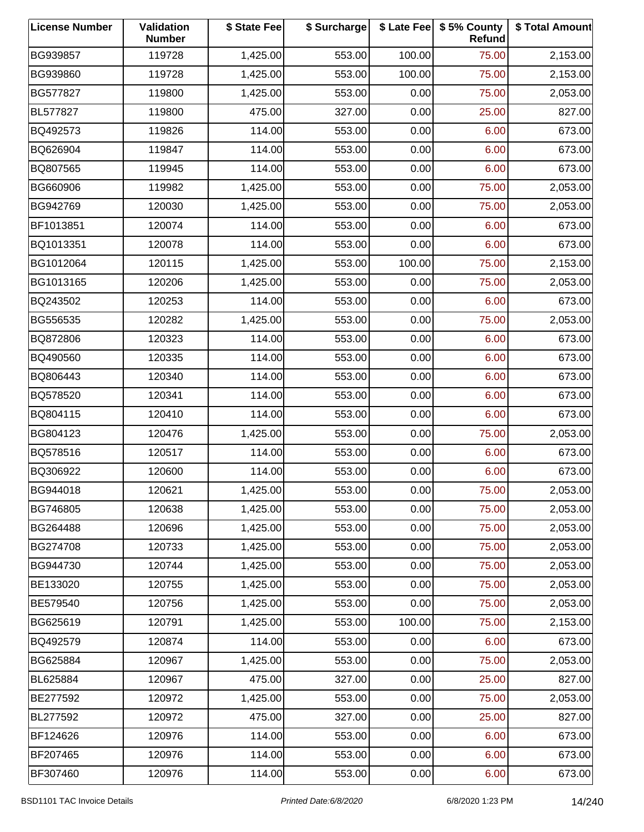| <b>License Number</b> | Validation<br><b>Number</b> | \$ State Fee | \$ Surcharge |        | \$ Late Fee   \$5% County<br>Refund | \$ Total Amount |
|-----------------------|-----------------------------|--------------|--------------|--------|-------------------------------------|-----------------|
| BG939857              | 119728                      | 1,425.00     | 553.00       | 100.00 | 75.00                               | 2,153.00        |
| BG939860              | 119728                      | 1,425.00     | 553.00       | 100.00 | 75.00                               | 2,153.00        |
| BG577827              | 119800                      | 1,425.00     | 553.00       | 0.00   | 75.00                               | 2,053.00        |
| BL577827              | 119800                      | 475.00       | 327.00       | 0.00   | 25.00                               | 827.00          |
| BQ492573              | 119826                      | 114.00       | 553.00       | 0.00   | 6.00                                | 673.00          |
| BQ626904              | 119847                      | 114.00       | 553.00       | 0.00   | 6.00                                | 673.00          |
| BQ807565              | 119945                      | 114.00       | 553.00       | 0.00   | 6.00                                | 673.00          |
| BG660906              | 119982                      | 1,425.00     | 553.00       | 0.00   | 75.00                               | 2,053.00        |
| BG942769              | 120030                      | 1,425.00     | 553.00       | 0.00   | 75.00                               | 2,053.00        |
| BF1013851             | 120074                      | 114.00       | 553.00       | 0.00   | 6.00                                | 673.00          |
| BQ1013351             | 120078                      | 114.00       | 553.00       | 0.00   | 6.00                                | 673.00          |
| BG1012064             | 120115                      | 1,425.00     | 553.00       | 100.00 | 75.00                               | 2,153.00        |
| BG1013165             | 120206                      | 1,425.00     | 553.00       | 0.00   | 75.00                               | 2,053.00        |
| BQ243502              | 120253                      | 114.00       | 553.00       | 0.00   | 6.00                                | 673.00          |
| BG556535              | 120282                      | 1,425.00     | 553.00       | 0.00   | 75.00                               | 2,053.00        |
| BQ872806              | 120323                      | 114.00       | 553.00       | 0.00   | 6.00                                | 673.00          |
| BQ490560              | 120335                      | 114.00       | 553.00       | 0.00   | 6.00                                | 673.00          |
| BQ806443              | 120340                      | 114.00       | 553.00       | 0.00   | 6.00                                | 673.00          |
| BQ578520              | 120341                      | 114.00       | 553.00       | 0.00   | 6.00                                | 673.00          |
| BQ804115              | 120410                      | 114.00       | 553.00       | 0.00   | 6.00                                | 673.00          |
| BG804123              | 120476                      | 1,425.00     | 553.00       | 0.00   | 75.00                               | 2,053.00        |
| BQ578516              | 120517                      | 114.00       | 553.00       | 0.00   | 6.00                                | 673.00          |
| BQ306922              | 120600                      | 114.00       | 553.00       | 0.00   | 6.00                                | 673.00          |
| BG944018              | 120621                      | 1,425.00     | 553.00       | 0.00   | 75.00                               | 2,053.00        |
| BG746805              | 120638                      | 1,425.00     | 553.00       | 0.00   | 75.00                               | 2,053.00        |
| BG264488              | 120696                      | 1,425.00     | 553.00       | 0.00   | 75.00                               | 2,053.00        |
| BG274708              | 120733                      | 1,425.00     | 553.00       | 0.00   | 75.00                               | 2,053.00        |
| BG944730              | 120744                      | 1,425.00     | 553.00       | 0.00   | 75.00                               | 2,053.00        |
| BE133020              | 120755                      | 1,425.00     | 553.00       | 0.00   | 75.00                               | 2,053.00        |
| BE579540              | 120756                      | 1,425.00     | 553.00       | 0.00   | 75.00                               | 2,053.00        |
| BG625619              | 120791                      | 1,425.00     | 553.00       | 100.00 | 75.00                               | 2,153.00        |
| BQ492579              | 120874                      | 114.00       | 553.00       | 0.00   | 6.00                                | 673.00          |
| BG625884              | 120967                      | 1,425.00     | 553.00       | 0.00   | 75.00                               | 2,053.00        |
| BL625884              | 120967                      | 475.00       | 327.00       | 0.00   | 25.00                               | 827.00          |
| BE277592              | 120972                      | 1,425.00     | 553.00       | 0.00   | 75.00                               | 2,053.00        |
| BL277592              | 120972                      | 475.00       | 327.00       | 0.00   | 25.00                               | 827.00          |
| BF124626              | 120976                      | 114.00       | 553.00       | 0.00   | 6.00                                | 673.00          |
| BF207465              | 120976                      | 114.00       | 553.00       | 0.00   | 6.00                                | 673.00          |
| BF307460              | 120976                      | 114.00       | 553.00       | 0.00   | 6.00                                | 673.00          |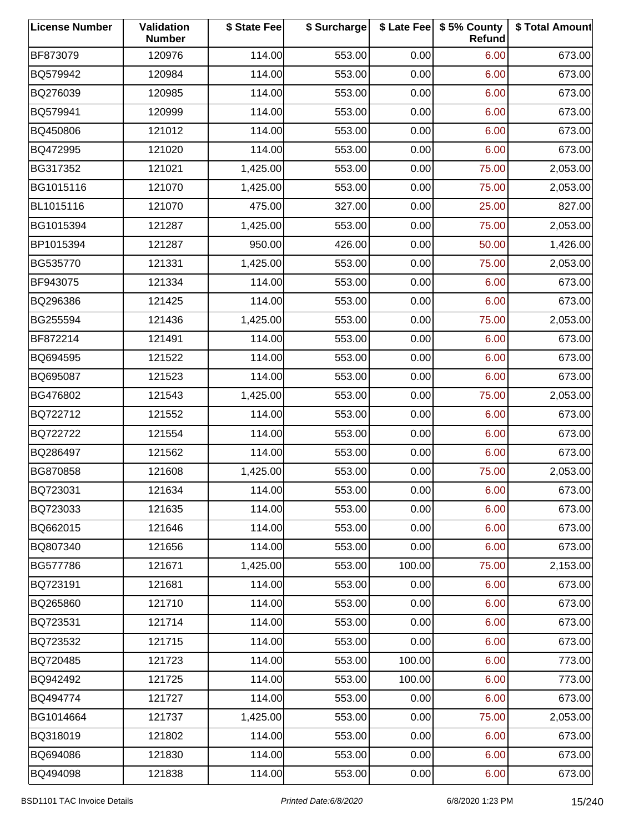| <b>License Number</b> | Validation<br><b>Number</b> | \$ State Fee | \$ Surcharge |        | \$ Late Fee   \$5% County<br>Refund | \$ Total Amount |
|-----------------------|-----------------------------|--------------|--------------|--------|-------------------------------------|-----------------|
| BF873079              | 120976                      | 114.00       | 553.00       | 0.00   | 6.00                                | 673.00          |
| BQ579942              | 120984                      | 114.00       | 553.00       | 0.00   | 6.00                                | 673.00          |
| BQ276039              | 120985                      | 114.00       | 553.00       | 0.00   | 6.00                                | 673.00          |
| BQ579941              | 120999                      | 114.00       | 553.00       | 0.00   | 6.00                                | 673.00          |
| BQ450806              | 121012                      | 114.00       | 553.00       | 0.00   | 6.00                                | 673.00          |
| BQ472995              | 121020                      | 114.00       | 553.00       | 0.00   | 6.00                                | 673.00          |
| BG317352              | 121021                      | 1,425.00     | 553.00       | 0.00   | 75.00                               | 2,053.00        |
| BG1015116             | 121070                      | 1,425.00     | 553.00       | 0.00   | 75.00                               | 2,053.00        |
| BL1015116             | 121070                      | 475.00       | 327.00       | 0.00   | 25.00                               | 827.00          |
| BG1015394             | 121287                      | 1,425.00     | 553.00       | 0.00   | 75.00                               | 2,053.00        |
| BP1015394             | 121287                      | 950.00       | 426.00       | 0.00   | 50.00                               | 1,426.00        |
| BG535770              | 121331                      | 1,425.00     | 553.00       | 0.00   | 75.00                               | 2,053.00        |
| BF943075              | 121334                      | 114.00       | 553.00       | 0.00   | 6.00                                | 673.00          |
| BQ296386              | 121425                      | 114.00       | 553.00       | 0.00   | 6.00                                | 673.00          |
| BG255594              | 121436                      | 1,425.00     | 553.00       | 0.00   | 75.00                               | 2,053.00        |
| BF872214              | 121491                      | 114.00       | 553.00       | 0.00   | 6.00                                | 673.00          |
| BQ694595              | 121522                      | 114.00       | 553.00       | 0.00   | 6.00                                | 673.00          |
| BQ695087              | 121523                      | 114.00       | 553.00       | 0.00   | 6.00                                | 673.00          |
| BG476802              | 121543                      | 1,425.00     | 553.00       | 0.00   | 75.00                               | 2,053.00        |
| BQ722712              | 121552                      | 114.00       | 553.00       | 0.00   | 6.00                                | 673.00          |
| BQ722722              | 121554                      | 114.00       | 553.00       | 0.00   | 6.00                                | 673.00          |
| BQ286497              | 121562                      | 114.00       | 553.00       | 0.00   | 6.00                                | 673.00          |
| BG870858              | 121608                      | 1,425.00     | 553.00       | 0.00   | 75.00                               | 2,053.00        |
| BQ723031              | 121634                      | 114.00       | 553.00       | 0.00   | 6.00                                | 673.00          |
| BQ723033              | 121635                      | 114.00       | 553.00       | 0.00   | 6.00                                | 673.00          |
| BQ662015              | 121646                      | 114.00       | 553.00       | 0.00   | 6.00                                | 673.00          |
| BQ807340              | 121656                      | 114.00       | 553.00       | 0.00   | 6.00                                | 673.00          |
| BG577786              | 121671                      | 1,425.00     | 553.00       | 100.00 | 75.00                               | 2,153.00        |
| BQ723191              | 121681                      | 114.00       | 553.00       | 0.00   | 6.00                                | 673.00          |
| BQ265860              | 121710                      | 114.00       | 553.00       | 0.00   | 6.00                                | 673.00          |
| BQ723531              | 121714                      | 114.00       | 553.00       | 0.00   | 6.00                                | 673.00          |
| BQ723532              | 121715                      | 114.00       | 553.00       | 0.00   | 6.00                                | 673.00          |
| BQ720485              | 121723                      | 114.00       | 553.00       | 100.00 | 6.00                                | 773.00          |
| BQ942492              | 121725                      | 114.00       | 553.00       | 100.00 | 6.00                                | 773.00          |
| BQ494774              | 121727                      | 114.00       | 553.00       | 0.00   | 6.00                                | 673.00          |
| BG1014664             | 121737                      | 1,425.00     | 553.00       | 0.00   | 75.00                               | 2,053.00        |
| BQ318019              | 121802                      | 114.00       | 553.00       | 0.00   | 6.00                                | 673.00          |
| BQ694086              | 121830                      | 114.00       | 553.00       | 0.00   | 6.00                                | 673.00          |
| BQ494098              | 121838                      | 114.00       | 553.00       | 0.00   | 6.00                                | 673.00          |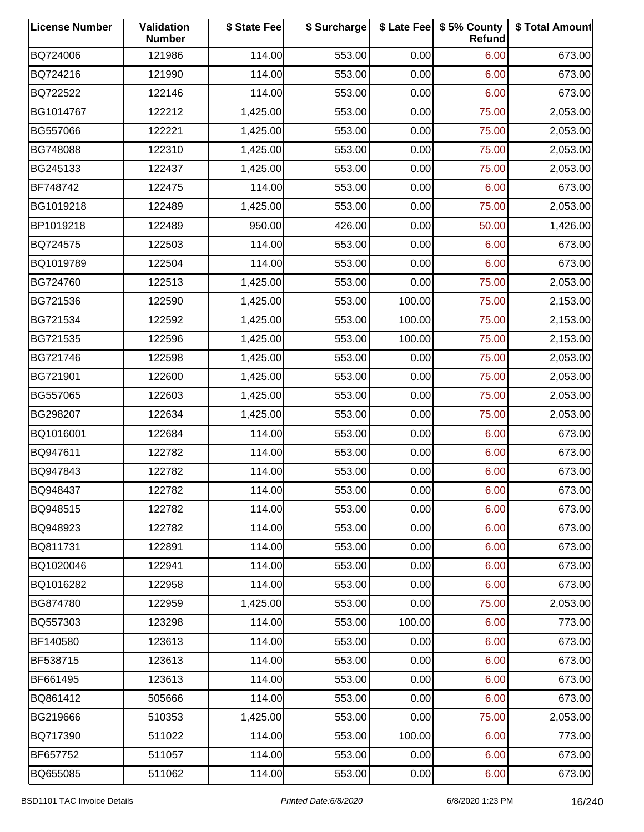| <b>License Number</b> | Validation<br><b>Number</b> | \$ State Fee | \$ Surcharge |        | \$ Late Fee   \$5% County<br>Refund | \$ Total Amount |
|-----------------------|-----------------------------|--------------|--------------|--------|-------------------------------------|-----------------|
| BQ724006              | 121986                      | 114.00       | 553.00       | 0.00   | 6.00                                | 673.00          |
| BQ724216              | 121990                      | 114.00       | 553.00       | 0.00   | 6.00                                | 673.00          |
| BQ722522              | 122146                      | 114.00       | 553.00       | 0.00   | 6.00                                | 673.00          |
| BG1014767             | 122212                      | 1,425.00     | 553.00       | 0.00   | 75.00                               | 2,053.00        |
| BG557066              | 122221                      | 1,425.00     | 553.00       | 0.00   | 75.00                               | 2,053.00        |
| BG748088              | 122310                      | 1,425.00     | 553.00       | 0.00   | 75.00                               | 2,053.00        |
| BG245133              | 122437                      | 1,425.00     | 553.00       | 0.00   | 75.00                               | 2,053.00        |
| BF748742              | 122475                      | 114.00       | 553.00       | 0.00   | 6.00                                | 673.00          |
| BG1019218             | 122489                      | 1,425.00     | 553.00       | 0.00   | 75.00                               | 2,053.00        |
| BP1019218             | 122489                      | 950.00       | 426.00       | 0.00   | 50.00                               | 1,426.00        |
| BQ724575              | 122503                      | 114.00       | 553.00       | 0.00   | 6.00                                | 673.00          |
| BQ1019789             | 122504                      | 114.00       | 553.00       | 0.00   | 6.00                                | 673.00          |
| BG724760              | 122513                      | 1,425.00     | 553.00       | 0.00   | 75.00                               | 2,053.00        |
| BG721536              | 122590                      | 1,425.00     | 553.00       | 100.00 | 75.00                               | 2,153.00        |
| BG721534              | 122592                      | 1,425.00     | 553.00       | 100.00 | 75.00                               | 2,153.00        |
| BG721535              | 122596                      | 1,425.00     | 553.00       | 100.00 | 75.00                               | 2,153.00        |
| BG721746              | 122598                      | 1,425.00     | 553.00       | 0.00   | 75.00                               | 2,053.00        |
| BG721901              | 122600                      | 1,425.00     | 553.00       | 0.00   | 75.00                               | 2,053.00        |
| BG557065              | 122603                      | 1,425.00     | 553.00       | 0.00   | 75.00                               | 2,053.00        |
| BG298207              | 122634                      | 1,425.00     | 553.00       | 0.00   | 75.00                               | 2,053.00        |
| BQ1016001             | 122684                      | 114.00       | 553.00       | 0.00   | 6.00                                | 673.00          |
| BQ947611              | 122782                      | 114.00       | 553.00       | 0.00   | 6.00                                | 673.00          |
| BQ947843              | 122782                      | 114.00       | 553.00       | 0.00   | 6.00                                | 673.00          |
| BQ948437              | 122782                      | 114.00       | 553.00       | 0.00   | 6.00                                | 673.00          |
| BQ948515              | 122782                      | 114.00       | 553.00       | 0.00   | 6.00                                | 673.00          |
| BQ948923              | 122782                      | 114.00       | 553.00       | 0.00   | 6.00                                | 673.00          |
| BQ811731              | 122891                      | 114.00       | 553.00       | 0.00   | 6.00                                | 673.00          |
| BQ1020046             | 122941                      | 114.00       | 553.00       | 0.00   | 6.00                                | 673.00          |
| BQ1016282             | 122958                      | 114.00       | 553.00       | 0.00   | 6.00                                | 673.00          |
| BG874780              | 122959                      | 1,425.00     | 553.00       | 0.00   | 75.00                               | 2,053.00        |
| BQ557303              | 123298                      | 114.00       | 553.00       | 100.00 | 6.00                                | 773.00          |
| BF140580              | 123613                      | 114.00       | 553.00       | 0.00   | 6.00                                | 673.00          |
| BF538715              | 123613                      | 114.00       | 553.00       | 0.00   | 6.00                                | 673.00          |
| BF661495              | 123613                      | 114.00       | 553.00       | 0.00   | 6.00                                | 673.00          |
| BQ861412              | 505666                      | 114.00       | 553.00       | 0.00   | 6.00                                | 673.00          |
| BG219666              | 510353                      | 1,425.00     | 553.00       | 0.00   | 75.00                               | 2,053.00        |
| BQ717390              | 511022                      | 114.00       | 553.00       | 100.00 | 6.00                                | 773.00          |
| BF657752              | 511057                      | 114.00       | 553.00       | 0.00   | 6.00                                | 673.00          |
| BQ655085              | 511062                      | 114.00       | 553.00       | 0.00   | 6.00                                | 673.00          |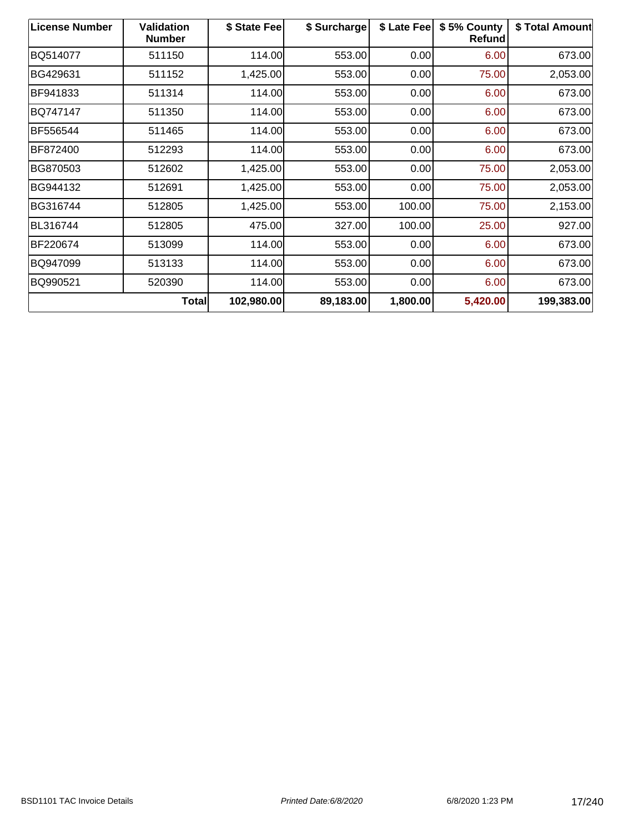| <b>License Number</b> | <b>Validation</b><br><b>Number</b> | \$ State Fee | \$ Surcharge | \$ Late Fee | \$5% County<br>Refund | \$ Total Amount |
|-----------------------|------------------------------------|--------------|--------------|-------------|-----------------------|-----------------|
| BQ514077              | 511150                             | 114.00       | 553.00       | 0.00        | 6.00                  | 673.00          |
| BG429631              | 511152                             | 1,425.00     | 553.00       | 0.00        | 75.00                 | 2,053.00        |
| BF941833              | 511314                             | 114.00       | 553.00       | 0.00        | 6.00                  | 673.00          |
| BQ747147              | 511350                             | 114.00       | 553.00       | 0.00        | 6.00                  | 673.00          |
| BF556544              | 511465                             | 114.00       | 553.00       | 0.00        | 6.00                  | 673.00          |
| BF872400              | 512293                             | 114.00       | 553.00       | 0.00        | 6.00                  | 673.00          |
| BG870503              | 512602                             | 1,425.00     | 553.00       | 0.00        | 75.00                 | 2,053.00        |
| BG944132              | 512691                             | 1,425.00     | 553.00       | 0.00        | 75.00                 | 2,053.00        |
| BG316744              | 512805                             | 1,425.00     | 553.00       | 100.00      | 75.00                 | 2,153.00        |
| BL316744              | 512805                             | 475.00       | 327.00       | 100.00      | 25.00                 | 927.00          |
| BF220674              | 513099                             | 114.00       | 553.00       | 0.00        | 6.00                  | 673.00          |
| BQ947099              | 513133                             | 114.00       | 553.00       | 0.00        | 6.00                  | 673.00          |
| BQ990521              | 520390                             | 114.00       | 553.00       | 0.00        | 6.00                  | 673.00          |
|                       | <b>Total</b>                       | 102,980.00   | 89,183.00    | 1,800.00    | 5,420.00              | 199,383.00      |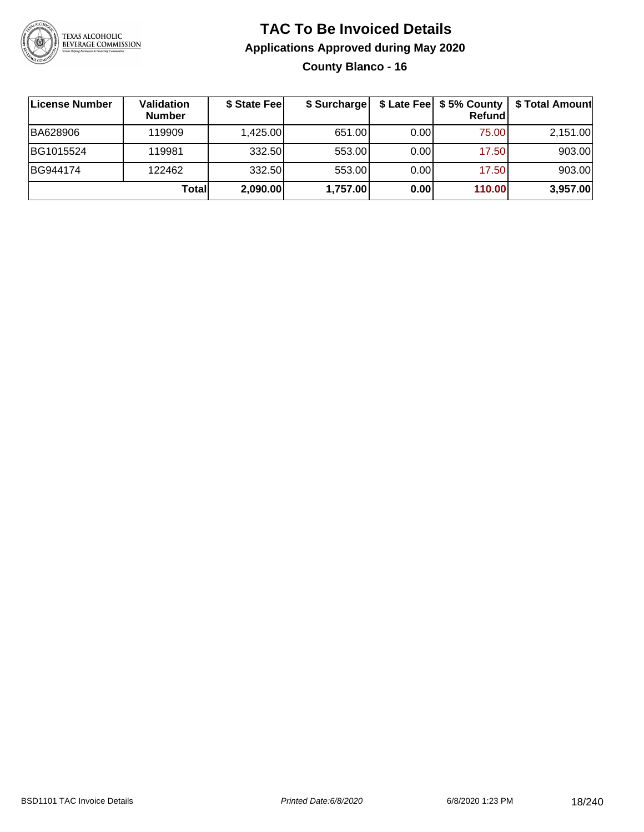

**County Blanco - 16**

| ∣License Number | Validation<br><b>Number</b> | \$ State Fee | \$ Surcharge |      | Refundl | \$ Late Fee   \$5% County   \$ Total Amount |
|-----------------|-----------------------------|--------------|--------------|------|---------|---------------------------------------------|
| BA628906        | 119909                      | 1,425.00     | 651.00       | 0.00 | 75.00   | 2,151.00                                    |
| BG1015524       | 119981                      | 332.50       | 553.00       | 0.00 | 17.50   | 903.00                                      |
| BG944174        | 122462                      | 332.50       | 553.00       | 0.00 | 17.50   | 903.00                                      |
|                 | <b>Total</b>                | 2,090.00     | 1,757.00     | 0.00 | 110.00  | 3,957.00                                    |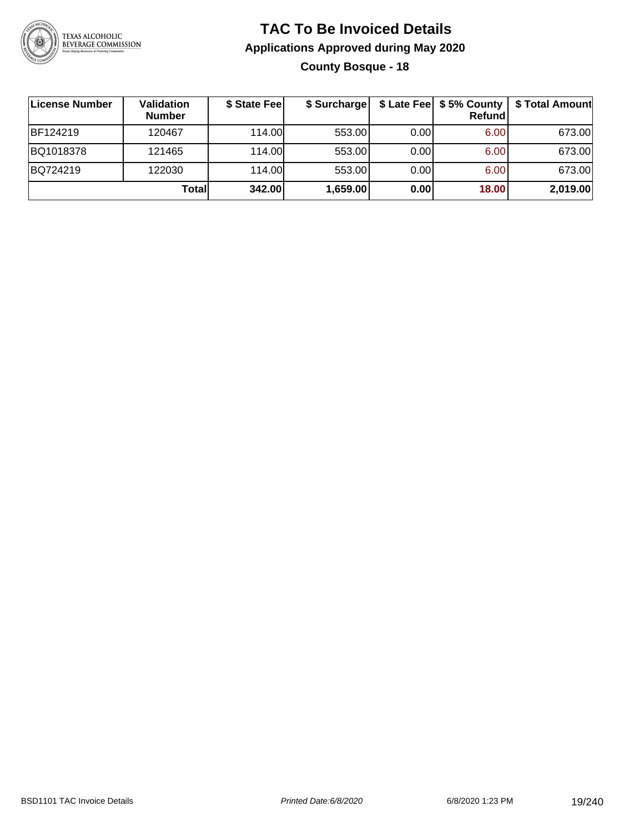

### **TAC To Be Invoiced Details Applications Approved during May 2020 County Bosque - 18**

| ∣License Number | Validation<br><b>Number</b> | \$ State Fee | \$ Surcharge |      | Refundl | \$ Late Fee   \$5% County   \$ Total Amount |
|-----------------|-----------------------------|--------------|--------------|------|---------|---------------------------------------------|
| <b>BF124219</b> | 120467                      | 114.00L      | 553.00       | 0.00 | 6.00    | 673.00                                      |
| BQ1018378       | 121465                      | 114.00       | 553.00       | 0.00 | 6.00    | 673.00                                      |
| BQ724219        | 122030                      | 114.00       | 553.00       | 0.00 | 6.00    | 673.00                                      |
|                 | Totall                      | 342.00       | 1,659.00     | 0.00 | 18.00   | 2,019.00                                    |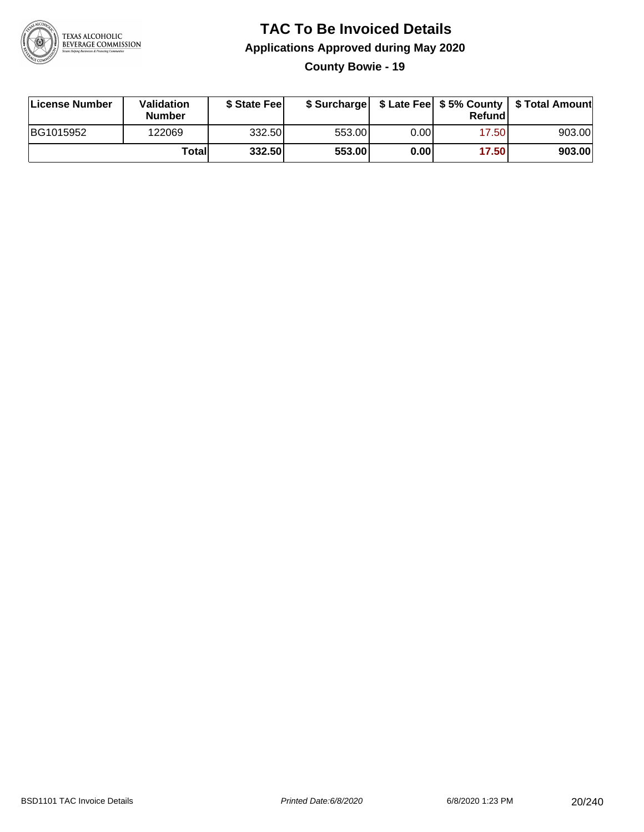

**County Bowie - 19**

| License Number | <b>Validation</b><br><b>Number</b> | \$ State Feel |        |      | Refundl | \$ Surcharge   \$ Late Fee   \$5% County   \$ Total Amount |
|----------------|------------------------------------|---------------|--------|------|---------|------------------------------------------------------------|
| BG1015952      | 122069                             | 332.50        | 553.00 | 0.00 | 17.50   | 903.00                                                     |
|                | Totall                             | 332.50        | 553.00 | 0.00 | 17.50   | 903.00                                                     |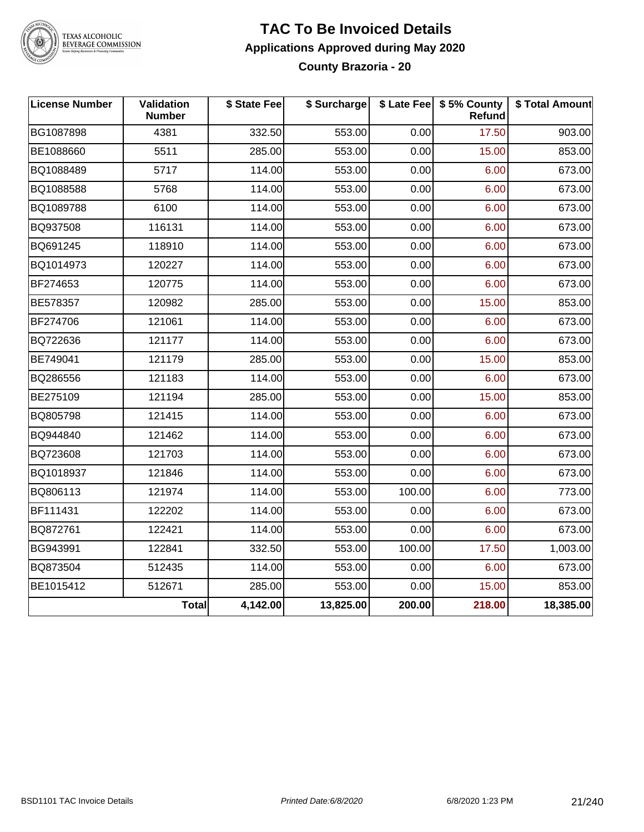

TEXAS ALCOHOLIC<br>BEVERAGE COMMISSION

### **TAC To Be Invoiced Details Applications Approved during May 2020 County Brazoria - 20**

| <b>License Number</b> | Validation<br><b>Number</b> | \$ State Fee | \$ Surcharge |        | \$ Late Fee   \$5% County<br>Refund | \$ Total Amount |
|-----------------------|-----------------------------|--------------|--------------|--------|-------------------------------------|-----------------|
| BG1087898             | 4381                        | 332.50       | 553.00       | 0.00   | 17.50                               | 903.00          |
| BE1088660             | 5511                        | 285.00       | 553.00       | 0.00   | 15.00                               | 853.00          |
| BQ1088489             | 5717                        | 114.00       | 553.00       | 0.00   | 6.00                                | 673.00          |
| BQ1088588             | 5768                        | 114.00       | 553.00       | 0.00   | 6.00                                | 673.00          |
| BQ1089788             | 6100                        | 114.00       | 553.00       | 0.00   | 6.00                                | 673.00          |
| BQ937508              | 116131                      | 114.00       | 553.00       | 0.00   | 6.00                                | 673.00          |
| BQ691245              | 118910                      | 114.00       | 553.00       | 0.00   | 6.00                                | 673.00          |
| BQ1014973             | 120227                      | 114.00       | 553.00       | 0.00   | 6.00                                | 673.00          |
| BF274653              | 120775                      | 114.00       | 553.00       | 0.00   | 6.00                                | 673.00          |
| BE578357              | 120982                      | 285.00       | 553.00       | 0.00   | 15.00                               | 853.00          |
| BF274706              | 121061                      | 114.00       | 553.00       | 0.00   | 6.00                                | 673.00          |
| BQ722636              | 121177                      | 114.00       | 553.00       | 0.00   | 6.00                                | 673.00          |
| BE749041              | 121179                      | 285.00       | 553.00       | 0.00   | 15.00                               | 853.00          |
| BQ286556              | 121183                      | 114.00       | 553.00       | 0.00   | 6.00                                | 673.00          |
| BE275109              | 121194                      | 285.00       | 553.00       | 0.00   | 15.00                               | 853.00          |
| BQ805798              | 121415                      | 114.00       | 553.00       | 0.00   | 6.00                                | 673.00          |
| BQ944840              | 121462                      | 114.00       | 553.00       | 0.00   | 6.00                                | 673.00          |
| BQ723608              | 121703                      | 114.00       | 553.00       | 0.00   | 6.00                                | 673.00          |
| BQ1018937             | 121846                      | 114.00       | 553.00       | 0.00   | 6.00                                | 673.00          |
| BQ806113              | 121974                      | 114.00       | 553.00       | 100.00 | 6.00                                | 773.00          |
| BF111431              | 122202                      | 114.00       | 553.00       | 0.00   | 6.00                                | 673.00          |
| BQ872761              | 122421                      | 114.00       | 553.00       | 0.00   | 6.00                                | 673.00          |
| BG943991              | 122841                      | 332.50       | 553.00       | 100.00 | 17.50                               | 1,003.00        |
| BQ873504              | 512435                      | 114.00       | 553.00       | 0.00   | 6.00                                | 673.00          |
| BE1015412             | 512671                      | 285.00       | 553.00       | 0.00   | 15.00                               | 853.00          |
|                       | Total                       | 4,142.00     | 13,825.00    | 200.00 | 218.00                              | 18,385.00       |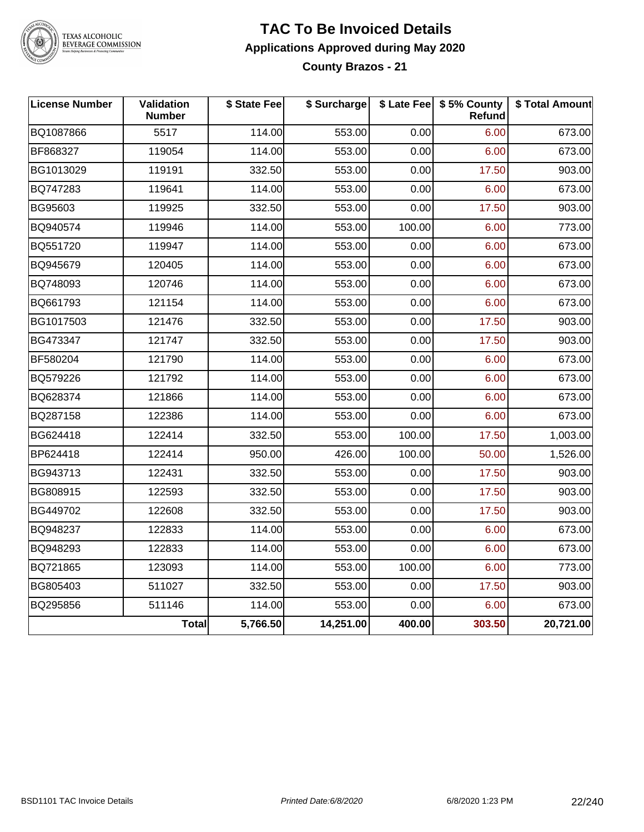

#### TEXAS ALCOHOLIC **BEVERAGE COMMISSION**

### **TAC To Be Invoiced Details Applications Approved during May 2020 County Brazos - 21**

**License Number Validation Number \$ State Fee \$ Surcharge \$ Late Fee \$ 5% County Refund \$ Total Amount** BQ1087866 5517 114.00 553.00 0.00 6.00 673.00 BF868327 119054 114.00 553.00 0.00 6.00 673.00 BG1013029 | 119191 | 332.50| 553.00| 0.00| 17.50| 903.00 BQ747283 119641 114.00 553.00 0.00 6.00 673.00 BG95603 | 119925 | 332.50| 553.00| 0.00| 17.50| 903.00 BQ940574 119946 114.00 553.00 100.00 6.00 773.00 BQ551720 119947 114.00 553.00 0.00 6.00 673.00 BQ945679 120405 114.00 553.00 0.00 6.00 673.00 BQ748093 120746 114.00 553.00 0.00 6.00 673.00 BQ661793 121154 114.00 553.00 0.00 6.00 673.00 BG1017503 | 121476 | 332.50| 553.00| 0.00| 17.50| 903.00 BG473347 121747 332.50 553.00 0.00 17.50 903.00 BF580204 121790 114.00 553.00 0.00 6.00 673.00 BQ579226 121792 114.00 553.00 0.00 6.00 673.00 BQ628374 | 121866 | 114.00| 553.00| 0.00| 6.00| 673.00 BQ287158 | 122386 | 114.00| 553.00| 0.00| 6.00| 673.00 BG624418 122414 332.50 553.00 100.00 17.50 1,003.00 BP624418 122414 950.00 426.00 100.00 50.00 1,526.00 BG943713 | 122431 | 332.50| 553.00| 0.00| 17.50| 903.00 BG808915 | 122593 | 332.50| 553.00| 0.00| 17.50| 903.00 BG449702 | 122608 | 332.50| 553.00| 0.00| 17.50| 903.00 BQ948237 | 122833 | 114.00| 553.00| 0.00| 6.00| 673.00 BQ948293 | 122833 | 114.00| 553.00| 0.00| 6.00| 673.00 BQ721865 123093 114.00 553.00 100.00 6.00 773.00 BG805403 | 511027 | 332.50| 553.00| 0.00| 17.50| 903.00 BQ295856 511146 114.00 553.00 0.00 6.00 673.00 **Total 5,766.50 14,251.00 400.00 303.50 20,721.00**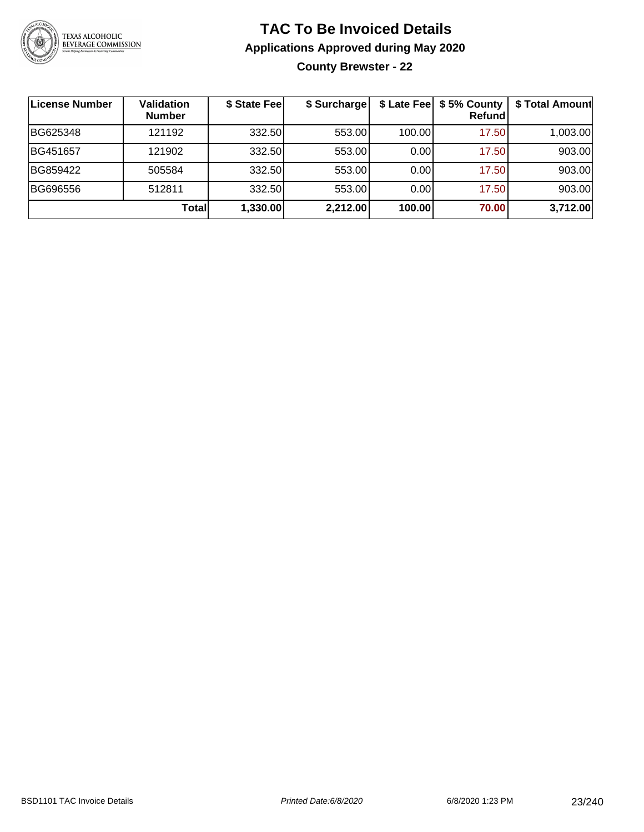

**County Brewster - 22**

| License Number | <b>Validation</b><br><b>Number</b> | \$ State Fee | \$ Surcharge |        | \$ Late Fee   \$5% County  <br>Refundl | \$ Total Amount |
|----------------|------------------------------------|--------------|--------------|--------|----------------------------------------|-----------------|
| BG625348       | 121192                             | 332.50       | 553.00       | 100.00 | 17.50                                  | 1,003.00        |
| BG451657       | 121902                             | 332.50       | 553.00       | 0.00   | 17.50                                  | 903.00          |
| BG859422       | 505584                             | 332.50       | 553.00       | 0.00   | 17.50                                  | 903.00          |
| BG696556       | 512811                             | 332.50       | 553.00       | 0.00   | 17.50                                  | 903.00          |
|                | Totall                             | 1,330.00     | 2,212.00     | 100.00 | 70.00                                  | 3,712.00        |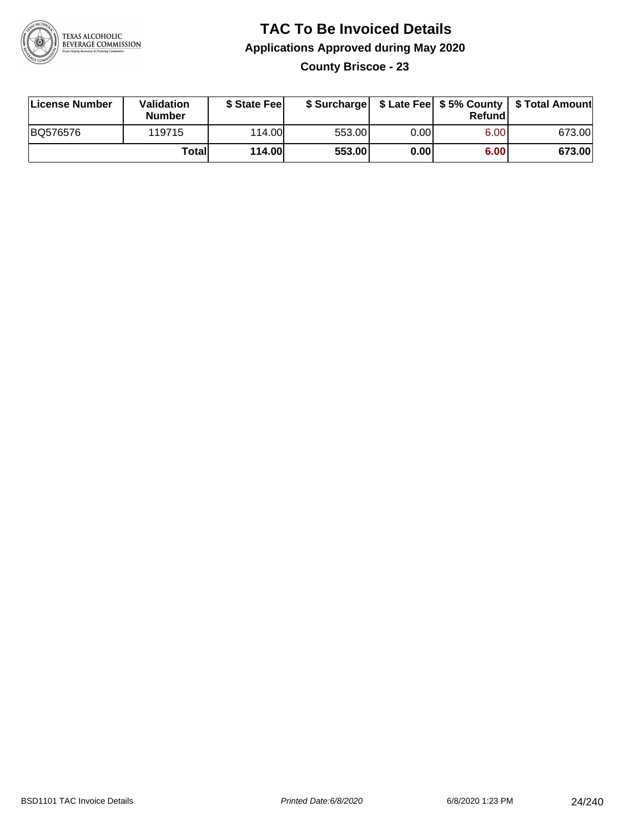

**County Briscoe - 23**

| License Number | Validation<br><b>Number</b> | \$ State Fee  | \$ Surcharge |      | Refund |        |
|----------------|-----------------------------|---------------|--------------|------|--------|--------|
| BQ576576       | 119715                      | 114.00        | 553.00       | 0.00 | 6.00   | 673.00 |
|                | Totall                      | <b>114.00</b> | 553.00       | 0.00 | 6.00   | 673.00 |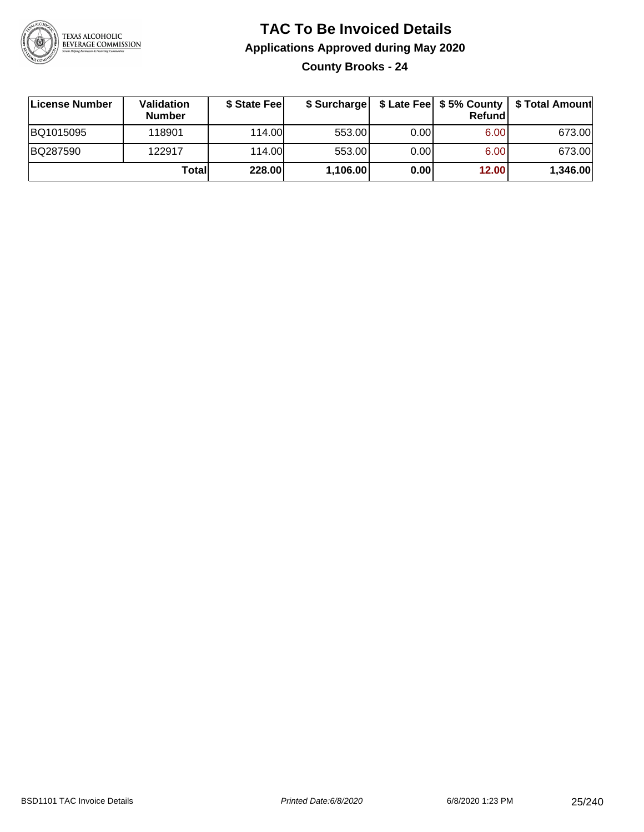

**County Brooks - 24**

| License Number | <b>Validation</b><br><b>Number</b> | \$ State Fee | \$ Surcharge |       | Refundl | \$ Late Fee   \$5% County   \$ Total Amount |
|----------------|------------------------------------|--------------|--------------|-------|---------|---------------------------------------------|
| BQ1015095      | 118901                             | 114.00       | 553.00       | 0.001 | 6.00    | 673.00                                      |
| BQ287590       | 122917                             | 114.00       | 553.00       | 0.001 | 6.00    | 673.00                                      |
|                | Totall                             | 228.00       | 1,106.00     | 0.00  | 12.00   | 1,346.00                                    |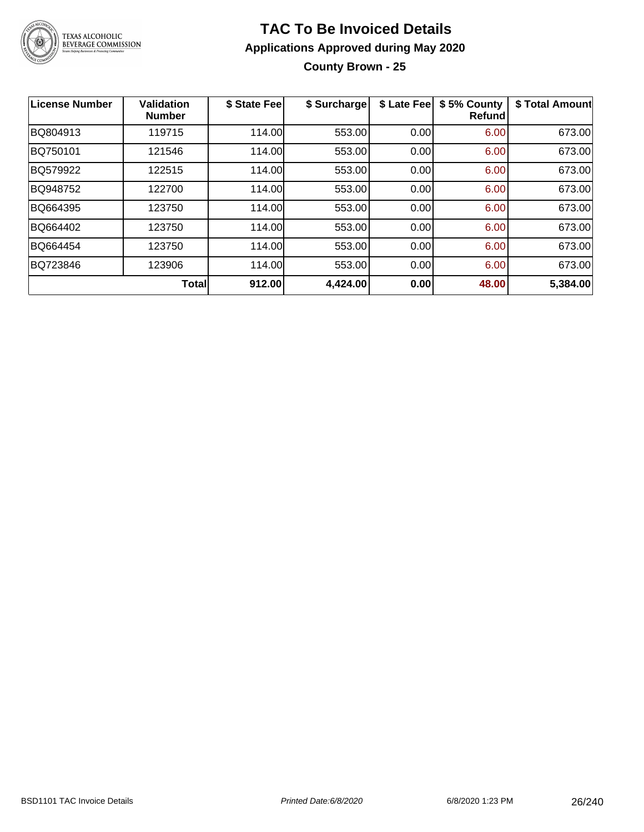

**County Brown - 25**

| License Number | Validation<br><b>Number</b> | \$ State Feel | \$ Surcharge | \$ Late Fee | \$5% County<br>Refundl | \$ Total Amount |
|----------------|-----------------------------|---------------|--------------|-------------|------------------------|-----------------|
| BQ804913       | 119715                      | 114.00        | 553.00       | 0.00        | 6.00                   | 673.00          |
| BQ750101       | 121546                      | 114.00        | 553.00       | 0.00        | 6.00                   | 673.00          |
| BQ579922       | 122515                      | 114.00        | 553.00       | 0.00        | 6.00                   | 673.00          |
| BQ948752       | 122700                      | 114.00        | 553.00       | 0.00        | 6.00                   | 673.00          |
| BQ664395       | 123750                      | 114.00        | 553.00       | 0.00        | 6.00                   | 673.00          |
| BQ664402       | 123750                      | 114.00        | 553.00       | 0.00        | 6.00                   | 673.00          |
| BQ664454       | 123750                      | 114.00        | 553.00       | 0.00        | 6.00                   | 673.00          |
| BQ723846       | 123906                      | 114.00        | 553.00       | 0.00        | 6.00                   | 673.00          |
|                | <b>Total</b>                | 912.00        | 4,424.00     | 0.00        | 48.00                  | 5,384.00        |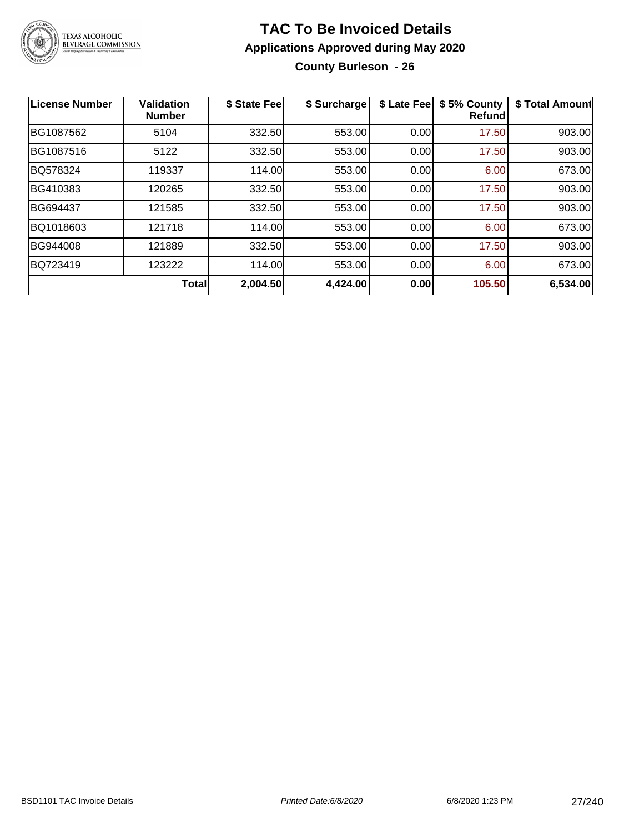

**County Burleson - 26**

| <b>License Number</b> | <b>Validation</b><br><b>Number</b> | \$ State Fee | \$ Surcharge | \$ Late Fee | \$5% County<br><b>Refund</b> | \$ Total Amount |
|-----------------------|------------------------------------|--------------|--------------|-------------|------------------------------|-----------------|
| BG1087562             | 5104                               | 332.50       | 553.00       | 0.00        | 17.50                        | 903.00          |
| BG1087516             | 5122                               | 332.50       | 553.00       | 0.00        | 17.50                        | 903.00          |
| BQ578324              | 119337                             | 114.00       | 553.00       | 0.00        | 6.00                         | 673.00          |
| BG410383              | 120265                             | 332.50       | 553.00       | 0.00        | 17.50                        | 903.00          |
| BG694437              | 121585                             | 332.50       | 553.00       | 0.00        | 17.50                        | 903.00          |
| BQ1018603             | 121718                             | 114.00       | 553.00       | 0.00        | 6.00                         | 673.00          |
| BG944008              | 121889                             | 332.50       | 553.00       | 0.00        | 17.50                        | 903.00          |
| BQ723419              | 123222                             | 114.00       | 553.00       | 0.00        | 6.00                         | 673.00          |
|                       | <b>Total</b>                       | 2,004.50     | 4,424.00     | 0.00        | 105.50                       | 6,534.00        |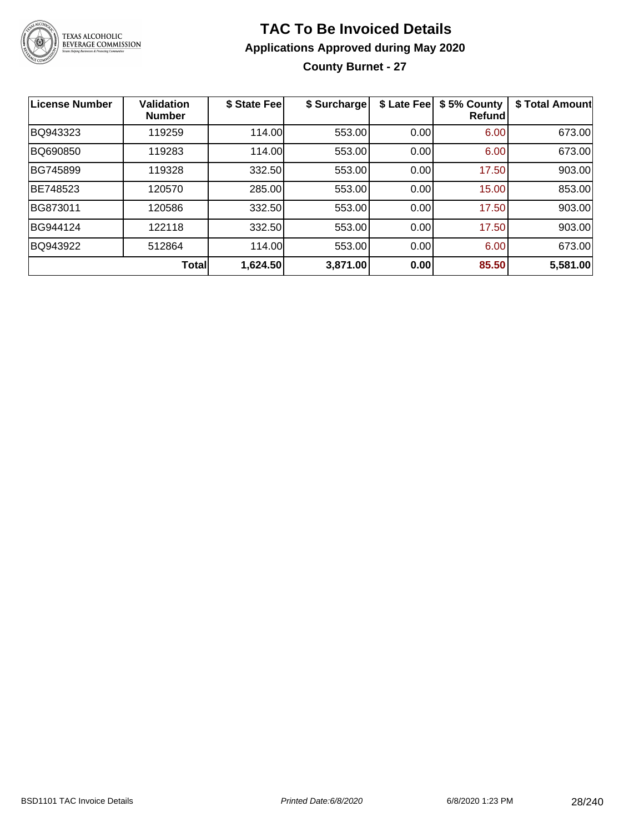

### **TAC To Be Invoiced Details Applications Approved during May 2020 County Burnet - 27**

| <b>License Number</b> | <b>Validation</b><br><b>Number</b> | \$ State Fee | \$ Surcharge | \$ Late Fee | \$5% County<br>Refund | \$ Total Amount |
|-----------------------|------------------------------------|--------------|--------------|-------------|-----------------------|-----------------|
| BQ943323              | 119259                             | 114.00       | 553.00       | 0.00        | 6.00                  | 673.00          |
| BQ690850              | 119283                             | 114.00       | 553.00       | 0.00        | 6.00                  | 673.00          |
| BG745899              | 119328                             | 332.50       | 553.00       | 0.00        | 17.50                 | 903.00          |
| BE748523              | 120570                             | 285.00       | 553.00       | 0.00        | 15.00                 | 853.00          |
| BG873011              | 120586                             | 332.50       | 553.00       | 0.00        | 17.50                 | 903.00          |
| BG944124              | 122118                             | 332.50       | 553.00       | 0.00        | 17.50                 | 903.00          |
| BQ943922              | 512864                             | 114.00       | 553.00       | 0.00        | 6.00                  | 673.00          |
|                       | <b>Total</b>                       | 1,624.50     | 3,871.00     | 0.00        | 85.50                 | 5,581.00        |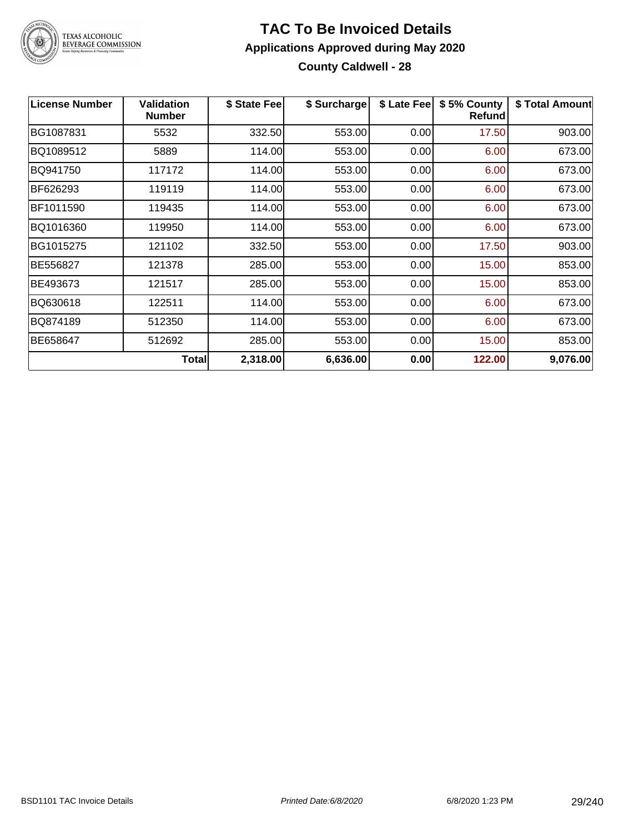

### **TAC To Be Invoiced Details Applications Approved during May 2020 County Caldwell - 28**

| <b>License Number</b> | <b>Validation</b><br><b>Number</b> | \$ State Fee | \$ Surcharge | \$ Late Fee | \$5% County<br><b>Refund</b> | \$ Total Amount |
|-----------------------|------------------------------------|--------------|--------------|-------------|------------------------------|-----------------|
| BG1087831             | 5532                               | 332.50       | 553.00       | 0.00        | 17.50                        | 903.00          |
| BQ1089512             | 5889                               | 114.00       | 553.00       | 0.00        | 6.00                         | 673.00          |
| BQ941750              | 117172                             | 114.00       | 553.00       | 0.00        | 6.00                         | 673.00          |
| BF626293              | 119119                             | 114.00       | 553.00       | 0.00        | 6.00                         | 673.00          |
| BF1011590             | 119435                             | 114.00       | 553.00       | 0.00        | 6.00                         | 673.00          |
| BQ1016360             | 119950                             | 114.00       | 553.00       | 0.00        | 6.00                         | 673.00          |
| BG1015275             | 121102                             | 332.50       | 553.00       | 0.00        | 17.50                        | 903.00          |
| BE556827              | 121378                             | 285.00       | 553.00       | 0.00        | 15.00                        | 853.00          |
| BE493673              | 121517                             | 285.00       | 553.00       | 0.00        | 15.00                        | 853.00          |
| BQ630618              | 122511                             | 114.00       | 553.00       | 0.00        | 6.00                         | 673.00          |
| BQ874189              | 512350                             | 114.00       | 553.00       | 0.00        | 6.00                         | 673.00          |
| BE658647              | 512692                             | 285.00       | 553.00       | 0.00        | 15.00                        | 853.00          |
|                       | <b>Total</b>                       | 2,318.00     | 6,636.00     | 0.00        | 122.00                       | 9,076.00        |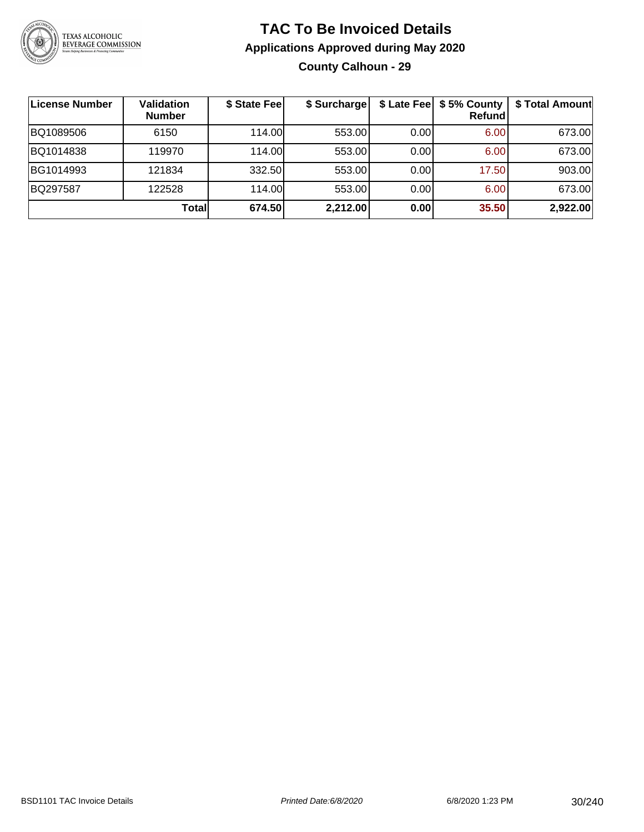

### **TAC To Be Invoiced Details Applications Approved during May 2020 County Calhoun - 29**

| <b>License Number</b> | <b>Validation</b><br><b>Number</b> | \$ State Fee | \$ Surcharge |      | \$ Late Fee   \$5% County<br>Refundl | \$ Total Amount |
|-----------------------|------------------------------------|--------------|--------------|------|--------------------------------------|-----------------|
| BQ1089506             | 6150                               | 114.00       | 553.00       | 0.00 | 6.00                                 | 673.00          |
| BQ1014838             | 119970                             | 114.00       | 553.00       | 0.00 | 6.00                                 | 673.00          |
| BG1014993             | 121834                             | 332.50       | 553.00       | 0.00 | 17.50                                | 903.00          |
| BQ297587              | 122528                             | 114.00       | 553.00       | 0.00 | 6.00                                 | 673.00          |
|                       | Totall                             | 674.50       | 2,212.00     | 0.00 | 35.50                                | 2,922.00        |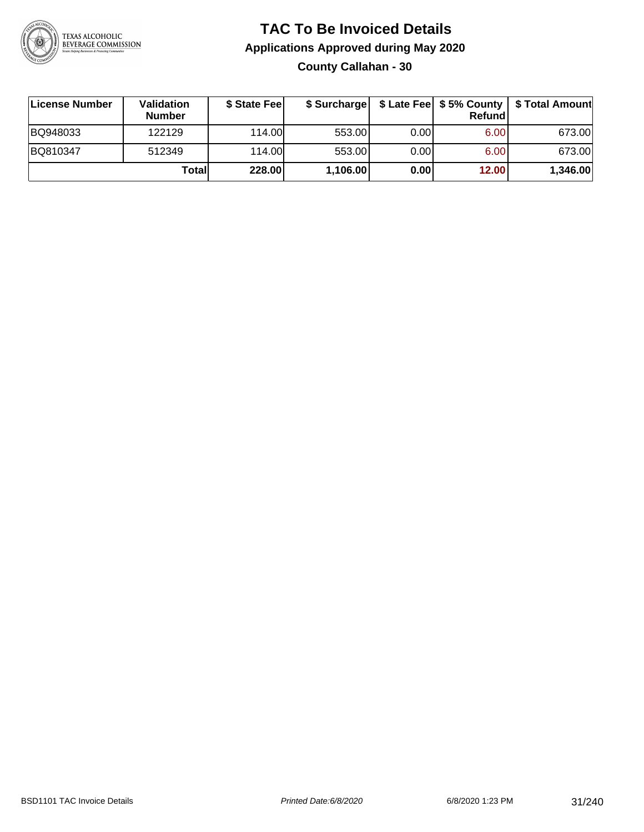

### **TAC To Be Invoiced Details Applications Approved during May 2020 County Callahan - 30**

| License Number | Validation<br><b>Number</b> | \$ State Fee |          |      | Refundl | \$ Surcharge   \$ Late Fee   \$5% County   \$ Total Amount |
|----------------|-----------------------------|--------------|----------|------|---------|------------------------------------------------------------|
| BQ948033       | 122129                      | 114.00L      | 553.00   | 0.00 | 6.00    | 673.00                                                     |
| BQ810347       | 512349                      | 114.00       | 553.00   | 0.00 | 6.00    | 673.00                                                     |
|                | Totall                      | 228.00       | 1,106.00 | 0.00 | 12.00   | 1,346.00                                                   |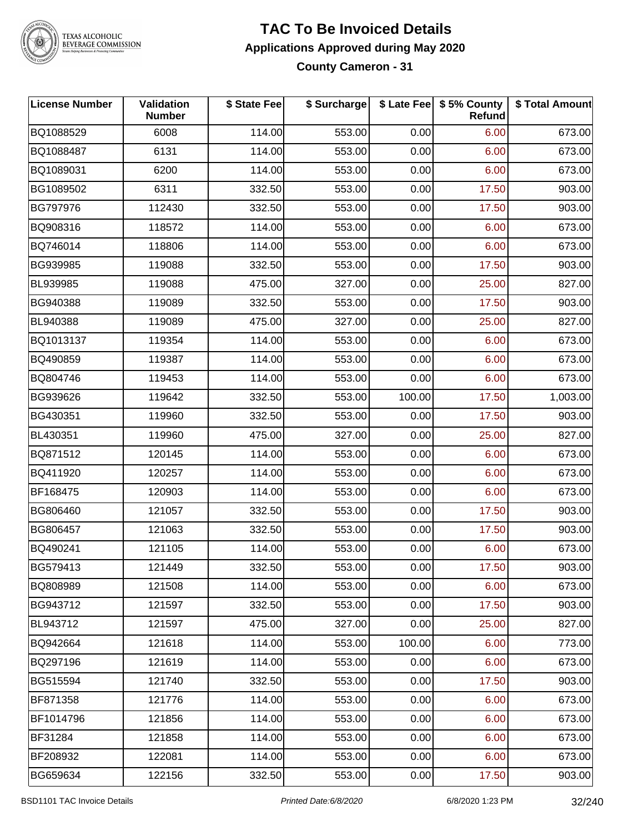

TEXAS ALCOHOLIC<br>BEVERAGE COMMISSION

### **TAC To Be Invoiced Details Applications Approved during May 2020 County Cameron - 31**

| <b>License Number</b> | Validation<br><b>Number</b> | \$ State Fee | \$ Surcharge |        | \$ Late Fee   \$5% County  <br>Refund | \$ Total Amount |
|-----------------------|-----------------------------|--------------|--------------|--------|---------------------------------------|-----------------|
| BQ1088529             | 6008                        | 114.00       | 553.00       | 0.00   | 6.00                                  | 673.00          |
| BQ1088487             | 6131                        | 114.00       | 553.00       | 0.00   | 6.00                                  | 673.00          |
| BQ1089031             | 6200                        | 114.00       | 553.00       | 0.00   | 6.00                                  | 673.00          |
| BG1089502             | 6311                        | 332.50       | 553.00       | 0.00   | 17.50                                 | 903.00          |
| BG797976              | 112430                      | 332.50       | 553.00       | 0.00   | 17.50                                 | 903.00          |
| BQ908316              | 118572                      | 114.00       | 553.00       | 0.00   | 6.00                                  | 673.00          |
| BQ746014              | 118806                      | 114.00       | 553.00       | 0.00   | 6.00                                  | 673.00          |
| BG939985              | 119088                      | 332.50       | 553.00       | 0.00   | 17.50                                 | 903.00          |
| BL939985              | 119088                      | 475.00       | 327.00       | 0.00   | 25.00                                 | 827.00          |
| BG940388              | 119089                      | 332.50       | 553.00       | 0.00   | 17.50                                 | 903.00          |
| BL940388              | 119089                      | 475.00       | 327.00       | 0.00   | 25.00                                 | 827.00          |
| BQ1013137             | 119354                      | 114.00       | 553.00       | 0.00   | 6.00                                  | 673.00          |
| BQ490859              | 119387                      | 114.00       | 553.00       | 0.00   | 6.00                                  | 673.00          |
| BQ804746              | 119453                      | 114.00       | 553.00       | 0.00   | 6.00                                  | 673.00          |
| BG939626              | 119642                      | 332.50       | 553.00       | 100.00 | 17.50                                 | 1,003.00        |
| BG430351              | 119960                      | 332.50       | 553.00       | 0.00   | 17.50                                 | 903.00          |
| BL430351              | 119960                      | 475.00       | 327.00       | 0.00   | 25.00                                 | 827.00          |
| BQ871512              | 120145                      | 114.00       | 553.00       | 0.00   | 6.00                                  | 673.00          |
| BQ411920              | 120257                      | 114.00       | 553.00       | 0.00   | 6.00                                  | 673.00          |
| BF168475              | 120903                      | 114.00       | 553.00       | 0.00   | 6.00                                  | 673.00          |
| BG806460              | 121057                      | 332.50       | 553.00       | 0.00   | 17.50                                 | 903.00          |
| BG806457              | 121063                      | 332.50       | 553.00       | 0.00   | 17.50                                 | 903.00          |
| BQ490241              | 121105                      | 114.00       | 553.00       | 0.00   | 6.00                                  | 673.00          |
| BG579413              | 121449                      | 332.50       | 553.00       | 0.00   | 17.50                                 | 903.00          |
| BQ808989              | 121508                      | 114.00       | 553.00       | 0.00   | 6.00                                  | 673.00          |
| BG943712              | 121597                      | 332.50       | 553.00       | 0.00   | 17.50                                 | 903.00          |
| BL943712              | 121597                      | 475.00       | 327.00       | 0.00   | 25.00                                 | 827.00          |
| BQ942664              | 121618                      | 114.00       | 553.00       | 100.00 | 6.00                                  | 773.00          |
| BQ297196              | 121619                      | 114.00       | 553.00       | 0.00   | 6.00                                  | 673.00          |
| BG515594              | 121740                      | 332.50       | 553.00       | 0.00   | 17.50                                 | 903.00          |
| BF871358              | 121776                      | 114.00       | 553.00       | 0.00   | 6.00                                  | 673.00          |
| BF1014796             | 121856                      | 114.00       | 553.00       | 0.00   | 6.00                                  | 673.00          |
| BF31284               | 121858                      | 114.00       | 553.00       | 0.00   | 6.00                                  | 673.00          |
| BF208932              | 122081                      | 114.00       | 553.00       | 0.00   | 6.00                                  | 673.00          |
| BG659634              | 122156                      | 332.50       | 553.00       | 0.00   | 17.50                                 | 903.00          |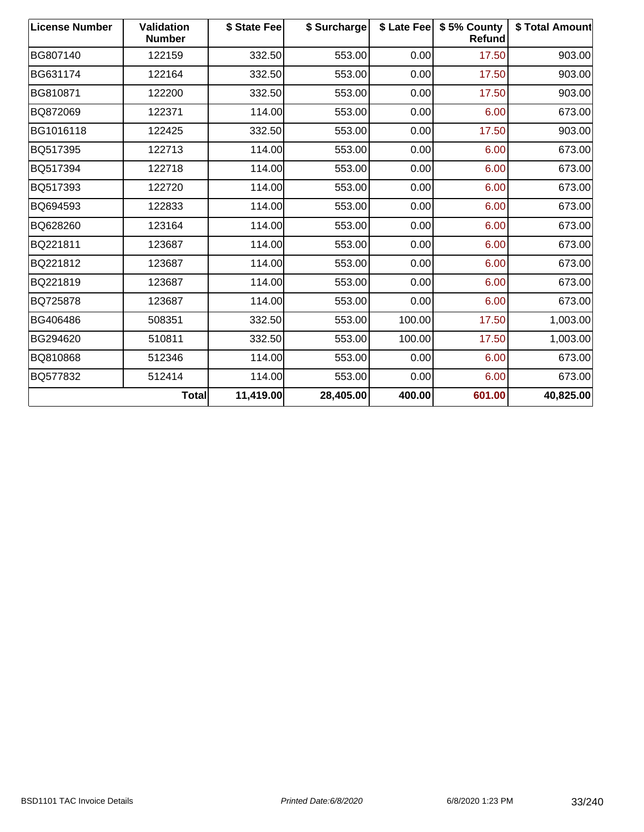| <b>License Number</b> | <b>Validation</b><br><b>Number</b> | \$ State Fee | \$ Surcharge |        | \$ Late Fee   \$5% County<br>Refund | \$ Total Amount |
|-----------------------|------------------------------------|--------------|--------------|--------|-------------------------------------|-----------------|
| BG807140              | 122159                             | 332.50       | 553.00       | 0.00   | 17.50                               | 903.00          |
| BG631174              | 122164                             | 332.50       | 553.00       | 0.00   | 17.50                               | 903.00          |
| BG810871              | 122200                             | 332.50       | 553.00       | 0.00   | 17.50                               | 903.00          |
| BQ872069              | 122371                             | 114.00       | 553.00       | 0.00   | 6.00                                | 673.00          |
| BG1016118             | 122425                             | 332.50       | 553.00       | 0.00   | 17.50                               | 903.00          |
| BQ517395              | 122713                             | 114.00       | 553.00       | 0.00   | 6.00                                | 673.00          |
| BQ517394              | 122718                             | 114.00       | 553.00       | 0.00   | 6.00                                | 673.00          |
| BQ517393              | 122720                             | 114.00       | 553.00       | 0.00   | 6.00                                | 673.00          |
| BQ694593              | 122833                             | 114.00       | 553.00       | 0.00   | 6.00                                | 673.00          |
| BQ628260              | 123164                             | 114.00       | 553.00       | 0.00   | 6.00                                | 673.00          |
| BQ221811              | 123687                             | 114.00       | 553.00       | 0.00   | 6.00                                | 673.00          |
| BQ221812              | 123687                             | 114.00       | 553.00       | 0.00   | 6.00                                | 673.00          |
| BQ221819              | 123687                             | 114.00       | 553.00       | 0.00   | 6.00                                | 673.00          |
| BQ725878              | 123687                             | 114.00       | 553.00       | 0.00   | 6.00                                | 673.00          |
| BG406486              | 508351                             | 332.50       | 553.00       | 100.00 | 17.50                               | 1,003.00        |
| BG294620              | 510811                             | 332.50       | 553.00       | 100.00 | 17.50                               | 1,003.00        |
| BQ810868              | 512346                             | 114.00       | 553.00       | 0.00   | 6.00                                | 673.00          |
| BQ577832              | 512414                             | 114.00       | 553.00       | 0.00   | 6.00                                | 673.00          |
|                       | Total                              | 11,419.00    | 28,405.00    | 400.00 | 601.00                              | 40,825.00       |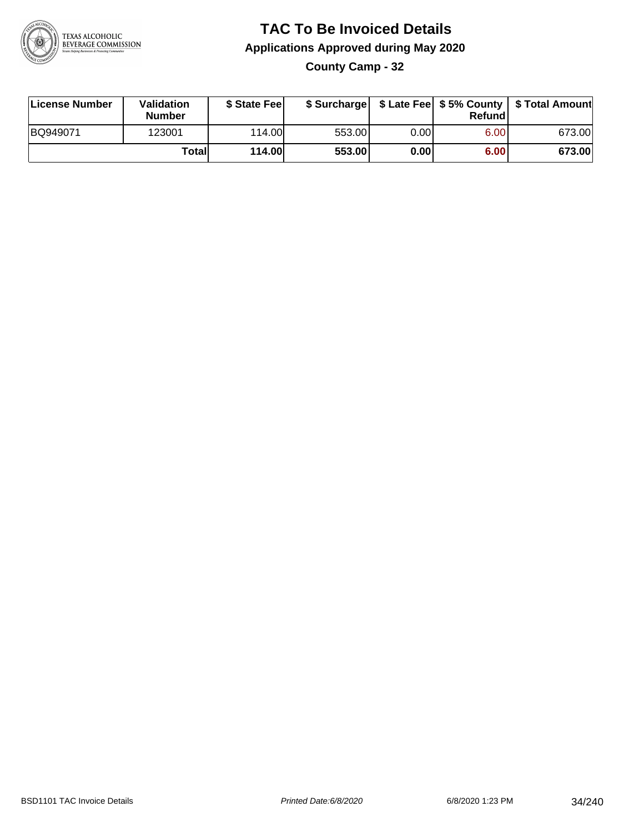

**County Camp - 32**

| License Number | Validation<br><b>Number</b> | \$ State Feel | \$ Surcharge |      | Refund | \$ Late Fee   \$5% County   \$ Total Amount |
|----------------|-----------------------------|---------------|--------------|------|--------|---------------------------------------------|
| BQ949071       | 123001                      | 114.00L       | 553.00       | 0.00 | 6.00   | 673.00                                      |
|                | Totall                      | <b>114.00</b> | 553.00       | 0.00 | 6.00   | 673.00                                      |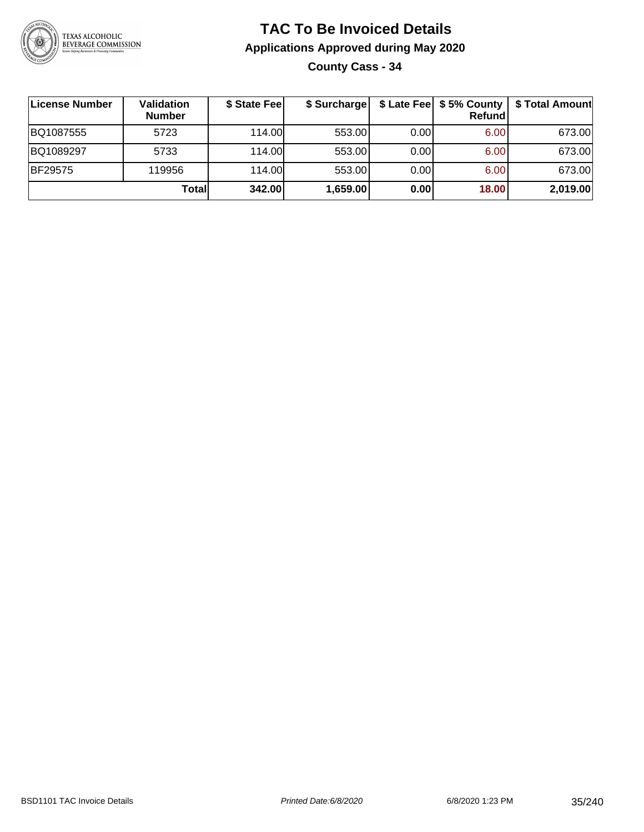

**County Cass - 34**

| License Number | Validation<br><b>Number</b> | \$ State Fee | \$ Surcharge |      | Refundl | \$ Late Fee   \$5% County   \$ Total Amount |
|----------------|-----------------------------|--------------|--------------|------|---------|---------------------------------------------|
| BQ1087555      | 5723                        | 114.00       | 553.00       | 0.00 | 6.00    | 673.00                                      |
| BQ1089297      | 5733                        | 114.00       | 553.00       | 0.00 | 6.00    | 673.00                                      |
| <b>BF29575</b> | 119956                      | 114.00L      | 553.00       | 0.00 | 6.00    | 673.00                                      |
|                | Totall                      | 342.00       | 1,659.00     | 0.00 | 18.00   | 2,019.00                                    |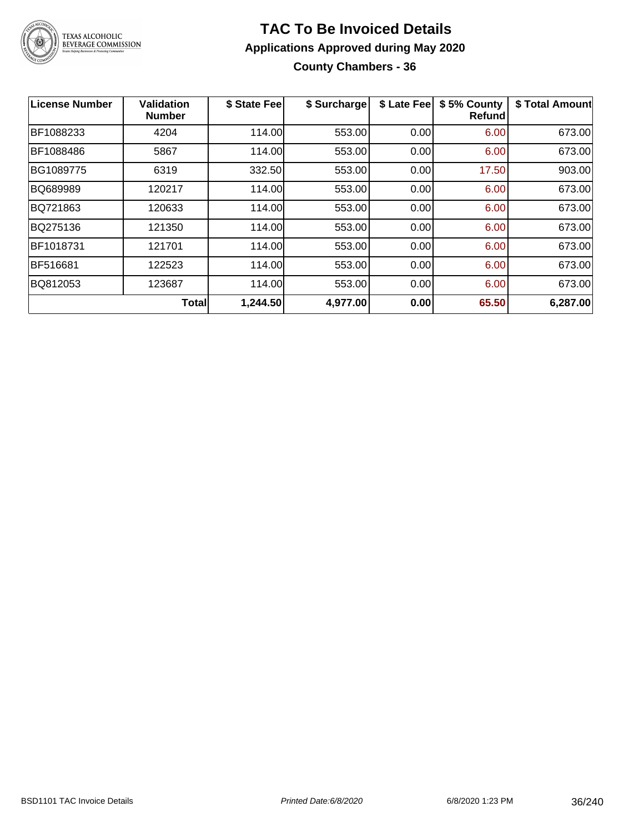

### **TAC To Be Invoiced Details Applications Approved during May 2020 County Chambers - 36**

| License Number | <b>Validation</b><br><b>Number</b> | \$ State Fee | \$ Surcharge | \$ Late Fee | \$5% County<br><b>Refund</b> | \$ Total Amount |
|----------------|------------------------------------|--------------|--------------|-------------|------------------------------|-----------------|
| BF1088233      | 4204                               | 114.00       | 553.00       | 0.00        | 6.00                         | 673.00          |
| BF1088486      | 5867                               | 114.00       | 553.00       | 0.00        | 6.00                         | 673.00          |
| BG1089775      | 6319                               | 332.50       | 553.00       | 0.00        | 17.50                        | 903.00          |
| BQ689989       | 120217                             | 114.00       | 553.00       | 0.00        | 6.00                         | 673.00          |
| BQ721863       | 120633                             | 114.00       | 553.00       | 0.00        | 6.00                         | 673.00          |
| BQ275136       | 121350                             | 114.00       | 553.00       | 0.00        | 6.00                         | 673.00          |
| BF1018731      | 121701                             | 114.00       | 553.00       | 0.00        | 6.00                         | 673.00          |
| BF516681       | 122523                             | 114.00       | 553.00       | 0.00        | 6.00                         | 673.00          |
| BQ812053       | 123687                             | 114.00       | 553.00       | 0.00        | 6.00                         | 673.00          |
|                | <b>Total</b>                       | 1,244.50     | 4,977.00     | 0.00        | 65.50                        | 6,287.00        |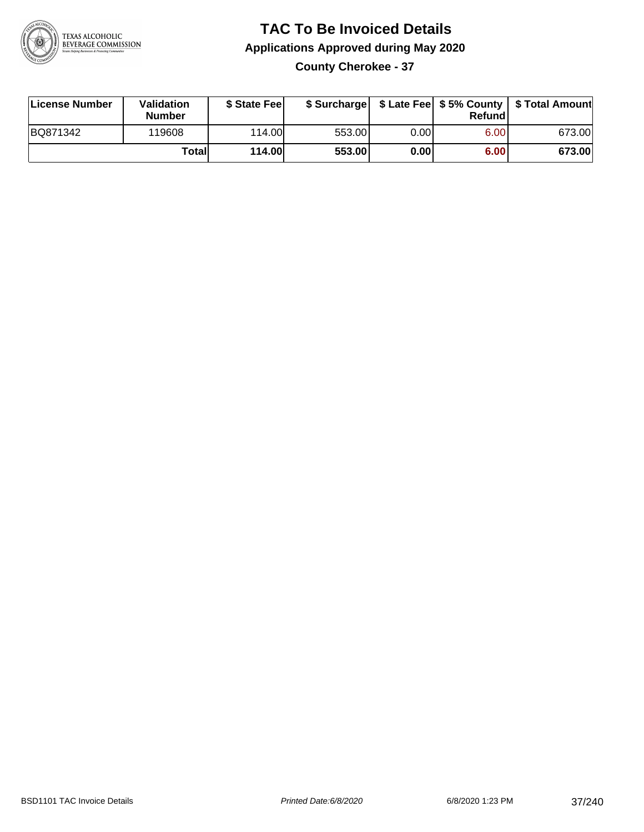

#### **TAC To Be Invoiced Details Applications Approved during May 2020 County Cherokee - 37**

| License Number | Validation<br><b>Number</b> | \$ State Fee  |        |      | Refund | \$ Surcharge   \$ Late Fee   \$5% County   \$ Total Amount |
|----------------|-----------------------------|---------------|--------|------|--------|------------------------------------------------------------|
| BQ871342       | 119608                      | 114.00        | 553.00 | 0.00 | 6.00   | 673.00                                                     |
|                | Totall                      | <b>114.00</b> | 553.00 | 0.00 | 6.00   | 673.00                                                     |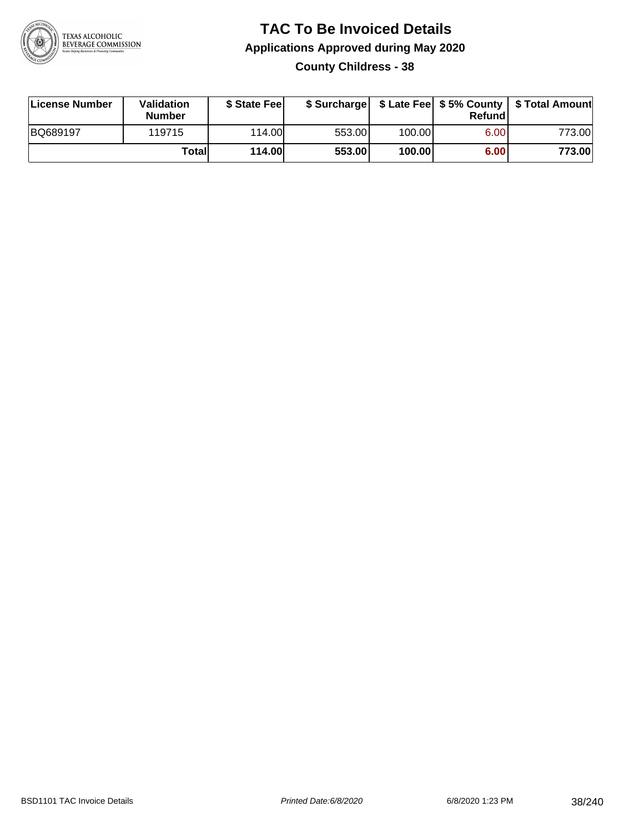

#### **TAC To Be Invoiced Details Applications Approved during May 2020 County Childress - 38**

| License Number | <b>Validation</b><br><b>Number</b> | \$ State Fee  |        |        | Refund | \$ Surcharge   \$ Late Fee   \$5% County   \$ Total Amount |
|----------------|------------------------------------|---------------|--------|--------|--------|------------------------------------------------------------|
| BQ689197       | 119715                             | 114.00        | 553.00 | 100.00 | 6.00   | 773.00                                                     |
|                | Totall                             | <b>114.00</b> | 553.00 | 100.00 | 6.00   | 773.00                                                     |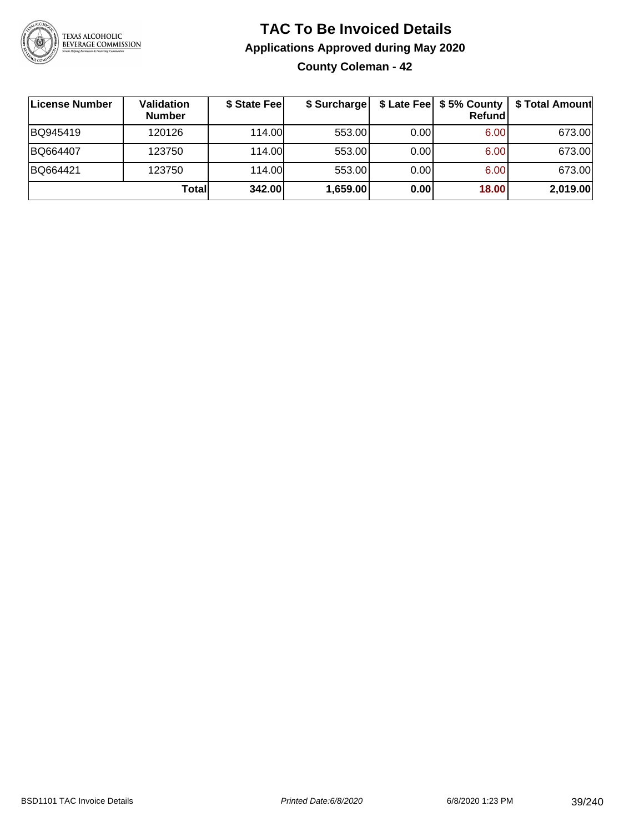

#### **TAC To Be Invoiced Details Applications Approved during May 2020 County Coleman - 42**

| License Number | Validation<br><b>Number</b> | \$ State Fee | \$ Surcharge |      | \$ Late Fee   \$5% County  <br><b>Refund</b> | \$ Total Amount |
|----------------|-----------------------------|--------------|--------------|------|----------------------------------------------|-----------------|
| BQ945419       | 120126                      | 114.00L      | 553.00       | 0.00 | 6.00                                         | 673.00          |
| BQ664407       | 123750                      | 114.00       | 553.00       | 0.00 | 6.00                                         | 673.00          |
| BQ664421       | 123750                      | 114.00L      | 553.00       | 0.00 | 6.00                                         | 673.00          |
|                | Total                       | 342.00       | 1,659.00     | 0.00 | 18.00                                        | 2,019.00        |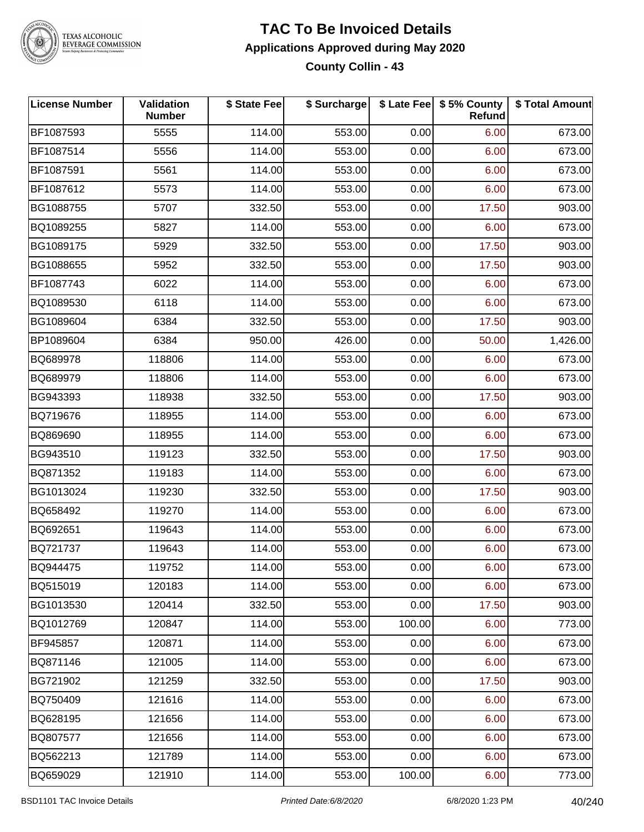

#### **TAC To Be Invoiced Details Applications Approved during May 2020 County Collin - 43**

| <b>License Number</b> | Validation<br><b>Number</b> | \$ State Fee | \$ Surcharge |        | \$ Late Fee   \$5% County<br>Refund | \$ Total Amount |
|-----------------------|-----------------------------|--------------|--------------|--------|-------------------------------------|-----------------|
| BF1087593             | 5555                        | 114.00       | 553.00       | 0.00   | 6.00                                | 673.00          |
| BF1087514             | 5556                        | 114.00       | 553.00       | 0.00   | 6.00                                | 673.00          |
| BF1087591             | 5561                        | 114.00       | 553.00       | 0.00   | 6.00                                | 673.00          |
| BF1087612             | 5573                        | 114.00       | 553.00       | 0.00   | 6.00                                | 673.00          |
| BG1088755             | 5707                        | 332.50       | 553.00       | 0.00   | 17.50                               | 903.00          |
| BQ1089255             | 5827                        | 114.00       | 553.00       | 0.00   | 6.00                                | 673.00          |
| BG1089175             | 5929                        | 332.50       | 553.00       | 0.00   | 17.50                               | 903.00          |
| BG1088655             | 5952                        | 332.50       | 553.00       | 0.00   | 17.50                               | 903.00          |
| BF1087743             | 6022                        | 114.00       | 553.00       | 0.00   | 6.00                                | 673.00          |
| BQ1089530             | 6118                        | 114.00       | 553.00       | 0.00   | 6.00                                | 673.00          |
| BG1089604             | 6384                        | 332.50       | 553.00       | 0.00   | 17.50                               | 903.00          |
| BP1089604             | 6384                        | 950.00       | 426.00       | 0.00   | 50.00                               | 1,426.00        |
| BQ689978              | 118806                      | 114.00       | 553.00       | 0.00   | 6.00                                | 673.00          |
| BQ689979              | 118806                      | 114.00       | 553.00       | 0.00   | 6.00                                | 673.00          |
| BG943393              | 118938                      | 332.50       | 553.00       | 0.00   | 17.50                               | 903.00          |
| BQ719676              | 118955                      | 114.00       | 553.00       | 0.00   | 6.00                                | 673.00          |
| BQ869690              | 118955                      | 114.00       | 553.00       | 0.00   | 6.00                                | 673.00          |
| BG943510              | 119123                      | 332.50       | 553.00       | 0.00   | 17.50                               | 903.00          |
| BQ871352              | 119183                      | 114.00       | 553.00       | 0.00   | 6.00                                | 673.00          |
| BG1013024             | 119230                      | 332.50       | 553.00       | 0.00   | 17.50                               | 903.00          |
| BQ658492              | 119270                      | 114.00       | 553.00       | 0.00   | 6.00                                | 673.00          |
| BQ692651              | 119643                      | 114.00       | 553.00       | 0.00   | 6.00                                | 673.00          |
| BQ721737              | 119643                      | 114.00       | 553.00       | 0.00   | 6.00                                | 673.00          |
| BQ944475              | 119752                      | 114.00       | 553.00       | 0.00   | 6.00                                | 673.00          |
| BQ515019              | 120183                      | 114.00       | 553.00       | 0.00   | 6.00                                | 673.00          |
| BG1013530             | 120414                      | 332.50       | 553.00       | 0.00   | 17.50                               | 903.00          |
| BQ1012769             | 120847                      | 114.00       | 553.00       | 100.00 | 6.00                                | 773.00          |
| BF945857              | 120871                      | 114.00       | 553.00       | 0.00   | 6.00                                | 673.00          |
| BQ871146              | 121005                      | 114.00       | 553.00       | 0.00   | 6.00                                | 673.00          |
| BG721902              | 121259                      | 332.50       | 553.00       | 0.00   | 17.50                               | 903.00          |
| BQ750409              | 121616                      | 114.00       | 553.00       | 0.00   | 6.00                                | 673.00          |
| BQ628195              | 121656                      | 114.00       | 553.00       | 0.00   | 6.00                                | 673.00          |
| BQ807577              | 121656                      | 114.00       | 553.00       | 0.00   | 6.00                                | 673.00          |
| BQ562213              | 121789                      | 114.00       | 553.00       | 0.00   | 6.00                                | 673.00          |
| BQ659029              | 121910                      | 114.00       | 553.00       | 100.00 | 6.00                                | 773.00          |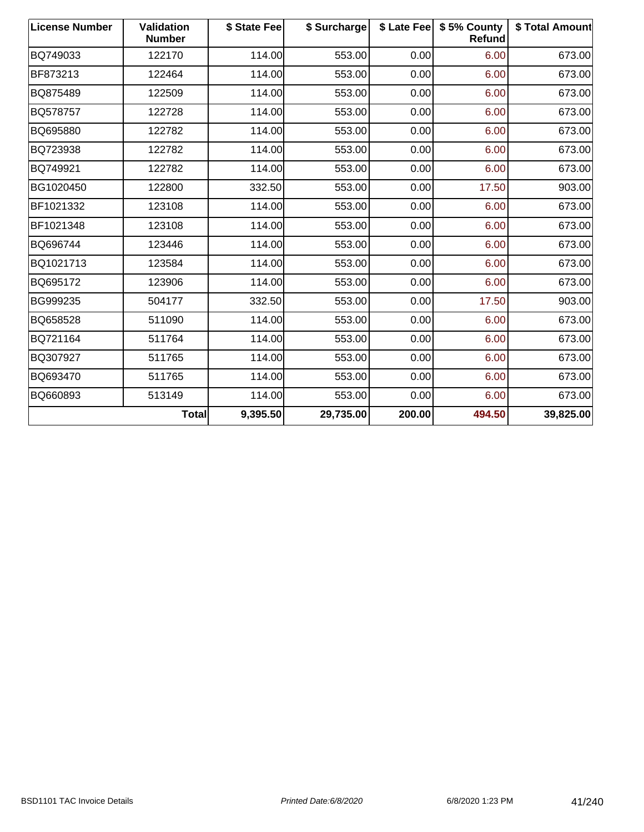| <b>License Number</b> | <b>Validation</b><br><b>Number</b> | \$ State Fee | \$ Surcharge |        | \$ Late Fee   \$5% County<br>Refund | \$ Total Amount |
|-----------------------|------------------------------------|--------------|--------------|--------|-------------------------------------|-----------------|
| BQ749033              | 122170                             | 114.00       | 553.00       | 0.00   | 6.00                                | 673.00          |
| BF873213              | 122464                             | 114.00       | 553.00       | 0.00   | 6.00                                | 673.00          |
| BQ875489              | 122509                             | 114.00       | 553.00       | 0.00   | 6.00                                | 673.00          |
| BQ578757              | 122728                             | 114.00       | 553.00       | 0.00   | 6.00                                | 673.00          |
| BQ695880              | 122782                             | 114.00       | 553.00       | 0.00   | 6.00                                | 673.00          |
| BQ723938              | 122782                             | 114.00       | 553.00       | 0.00   | 6.00                                | 673.00          |
| BQ749921              | 122782                             | 114.00       | 553.00       | 0.00   | 6.00                                | 673.00          |
| BG1020450             | 122800                             | 332.50       | 553.00       | 0.00   | 17.50                               | 903.00          |
| BF1021332             | 123108                             | 114.00       | 553.00       | 0.00   | 6.00                                | 673.00          |
| BF1021348             | 123108                             | 114.00       | 553.00       | 0.00   | 6.00                                | 673.00          |
| BQ696744              | 123446                             | 114.00       | 553.00       | 0.00   | 6.00                                | 673.00          |
| BQ1021713             | 123584                             | 114.00       | 553.00       | 0.00   | 6.00                                | 673.00          |
| BQ695172              | 123906                             | 114.00       | 553.00       | 0.00   | 6.00                                | 673.00          |
| BG999235              | 504177                             | 332.50       | 553.00       | 0.00   | 17.50                               | 903.00          |
| BQ658528              | 511090                             | 114.00       | 553.00       | 0.00   | 6.00                                | 673.00          |
| BQ721164              | 511764                             | 114.00       | 553.00       | 0.00   | 6.00                                | 673.00          |
| BQ307927              | 511765                             | 114.00       | 553.00       | 0.00   | 6.00                                | 673.00          |
| BQ693470              | 511765                             | 114.00       | 553.00       | 0.00   | 6.00                                | 673.00          |
| BQ660893              | 513149                             | 114.00       | 553.00       | 0.00   | 6.00                                | 673.00          |
|                       | <b>Total</b>                       | 9,395.50     | 29,735.00    | 200.00 | 494.50                              | 39,825.00       |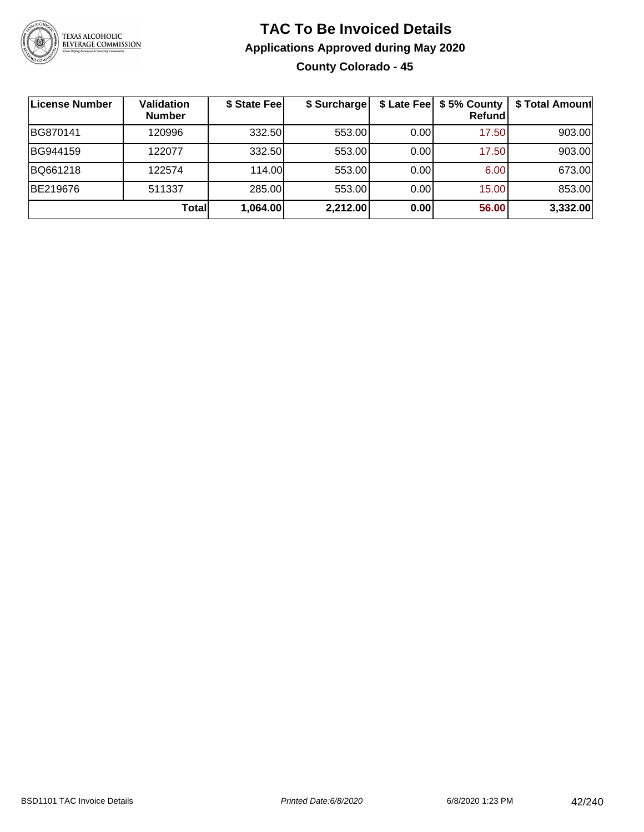

#### **TAC To Be Invoiced Details Applications Approved during May 2020 County Colorado - 45**

| <b>License Number</b> | <b>Validation</b><br><b>Number</b> | \$ State Fee | \$ Surcharge |      | \$ Late Fee   \$5% County<br>Refundl | \$ Total Amount |
|-----------------------|------------------------------------|--------------|--------------|------|--------------------------------------|-----------------|
| BG870141              | 120996                             | 332.50       | 553.00       | 0.00 | 17.50                                | 903.00          |
| BG944159              | 122077                             | 332.50       | 553.00       | 0.00 | 17.50                                | 903.00          |
| BQ661218              | 122574                             | 114.00       | 553.00       | 0.00 | 6.00                                 | 673.00          |
| BE219676              | 511337                             | 285.00       | 553.00       | 0.00 | 15.00                                | 853.00          |
|                       | <b>Total</b>                       | 1,064.00     | 2,212.00     | 0.00 | 56.00                                | 3,332.00        |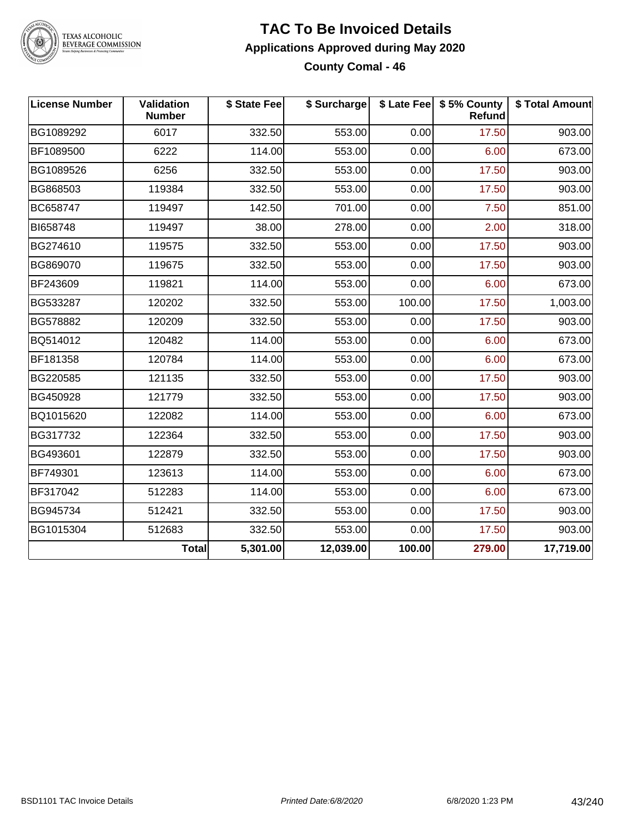

#### **TAC To Be Invoiced Details Applications Approved during May 2020 County Comal - 46**

**License Number Validation Number \$ State Fee \$ Surcharge \$ Late Fee \$ 5% County Refund \$ Total Amount** BG1089292 6017 332.50 553.00 0.00 17.50 903.00 BF1089500 | 6222 | 114.00| 553.00| 0.00| 6.00| 673.00 BG1089526 | 6256 | 332.50| 553.00| 0.00| 17.50| 903.00 BG868503 | 119384 | 332.50| 553.00| 0.00| 17.50| 903.00 BC658747 119497 142.50 701.00 0.00 7.50 851.00 BI658748 119497 38.00 278.00 0.00 2.00 318.00 BG274610 | 119575 | 332.50| 553.00| 0.00| 17.50| 903.00 BG869070 | 119675 | 332.50| 553.00| 0.00| 17.50| 903.00 BF243609 119821 114.00 553.00 0.00 6.00 673.00 BG533287 120202 332.50 553.00 100.00 17.50 1,003.00 BG578882 | 120209 | 332.50| 553.00| 0.00| 17.50| 903.00 BQ514012 120482 114.00 553.00 0.00 6.00 673.00 BF181358 120784 114.00 553.00 0.00 6.00 673.00 BG220585 | 121135 | 332.50| 553.00| 0.00| 17.50| 903.00 BG450928 121779 332.50 553.00 0.00 17.50 903.00 BQ1015620 122082 114.00 553.00 0.00 6.00 673.00 BG317732 | 122364 | 332.50| 553.00| 0.00| 17.50| 903.00 BG493601 | 122879 | 332.50| 553.00| 0.00| 17.50| 903.00 BF749301 123613 114.00 553.00 0.00 6.00 673.00 BF317042 | 512283 | 114.00| 553.00| 0.00| 6.00| 673.00 BG945734 512421 332.50 553.00 0.00 17.50 903.00 BG1015304 | 512683 | 332.50| 553.00| 0.00| 17.50| 903.00 **Total 5,301.00 12,039.00 100.00 279.00 17,719.00**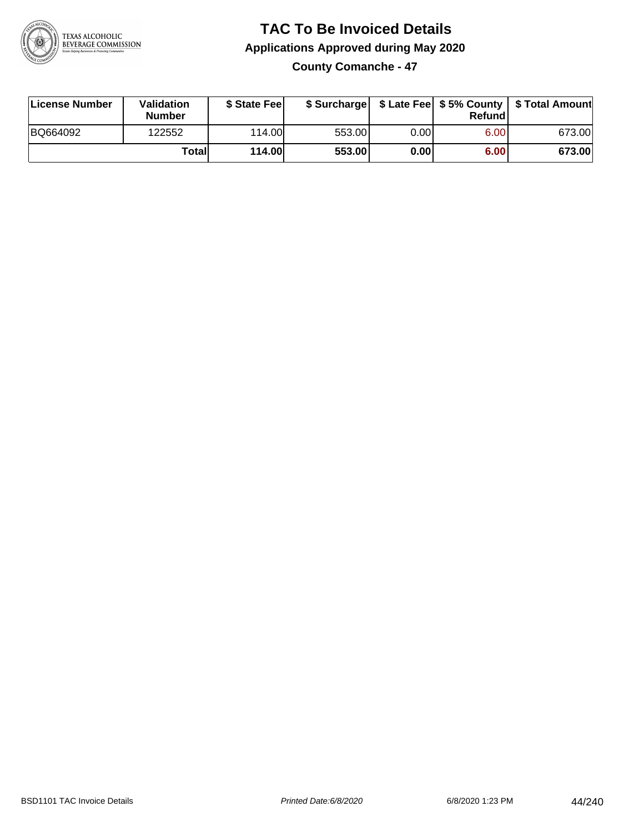

**County Comanche - 47**

| License Number | <b>Validation</b><br><b>Number</b> | \$ State Feel | \$ Surcharge |      | Refundl | \$ Late Fee   \$5% County   \$ Total Amount |
|----------------|------------------------------------|---------------|--------------|------|---------|---------------------------------------------|
| BQ664092       | 122552                             | 114.00        | 553.00       | 0.00 | 6.00    | 673.00                                      |
|                | Totall                             | <b>114.00</b> | 553.00       | 0.00 | 6.00    | 673.00                                      |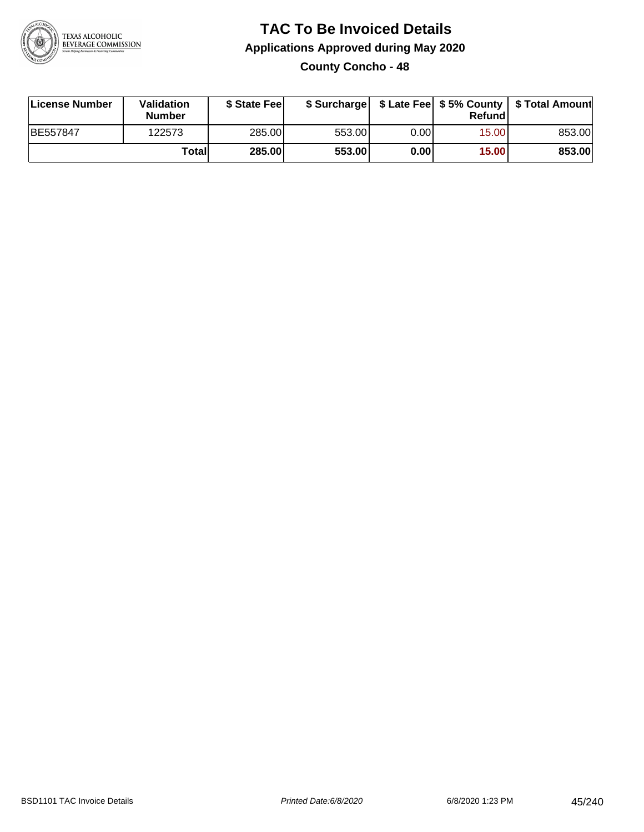

#### **TAC To Be Invoiced Details Applications Approved during May 2020 County Concho - 48**

| License Number  | Validation<br><b>Number</b> | \$ State Fee  |        |      | Refund | \$ Surcharge   \$ Late Fee   \$5% County   \$ Total Amount |
|-----------------|-----------------------------|---------------|--------|------|--------|------------------------------------------------------------|
| <b>BE557847</b> | 122573                      | 285.00        | 553.00 | 0.00 | 15.00  | 853.00                                                     |
|                 | Totall                      | <b>285.00</b> | 553.00 | 0.00 | 15.00  | 853.00                                                     |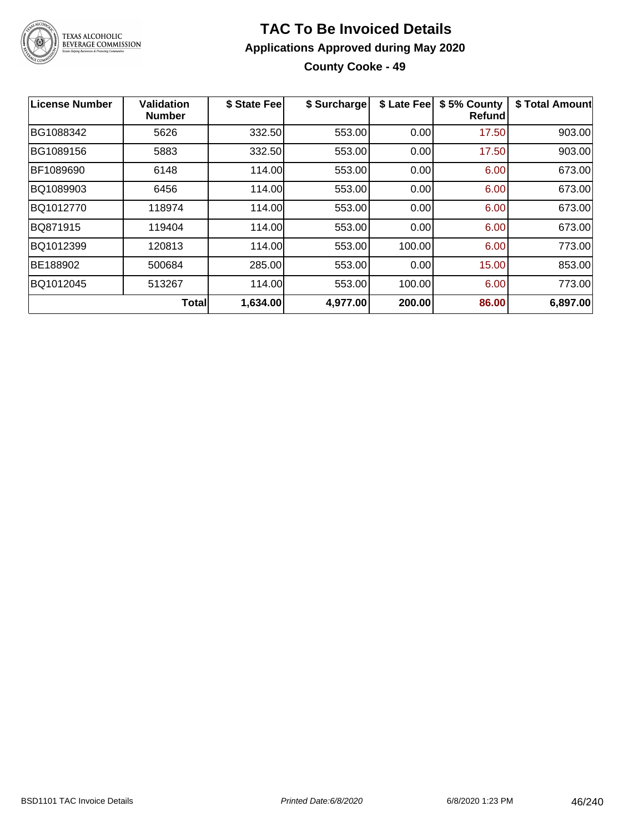

**County Cooke - 49**

| License Number | Validation<br><b>Number</b> | \$ State Fee | \$ Surcharge | \$ Late Fee | \$5% County<br>Refundl | \$ Total Amount |
|----------------|-----------------------------|--------------|--------------|-------------|------------------------|-----------------|
| BG1088342      | 5626                        | 332.50       | 553.00       | 0.00        | 17.50                  | 903.00          |
| BG1089156      | 5883                        | 332.50       | 553.00       | 0.00        | 17.50                  | 903.00          |
| BF1089690      | 6148                        | 114.00       | 553.00       | 0.00        | 6.00                   | 673.00          |
| BQ1089903      | 6456                        | 114.00       | 553.00       | 0.00        | 6.00                   | 673.00          |
| BQ1012770      | 118974                      | 114.00       | 553.00       | 0.00        | 6.00                   | 673.00          |
| BQ871915       | 119404                      | 114.00       | 553.00       | 0.00        | 6.00                   | 673.00          |
| BQ1012399      | 120813                      | 114.00       | 553.00       | 100.00      | 6.00                   | 773.00          |
| BE188902       | 500684                      | 285.00       | 553.00       | 0.00        | 15.00                  | 853.00          |
| BQ1012045      | 513267                      | 114.00       | 553.00       | 100.00      | 6.00                   | 773.00          |
|                | <b>Total</b>                | 1,634.00     | 4,977.00     | 200.00      | 86.00                  | 6,897.00        |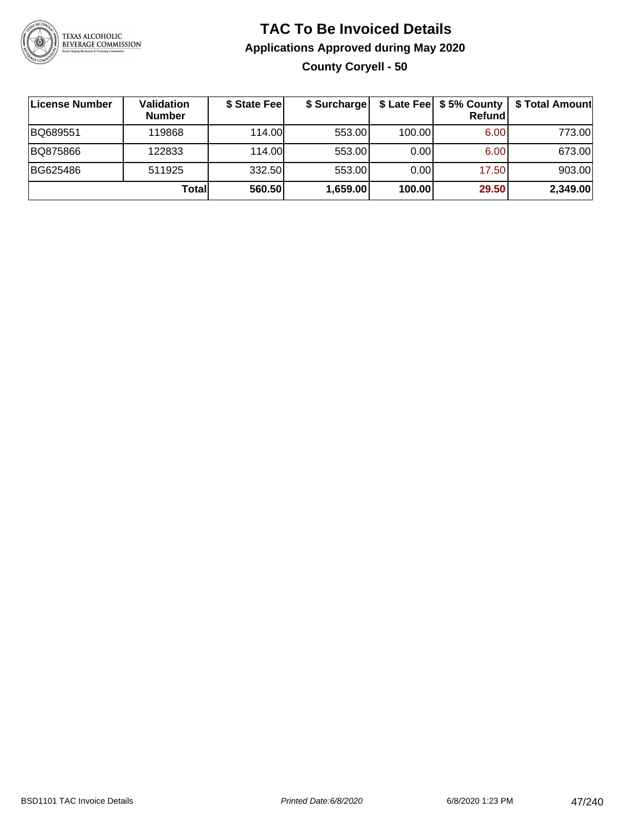

**County Coryell - 50**

| License Number | Validation<br><b>Number</b> | \$ State Feel | \$ Surcharge |        | Refundl | \$ Late Fee   \$5% County   \$ Total Amount |
|----------------|-----------------------------|---------------|--------------|--------|---------|---------------------------------------------|
| BQ689551       | 119868                      | 114.00L       | 553.00       | 100.00 | 6.00    | 773.00                                      |
| BQ875866       | 122833                      | 114.00L       | 553.00       | 0.001  | 6.00    | 673.00                                      |
| BG625486       | 511925                      | 332.50        | 553.00       | 0.001  | 17.50   | 903.00                                      |
|                | Totall                      | 560.50        | 1,659.00     | 100.00 | 29.50   | 2,349.00                                    |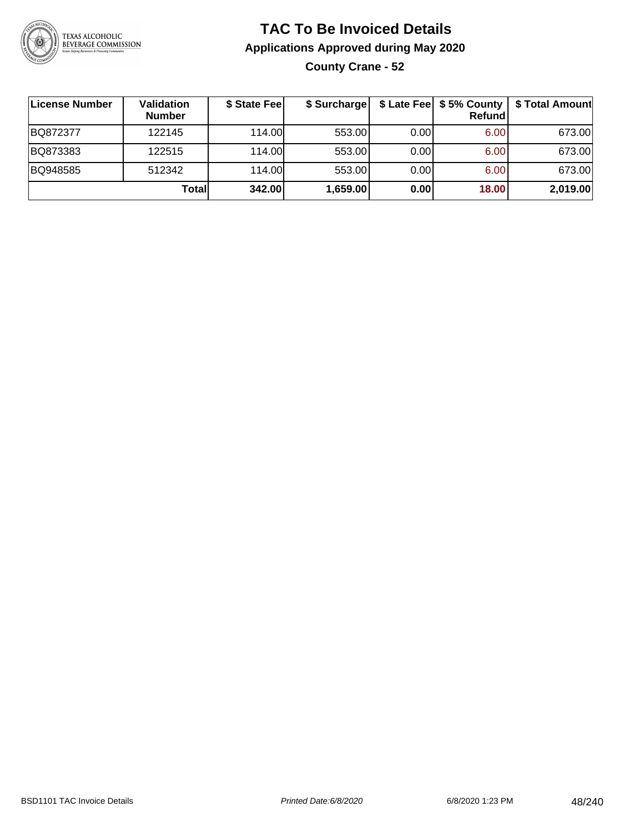

#### **TAC To Be Invoiced Details Applications Approved during May 2020 County Crane - 52**

| ∣License Number | Validation<br><b>Number</b> | \$ State Fee | \$ Surcharge |      | \$ Late Fee   \$5% County  <br>Refund | \$ Total Amount |
|-----------------|-----------------------------|--------------|--------------|------|---------------------------------------|-----------------|
| BQ872377        | 122145                      | 114.00       | 553.00       | 0.00 | 6.00                                  | 673.00          |
| BQ873383        | 122515                      | 114.00       | 553.00       | 0.00 | 6.00                                  | 673.00          |
| BQ948585        | 512342                      | 114.00       | 553.00       | 0.00 | 6.00                                  | 673.00          |
|                 | Totall                      | 342.00       | 1,659.00     | 0.00 | 18.00                                 | 2,019.00        |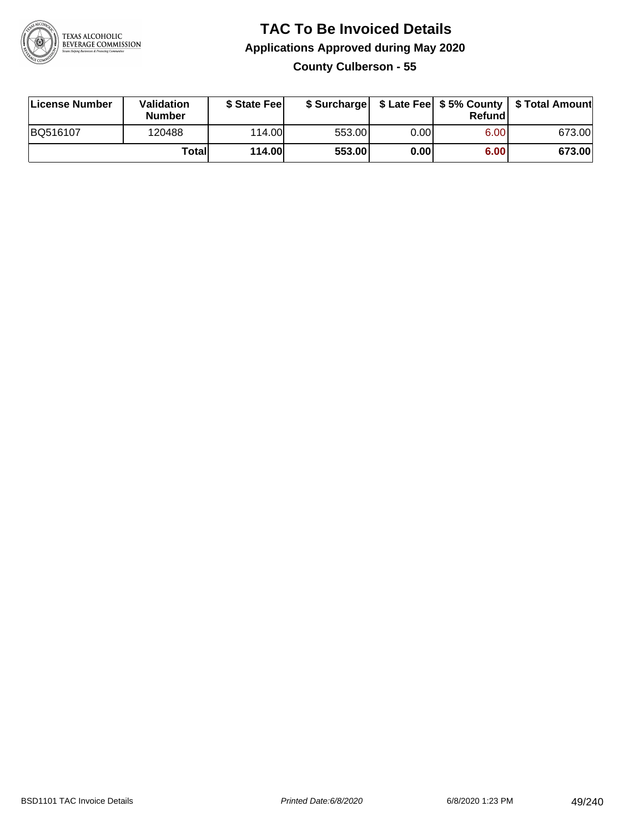

**County Culberson - 55**

| License Number | <b>Validation</b><br><b>Number</b> | \$ State Feel | \$ Surcharge |       | Refundl |        |
|----------------|------------------------------------|---------------|--------------|-------|---------|--------|
| BQ516107       | 120488                             | 114.00L       | 553.00       | 0.001 | 6.00    | 673.00 |
|                | Totall                             | <b>114.00</b> | 553.00       | 0.00  | 6.00    | 673.00 |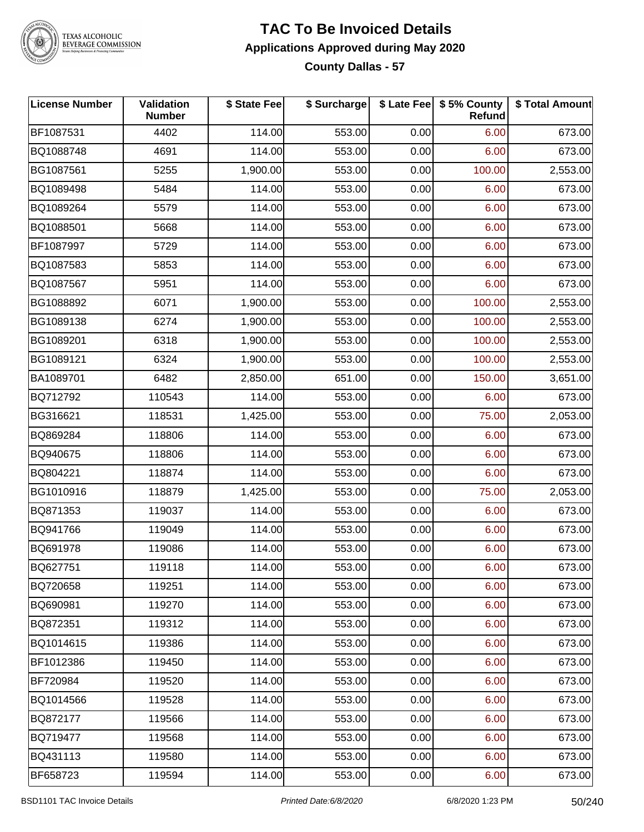

#### **TAC To Be Invoiced Details Applications Approved during May 2020 County Dallas - 57**

| <b>License Number</b> | <b>Validation</b><br><b>Number</b> | \$ State Fee | \$ Surcharge |      | \$ Late Fee   \$5% County  <br><b>Refund</b> | \$ Total Amount |
|-----------------------|------------------------------------|--------------|--------------|------|----------------------------------------------|-----------------|
| BF1087531             | 4402                               | 114.00       | 553.00       | 0.00 | 6.00                                         | 673.00          |
| BQ1088748             | 4691                               | 114.00       | 553.00       | 0.00 | 6.00                                         | 673.00          |
| BG1087561             | 5255                               | 1,900.00     | 553.00       | 0.00 | 100.00                                       | 2,553.00        |
| BQ1089498             | 5484                               | 114.00       | 553.00       | 0.00 | 6.00                                         | 673.00          |
| BQ1089264             | 5579                               | 114.00       | 553.00       | 0.00 | 6.00                                         | 673.00          |
| BQ1088501             | 5668                               | 114.00       | 553.00       | 0.00 | 6.00                                         | 673.00          |
| BF1087997             | 5729                               | 114.00       | 553.00       | 0.00 | 6.00                                         | 673.00          |
| BQ1087583             | 5853                               | 114.00       | 553.00       | 0.00 | 6.00                                         | 673.00          |
| BQ1087567             | 5951                               | 114.00       | 553.00       | 0.00 | 6.00                                         | 673.00          |
| BG1088892             | 6071                               | 1,900.00     | 553.00       | 0.00 | 100.00                                       | 2,553.00        |
| BG1089138             | 6274                               | 1,900.00     | 553.00       | 0.00 | 100.00                                       | 2,553.00        |
| BG1089201             | 6318                               | 1,900.00     | 553.00       | 0.00 | 100.00                                       | 2,553.00        |
| BG1089121             | 6324                               | 1,900.00     | 553.00       | 0.00 | 100.00                                       | 2,553.00        |
| BA1089701             | 6482                               | 2,850.00     | 651.00       | 0.00 | 150.00                                       | 3,651.00        |
| BQ712792              | 110543                             | 114.00       | 553.00       | 0.00 | 6.00                                         | 673.00          |
| BG316621              | 118531                             | 1,425.00     | 553.00       | 0.00 | 75.00                                        | 2,053.00        |
| BQ869284              | 118806                             | 114.00       | 553.00       | 0.00 | 6.00                                         | 673.00          |
| BQ940675              | 118806                             | 114.00       | 553.00       | 0.00 | 6.00                                         | 673.00          |
| BQ804221              | 118874                             | 114.00       | 553.00       | 0.00 | 6.00                                         | 673.00          |
| BG1010916             | 118879                             | 1,425.00     | 553.00       | 0.00 | 75.00                                        | 2,053.00        |
| BQ871353              | 119037                             | 114.00       | 553.00       | 0.00 | 6.00                                         | 673.00          |
| BQ941766              | 119049                             | 114.00       | 553.00       | 0.00 | 6.00                                         | 673.00          |
| BQ691978              | 119086                             | 114.00       | 553.00       | 0.00 | 6.00                                         | 673.00          |
| BQ627751              | 119118                             | 114.00       | 553.00       | 0.00 | 6.00                                         | 673.00          |
| BQ720658              | 119251                             | 114.00       | 553.00       | 0.00 | 6.00                                         | 673.00          |
| BQ690981              | 119270                             | 114.00       | 553.00       | 0.00 | 6.00                                         | 673.00          |
| BQ872351              | 119312                             | 114.00       | 553.00       | 0.00 | 6.00                                         | 673.00          |
| BQ1014615             | 119386                             | 114.00       | 553.00       | 0.00 | 6.00                                         | 673.00          |
| BF1012386             | 119450                             | 114.00       | 553.00       | 0.00 | 6.00                                         | 673.00          |
| BF720984              | 119520                             | 114.00       | 553.00       | 0.00 | 6.00                                         | 673.00          |
| BQ1014566             | 119528                             | 114.00       | 553.00       | 0.00 | 6.00                                         | 673.00          |
| BQ872177              | 119566                             | 114.00       | 553.00       | 0.00 | 6.00                                         | 673.00          |
| BQ719477              | 119568                             | 114.00       | 553.00       | 0.00 | 6.00                                         | 673.00          |
| BQ431113              | 119580                             | 114.00       | 553.00       | 0.00 | 6.00                                         | 673.00          |
| BF658723              | 119594                             | 114.00       | 553.00       | 0.00 | 6.00                                         | 673.00          |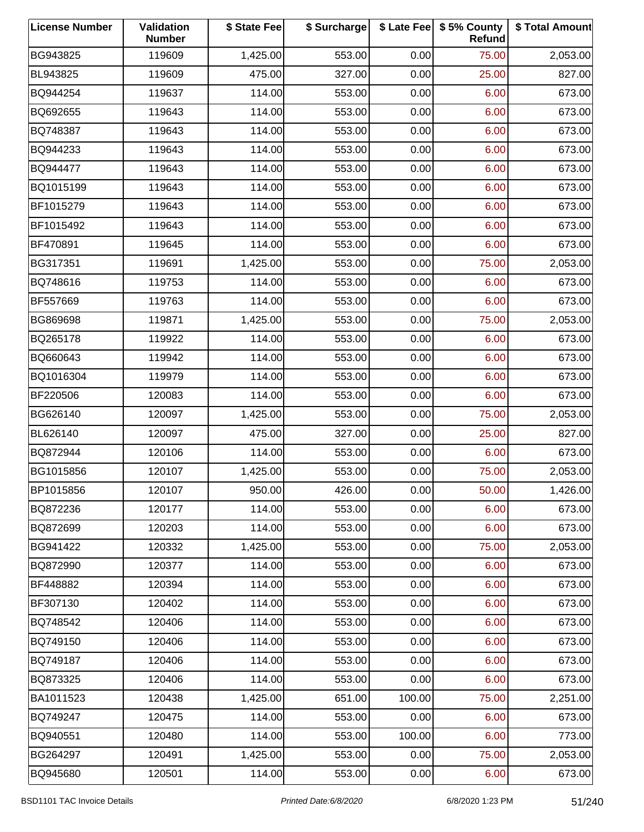| <b>License Number</b> | Validation<br><b>Number</b> | \$ State Fee | \$ Surcharge |        | \$ Late Fee   \$5% County<br>Refund | \$ Total Amount |
|-----------------------|-----------------------------|--------------|--------------|--------|-------------------------------------|-----------------|
| BG943825              | 119609                      | 1,425.00     | 553.00       | 0.00   | 75.00                               | 2,053.00        |
| BL943825              | 119609                      | 475.00       | 327.00       | 0.00   | 25.00                               | 827.00          |
| BQ944254              | 119637                      | 114.00       | 553.00       | 0.00   | 6.00                                | 673.00          |
| BQ692655              | 119643                      | 114.00       | 553.00       | 0.00   | 6.00                                | 673.00          |
| BQ748387              | 119643                      | 114.00       | 553.00       | 0.00   | 6.00                                | 673.00          |
| BQ944233              | 119643                      | 114.00       | 553.00       | 0.00   | 6.00                                | 673.00          |
| BQ944477              | 119643                      | 114.00       | 553.00       | 0.00   | 6.00                                | 673.00          |
| BQ1015199             | 119643                      | 114.00       | 553.00       | 0.00   | 6.00                                | 673.00          |
| BF1015279             | 119643                      | 114.00       | 553.00       | 0.00   | 6.00                                | 673.00          |
| BF1015492             | 119643                      | 114.00       | 553.00       | 0.00   | 6.00                                | 673.00          |
| BF470891              | 119645                      | 114.00       | 553.00       | 0.00   | 6.00                                | 673.00          |
| BG317351              | 119691                      | 1,425.00     | 553.00       | 0.00   | 75.00                               | 2,053.00        |
| BQ748616              | 119753                      | 114.00       | 553.00       | 0.00   | 6.00                                | 673.00          |
| BF557669              | 119763                      | 114.00       | 553.00       | 0.00   | 6.00                                | 673.00          |
| BG869698              | 119871                      | 1,425.00     | 553.00       | 0.00   | 75.00                               | 2,053.00        |
| BQ265178              | 119922                      | 114.00       | 553.00       | 0.00   | 6.00                                | 673.00          |
| BQ660643              | 119942                      | 114.00       | 553.00       | 0.00   | 6.00                                | 673.00          |
| BQ1016304             | 119979                      | 114.00       | 553.00       | 0.00   | 6.00                                | 673.00          |
| BF220506              | 120083                      | 114.00       | 553.00       | 0.00   | 6.00                                | 673.00          |
| BG626140              | 120097                      | 1,425.00     | 553.00       | 0.00   | 75.00                               | 2,053.00        |
| BL626140              | 120097                      | 475.00       | 327.00       | 0.00   | 25.00                               | 827.00          |
| BQ872944              | 120106                      | 114.00       | 553.00       | 0.00   | 6.00                                | 673.00          |
| BG1015856             | 120107                      | 1,425.00     | 553.00       | 0.00   | 75.00                               | 2,053.00        |
| BP1015856             | 120107                      | 950.00       | 426.00       | 0.00   | 50.00                               | 1,426.00        |
| BQ872236              | 120177                      | 114.00       | 553.00       | 0.00   | 6.00                                | 673.00          |
| BQ872699              | 120203                      | 114.00       | 553.00       | 0.00   | 6.00                                | 673.00          |
| BG941422              | 120332                      | 1,425.00     | 553.00       | 0.00   | 75.00                               | 2,053.00        |
| BQ872990              | 120377                      | 114.00       | 553.00       | 0.00   | 6.00                                | 673.00          |
| BF448882              | 120394                      | 114.00       | 553.00       | 0.00   | 6.00                                | 673.00          |
| BF307130              | 120402                      | 114.00       | 553.00       | 0.00   | 6.00                                | 673.00          |
| BQ748542              | 120406                      | 114.00       | 553.00       | 0.00   | 6.00                                | 673.00          |
| BQ749150              | 120406                      | 114.00       | 553.00       | 0.00   | 6.00                                | 673.00          |
| BQ749187              | 120406                      | 114.00       | 553.00       | 0.00   | 6.00                                | 673.00          |
| BQ873325              | 120406                      | 114.00       | 553.00       | 0.00   | 6.00                                | 673.00          |
| BA1011523             | 120438                      | 1,425.00     | 651.00       | 100.00 | 75.00                               | 2,251.00        |
| BQ749247              | 120475                      | 114.00       | 553.00       | 0.00   | 6.00                                | 673.00          |
| BQ940551              | 120480                      | 114.00       | 553.00       | 100.00 | 6.00                                | 773.00          |
| BG264297              | 120491                      | 1,425.00     | 553.00       | 0.00   | 75.00                               | 2,053.00        |
| BQ945680              | 120501                      | 114.00       | 553.00       | 0.00   | 6.00                                | 673.00          |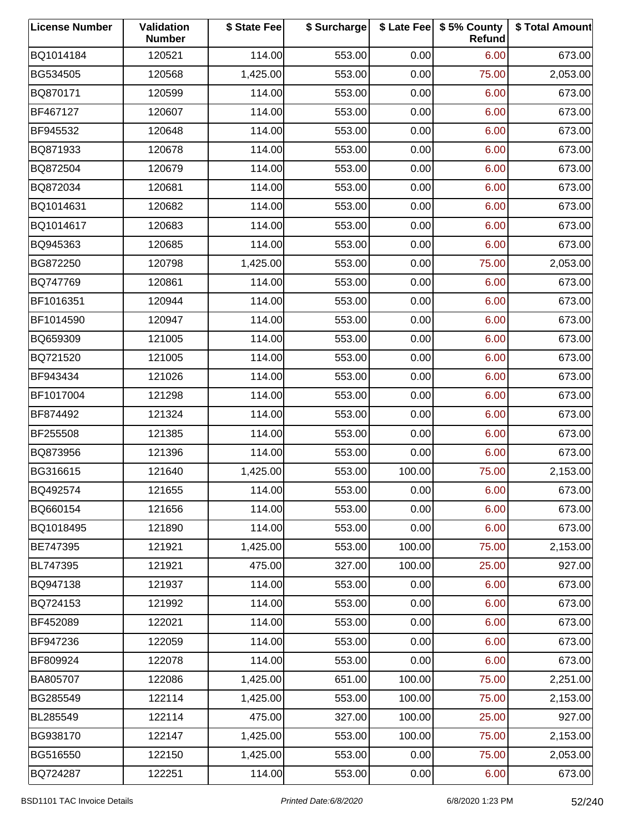| <b>License Number</b> | Validation<br><b>Number</b> | \$ State Fee | \$ Surcharge |        | \$ Late Fee   \$5% County<br>Refund | \$ Total Amount |
|-----------------------|-----------------------------|--------------|--------------|--------|-------------------------------------|-----------------|
| BQ1014184             | 120521                      | 114.00       | 553.00       | 0.00   | 6.00                                | 673.00          |
| BG534505              | 120568                      | 1,425.00     | 553.00       | 0.00   | 75.00                               | 2,053.00        |
| BQ870171              | 120599                      | 114.00       | 553.00       | 0.00   | 6.00                                | 673.00          |
| BF467127              | 120607                      | 114.00       | 553.00       | 0.00   | 6.00                                | 673.00          |
| BF945532              | 120648                      | 114.00       | 553.00       | 0.00   | 6.00                                | 673.00          |
| BQ871933              | 120678                      | 114.00       | 553.00       | 0.00   | 6.00                                | 673.00          |
| BQ872504              | 120679                      | 114.00       | 553.00       | 0.00   | 6.00                                | 673.00          |
| BQ872034              | 120681                      | 114.00       | 553.00       | 0.00   | 6.00                                | 673.00          |
| BQ1014631             | 120682                      | 114.00       | 553.00       | 0.00   | 6.00                                | 673.00          |
| BQ1014617             | 120683                      | 114.00       | 553.00       | 0.00   | 6.00                                | 673.00          |
| BQ945363              | 120685                      | 114.00       | 553.00       | 0.00   | 6.00                                | 673.00          |
| BG872250              | 120798                      | 1,425.00     | 553.00       | 0.00   | 75.00                               | 2,053.00        |
| BQ747769              | 120861                      | 114.00       | 553.00       | 0.00   | 6.00                                | 673.00          |
| BF1016351             | 120944                      | 114.00       | 553.00       | 0.00   | 6.00                                | 673.00          |
| BF1014590             | 120947                      | 114.00       | 553.00       | 0.00   | 6.00                                | 673.00          |
| BQ659309              | 121005                      | 114.00       | 553.00       | 0.00   | 6.00                                | 673.00          |
| BQ721520              | 121005                      | 114.00       | 553.00       | 0.00   | 6.00                                | 673.00          |
| BF943434              | 121026                      | 114.00       | 553.00       | 0.00   | 6.00                                | 673.00          |
| BF1017004             | 121298                      | 114.00       | 553.00       | 0.00   | 6.00                                | 673.00          |
| BF874492              | 121324                      | 114.00       | 553.00       | 0.00   | 6.00                                | 673.00          |
| BF255508              | 121385                      | 114.00       | 553.00       | 0.00   | 6.00                                | 673.00          |
| BQ873956              | 121396                      | 114.00       | 553.00       | 0.00   | 6.00                                | 673.00          |
| BG316615              | 121640                      | 1,425.00     | 553.00       | 100.00 | 75.00                               | 2,153.00        |
| BQ492574              | 121655                      | 114.00       | 553.00       | 0.00   | 6.00                                | 673.00          |
| BQ660154              | 121656                      | 114.00       | 553.00       | 0.00   | 6.00                                | 673.00          |
| BQ1018495             | 121890                      | 114.00       | 553.00       | 0.00   | 6.00                                | 673.00          |
| BE747395              | 121921                      | 1,425.00     | 553.00       | 100.00 | 75.00                               | 2,153.00        |
| BL747395              | 121921                      | 475.00       | 327.00       | 100.00 | 25.00                               | 927.00          |
| BQ947138              | 121937                      | 114.00       | 553.00       | 0.00   | 6.00                                | 673.00          |
| BQ724153              | 121992                      | 114.00       | 553.00       | 0.00   | 6.00                                | 673.00          |
| BF452089              | 122021                      | 114.00       | 553.00       | 0.00   | 6.00                                | 673.00          |
| BF947236              | 122059                      | 114.00       | 553.00       | 0.00   | 6.00                                | 673.00          |
| BF809924              | 122078                      | 114.00       | 553.00       | 0.00   | 6.00                                | 673.00          |
| BA805707              | 122086                      | 1,425.00     | 651.00       | 100.00 | 75.00                               | 2,251.00        |
| BG285549              | 122114                      | 1,425.00     | 553.00       | 100.00 | 75.00                               | 2,153.00        |
| BL285549              | 122114                      | 475.00       | 327.00       | 100.00 | 25.00                               | 927.00          |
| BG938170              | 122147                      | 1,425.00     | 553.00       | 100.00 | 75.00                               | 2,153.00        |
| BG516550              | 122150                      | 1,425.00     | 553.00       | 0.00   | 75.00                               | 2,053.00        |
| BQ724287              | 122251                      | 114.00       | 553.00       | 0.00   | 6.00                                | 673.00          |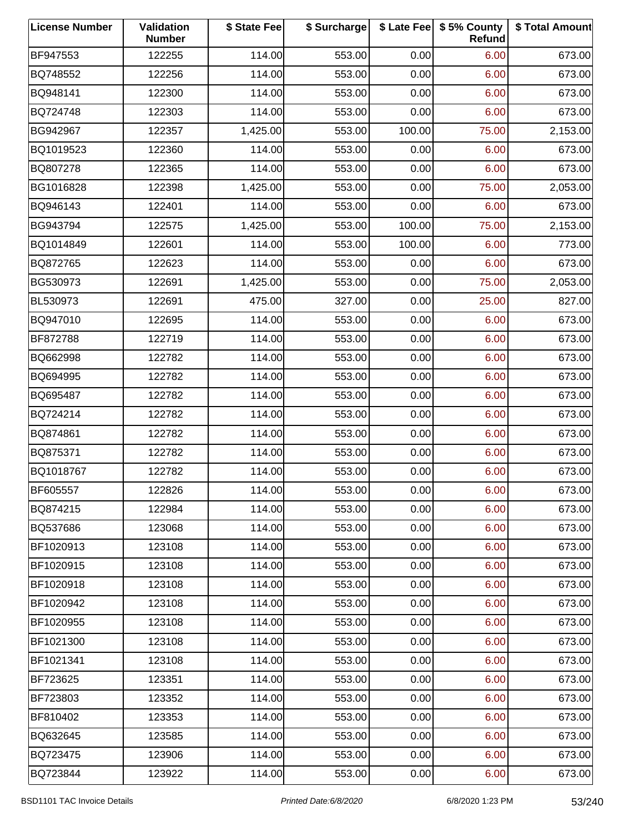| <b>License Number</b> | Validation<br><b>Number</b> | \$ State Fee | \$ Surcharge |        | \$ Late Fee   \$5% County<br>Refund | \$ Total Amount |
|-----------------------|-----------------------------|--------------|--------------|--------|-------------------------------------|-----------------|
| BF947553              | 122255                      | 114.00       | 553.00       | 0.00   | 6.00                                | 673.00          |
| BQ748552              | 122256                      | 114.00       | 553.00       | 0.00   | 6.00                                | 673.00          |
| BQ948141              | 122300                      | 114.00       | 553.00       | 0.00   | 6.00                                | 673.00          |
| BQ724748              | 122303                      | 114.00       | 553.00       | 0.00   | 6.00                                | 673.00          |
| BG942967              | 122357                      | 1,425.00     | 553.00       | 100.00 | 75.00                               | 2,153.00        |
| BQ1019523             | 122360                      | 114.00       | 553.00       | 0.00   | 6.00                                | 673.00          |
| BQ807278              | 122365                      | 114.00       | 553.00       | 0.00   | 6.00                                | 673.00          |
| BG1016828             | 122398                      | 1,425.00     | 553.00       | 0.00   | 75.00                               | 2,053.00        |
| BQ946143              | 122401                      | 114.00       | 553.00       | 0.00   | 6.00                                | 673.00          |
| BG943794              | 122575                      | 1,425.00     | 553.00       | 100.00 | 75.00                               | 2,153.00        |
| BQ1014849             | 122601                      | 114.00       | 553.00       | 100.00 | 6.00                                | 773.00          |
| BQ872765              | 122623                      | 114.00       | 553.00       | 0.00   | 6.00                                | 673.00          |
| BG530973              | 122691                      | 1,425.00     | 553.00       | 0.00   | 75.00                               | 2,053.00        |
| BL530973              | 122691                      | 475.00       | 327.00       | 0.00   | 25.00                               | 827.00          |
| BQ947010              | 122695                      | 114.00       | 553.00       | 0.00   | 6.00                                | 673.00          |
| BF872788              | 122719                      | 114.00       | 553.00       | 0.00   | 6.00                                | 673.00          |
| BQ662998              | 122782                      | 114.00       | 553.00       | 0.00   | 6.00                                | 673.00          |
| BQ694995              | 122782                      | 114.00       | 553.00       | 0.00   | 6.00                                | 673.00          |
| BQ695487              | 122782                      | 114.00       | 553.00       | 0.00   | 6.00                                | 673.00          |
| BQ724214              | 122782                      | 114.00       | 553.00       | 0.00   | 6.00                                | 673.00          |
| BQ874861              | 122782                      | 114.00       | 553.00       | 0.00   | 6.00                                | 673.00          |
| BQ875371              | 122782                      | 114.00       | 553.00       | 0.00   | 6.00                                | 673.00          |
| BQ1018767             | 122782                      | 114.00       | 553.00       | 0.00   | 6.00                                | 673.00          |
| BF605557              | 122826                      | 114.00       | 553.00       | 0.00   | 6.00                                | 673.00          |
| BQ874215              | 122984                      | 114.00       | 553.00       | 0.00   | 6.00                                | 673.00          |
| BQ537686              | 123068                      | 114.00       | 553.00       | 0.00   | 6.00                                | 673.00          |
| BF1020913             | 123108                      | 114.00       | 553.00       | 0.00   | 6.00                                | 673.00          |
| BF1020915             | 123108                      | 114.00       | 553.00       | 0.00   | 6.00                                | 673.00          |
| BF1020918             | 123108                      | 114.00       | 553.00       | 0.00   | 6.00                                | 673.00          |
| BF1020942             | 123108                      | 114.00       | 553.00       | 0.00   | 6.00                                | 673.00          |
| BF1020955             | 123108                      | 114.00       | 553.00       | 0.00   | 6.00                                | 673.00          |
| BF1021300             | 123108                      | 114.00       | 553.00       | 0.00   | 6.00                                | 673.00          |
| BF1021341             | 123108                      | 114.00       | 553.00       | 0.00   | 6.00                                | 673.00          |
| BF723625              | 123351                      | 114.00       | 553.00       | 0.00   | 6.00                                | 673.00          |
| BF723803              | 123352                      | 114.00       | 553.00       | 0.00   | 6.00                                | 673.00          |
| BF810402              | 123353                      | 114.00       | 553.00       | 0.00   | 6.00                                | 673.00          |
| BQ632645              | 123585                      | 114.00       | 553.00       | 0.00   | 6.00                                | 673.00          |
| BQ723475              | 123906                      | 114.00       | 553.00       | 0.00   | 6.00                                | 673.00          |
| BQ723844              | 123922                      | 114.00       | 553.00       | 0.00   | 6.00                                | 673.00          |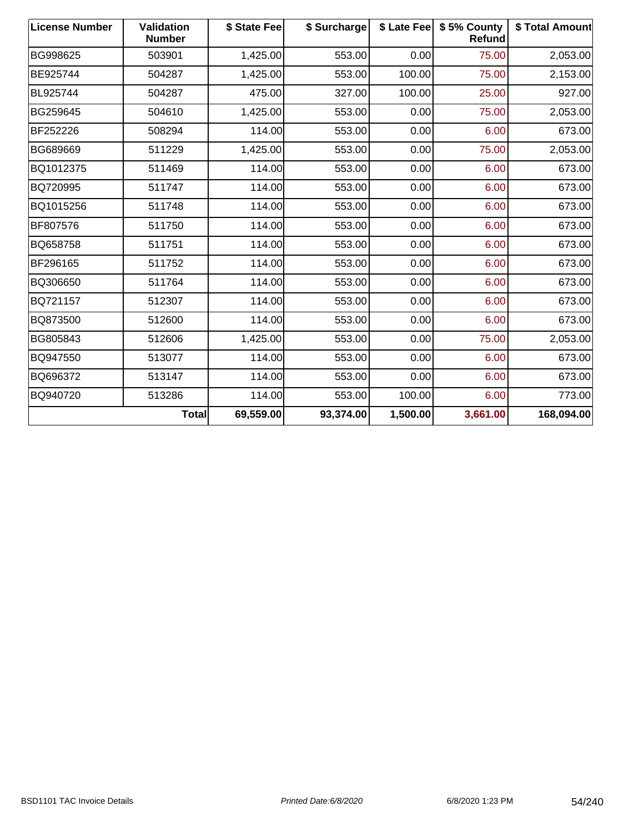| <b>License Number</b> | <b>Validation</b><br><b>Number</b> | \$ State Fee | \$ Surcharge | \$ Late Fee | \$5% County<br><b>Refund</b> | \$ Total Amount |
|-----------------------|------------------------------------|--------------|--------------|-------------|------------------------------|-----------------|
| BG998625              | 503901                             | 1,425.00     | 553.00       | 0.00        | 75.00                        | 2,053.00        |
| BE925744              | 504287                             | 1,425.00     | 553.00       | 100.00      | 75.00                        | 2,153.00        |
| BL925744              | 504287                             | 475.00       | 327.00       | 100.00      | 25.00                        | 927.00          |
| BG259645              | 504610                             | 1,425.00     | 553.00       | 0.00        | 75.00                        | 2,053.00        |
| BF252226              | 508294                             | 114.00       | 553.00       | 0.00        | 6.00                         | 673.00          |
| BG689669              | 511229                             | 1,425.00     | 553.00       | 0.00        | 75.00                        | 2,053.00        |
| BQ1012375             | 511469                             | 114.00       | 553.00       | 0.00        | 6.00                         | 673.00          |
| BQ720995              | 511747                             | 114.00       | 553.00       | 0.00        | 6.00                         | 673.00          |
| BQ1015256             | 511748                             | 114.00       | 553.00       | 0.00        | 6.00                         | 673.00          |
| BF807576              | 511750                             | 114.00       | 553.00       | 0.00        | 6.00                         | 673.00          |
| BQ658758              | 511751                             | 114.00       | 553.00       | 0.00        | 6.00                         | 673.00          |
| BF296165              | 511752                             | 114.00       | 553.00       | 0.00        | 6.00                         | 673.00          |
| BQ306650              | 511764                             | 114.00       | 553.00       | 0.00        | 6.00                         | 673.00          |
| BQ721157              | 512307                             | 114.00       | 553.00       | 0.00        | 6.00                         | 673.00          |
| BQ873500              | 512600                             | 114.00       | 553.00       | 0.00        | 6.00                         | 673.00          |
| BG805843              | 512606                             | 1,425.00     | 553.00       | 0.00        | 75.00                        | 2,053.00        |
| BQ947550              | 513077                             | 114.00       | 553.00       | 0.00        | 6.00                         | 673.00          |
| BQ696372              | 513147                             | 114.00       | 553.00       | 0.00        | 6.00                         | 673.00          |
| BQ940720              | 513286                             | 114.00       | 553.00       | 100.00      | 6.00                         | 773.00          |
|                       | <b>Total</b>                       | 69,559.00    | 93,374.00    | 1,500.00    | 3,661.00                     | 168,094.00      |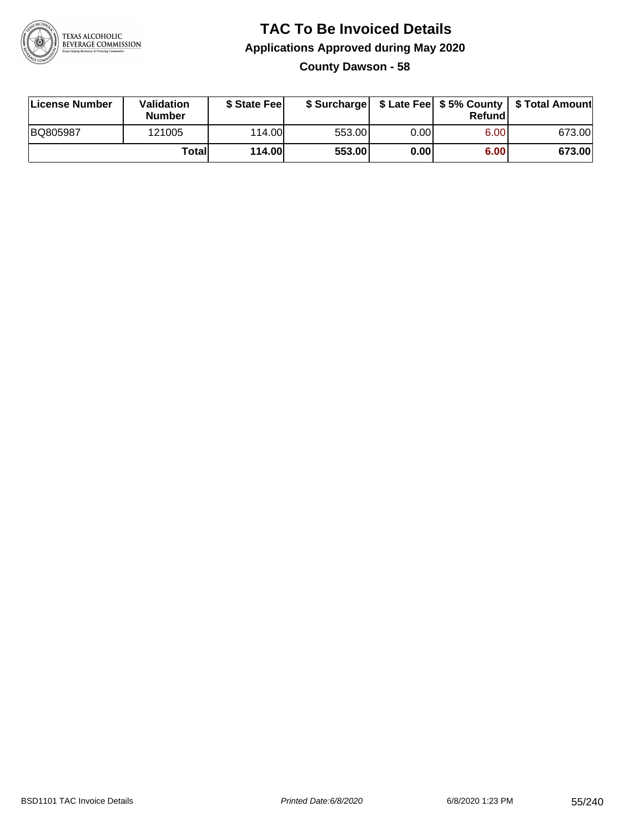

#### **TAC To Be Invoiced Details Applications Approved during May 2020 County Dawson - 58**

| License Number | Validation<br><b>Number</b> | \$ State Feel |        |      | Refund | \$ Surcharge   \$ Late Fee   \$5% County   \$ Total Amount |
|----------------|-----------------------------|---------------|--------|------|--------|------------------------------------------------------------|
| BQ805987       | 121005                      | 114.00        | 553.00 | 0.00 | 6.00   | 673.00                                                     |
|                | Totall                      | <b>114.00</b> | 553.00 | 0.00 | 6.00   | 673.00                                                     |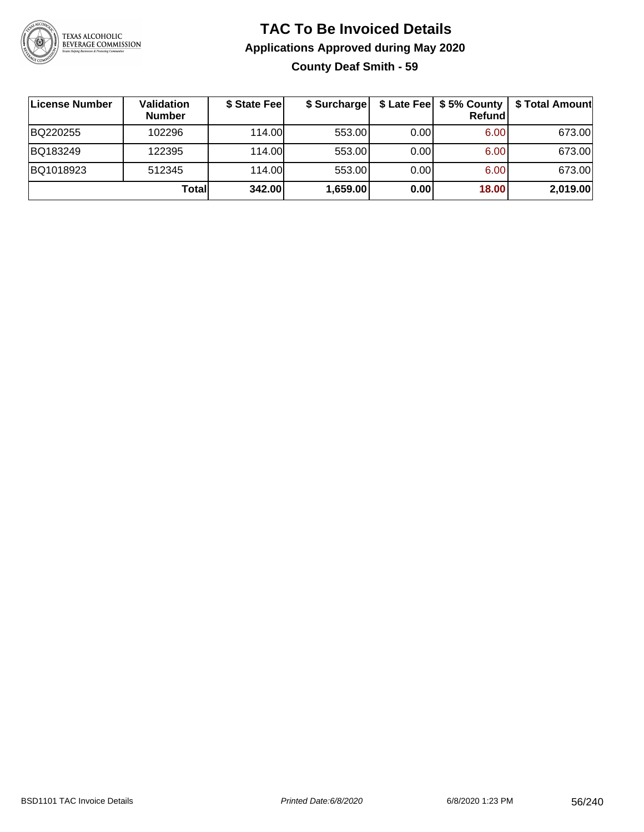

#### **TAC To Be Invoiced Details Applications Approved during May 2020 County Deaf Smith - 59**

| ∣License Number | Validation<br><b>Number</b> | \$ State Feel | \$ Surcharge |      | Refundl | \$ Late Fee   \$5% County   \$ Total Amount |
|-----------------|-----------------------------|---------------|--------------|------|---------|---------------------------------------------|
| BQ220255        | 102296                      | 114.00L       | 553.00       | 0.00 | 6.00    | 673.00                                      |
| BQ183249        | 122395                      | 114.00L       | 553.00       | 0.00 | 6.00    | 673.00                                      |
| BQ1018923       | 512345                      | 114.00        | 553.00       | 0.00 | 6.00    | 673.00                                      |
|                 | Totall                      | 342.00        | 1,659.00     | 0.00 | 18.00   | 2,019.00                                    |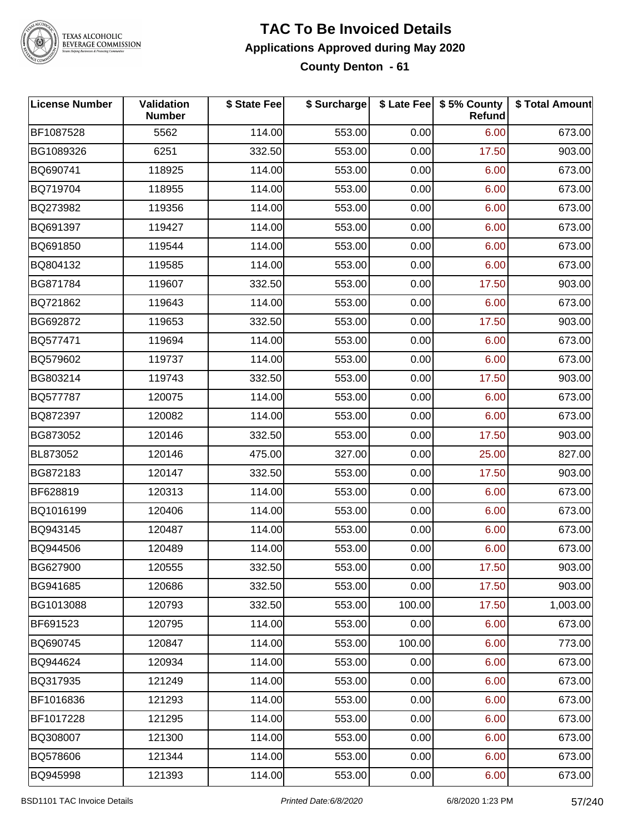

#### **TAC To Be Invoiced Details Applications Approved during May 2020 County Denton - 61**

| <b>License Number</b> | Validation<br><b>Number</b> | \$ State Fee | \$ Surcharge |        | \$ Late Fee   \$5% County<br><b>Refund</b> | \$ Total Amount |
|-----------------------|-----------------------------|--------------|--------------|--------|--------------------------------------------|-----------------|
| BF1087528             | 5562                        | 114.00       | 553.00       | 0.00   | 6.00                                       | 673.00          |
| BG1089326             | 6251                        | 332.50       | 553.00       | 0.00   | 17.50                                      | 903.00          |
| BQ690741              | 118925                      | 114.00       | 553.00       | 0.00   | 6.00                                       | 673.00          |
| BQ719704              | 118955                      | 114.00       | 553.00       | 0.00   | 6.00                                       | 673.00          |
| BQ273982              | 119356                      | 114.00       | 553.00       | 0.00   | 6.00                                       | 673.00          |
| BQ691397              | 119427                      | 114.00       | 553.00       | 0.00   | 6.00                                       | 673.00          |
| BQ691850              | 119544                      | 114.00       | 553.00       | 0.00   | 6.00                                       | 673.00          |
| BQ804132              | 119585                      | 114.00       | 553.00       | 0.00   | 6.00                                       | 673.00          |
| BG871784              | 119607                      | 332.50       | 553.00       | 0.00   | 17.50                                      | 903.00          |
| BQ721862              | 119643                      | 114.00       | 553.00       | 0.00   | 6.00                                       | 673.00          |
| BG692872              | 119653                      | 332.50       | 553.00       | 0.00   | 17.50                                      | 903.00          |
| BQ577471              | 119694                      | 114.00       | 553.00       | 0.00   | 6.00                                       | 673.00          |
| BQ579602              | 119737                      | 114.00       | 553.00       | 0.00   | 6.00                                       | 673.00          |
| BG803214              | 119743                      | 332.50       | 553.00       | 0.00   | 17.50                                      | 903.00          |
| BQ577787              | 120075                      | 114.00       | 553.00       | 0.00   | 6.00                                       | 673.00          |
| BQ872397              | 120082                      | 114.00       | 553.00       | 0.00   | 6.00                                       | 673.00          |
| BG873052              | 120146                      | 332.50       | 553.00       | 0.00   | 17.50                                      | 903.00          |
| BL873052              | 120146                      | 475.00       | 327.00       | 0.00   | 25.00                                      | 827.00          |
| BG872183              | 120147                      | 332.50       | 553.00       | 0.00   | 17.50                                      | 903.00          |
| BF628819              | 120313                      | 114.00       | 553.00       | 0.00   | 6.00                                       | 673.00          |
| BQ1016199             | 120406                      | 114.00       | 553.00       | 0.00   | 6.00                                       | 673.00          |
| BQ943145              | 120487                      | 114.00       | 553.00       | 0.00   | 6.00                                       | 673.00          |
| BQ944506              | 120489                      | 114.00       | 553.00       | 0.00   | 6.00                                       | 673.00          |
| BG627900              | 120555                      | 332.50       | 553.00       | 0.00   | 17.50                                      | 903.00          |
| BG941685              | 120686                      | 332.50       | 553.00       | 0.00   | 17.50                                      | 903.00          |
| BG1013088             | 120793                      | 332.50       | 553.00       | 100.00 | 17.50                                      | 1,003.00        |
| BF691523              | 120795                      | 114.00       | 553.00       | 0.00   | 6.00                                       | 673.00          |
| BQ690745              | 120847                      | 114.00       | 553.00       | 100.00 | 6.00                                       | 773.00          |
| BQ944624              | 120934                      | 114.00       | 553.00       | 0.00   | 6.00                                       | 673.00          |
| BQ317935              | 121249                      | 114.00       | 553.00       | 0.00   | 6.00                                       | 673.00          |
| BF1016836             | 121293                      | 114.00       | 553.00       | 0.00   | 6.00                                       | 673.00          |
| BF1017228             | 121295                      | 114.00       | 553.00       | 0.00   | 6.00                                       | 673.00          |
| BQ308007              | 121300                      | 114.00       | 553.00       | 0.00   | 6.00                                       | 673.00          |
| BQ578606              | 121344                      | 114.00       | 553.00       | 0.00   | 6.00                                       | 673.00          |
| BQ945998              | 121393                      | 114.00       | 553.00       | 0.00   | 6.00                                       | 673.00          |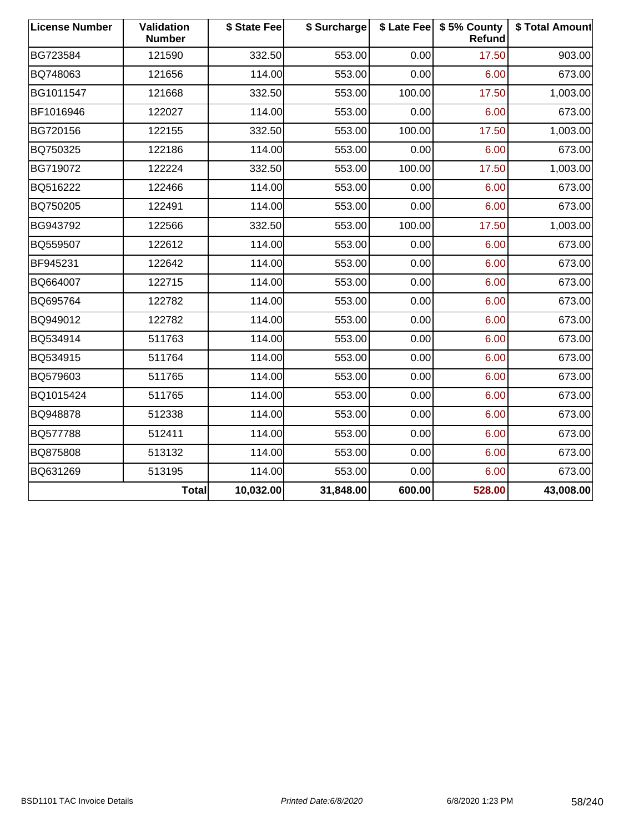| <b>License Number</b> | <b>Validation</b><br><b>Number</b> | \$ State Fee | \$ Surcharge | \$ Late Fee | \$5% County<br>Refund | \$ Total Amount |
|-----------------------|------------------------------------|--------------|--------------|-------------|-----------------------|-----------------|
| BG723584              | 121590                             | 332.50       | 553.00       | 0.00        | 17.50                 | 903.00          |
| BQ748063              | 121656                             | 114.00       | 553.00       | 0.00        | 6.00                  | 673.00          |
| BG1011547             | 121668                             | 332.50       | 553.00       | 100.00      | 17.50                 | 1,003.00        |
| BF1016946             | 122027                             | 114.00       | 553.00       | 0.00        | 6.00                  | 673.00          |
| BG720156              | 122155                             | 332.50       | 553.00       | 100.00      | 17.50                 | 1,003.00        |
| BQ750325              | 122186                             | 114.00       | 553.00       | 0.00        | 6.00                  | 673.00          |
| BG719072              | 122224                             | 332.50       | 553.00       | 100.00      | 17.50                 | 1,003.00        |
| BQ516222              | 122466                             | 114.00       | 553.00       | 0.00        | 6.00                  | 673.00          |
| BQ750205              | 122491                             | 114.00       | 553.00       | 0.00        | 6.00                  | 673.00          |
| BG943792              | 122566                             | 332.50       | 553.00       | 100.00      | 17.50                 | 1,003.00        |
| BQ559507              | 122612                             | 114.00       | 553.00       | 0.00        | 6.00                  | 673.00          |
| BF945231              | 122642                             | 114.00       | 553.00       | 0.00        | 6.00                  | 673.00          |
| BQ664007              | 122715                             | 114.00       | 553.00       | 0.00        | 6.00                  | 673.00          |
| BQ695764              | 122782                             | 114.00       | 553.00       | 0.00        | 6.00                  | 673.00          |
| BQ949012              | 122782                             | 114.00       | 553.00       | 0.00        | 6.00                  | 673.00          |
| BQ534914              | 511763                             | 114.00       | 553.00       | 0.00        | 6.00                  | 673.00          |
| BQ534915              | 511764                             | 114.00       | 553.00       | 0.00        | 6.00                  | 673.00          |
| BQ579603              | 511765                             | 114.00       | 553.00       | 0.00        | 6.00                  | 673.00          |
| BQ1015424             | 511765                             | 114.00       | 553.00       | 0.00        | 6.00                  | 673.00          |
| BQ948878              | 512338                             | 114.00       | 553.00       | 0.00        | 6.00                  | 673.00          |
| BQ577788              | 512411                             | 114.00       | 553.00       | 0.00        | 6.00                  | 673.00          |
| BQ875808              | 513132                             | 114.00       | 553.00       | 0.00        | 6.00                  | 673.00          |
| BQ631269              | 513195                             | 114.00       | 553.00       | 0.00        | 6.00                  | 673.00          |
|                       | Total                              | 10,032.00    | 31,848.00    | 600.00      | 528.00                | 43,008.00       |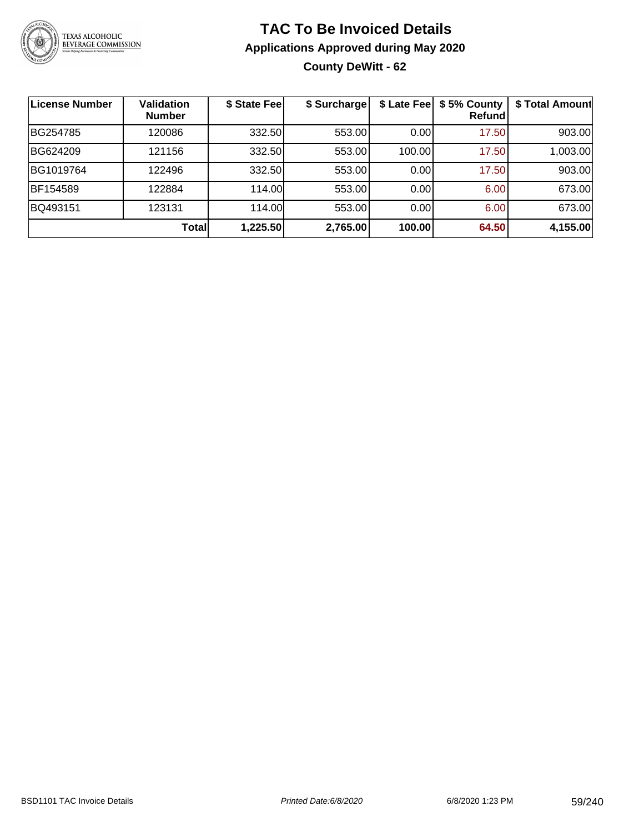

#### **TAC To Be Invoiced Details Applications Approved during May 2020 County DeWitt - 62**

| ∣License Number | <b>Validation</b><br><b>Number</b> | \$ State Fee | \$ Surcharge | \$ Late Fee | \$5% County<br>Refundl | \$ Total Amount |
|-----------------|------------------------------------|--------------|--------------|-------------|------------------------|-----------------|
| BG254785        | 120086                             | 332.50       | 553.00       | 0.00        | 17.50                  | 903.00          |
| BG624209        | 121156                             | 332.50       | 553.00       | 100.00      | 17.50                  | 1,003.00        |
| BG1019764       | 122496                             | 332.50       | 553.00       | 0.00        | 17.50                  | 903.00          |
| BF154589        | 122884                             | 114.00       | 553.00       | 0.00        | 6.00                   | 673.00          |
| BQ493151        | 123131                             | 114.00       | 553.00       | 0.00        | 6.00                   | 673.00          |
|                 | Totall                             | 1,225.50     | 2,765.00     | 100.00      | 64.50                  | 4,155.00        |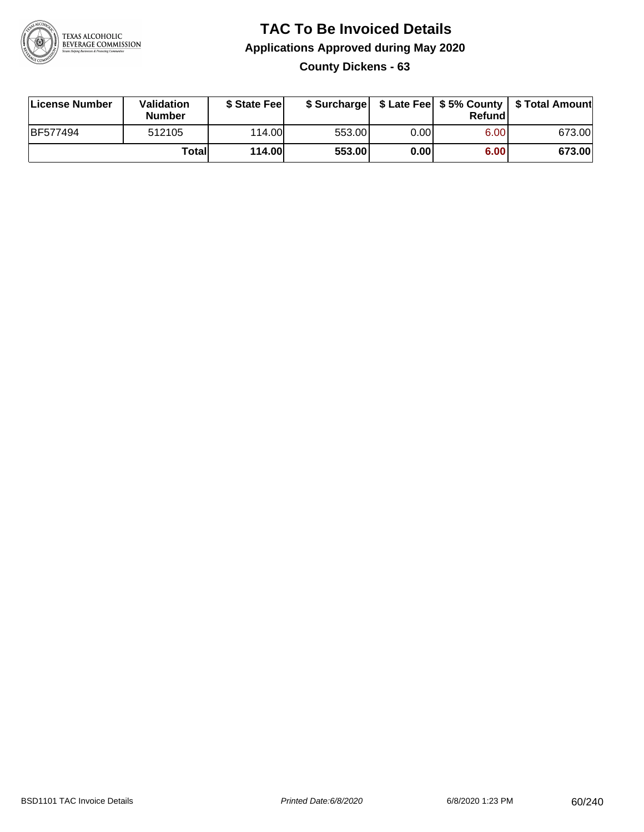

#### **TAC To Be Invoiced Details Applications Approved during May 2020 County Dickens - 63**

| License Number  | Validation<br><b>Number</b> | \$ State Feel |        |      | Refund | \$ Surcharge   \$ Late Fee   \$5% County   \$ Total Amount |
|-----------------|-----------------------------|---------------|--------|------|--------|------------------------------------------------------------|
| <b>BF577494</b> | 512105                      | 114.00L       | 553.00 | 0.00 | 6.00   | 673.00                                                     |
|                 | Totall                      | <b>114.00</b> | 553.00 | 0.00 | 6.00   | 673.00                                                     |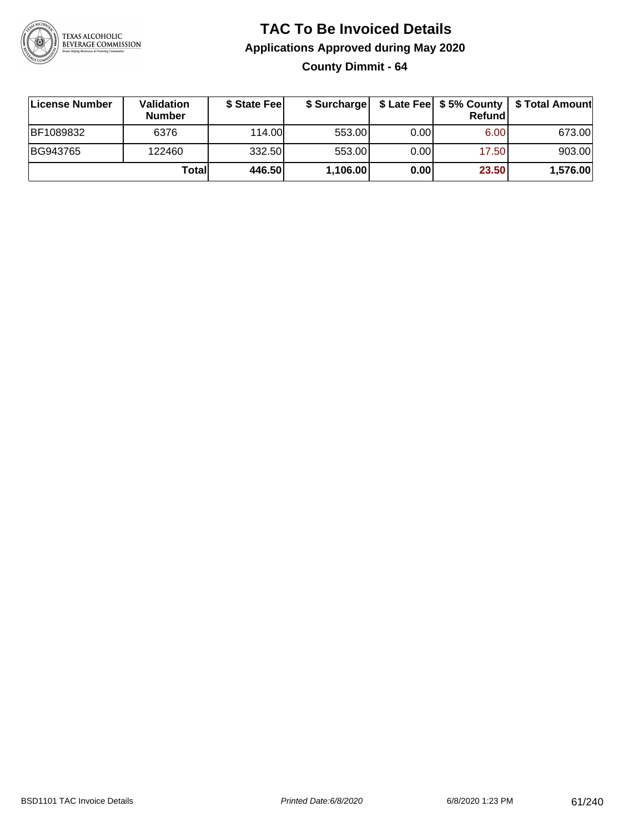

**County Dimmit - 64**

| License Number | <b>Validation</b><br><b>Number</b> | \$ State Fee | \$ Surcharge |       | Refundl | \$ Late Fee   \$5% County   \$ Total Amount |
|----------------|------------------------------------|--------------|--------------|-------|---------|---------------------------------------------|
| BF1089832      | 6376                               | 114.00       | 553.00       | 0.001 | 6.00    | 673.00                                      |
| BG943765       | 122460                             | 332.50       | 553.00       | 0.001 | 17.50   | 903.00                                      |
|                | Totall                             | 446.50       | 1,106.00     | 0.00  | 23.50   | 1,576.00                                    |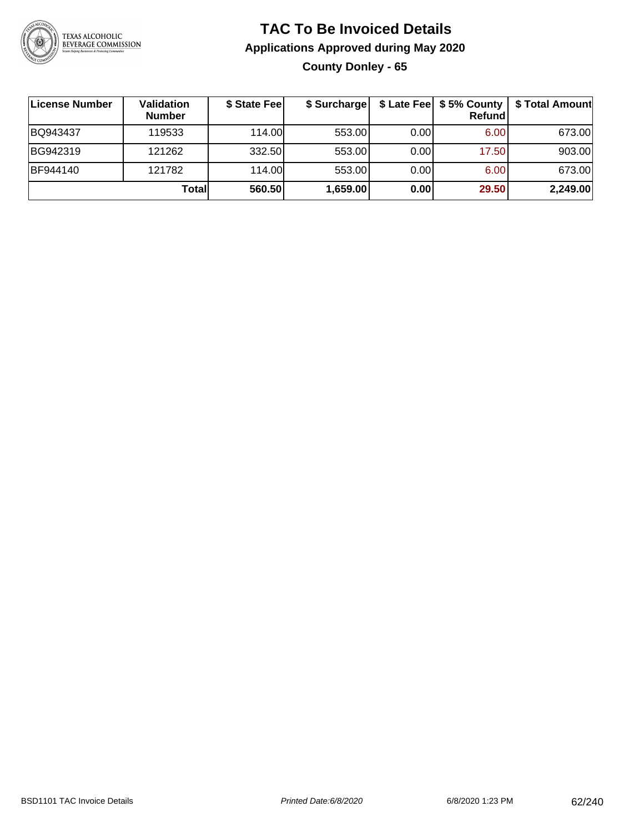

**County Donley - 65**

| ∣License Number | Validation<br><b>Number</b> | \$ State Fee | \$ Surcharge |       | Refundl | \$ Late Fee   \$5% County   \$ Total Amount |
|-----------------|-----------------------------|--------------|--------------|-------|---------|---------------------------------------------|
| BQ943437        | 119533                      | 114.00       | 553.00       | 0.00  | 6.00    | 673.00                                      |
| BG942319        | 121262                      | 332.50       | 553.00       | 0.00  | 17.50   | 903.00                                      |
| BF944140        | 121782                      | 114.00       | 553.00       | 0.001 | 6.00    | 673.00                                      |
|                 | Totall                      | 560.50       | 1,659.00     | 0.00  | 29.50   | 2,249.00                                    |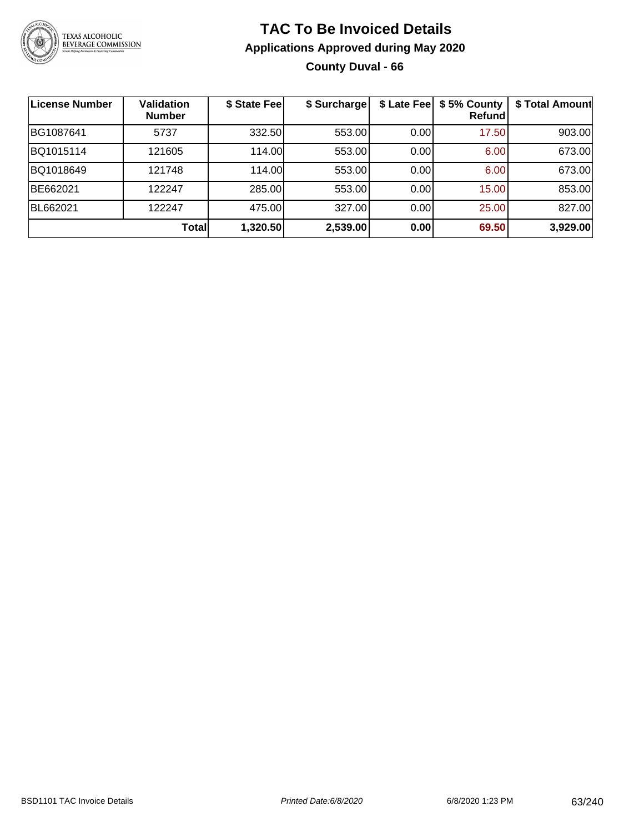

#### **TAC To Be Invoiced Details Applications Approved during May 2020 County Duval - 66**

| <b>License Number</b> | <b>Validation</b><br><b>Number</b> | \$ State Fee | \$ Surcharge |      | \$ Late Fee   \$5% County<br>Refund | \$ Total Amount |
|-----------------------|------------------------------------|--------------|--------------|------|-------------------------------------|-----------------|
| BG1087641             | 5737                               | 332.50       | 553.00       | 0.00 | 17.50                               | 903.00          |
| BQ1015114             | 121605                             | 114.00       | 553.00       | 0.00 | 6.00                                | 673.00          |
| BQ1018649             | 121748                             | 114.00       | 553.00       | 0.00 | 6.00                                | 673.00          |
| BE662021              | 122247                             | 285.00       | 553.00       | 0.00 | 15.00                               | 853.00          |
| BL662021              | 122247                             | 475.00       | 327.00       | 0.00 | 25.00                               | 827.00          |
|                       | Total                              | 1,320.50     | 2,539.00     | 0.00 | 69.50                               | 3,929.00        |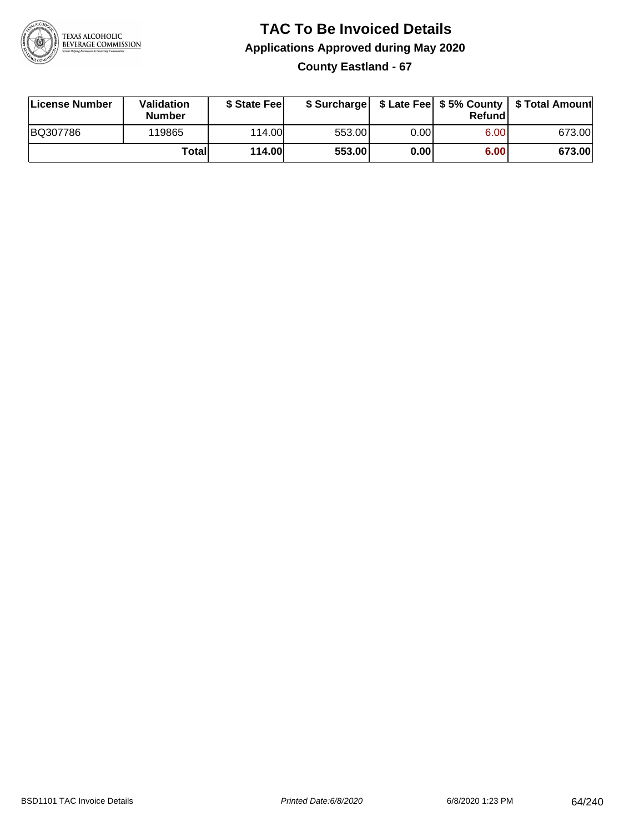

#### **TAC To Be Invoiced Details Applications Approved during May 2020 County Eastland - 67**

| License Number | Validation<br><b>Number</b> | \$ State Fee  |        |      | Refund | \$ Surcharge   \$ Late Fee   \$5% County   \$ Total Amount |
|----------------|-----------------------------|---------------|--------|------|--------|------------------------------------------------------------|
| BQ307786       | 119865                      | 114.00        | 553.00 | 0.00 | 6.00   | 673.00                                                     |
|                | Totall                      | <b>114.00</b> | 553.00 | 0.00 | 6.00   | 673.00                                                     |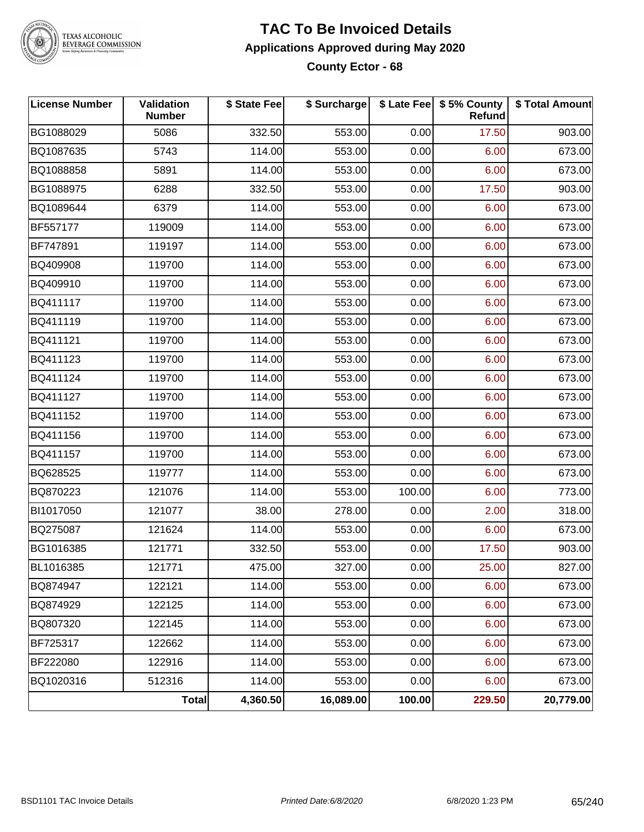

#### **TAC To Be Invoiced Details Applications Approved during May 2020 County Ector - 68**

| <b>License Number</b> | Validation<br><b>Number</b> | \$ State Fee | \$ Surcharge |        | \$ Late Fee   \$5% County<br><b>Refund</b> | \$ Total Amount |
|-----------------------|-----------------------------|--------------|--------------|--------|--------------------------------------------|-----------------|
| BG1088029             | 5086                        | 332.50       | 553.00       | 0.00   | 17.50                                      | 903.00          |
| BQ1087635             | 5743                        | 114.00       | 553.00       | 0.00   | 6.00                                       | 673.00          |
| BQ1088858             | 5891                        | 114.00       | 553.00       | 0.00   | 6.00                                       | 673.00          |
| BG1088975             | 6288                        | 332.50       | 553.00       | 0.00   | 17.50                                      | 903.00          |
| BQ1089644             | 6379                        | 114.00       | 553.00       | 0.00   | 6.00                                       | 673.00          |
| BF557177              | 119009                      | 114.00       | 553.00       | 0.00   | 6.00                                       | 673.00          |
| BF747891              | 119197                      | 114.00       | 553.00       | 0.00   | 6.00                                       | 673.00          |
| BQ409908              | 119700                      | 114.00       | 553.00       | 0.00   | 6.00                                       | 673.00          |
| BQ409910              | 119700                      | 114.00       | 553.00       | 0.00   | 6.00                                       | 673.00          |
| BQ411117              | 119700                      | 114.00       | 553.00       | 0.00   | 6.00                                       | 673.00          |
| BQ411119              | 119700                      | 114.00       | 553.00       | 0.00   | 6.00                                       | 673.00          |
| BQ411121              | 119700                      | 114.00       | 553.00       | 0.00   | 6.00                                       | 673.00          |
| BQ411123              | 119700                      | 114.00       | 553.00       | 0.00   | 6.00                                       | 673.00          |
| BQ411124              | 119700                      | 114.00       | 553.00       | 0.00   | 6.00                                       | 673.00          |
| BQ411127              | 119700                      | 114.00       | 553.00       | 0.00   | 6.00                                       | 673.00          |
| BQ411152              | 119700                      | 114.00       | 553.00       | 0.00   | 6.00                                       | 673.00          |
| BQ411156              | 119700                      | 114.00       | 553.00       | 0.00   | 6.00                                       | 673.00          |
| BQ411157              | 119700                      | 114.00       | 553.00       | 0.00   | 6.00                                       | 673.00          |
| BQ628525              | 119777                      | 114.00       | 553.00       | 0.00   | 6.00                                       | 673.00          |
| BQ870223              | 121076                      | 114.00       | 553.00       | 100.00 | 6.00                                       | 773.00          |
| BI1017050             | 121077                      | 38.00        | 278.00       | 0.00   | 2.00                                       | 318.00          |
| BQ275087              | 121624                      | 114.00       | 553.00       | 0.00   | 6.00                                       | 673.00          |
| BG1016385             | 121771                      | 332.50       | 553.00       | 0.00   | 17.50                                      | 903.00          |
| BL1016385             | 121771                      | 475.00       | 327.00       | 0.00   | 25.00                                      | 827.00          |
| BQ874947              | 122121                      | 114.00       | 553.00       | 0.00   | 6.00                                       | 673.00          |
| BQ874929              | 122125                      | 114.00       | 553.00       | 0.00   | 6.00                                       | 673.00          |
| BQ807320              | 122145                      | 114.00       | 553.00       | 0.00   | 6.00                                       | 673.00          |
| BF725317              | 122662                      | 114.00       | 553.00       | 0.00   | 6.00                                       | 673.00          |
| BF222080              | 122916                      | 114.00       | 553.00       | 0.00   | 6.00                                       | 673.00          |
| BQ1020316             | 512316                      | 114.00       | 553.00       | 0.00   | 6.00                                       | 673.00          |
|                       | Total                       | 4,360.50     | 16,089.00    | 100.00 | 229.50                                     | 20,779.00       |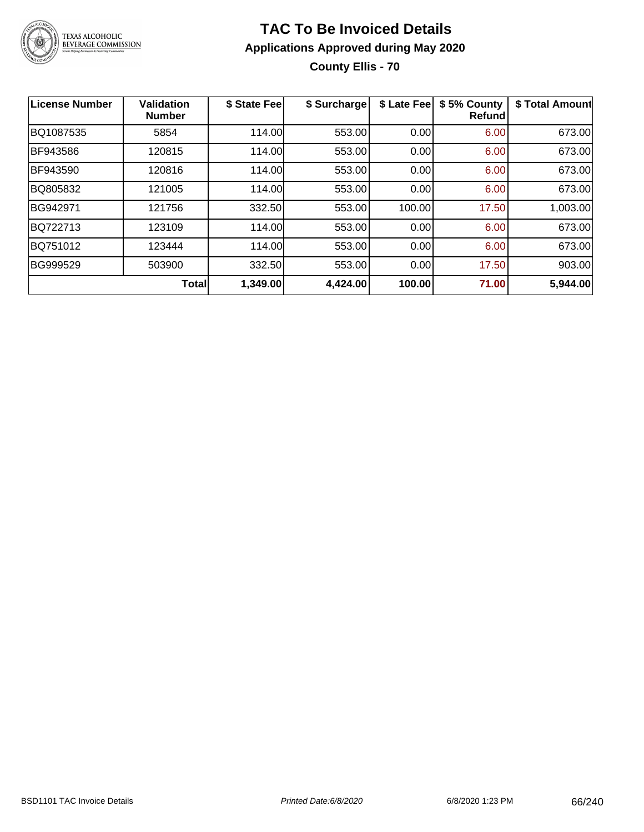

#### **TAC To Be Invoiced Details Applications Approved during May 2020 County Ellis - 70**

| License Number | <b>Validation</b><br><b>Number</b> | \$ State Fee | \$ Surcharge | \$ Late Fee | \$5% County<br><b>Refund</b> | \$ Total Amount |
|----------------|------------------------------------|--------------|--------------|-------------|------------------------------|-----------------|
| BQ1087535      | 5854                               | 114.00       | 553.00       | 0.00        | 6.00                         | 673.00          |
| BF943586       | 120815                             | 114.00       | 553.00       | 0.00        | 6.00                         | 673.00          |
| BF943590       | 120816                             | 114.00       | 553.00       | 0.00        | 6.00                         | 673.00          |
| BQ805832       | 121005                             | 114.00       | 553.00       | 0.00        | 6.00                         | 673.00          |
| BG942971       | 121756                             | 332.50       | 553.00       | 100.00      | 17.50                        | 1,003.00        |
| BQ722713       | 123109                             | 114.00       | 553.00       | 0.00        | 6.00                         | 673.00          |
| BQ751012       | 123444                             | 114.00       | 553.00       | 0.00        | 6.00                         | 673.00          |
| BG999529       | 503900                             | 332.50       | 553.00       | 0.00        | 17.50                        | 903.00          |
|                | Total                              | 1,349.00     | 4,424.00     | 100.00      | 71.00                        | 5,944.00        |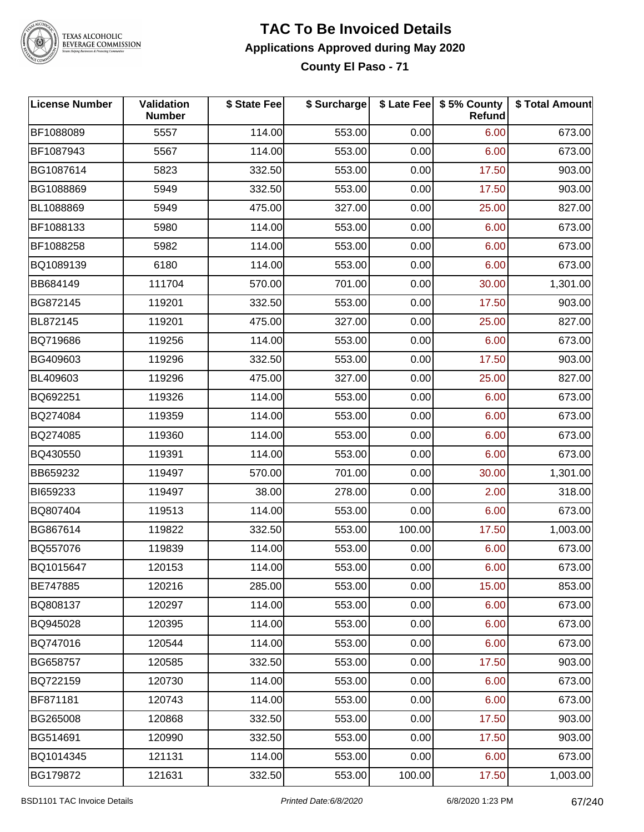

### **TAC To Be Invoiced Details Applications Approved during May 2020**

**County El Paso - 71**

| <b>License Number</b> | Validation<br><b>Number</b> | \$ State Fee | \$ Surcharge |        | \$ Late Fee   \$5% County<br>Refund | \$ Total Amount |
|-----------------------|-----------------------------|--------------|--------------|--------|-------------------------------------|-----------------|
| BF1088089             | 5557                        | 114.00       | 553.00       | 0.00   | 6.00                                | 673.00          |
| BF1087943             | 5567                        | 114.00       | 553.00       | 0.00   | 6.00                                | 673.00          |
| BG1087614             | 5823                        | 332.50       | 553.00       | 0.00   | 17.50                               | 903.00          |
| BG1088869             | 5949                        | 332.50       | 553.00       | 0.00   | 17.50                               | 903.00          |
| BL1088869             | 5949                        | 475.00       | 327.00       | 0.00   | 25.00                               | 827.00          |
| BF1088133             | 5980                        | 114.00       | 553.00       | 0.00   | 6.00                                | 673.00          |
| BF1088258             | 5982                        | 114.00       | 553.00       | 0.00   | 6.00                                | 673.00          |
| BQ1089139             | 6180                        | 114.00       | 553.00       | 0.00   | 6.00                                | 673.00          |
| BB684149              | 111704                      | 570.00       | 701.00       | 0.00   | 30.00                               | 1,301.00        |
| BG872145              | 119201                      | 332.50       | 553.00       | 0.00   | 17.50                               | 903.00          |
| BL872145              | 119201                      | 475.00       | 327.00       | 0.00   | 25.00                               | 827.00          |
| BQ719686              | 119256                      | 114.00       | 553.00       | 0.00   | 6.00                                | 673.00          |
| BG409603              | 119296                      | 332.50       | 553.00       | 0.00   | 17.50                               | 903.00          |
| BL409603              | 119296                      | 475.00       | 327.00       | 0.00   | 25.00                               | 827.00          |
| BQ692251              | 119326                      | 114.00       | 553.00       | 0.00   | 6.00                                | 673.00          |
| BQ274084              | 119359                      | 114.00       | 553.00       | 0.00   | 6.00                                | 673.00          |
| BQ274085              | 119360                      | 114.00       | 553.00       | 0.00   | 6.00                                | 673.00          |
| BQ430550              | 119391                      | 114.00       | 553.00       | 0.00   | 6.00                                | 673.00          |
| BB659232              | 119497                      | 570.00       | 701.00       | 0.00   | 30.00                               | 1,301.00        |
| BI659233              | 119497                      | 38.00        | 278.00       | 0.00   | 2.00                                | 318.00          |
| BQ807404              | 119513                      | 114.00       | 553.00       | 0.00   | 6.00                                | 673.00          |
| BG867614              | 119822                      | 332.50       | 553.00       | 100.00 | 17.50                               | 1,003.00        |
| BQ557076              | 119839                      | 114.00       | 553.00       | 0.00   | 6.00                                | 673.00          |
| BQ1015647             | 120153                      | 114.00       | 553.00       | 0.00   | 6.00                                | 673.00          |
| BE747885              | 120216                      | 285.00       | 553.00       | 0.00   | 15.00                               | 853.00          |
| BQ808137              | 120297                      | 114.00       | 553.00       | 0.00   | 6.00                                | 673.00          |
| BQ945028              | 120395                      | 114.00       | 553.00       | 0.00   | 6.00                                | 673.00          |
| BQ747016              | 120544                      | 114.00       | 553.00       | 0.00   | 6.00                                | 673.00          |
| BG658757              | 120585                      | 332.50       | 553.00       | 0.00   | 17.50                               | 903.00          |
| BQ722159              | 120730                      | 114.00       | 553.00       | 0.00   | 6.00                                | 673.00          |
| BF871181              | 120743                      | 114.00       | 553.00       | 0.00   | 6.00                                | 673.00          |
| BG265008              | 120868                      | 332.50       | 553.00       | 0.00   | 17.50                               | 903.00          |
| BG514691              | 120990                      | 332.50       | 553.00       | 0.00   | 17.50                               | 903.00          |
| BQ1014345             | 121131                      | 114.00       | 553.00       | 0.00   | 6.00                                | 673.00          |
| BG179872              | 121631                      | 332.50       | 553.00       | 100.00 | 17.50                               | 1,003.00        |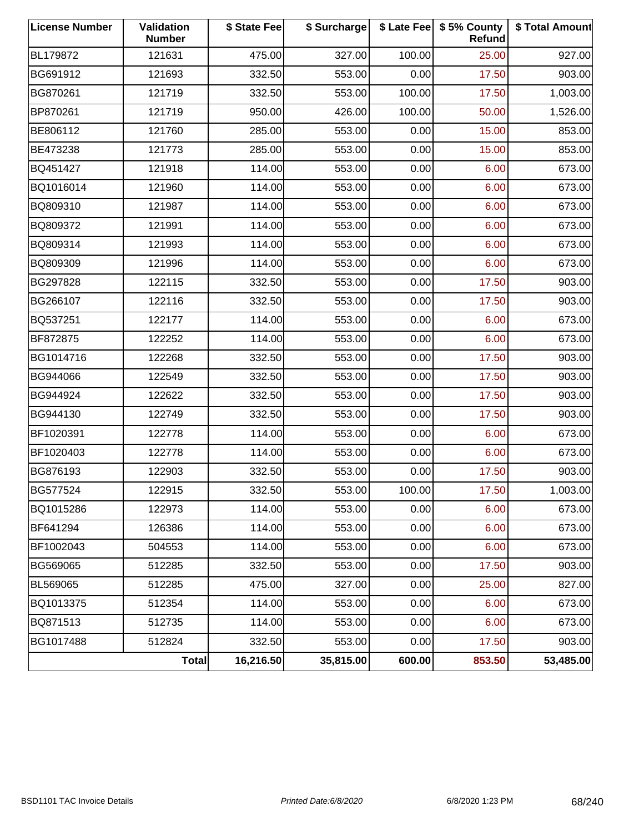| <b>License Number</b> | Validation<br><b>Number</b> | \$ State Fee | \$ Surcharge |        | \$ Late Fee   \$5% County<br><b>Refund</b> | \$ Total Amount |
|-----------------------|-----------------------------|--------------|--------------|--------|--------------------------------------------|-----------------|
| BL179872              | 121631                      | 475.00       | 327.00       | 100.00 | 25.00                                      | 927.00          |
| BG691912              | 121693                      | 332.50       | 553.00       | 0.00   | 17.50                                      | 903.00          |
| BG870261              | 121719                      | 332.50       | 553.00       | 100.00 | 17.50                                      | 1,003.00        |
| BP870261              | 121719                      | 950.00       | 426.00       | 100.00 | 50.00                                      | 1,526.00        |
| BE806112              | 121760                      | 285.00       | 553.00       | 0.00   | 15.00                                      | 853.00          |
| BE473238              | 121773                      | 285.00       | 553.00       | 0.00   | 15.00                                      | 853.00          |
| BQ451427              | 121918                      | 114.00       | 553.00       | 0.00   | 6.00                                       | 673.00          |
| BQ1016014             | 121960                      | 114.00       | 553.00       | 0.00   | 6.00                                       | 673.00          |
| BQ809310              | 121987                      | 114.00       | 553.00       | 0.00   | 6.00                                       | 673.00          |
| BQ809372              | 121991                      | 114.00       | 553.00       | 0.00   | 6.00                                       | 673.00          |
| BQ809314              | 121993                      | 114.00       | 553.00       | 0.00   | 6.00                                       | 673.00          |
| BQ809309              | 121996                      | 114.00       | 553.00       | 0.00   | 6.00                                       | 673.00          |
| BG297828              | 122115                      | 332.50       | 553.00       | 0.00   | 17.50                                      | 903.00          |
| BG266107              | 122116                      | 332.50       | 553.00       | 0.00   | 17.50                                      | 903.00          |
| BQ537251              | 122177                      | 114.00       | 553.00       | 0.00   | 6.00                                       | 673.00          |
| BF872875              | 122252                      | 114.00       | 553.00       | 0.00   | 6.00                                       | 673.00          |
| BG1014716             | 122268                      | 332.50       | 553.00       | 0.00   | 17.50                                      | 903.00          |
| BG944066              | 122549                      | 332.50       | 553.00       | 0.00   | 17.50                                      | 903.00          |
| BG944924              | 122622                      | 332.50       | 553.00       | 0.00   | 17.50                                      | 903.00          |
| BG944130              | 122749                      | 332.50       | 553.00       | 0.00   | 17.50                                      | 903.00          |
| BF1020391             | 122778                      | 114.00       | 553.00       | 0.00   | 6.00                                       | 673.00          |
| BF1020403             | 122778                      | 114.00       | 553.00       | 0.00   | 6.00                                       | 673.00          |
| BG876193              | 122903                      | 332.50       | 553.00       | 0.00   | 17.50                                      | 903.00          |
| BG577524              | 122915                      | 332.50       | 553.00       | 100.00 | 17.50                                      | 1,003.00        |
| BQ1015286             | 122973                      | 114.00       | 553.00       | 0.00   | 6.00                                       | 673.00          |
| BF641294              | 126386                      | 114.00       | 553.00       | 0.00   | 6.00                                       | 673.00          |
| BF1002043             | 504553                      | 114.00       | 553.00       | 0.00   | 6.00                                       | 673.00          |
| BG569065              | 512285                      | 332.50       | 553.00       | 0.00   | 17.50                                      | 903.00          |
| BL569065              | 512285                      | 475.00       | 327.00       | 0.00   | 25.00                                      | 827.00          |
| BQ1013375             | 512354                      | 114.00       | 553.00       | 0.00   | 6.00                                       | 673.00          |
| BQ871513              | 512735                      | 114.00       | 553.00       | 0.00   | 6.00                                       | 673.00          |
| BG1017488             | 512824                      | 332.50       | 553.00       | 0.00   | 17.50                                      | 903.00          |
|                       | <b>Total</b>                | 16,216.50    | 35,815.00    | 600.00 | 853.50                                     | 53,485.00       |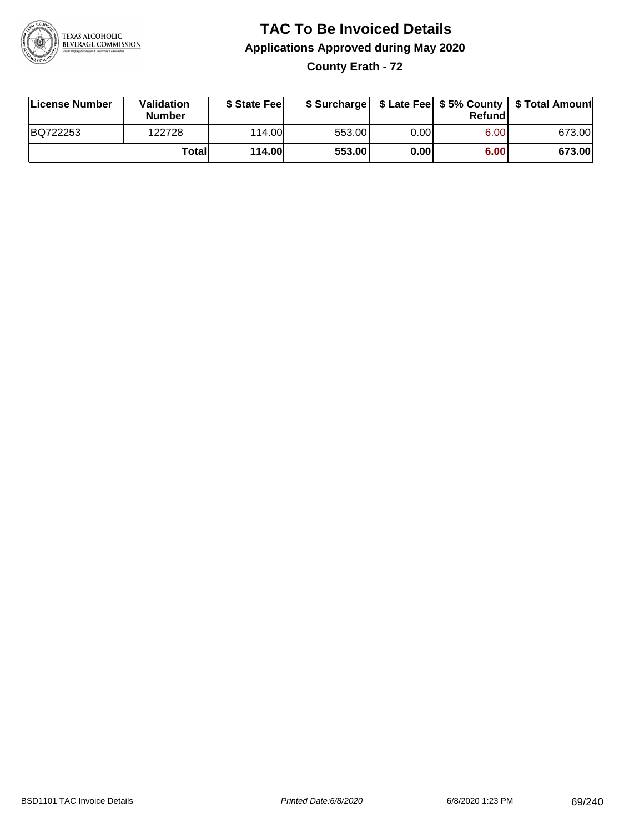

**County Erath - 72**

| License Number | Validation<br><b>Number</b> | \$ State Fee  | \$ Surcharge |      | Refundl |        |
|----------------|-----------------------------|---------------|--------------|------|---------|--------|
| BQ722253       | 122728                      | 114.00        | 553.00       | 0.00 | 6.00    | 673.00 |
|                | Totall                      | <b>114.00</b> | 553.00       | 0.00 | 6.00    | 673.00 |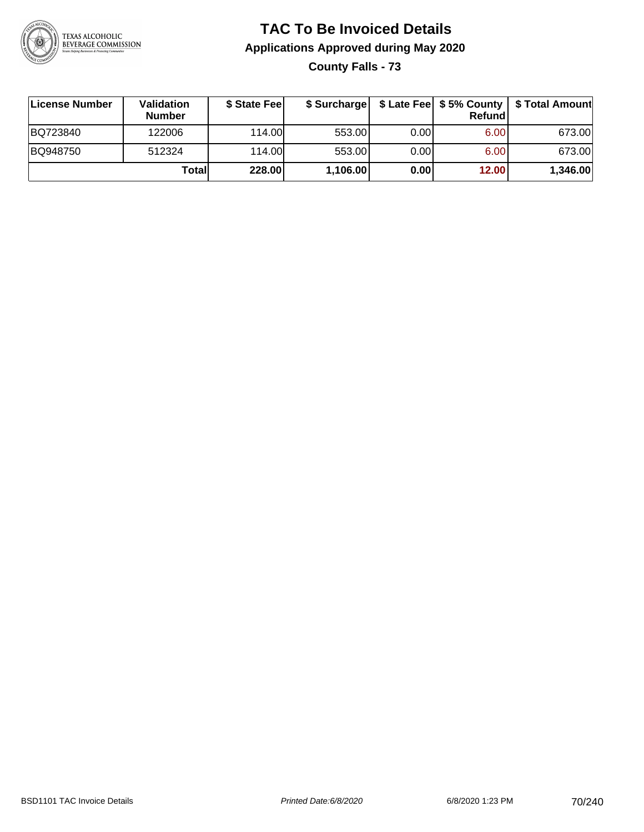

**County Falls - 73**

| ∣License Number | Validation<br><b>Number</b> | \$ State Feel |          |       | Refundl | \$ Surcharge   \$ Late Fee   \$5% County   \$ Total Amount |
|-----------------|-----------------------------|---------------|----------|-------|---------|------------------------------------------------------------|
| BQ723840        | 122006                      | 114.00        | 553.00   | 0.001 | 6.00    | 673.00                                                     |
| BQ948750        | 512324                      | 114.00L       | 553.00   | 0.00  | 6.00    | 673.00                                                     |
|                 | Totall                      | 228.00        | 1,106.00 | 0.00  | 12.00   | 1,346.00                                                   |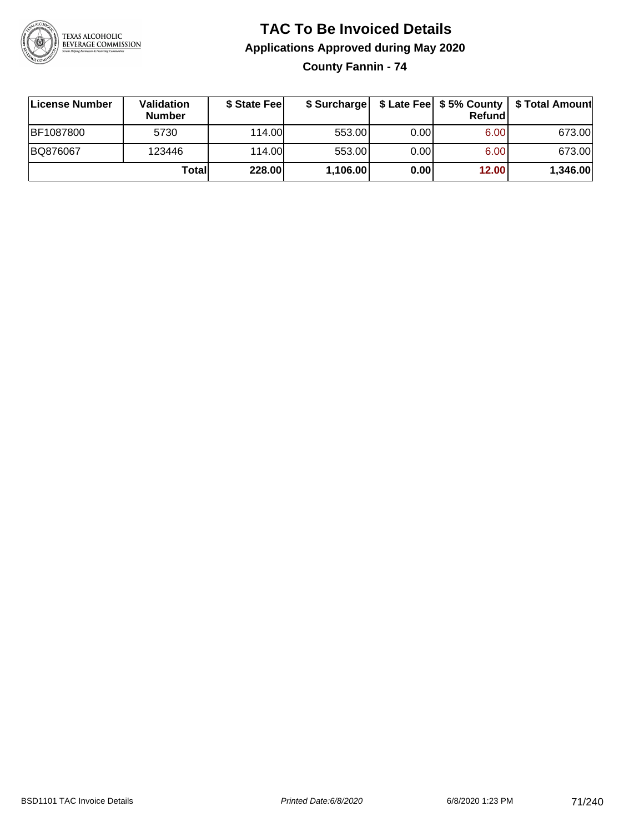

**County Fannin - 74**

| ∣License Number  | Validation<br><b>Number</b> | \$ State Feel | \$ Surcharge |       | Refundl |          |
|------------------|-----------------------------|---------------|--------------|-------|---------|----------|
| <b>BF1087800</b> | 5730                        | 114.00L       | 553.00       | 0.001 | 6.00    | 673.00   |
| BQ876067         | 123446                      | 114.00L       | 553.00       | 0.001 | 6.00    | 673.00   |
|                  | <b>Total</b>                | 228.00        | 1,106.00     | 0.00  | 12.00   | 1,346.00 |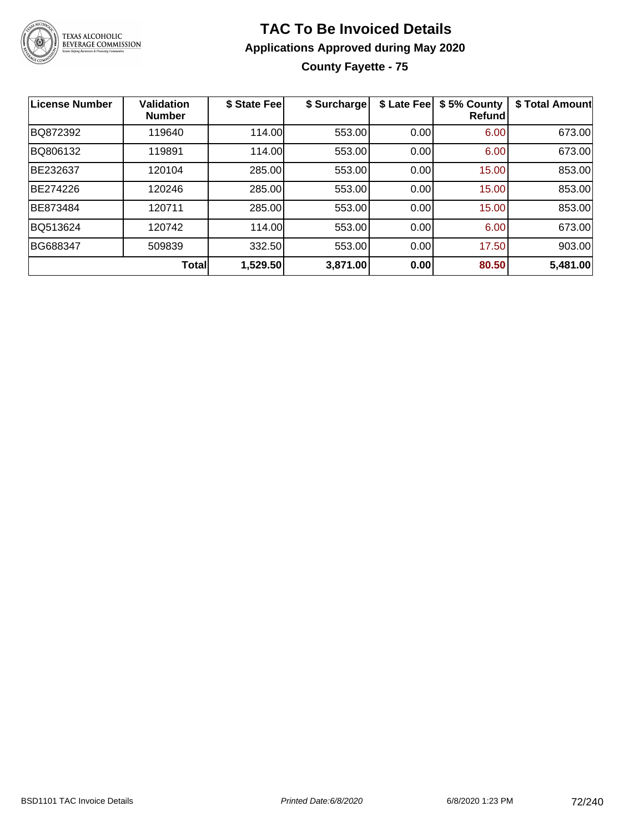

#### **TAC To Be Invoiced Details Applications Approved during May 2020 County Fayette - 75**

| <b>License Number</b> | <b>Validation</b><br><b>Number</b> | \$ State Fee | \$ Surcharge | \$ Late Fee | \$5% County<br><b>Refund</b> | \$ Total Amount |
|-----------------------|------------------------------------|--------------|--------------|-------------|------------------------------|-----------------|
| BQ872392              | 119640                             | 114.00       | 553.00       | 0.00        | 6.00                         | 673.00          |
| BQ806132              | 119891                             | 114.00       | 553.00       | 0.00        | 6.00                         | 673.00          |
| BE232637              | 120104                             | 285.00       | 553.00       | 0.00        | 15.00                        | 853.00          |
| BE274226              | 120246                             | 285.00       | 553.00       | 0.00        | 15.00                        | 853.00          |
| BE873484              | 120711                             | 285.00       | 553.00       | 0.00        | 15.00                        | 853.00          |
| BQ513624              | 120742                             | 114.00       | 553.00       | 0.00        | 6.00                         | 673.00          |
| BG688347              | 509839                             | 332.50       | 553.00       | 0.00        | 17.50                        | 903.00          |
|                       | <b>Total</b>                       | 1,529.50     | 3,871.00     | 0.00        | 80.50                        | 5,481.00        |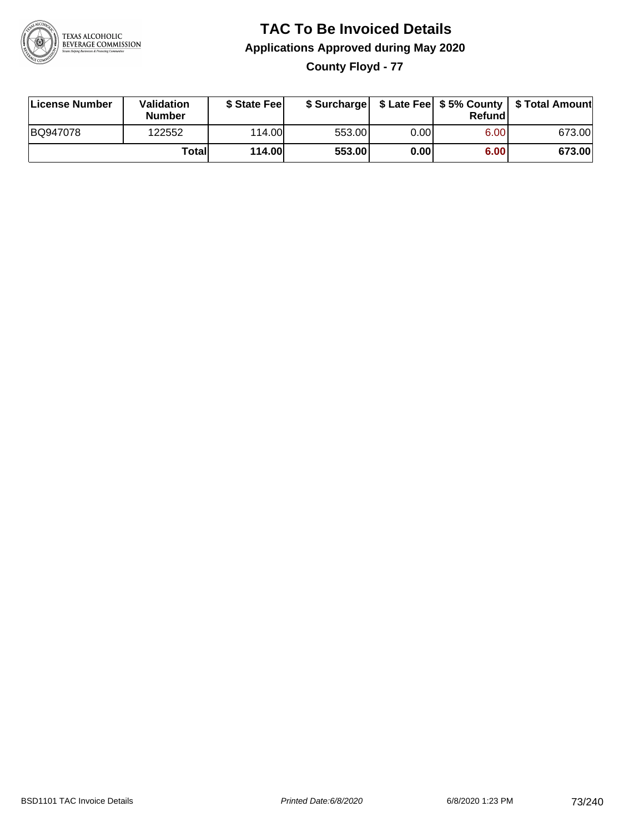

**County Floyd - 77**

| License Number | Validation<br><b>Number</b> | \$ State Fee  | \$ Surcharge |      | Refundl | \$ Late Fee   \$5% County   \$ Total Amount |
|----------------|-----------------------------|---------------|--------------|------|---------|---------------------------------------------|
| BQ947078       | 122552                      | 114.00        | 553.00       | 0.00 | 6.00    | 673.00                                      |
|                | Totall                      | <b>114.00</b> | 553.00       | 0.00 | 6.00    | 673.00                                      |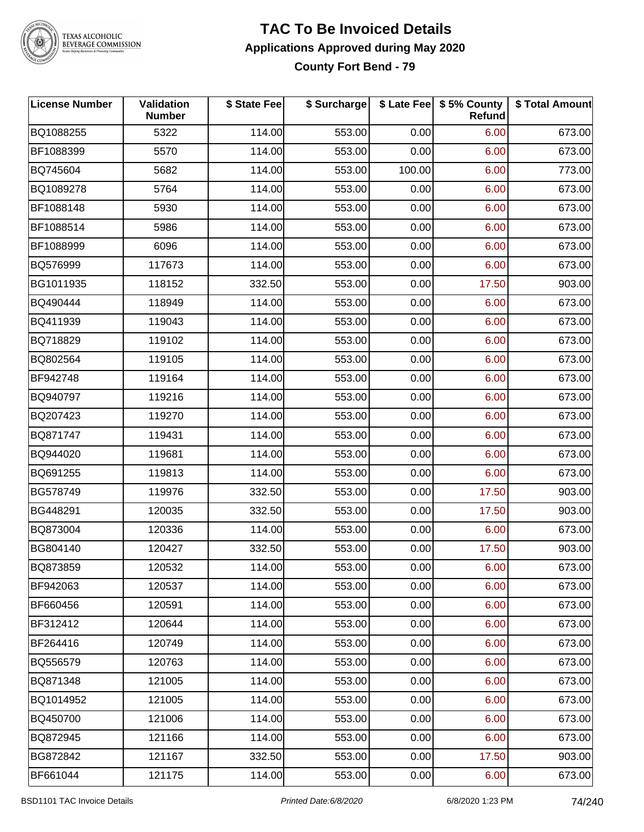

#### **TAC To Be Invoiced Details Applications Approved during May 2020 County Fort Bend - 79**

| License Number | Validation<br><b>Number</b> | \$ State Fee | \$ Surcharge |        | \$ Late Fee   \$5% County<br>Refund | \$ Total Amount |
|----------------|-----------------------------|--------------|--------------|--------|-------------------------------------|-----------------|
| BQ1088255      | 5322                        | 114.00       | 553.00       | 0.00   | 6.00                                | 673.00          |
| BF1088399      | 5570                        | 114.00       | 553.00       | 0.00   | 6.00                                | 673.00          |
| BQ745604       | 5682                        | 114.00       | 553.00       | 100.00 | 6.00                                | 773.00          |
| BQ1089278      | 5764                        | 114.00       | 553.00       | 0.00   | 6.00                                | 673.00          |
| BF1088148      | 5930                        | 114.00       | 553.00       | 0.00   | 6.00                                | 673.00          |
| BF1088514      | 5986                        | 114.00       | 553.00       | 0.00   | 6.00                                | 673.00          |
| BF1088999      | 6096                        | 114.00       | 553.00       | 0.00   | 6.00                                | 673.00          |
| BQ576999       | 117673                      | 114.00       | 553.00       | 0.00   | 6.00                                | 673.00          |
| BG1011935      | 118152                      | 332.50       | 553.00       | 0.00   | 17.50                               | 903.00          |
| BQ490444       | 118949                      | 114.00       | 553.00       | 0.00   | 6.00                                | 673.00          |
| BQ411939       | 119043                      | 114.00       | 553.00       | 0.00   | 6.00                                | 673.00          |
| BQ718829       | 119102                      | 114.00       | 553.00       | 0.00   | 6.00                                | 673.00          |
| BQ802564       | 119105                      | 114.00       | 553.00       | 0.00   | 6.00                                | 673.00          |
| BF942748       | 119164                      | 114.00       | 553.00       | 0.00   | 6.00                                | 673.00          |
| BQ940797       | 119216                      | 114.00       | 553.00       | 0.00   | 6.00                                | 673.00          |
| BQ207423       | 119270                      | 114.00       | 553.00       | 0.00   | 6.00                                | 673.00          |
| BQ871747       | 119431                      | 114.00       | 553.00       | 0.00   | 6.00                                | 673.00          |
| BQ944020       | 119681                      | 114.00       | 553.00       | 0.00   | 6.00                                | 673.00          |
| BQ691255       | 119813                      | 114.00       | 553.00       | 0.00   | 6.00                                | 673.00          |
| BG578749       | 119976                      | 332.50       | 553.00       | 0.00   | 17.50                               | 903.00          |
| BG448291       | 120035                      | 332.50       | 553.00       | 0.00   | 17.50                               | 903.00          |
| BQ873004       | 120336                      | 114.00       | 553.00       | 0.00   | 6.00                                | 673.00          |
| BG804140       | 120427                      | 332.50       | 553.00       | 0.00   | 17.50                               | 903.00          |
| BQ873859       | 120532                      | 114.00       | 553.00       | 0.00   | 6.00                                | 673.00          |
| BF942063       | 120537                      | 114.00       | 553.00       | 0.00   | 6.00                                | 673.00          |
| BF660456       | 120591                      | 114.00       | 553.00       | 0.00   | 6.00                                | 673.00          |
| BF312412       | 120644                      | 114.00       | 553.00       | 0.00   | 6.00                                | 673.00          |
| BF264416       | 120749                      | 114.00       | 553.00       | 0.00   | 6.00                                | 673.00          |
| BQ556579       | 120763                      | 114.00       | 553.00       | 0.00   | 6.00                                | 673.00          |
| BQ871348       | 121005                      | 114.00       | 553.00       | 0.00   | 6.00                                | 673.00          |
| BQ1014952      | 121005                      | 114.00       | 553.00       | 0.00   | 6.00                                | 673.00          |
| BQ450700       | 121006                      | 114.00       | 553.00       | 0.00   | 6.00                                | 673.00          |
| BQ872945       | 121166                      | 114.00       | 553.00       | 0.00   | 6.00                                | 673.00          |
| BG872842       | 121167                      | 332.50       | 553.00       | 0.00   | 17.50                               | 903.00          |
| BF661044       | 121175                      | 114.00       | 553.00       | 0.00   | 6.00                                | 673.00          |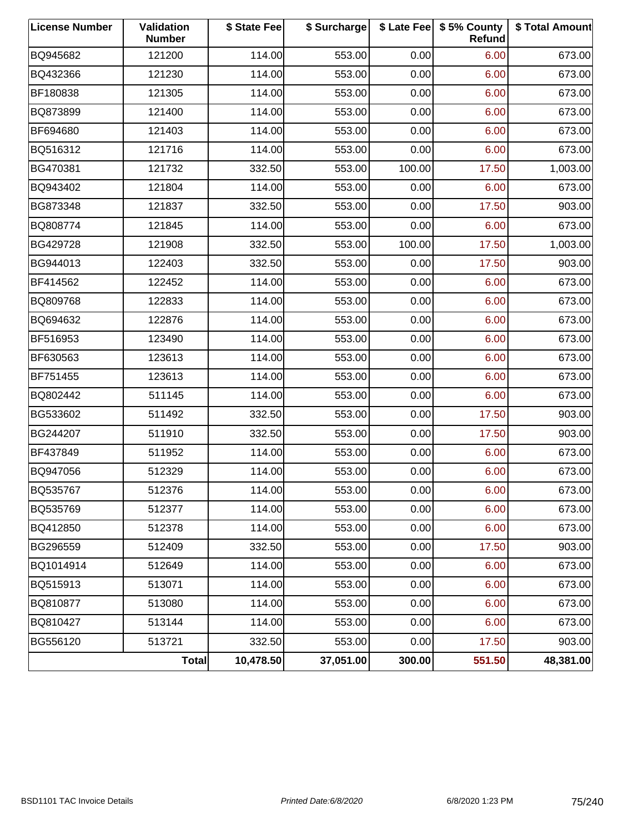| <b>License Number</b> | Validation<br><b>Number</b> | \$ State Fee | \$ Surcharge |        | \$ Late Fee   \$5% County<br><b>Refund</b> | \$ Total Amount |
|-----------------------|-----------------------------|--------------|--------------|--------|--------------------------------------------|-----------------|
| BQ945682              | 121200                      | 114.00       | 553.00       | 0.00   | 6.00                                       | 673.00          |
| BQ432366              | 121230                      | 114.00       | 553.00       | 0.00   | 6.00                                       | 673.00          |
| BF180838              | 121305                      | 114.00       | 553.00       | 0.00   | 6.00                                       | 673.00          |
| BQ873899              | 121400                      | 114.00       | 553.00       | 0.00   | 6.00                                       | 673.00          |
| BF694680              | 121403                      | 114.00       | 553.00       | 0.00   | 6.00                                       | 673.00          |
| BQ516312              | 121716                      | 114.00       | 553.00       | 0.00   | 6.00                                       | 673.00          |
| BG470381              | 121732                      | 332.50       | 553.00       | 100.00 | 17.50                                      | 1,003.00        |
| BQ943402              | 121804                      | 114.00       | 553.00       | 0.00   | 6.00                                       | 673.00          |
| BG873348              | 121837                      | 332.50       | 553.00       | 0.00   | 17.50                                      | 903.00          |
| BQ808774              | 121845                      | 114.00       | 553.00       | 0.00   | 6.00                                       | 673.00          |
| BG429728              | 121908                      | 332.50       | 553.00       | 100.00 | 17.50                                      | 1,003.00        |
| BG944013              | 122403                      | 332.50       | 553.00       | 0.00   | 17.50                                      | 903.00          |
| BF414562              | 122452                      | 114.00       | 553.00       | 0.00   | 6.00                                       | 673.00          |
| BQ809768              | 122833                      | 114.00       | 553.00       | 0.00   | 6.00                                       | 673.00          |
| BQ694632              | 122876                      | 114.00       | 553.00       | 0.00   | 6.00                                       | 673.00          |
| BF516953              | 123490                      | 114.00       | 553.00       | 0.00   | 6.00                                       | 673.00          |
| BF630563              | 123613                      | 114.00       | 553.00       | 0.00   | 6.00                                       | 673.00          |
| BF751455              | 123613                      | 114.00       | 553.00       | 0.00   | 6.00                                       | 673.00          |
| BQ802442              | 511145                      | 114.00       | 553.00       | 0.00   | 6.00                                       | 673.00          |
| BG533602              | 511492                      | 332.50       | 553.00       | 0.00   | 17.50                                      | 903.00          |
| BG244207              | 511910                      | 332.50       | 553.00       | 0.00   | 17.50                                      | 903.00          |
| BF437849              | 511952                      | 114.00       | 553.00       | 0.00   | 6.00                                       | 673.00          |
| BQ947056              | 512329                      | 114.00       | 553.00       | 0.00   | 6.00                                       | 673.00          |
| BQ535767              | 512376                      | 114.00       | 553.00       | 0.00   | 6.00                                       | 673.00          |
| BQ535769              | 512377                      | 114.00       | 553.00       | 0.00   | 6.00                                       | 673.00          |
| BQ412850              | 512378                      | 114.00       | 553.00       | 0.00   | 6.00                                       | 673.00          |
| BG296559              | 512409                      | 332.50       | 553.00       | 0.00   | 17.50                                      | 903.00          |
| BQ1014914             | 512649                      | 114.00       | 553.00       | 0.00   | 6.00                                       | 673.00          |
| BQ515913              | 513071                      | 114.00       | 553.00       | 0.00   | 6.00                                       | 673.00          |
| BQ810877              | 513080                      | 114.00       | 553.00       | 0.00   | 6.00                                       | 673.00          |
| BQ810427              | 513144                      | 114.00       | 553.00       | 0.00   | 6.00                                       | 673.00          |
| BG556120              | 513721                      | 332.50       | 553.00       | 0.00   | 17.50                                      | 903.00          |
|                       | Total                       | 10,478.50    | 37,051.00    | 300.00 | 551.50                                     | 48,381.00       |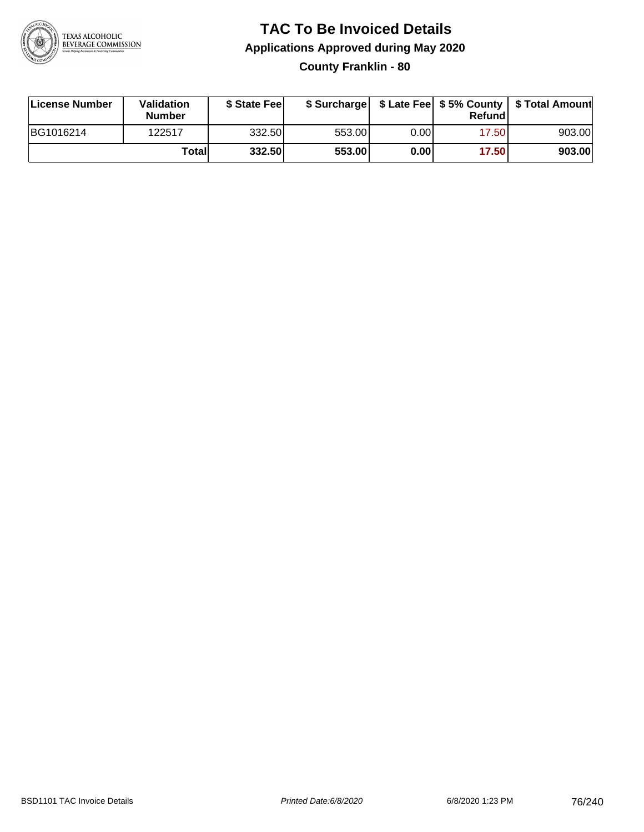

### **TAC To Be Invoiced Details Applications Approved during May 2020 County Franklin - 80**

| License Number | Validation<br><b>Number</b> | \$ State Feel |        |       | Refundl | \$ Surcharge   \$ Late Fee   \$5% County   \$ Total Amount |
|----------------|-----------------------------|---------------|--------|-------|---------|------------------------------------------------------------|
| BG1016214      | 122517                      | 332.50        | 553.00 | 0.001 | 17.50   | 903.00                                                     |
|                | Totall                      | 332.50        | 553.00 | 0.001 | 17.50   | 903.00                                                     |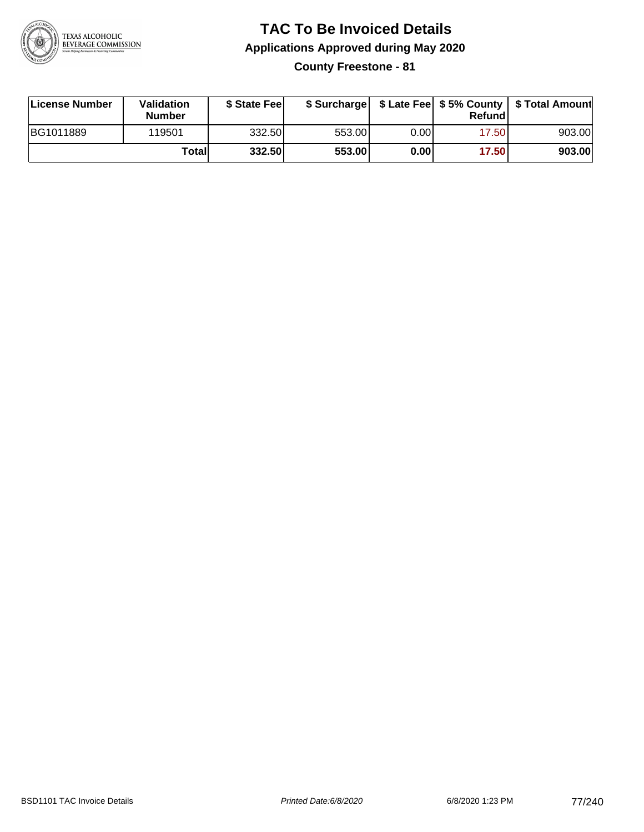

**County Freestone - 81**

| License Number | <b>Validation</b><br><b>Number</b> | \$ State Feel |        |       | Refundl | \$ Surcharge   \$ Late Fee   \$5% County   \$ Total Amount |
|----------------|------------------------------------|---------------|--------|-------|---------|------------------------------------------------------------|
| BG1011889      | 119501                             | 332.50        | 553.00 | 0.00I | 17.50   | 903.00                                                     |
|                | Totall                             | 332.50        | 553.00 | 0.001 | 17.50   | 903.00                                                     |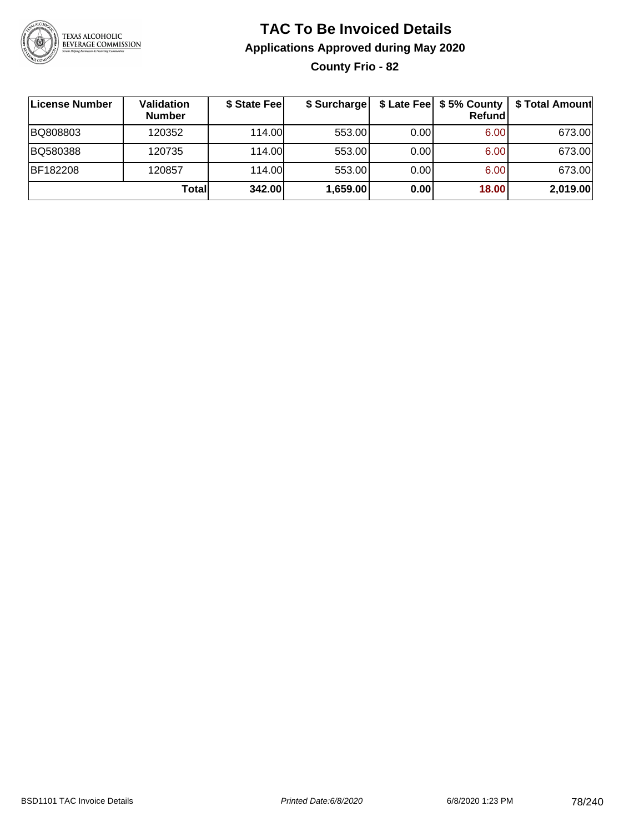

**County Frio - 82**

| License Number | Validation<br><b>Number</b> | \$ State Fee | \$ Surcharge |      | Refundl | \$ Late Fee   \$5% County   \$ Total Amount |
|----------------|-----------------------------|--------------|--------------|------|---------|---------------------------------------------|
| BQ808803       | 120352                      | 114.00       | 553.00       | 0.00 | 6.00    | 673.00                                      |
| BQ580388       | 120735                      | 114.00       | 553.00       | 0.00 | 6.00    | 673.00                                      |
| BF182208       | 120857                      | 114.00L      | 553.00       | 0.00 | 6.00    | 673.00                                      |
|                | Totall                      | 342.00       | 1,659.00     | 0.00 | 18.00   | 2,019.00                                    |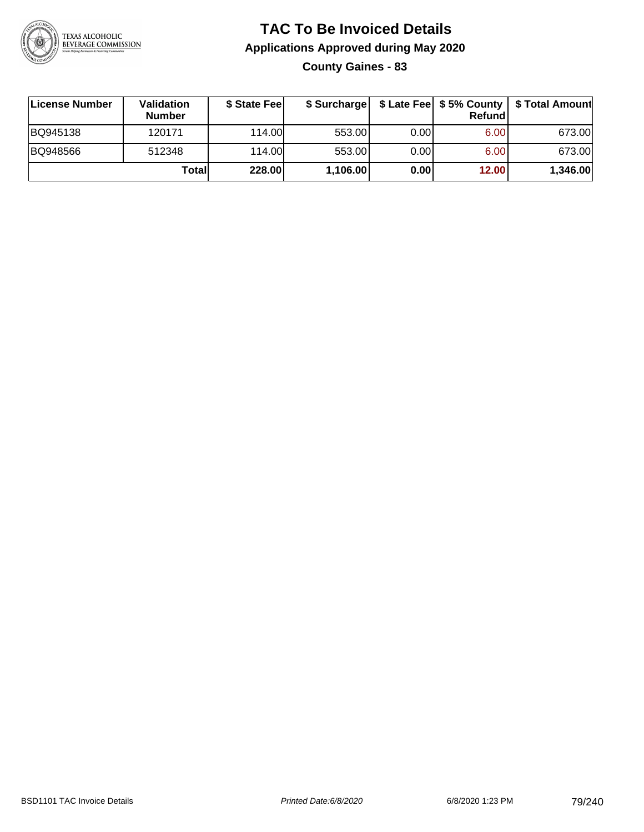

**County Gaines - 83**

| License Number | Validation<br><b>Number</b> | \$ State Fee | \$ Surcharge |       | Refundl | \$ Late Fee   \$5% County   \$ Total Amount |
|----------------|-----------------------------|--------------|--------------|-------|---------|---------------------------------------------|
| BQ945138       | 120171                      | 114.00       | 553.00       | 0.00  | 6.00    | 673.00                                      |
| BQ948566       | 512348                      | 114.00       | 553.00       | 0.001 | 6.00    | 673.00                                      |
|                | Totall                      | 228.00       | 1,106.00     | 0.00  | 12.00   | 1,346.00                                    |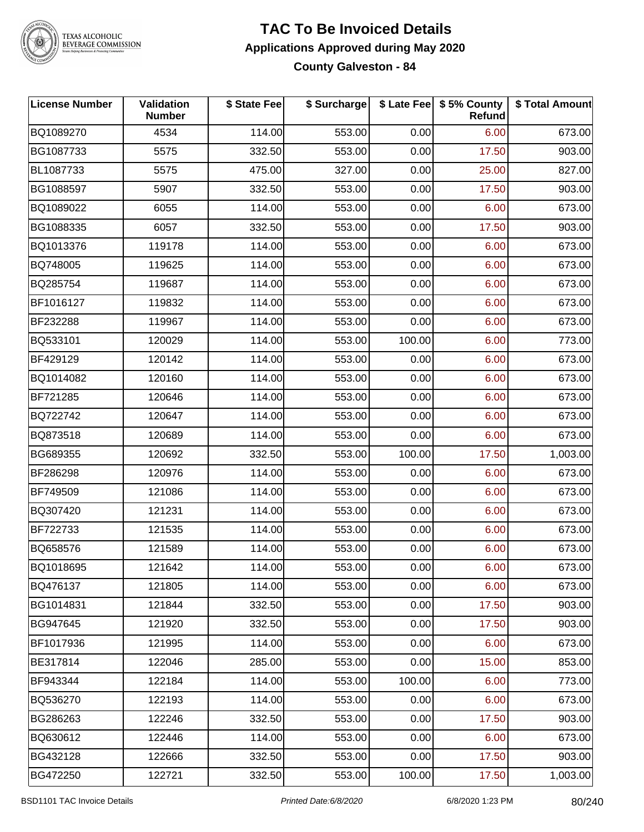

### **TAC To Be Invoiced Details Applications Approved during May 2020**

**County Galveston - 84**

| <b>License Number</b> | Validation<br><b>Number</b> | \$ State Fee | \$ Surcharge |        | \$ Late Fee   \$5% County<br>Refund | \$ Total Amount |
|-----------------------|-----------------------------|--------------|--------------|--------|-------------------------------------|-----------------|
| BQ1089270             | 4534                        | 114.00       | 553.00       | 0.00   | 6.00                                | 673.00          |
| BG1087733             | 5575                        | 332.50       | 553.00       | 0.00   | 17.50                               | 903.00          |
| BL1087733             | 5575                        | 475.00       | 327.00       | 0.00   | 25.00                               | 827.00          |
| BG1088597             | 5907                        | 332.50       | 553.00       | 0.00   | 17.50                               | 903.00          |
| BQ1089022             | 6055                        | 114.00       | 553.00       | 0.00   | 6.00                                | 673.00          |
| BG1088335             | 6057                        | 332.50       | 553.00       | 0.00   | 17.50                               | 903.00          |
| BQ1013376             | 119178                      | 114.00       | 553.00       | 0.00   | 6.00                                | 673.00          |
| BQ748005              | 119625                      | 114.00       | 553.00       | 0.00   | 6.00                                | 673.00          |
| BQ285754              | 119687                      | 114.00       | 553.00       | 0.00   | 6.00                                | 673.00          |
| BF1016127             | 119832                      | 114.00       | 553.00       | 0.00   | 6.00                                | 673.00          |
| BF232288              | 119967                      | 114.00       | 553.00       | 0.00   | 6.00                                | 673.00          |
| BQ533101              | 120029                      | 114.00       | 553.00       | 100.00 | 6.00                                | 773.00          |
| BF429129              | 120142                      | 114.00       | 553.00       | 0.00   | 6.00                                | 673.00          |
| BQ1014082             | 120160                      | 114.00       | 553.00       | 0.00   | 6.00                                | 673.00          |
| BF721285              | 120646                      | 114.00       | 553.00       | 0.00   | 6.00                                | 673.00          |
| BQ722742              | 120647                      | 114.00       | 553.00       | 0.00   | 6.00                                | 673.00          |
| BQ873518              | 120689                      | 114.00       | 553.00       | 0.00   | 6.00                                | 673.00          |
| BG689355              | 120692                      | 332.50       | 553.00       | 100.00 | 17.50                               | 1,003.00        |
| BF286298              | 120976                      | 114.00       | 553.00       | 0.00   | 6.00                                | 673.00          |
| BF749509              | 121086                      | 114.00       | 553.00       | 0.00   | 6.00                                | 673.00          |
| BQ307420              | 121231                      | 114.00       | 553.00       | 0.00   | 6.00                                | 673.00          |
| BF722733              | 121535                      | 114.00       | 553.00       | 0.00   | 6.00                                | 673.00          |
| BQ658576              | 121589                      | 114.00       | 553.00       | 0.00   | 6.00                                | 673.00          |
| BQ1018695             | 121642                      | 114.00       | 553.00       | 0.00   | 6.00                                | 673.00          |
| BQ476137              | 121805                      | 114.00       | 553.00       | 0.00   | 6.00                                | 673.00          |
| BG1014831             | 121844                      | 332.50       | 553.00       | 0.00   | 17.50                               | 903.00          |
| BG947645              | 121920                      | 332.50       | 553.00       | 0.00   | 17.50                               | 903.00          |
| BF1017936             | 121995                      | 114.00       | 553.00       | 0.00   | 6.00                                | 673.00          |
| BE317814              | 122046                      | 285.00       | 553.00       | 0.00   | 15.00                               | 853.00          |
| BF943344              | 122184                      | 114.00       | 553.00       | 100.00 | 6.00                                | 773.00          |
| BQ536270              | 122193                      | 114.00       | 553.00       | 0.00   | 6.00                                | 673.00          |
| BG286263              | 122246                      | 332.50       | 553.00       | 0.00   | 17.50                               | 903.00          |
| BQ630612              | 122446                      | 114.00       | 553.00       | 0.00   | 6.00                                | 673.00          |
| BG432128              | 122666                      | 332.50       | 553.00       | 0.00   | 17.50                               | 903.00          |
| BG472250              | 122721                      | 332.50       | 553.00       | 100.00 | 17.50                               | 1,003.00        |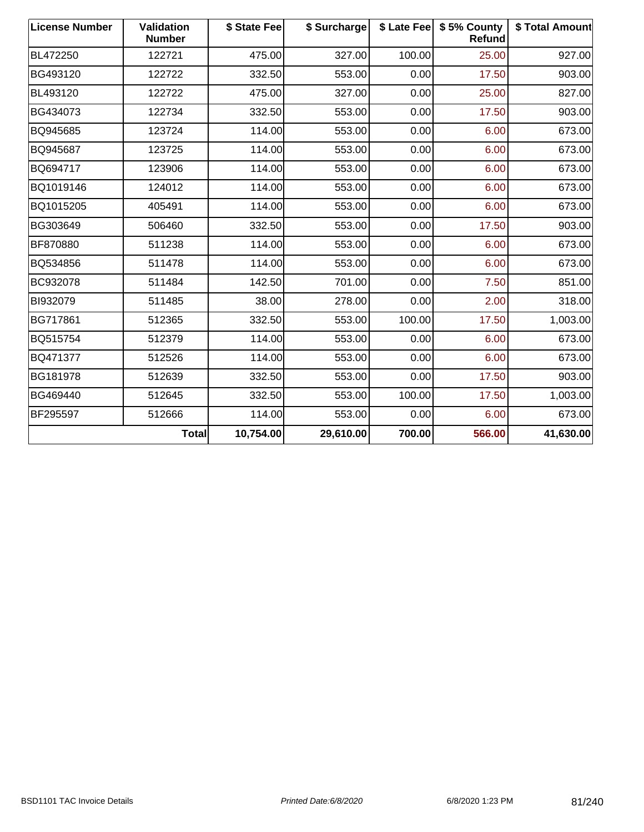| <b>License Number</b> | Validation<br><b>Number</b> | \$ State Fee | \$ Surcharge |        | \$ Late Fee   \$5% County<br><b>Refund</b> | \$ Total Amount |
|-----------------------|-----------------------------|--------------|--------------|--------|--------------------------------------------|-----------------|
| BL472250              | 122721                      | 475.00       | 327.00       | 100.00 | 25.00                                      | 927.00          |
| BG493120              | 122722                      | 332.50       | 553.00       | 0.00   | 17.50                                      | 903.00          |
| BL493120              | 122722                      | 475.00       | 327.00       | 0.00   | 25.00                                      | 827.00          |
| BG434073              | 122734                      | 332.50       | 553.00       | 0.00   | 17.50                                      | 903.00          |
| BQ945685              | 123724                      | 114.00       | 553.00       | 0.00   | 6.00                                       | 673.00          |
| BQ945687              | 123725                      | 114.00       | 553.00       | 0.00   | 6.00                                       | 673.00          |
| BQ694717              | 123906                      | 114.00       | 553.00       | 0.00   | 6.00                                       | 673.00          |
| BQ1019146             | 124012                      | 114.00       | 553.00       | 0.00   | 6.00                                       | 673.00          |
| BQ1015205             | 405491                      | 114.00       | 553.00       | 0.00   | 6.00                                       | 673.00          |
| BG303649              | 506460                      | 332.50       | 553.00       | 0.00   | 17.50                                      | 903.00          |
| BF870880              | 511238                      | 114.00       | 553.00       | 0.00   | 6.00                                       | 673.00          |
| BQ534856              | 511478                      | 114.00       | 553.00       | 0.00   | 6.00                                       | 673.00          |
| BC932078              | 511484                      | 142.50       | 701.00       | 0.00   | 7.50                                       | 851.00          |
| BI932079              | 511485                      | 38.00        | 278.00       | 0.00   | 2.00                                       | 318.00          |
| BG717861              | 512365                      | 332.50       | 553.00       | 100.00 | 17.50                                      | 1,003.00        |
| BQ515754              | 512379                      | 114.00       | 553.00       | 0.00   | 6.00                                       | 673.00          |
| BQ471377              | 512526                      | 114.00       | 553.00       | 0.00   | 6.00                                       | 673.00          |
| BG181978              | 512639                      | 332.50       | 553.00       | 0.00   | 17.50                                      | 903.00          |
| BG469440              | 512645                      | 332.50       | 553.00       | 100.00 | 17.50                                      | 1,003.00        |
| BF295597              | 512666                      | 114.00       | 553.00       | 0.00   | 6.00                                       | 673.00          |
|                       | <b>Total</b>                | 10,754.00    | 29,610.00    | 700.00 | 566.00                                     | 41,630.00       |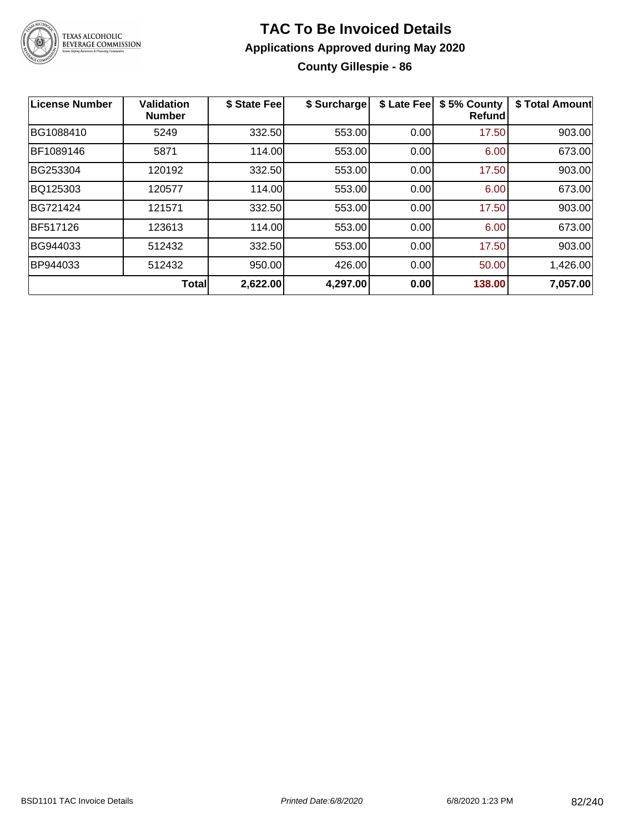

### **TAC To Be Invoiced Details Applications Approved during May 2020 County Gillespie - 86**

| <b>License Number</b> | <b>Validation</b><br><b>Number</b> | \$ State Fee | \$ Surcharge | \$ Late Fee | \$5% County<br>Refundl | \$ Total Amount |
|-----------------------|------------------------------------|--------------|--------------|-------------|------------------------|-----------------|
| BG1088410             | 5249                               | 332.50       | 553.00       | 0.00        | 17.50                  | 903.00          |
| BF1089146             | 5871                               | 114.00       | 553.00       | 0.00        | 6.00                   | 673.00          |
| BG253304              | 120192                             | 332.50       | 553.00       | 0.00        | 17.50                  | 903.00          |
| BQ125303              | 120577                             | 114.00       | 553.00       | 0.00        | 6.00                   | 673.00          |
| BG721424              | 121571                             | 332.50       | 553.00       | 0.00        | 17.50                  | 903.00          |
| BF517126              | 123613                             | 114.00       | 553.00       | 0.00        | 6.00                   | 673.00          |
| BG944033              | 512432                             | 332.50       | 553.00       | 0.00        | 17.50                  | 903.00          |
| BP944033              | 512432                             | 950.00       | 426.00       | 0.00        | 50.00                  | 1,426.00        |
|                       | <b>Total</b>                       | 2,622.00     | 4,297.00     | 0.00        | 138.00                 | 7,057.00        |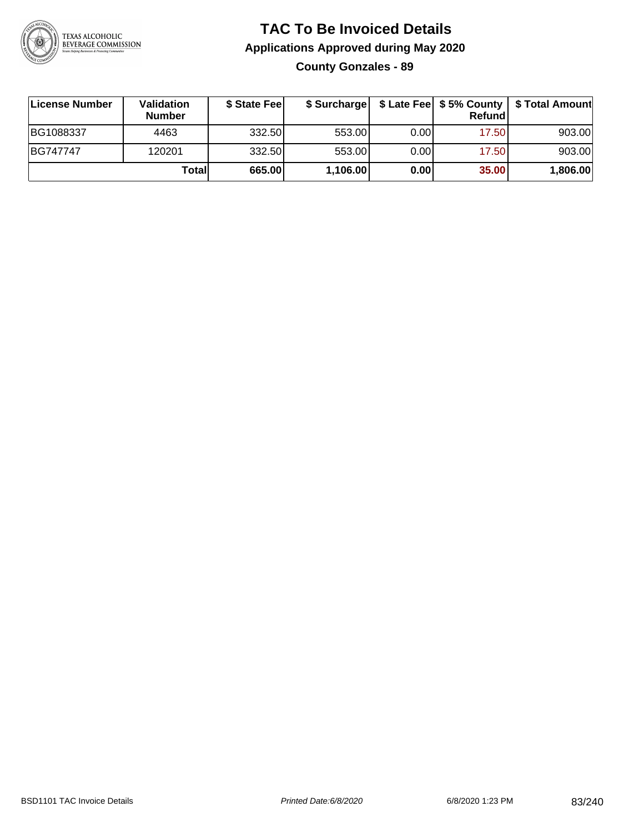

### **TAC To Be Invoiced Details Applications Approved during May 2020 County Gonzales - 89**

| License Number | <b>Validation</b><br><b>Number</b> | \$ State Fee |          |      | <b>Refund</b> | \$ Surcharge   \$ Late Fee   \$5% County   \$ Total Amount |
|----------------|------------------------------------|--------------|----------|------|---------------|------------------------------------------------------------|
| BG1088337      | 4463                               | 332.50       | 553.00   | 0.00 | 17.50         | 903.00                                                     |
| BG747747       | 120201                             | 332.50       | 553.00   | 0.00 | 17.50         | 903.00                                                     |
|                | Totall                             | 665.00       | 1,106.00 | 0.00 | 35.00         | 1,806.00                                                   |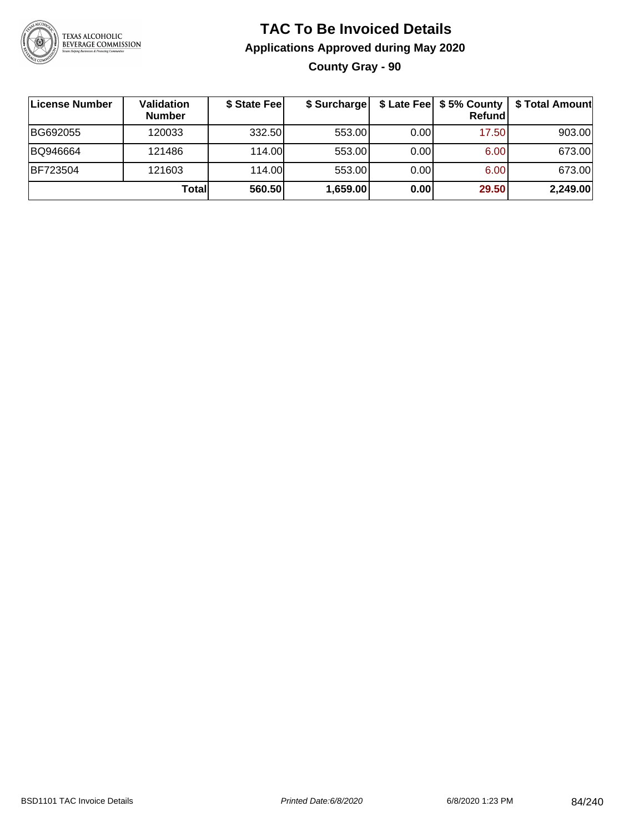

### **TAC To Be Invoiced Details Applications Approved during May 2020 County Gray - 90**

| License Number | <b>Validation</b><br><b>Number</b> | \$ State Fee | \$ Surcharge |      | \$ Late Fee   \$5% County<br><b>Refund</b> | \$ Total Amount |
|----------------|------------------------------------|--------------|--------------|------|--------------------------------------------|-----------------|
| BG692055       | 120033                             | 332.50       | 553.00       | 0.00 | 17.50                                      | 903.00          |
| BQ946664       | 121486                             | 114.00       | 553.00       | 0.00 | 6.00                                       | 673.00          |
| BF723504       | 121603                             | 114.00       | 553.00       | 0.00 | 6.00                                       | 673.00          |
|                | Total                              | 560.50       | 1,659.00     | 0.00 | 29.50                                      | 2,249.00        |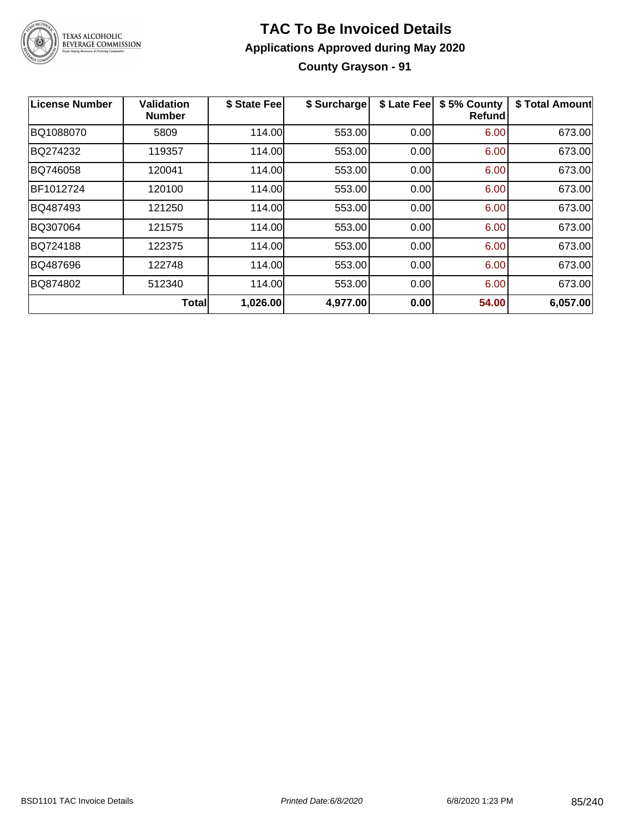

### **TAC To Be Invoiced Details Applications Approved during May 2020 County Grayson - 91**

| License Number | <b>Validation</b><br><b>Number</b> | \$ State Fee | \$ Surcharge | \$ Late Fee | \$5% County<br>Refund | \$ Total Amount |
|----------------|------------------------------------|--------------|--------------|-------------|-----------------------|-----------------|
| BQ1088070      | 5809                               | 114.00       | 553.00       | 0.00        | 6.00                  | 673.00          |
| BQ274232       | 119357                             | 114.00       | 553.00       | 0.00        | 6.00                  | 673.00          |
| BQ746058       | 120041                             | 114.00       | 553.00       | 0.00        | 6.00                  | 673.00          |
| BF1012724      | 120100                             | 114.00       | 553.00       | 0.00        | 6.00                  | 673.00          |
| BQ487493       | 121250                             | 114.00       | 553.00       | 0.00        | 6.00                  | 673.00          |
| BQ307064       | 121575                             | 114.00       | 553.00       | 0.00        | 6.00                  | 673.00          |
| BQ724188       | 122375                             | 114.00       | 553.00       | 0.00        | 6.00                  | 673.00          |
| BQ487696       | 122748                             | 114.00       | 553.00       | 0.00        | 6.00                  | 673.00          |
| BQ874802       | 512340                             | 114.00       | 553.00       | 0.00        | 6.00                  | 673.00          |
|                | <b>Total</b>                       | 1,026.00     | 4,977.00     | 0.00        | 54.00                 | 6,057.00        |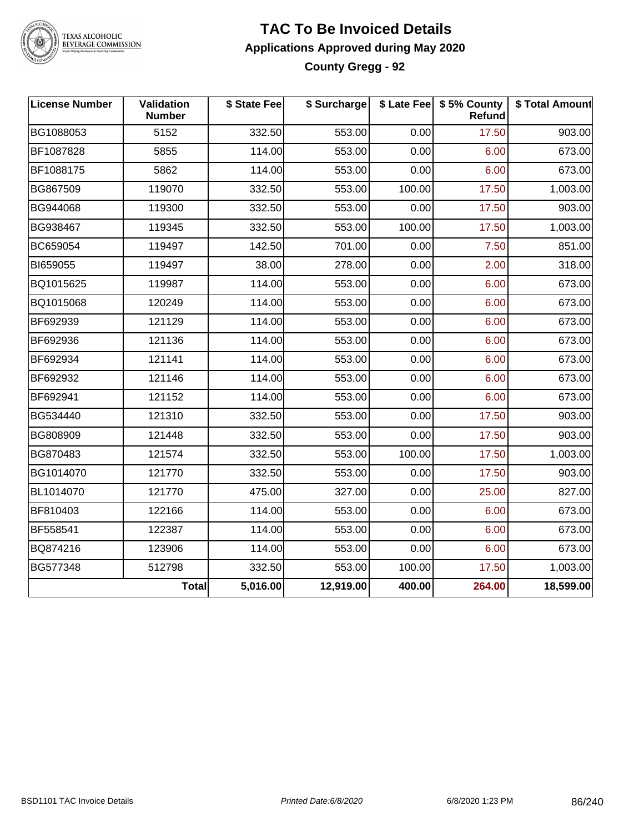

#### **TAC To Be Invoiced Details Applications Approved during May 2020 County Gregg - 92**

| <b>License Number</b> | Validation<br><b>Number</b> | \$ State Fee | \$ Surcharge |        | \$ Late Fee   \$5% County<br>Refund | \$ Total Amount |
|-----------------------|-----------------------------|--------------|--------------|--------|-------------------------------------|-----------------|
| BG1088053             | 5152                        | 332.50       | 553.00       | 0.00   | 17.50                               | 903.00          |
| BF1087828             | 5855                        | 114.00       | 553.00       | 0.00   | 6.00                                | 673.00          |
| BF1088175             | 5862                        | 114.00       | 553.00       | 0.00   | 6.00                                | 673.00          |
| BG867509              | 119070                      | 332.50       | 553.00       | 100.00 | 17.50                               | 1,003.00        |
| BG944068              | 119300                      | 332.50       | 553.00       | 0.00   | 17.50                               | 903.00          |
| BG938467              | 119345                      | 332.50       | 553.00       | 100.00 | 17.50                               | 1,003.00        |
| BC659054              | 119497                      | 142.50       | 701.00       | 0.00   | 7.50                                | 851.00          |
| BI659055              | 119497                      | 38.00        | 278.00       | 0.00   | 2.00                                | 318.00          |
| BQ1015625             | 119987                      | 114.00       | 553.00       | 0.00   | 6.00                                | 673.00          |
| BQ1015068             | 120249                      | 114.00       | 553.00       | 0.00   | 6.00                                | 673.00          |
| BF692939              | 121129                      | 114.00       | 553.00       | 0.00   | 6.00                                | 673.00          |
| BF692936              | 121136                      | 114.00       | 553.00       | 0.00   | 6.00                                | 673.00          |
| BF692934              | 121141                      | 114.00       | 553.00       | 0.00   | 6.00                                | 673.00          |
| BF692932              | 121146                      | 114.00       | 553.00       | 0.00   | 6.00                                | 673.00          |
| BF692941              | 121152                      | 114.00       | 553.00       | 0.00   | 6.00                                | 673.00          |
| BG534440              | 121310                      | 332.50       | 553.00       | 0.00   | 17.50                               | 903.00          |
| BG808909              | 121448                      | 332.50       | 553.00       | 0.00   | 17.50                               | 903.00          |
| BG870483              | 121574                      | 332.50       | 553.00       | 100.00 | 17.50                               | 1,003.00        |
| BG1014070             | 121770                      | 332.50       | 553.00       | 0.00   | 17.50                               | 903.00          |
| BL1014070             | 121770                      | 475.00       | 327.00       | 0.00   | 25.00                               | 827.00          |
| BF810403              | 122166                      | 114.00       | 553.00       | 0.00   | 6.00                                | 673.00          |
| BF558541              | 122387                      | 114.00       | 553.00       | 0.00   | 6.00                                | 673.00          |
| BQ874216              | 123906                      | 114.00       | 553.00       | 0.00   | 6.00                                | 673.00          |
| BG577348              | 512798                      | 332.50       | 553.00       | 100.00 | 17.50                               | 1,003.00        |
|                       | <b>Total</b>                | 5,016.00     | 12,919.00    | 400.00 | 264.00                              | 18,599.00       |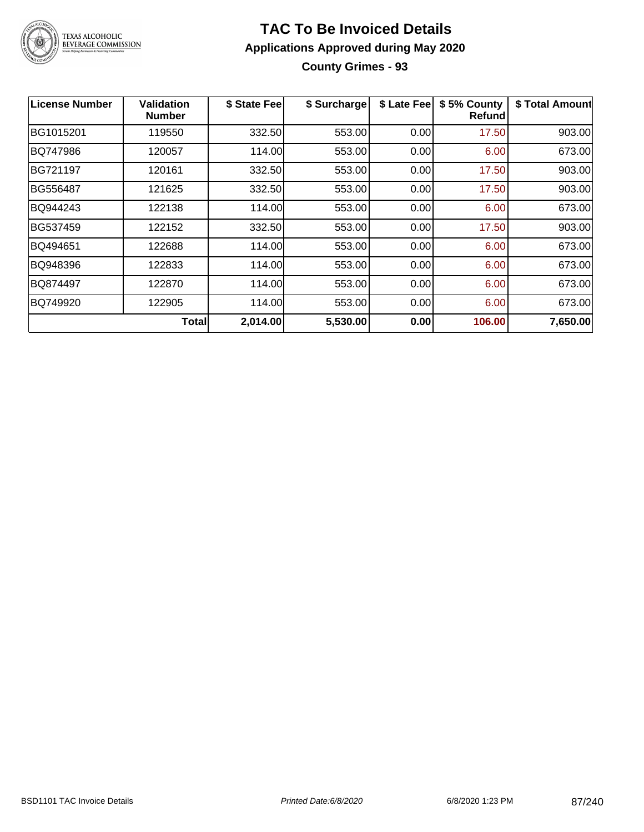

**County Grimes - 93**

| License Number | Validation<br><b>Number</b> | \$ State Fee | \$ Surcharge | \$ Late Fee | \$5% County<br>Refundl | \$ Total Amount |
|----------------|-----------------------------|--------------|--------------|-------------|------------------------|-----------------|
| BG1015201      | 119550                      | 332.50       | 553.00       | 0.00        | 17.50                  | 903.00          |
| BQ747986       | 120057                      | 114.00       | 553.00       | 0.00        | 6.00                   | 673.00          |
| BG721197       | 120161                      | 332.50       | 553.00       | 0.00        | 17.50                  | 903.00          |
| BG556487       | 121625                      | 332.50       | 553.00       | 0.00        | 17.50                  | 903.00          |
| BQ944243       | 122138                      | 114.00       | 553.00       | 0.00        | 6.00                   | 673.00          |
| BG537459       | 122152                      | 332.50       | 553.00       | 0.00        | 17.50                  | 903.00          |
| BQ494651       | 122688                      | 114.00       | 553.00       | 0.00        | 6.00                   | 673.00          |
| BQ948396       | 122833                      | 114.00       | 553.00       | 0.00        | 6.00                   | 673.00          |
| BQ874497       | 122870                      | 114.00       | 553.00       | 0.00        | 6.00                   | 673.00          |
| BQ749920       | 122905                      | 114.00       | 553.00       | 0.00        | 6.00                   | 673.00          |
|                | <b>Total</b>                | 2,014.00     | 5,530.00     | 0.00        | 106.00                 | 7,650.00        |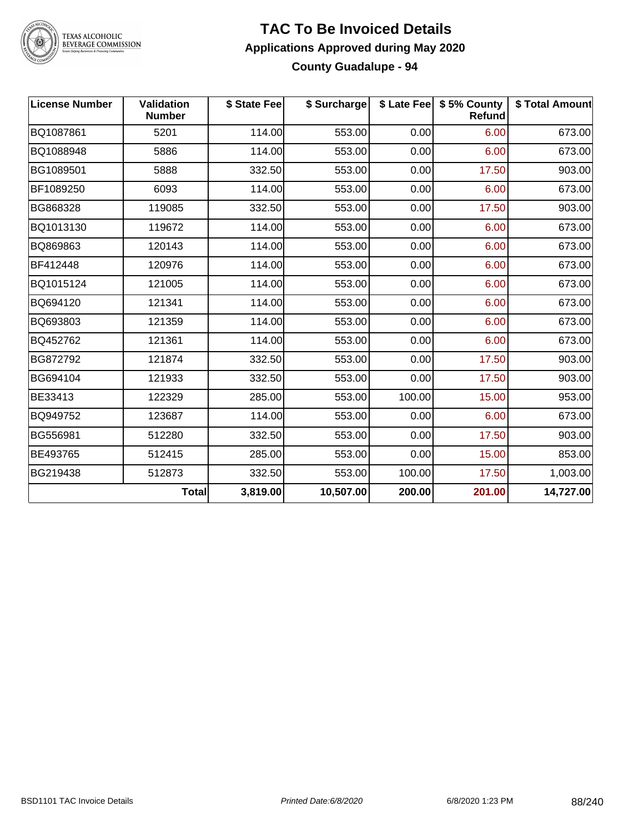

#### **TAC To Be Invoiced Details Applications Approved during May 2020 County Guadalupe - 94**

| <b>License Number</b> | Validation<br><b>Number</b> | \$ State Fee | \$ Surcharge |        | \$ Late Fee   \$5% County<br><b>Refund</b> | \$ Total Amount |
|-----------------------|-----------------------------|--------------|--------------|--------|--------------------------------------------|-----------------|
| BQ1087861             | 5201                        | 114.00       | 553.00       | 0.00   | 6.00                                       | 673.00          |
| BQ1088948             | 5886                        | 114.00       | 553.00       | 0.00   | 6.00                                       | 673.00          |
| BG1089501             | 5888                        | 332.50       | 553.00       | 0.00   | 17.50                                      | 903.00          |
| BF1089250             | 6093                        | 114.00       | 553.00       | 0.00   | 6.00                                       | 673.00          |
| BG868328              | 119085                      | 332.50       | 553.00       | 0.00   | 17.50                                      | 903.00          |
| BQ1013130             | 119672                      | 114.00       | 553.00       | 0.00   | 6.00                                       | 673.00          |
| BQ869863              | 120143                      | 114.00       | 553.00       | 0.00   | 6.00                                       | 673.00          |
| BF412448              | 120976                      | 114.00       | 553.00       | 0.00   | 6.00                                       | 673.00          |
| BQ1015124             | 121005                      | 114.00       | 553.00       | 0.00   | 6.00                                       | 673.00          |
| BQ694120              | 121341                      | 114.00       | 553.00       | 0.00   | 6.00                                       | 673.00          |
| BQ693803              | 121359                      | 114.00       | 553.00       | 0.00   | 6.00                                       | 673.00          |
| BQ452762              | 121361                      | 114.00       | 553.00       | 0.00   | 6.00                                       | 673.00          |
| BG872792              | 121874                      | 332.50       | 553.00       | 0.00   | 17.50                                      | 903.00          |
| BG694104              | 121933                      | 332.50       | 553.00       | 0.00   | 17.50                                      | 903.00          |
| BE33413               | 122329                      | 285.00       | 553.00       | 100.00 | 15.00                                      | 953.00          |
| BQ949752              | 123687                      | 114.00       | 553.00       | 0.00   | 6.00                                       | 673.00          |
| BG556981              | 512280                      | 332.50       | 553.00       | 0.00   | 17.50                                      | 903.00          |
| BE493765              | 512415                      | 285.00       | 553.00       | 0.00   | 15.00                                      | 853.00          |
| BG219438              | 512873                      | 332.50       | 553.00       | 100.00 | 17.50                                      | 1,003.00        |
|                       | <b>Total</b>                | 3,819.00     | 10,507.00    | 200.00 | 201.00                                     | 14,727.00       |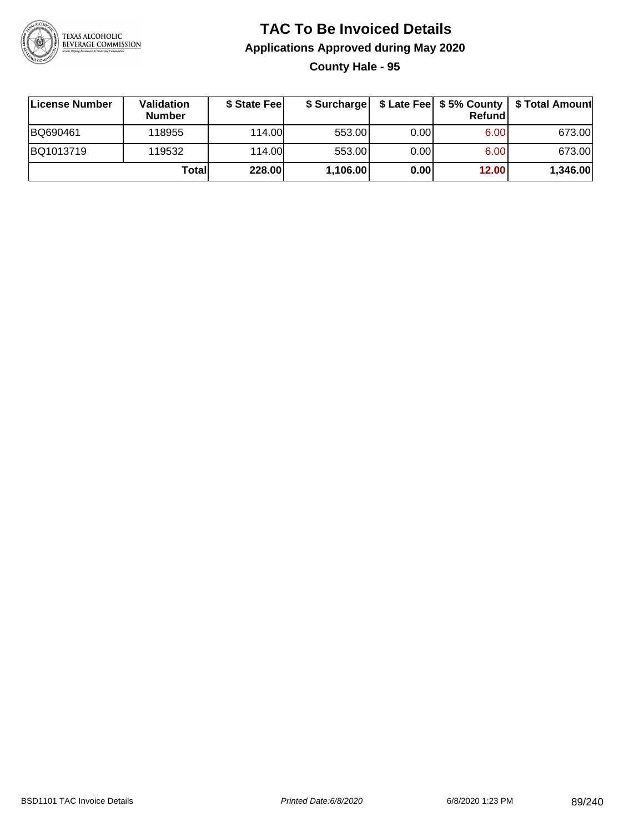

**County Hale - 95**

| ∣License Number | Validation<br><b>Number</b> | \$ State Fee |          |      | Refundl | \$ Surcharge   \$ Late Fee   \$5% County   \$ Total Amount |
|-----------------|-----------------------------|--------------|----------|------|---------|------------------------------------------------------------|
| BQ690461        | 118955                      | 114.00       | 553.00   | 0.00 | 6.00    | 673.00                                                     |
| BQ1013719       | 119532                      | 114.00       | 553.00   | 0.00 | 6.00    | 673.00                                                     |
|                 | Totall                      | 228.00       | 1,106.00 | 0.00 | 12.00   | 1,346.00                                                   |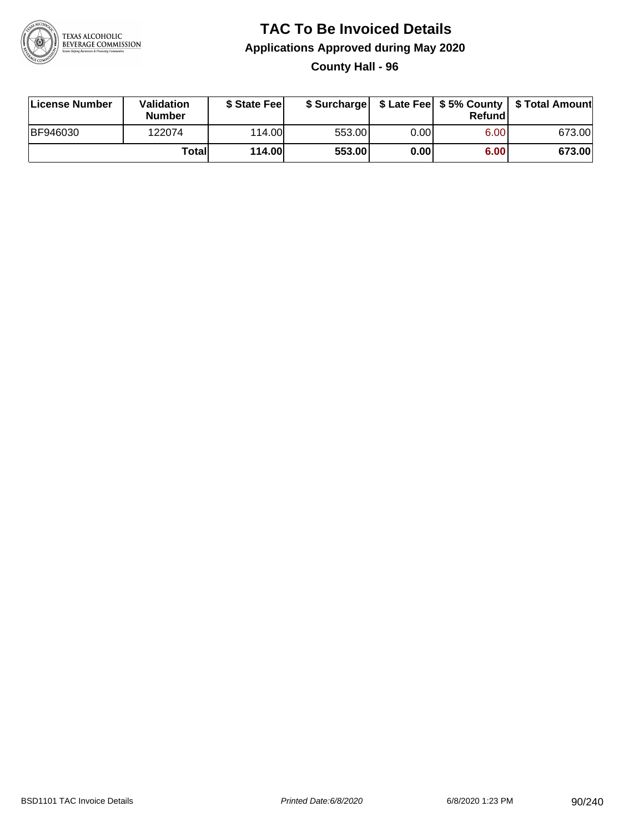

**County Hall - 96**

| License Number | Validation<br><b>Number</b> | \$ State Fee  | \$ Surcharge |      | Refundl |        |
|----------------|-----------------------------|---------------|--------------|------|---------|--------|
| BF946030       | 122074                      | 114.00        | 553.00       | 0.00 | 6.00    | 673.00 |
|                | Totall                      | <b>114.00</b> | 553.00       | 0.00 | 6.00    | 673.00 |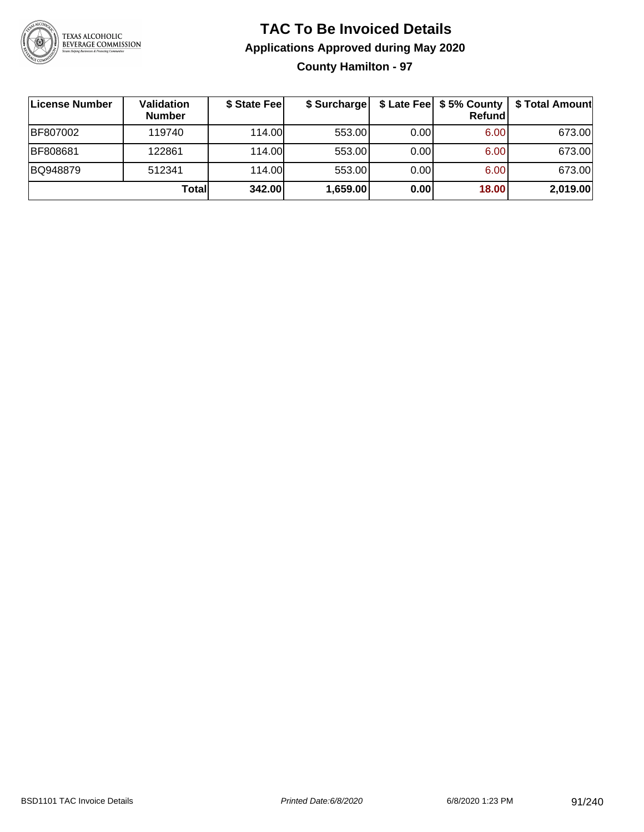

### **TAC To Be Invoiced Details Applications Approved during May 2020 County Hamilton - 97**

| License Number | Validation<br><b>Number</b> | \$ State Fee | \$ Surcharge |       | \$ Late Fee   \$5% County<br>Refundl | \$ Total Amount |
|----------------|-----------------------------|--------------|--------------|-------|--------------------------------------|-----------------|
| BF807002       | 119740                      | 114.00L      | 553.00       | 0.001 | 6.00                                 | 673.00          |
| BF808681       | 122861                      | 114.00       | 553.00       | 0.00  | 6.00                                 | 673.00          |
| BQ948879       | 512341                      | 114.00       | 553.00       | 0.00  | 6.00                                 | 673.00          |
|                | Total                       | 342.00       | 1,659.00     | 0.00  | 18.00                                | 2,019.00        |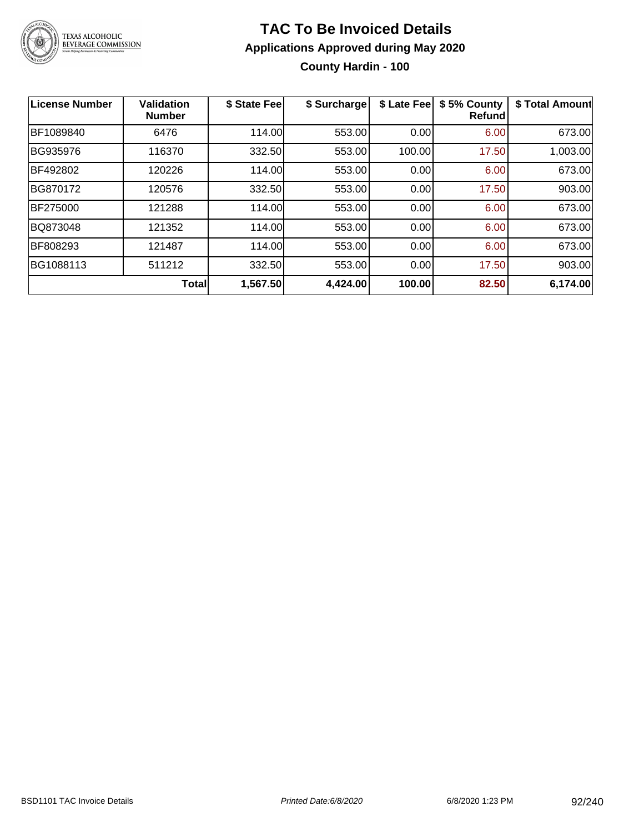

### **TAC To Be Invoiced Details Applications Approved during May 2020 County Hardin - 100**

| License Number | <b>Validation</b><br><b>Number</b> | \$ State Fee | \$ Surcharge | \$ Late Fee | \$5% County<br><b>Refund</b> | \$ Total Amount |
|----------------|------------------------------------|--------------|--------------|-------------|------------------------------|-----------------|
| BF1089840      | 6476                               | 114.00       | 553.00       | 0.00        | 6.00                         | 673.00          |
| BG935976       | 116370                             | 332.50       | 553.00       | 100.00      | 17.50                        | 1,003.00        |
| BF492802       | 120226                             | 114.00       | 553.00       | 0.00        | 6.00                         | 673.00          |
| BG870172       | 120576                             | 332.50       | 553.00       | 0.00        | 17.50                        | 903.00          |
| BF275000       | 121288                             | 114.00       | 553.00       | 0.00        | 6.00                         | 673.00          |
| BQ873048       | 121352                             | 114.00       | 553.00       | 0.00        | 6.00                         | 673.00          |
| BF808293       | 121487                             | 114.00       | 553.00       | 0.00        | 6.00                         | 673.00          |
| BG1088113      | 511212                             | 332.50       | 553.00       | 0.00        | 17.50                        | 903.00          |
|                | <b>Total</b>                       | 1,567.50     | 4,424.00     | 100.00      | 82.50                        | 6,174.00        |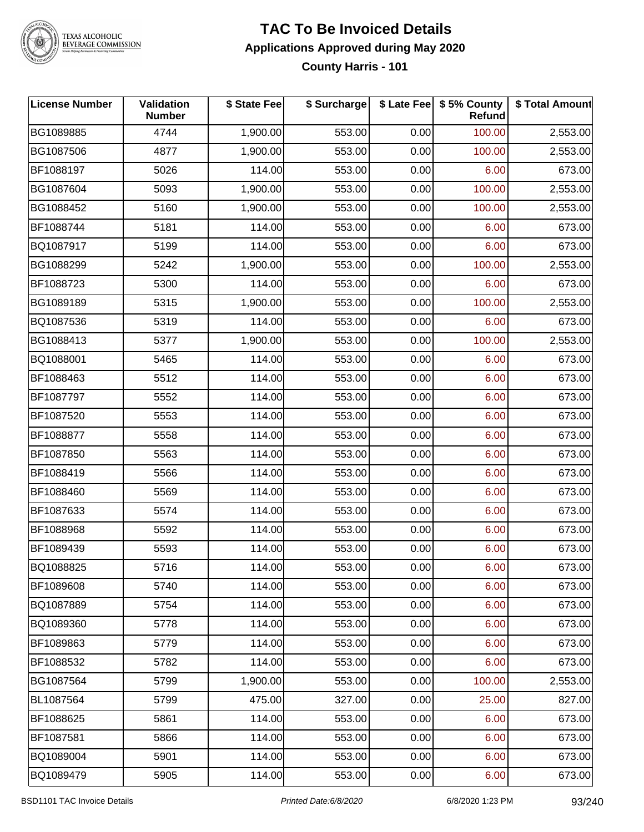

### **TAC To Be Invoiced Details Applications Approved during May 2020**

**County Harris - 101**

| <b>License Number</b> | Validation<br><b>Number</b> | \$ State Fee | \$ Surcharge |      | \$ Late Fee   \$5% County<br>Refund | \$ Total Amount |
|-----------------------|-----------------------------|--------------|--------------|------|-------------------------------------|-----------------|
| BG1089885             | 4744                        | 1,900.00     | 553.00       | 0.00 | 100.00                              | 2,553.00        |
| BG1087506             | 4877                        | 1,900.00     | 553.00       | 0.00 | 100.00                              | 2,553.00        |
| BF1088197             | 5026                        | 114.00       | 553.00       | 0.00 | 6.00                                | 673.00          |
| BG1087604             | 5093                        | 1,900.00     | 553.00       | 0.00 | 100.00                              | 2,553.00        |
| BG1088452             | 5160                        | 1,900.00     | 553.00       | 0.00 | 100.00                              | 2,553.00        |
| BF1088744             | 5181                        | 114.00       | 553.00       | 0.00 | 6.00                                | 673.00          |
| BQ1087917             | 5199                        | 114.00       | 553.00       | 0.00 | 6.00                                | 673.00          |
| BG1088299             | 5242                        | 1,900.00     | 553.00       | 0.00 | 100.00                              | 2,553.00        |
| BF1088723             | 5300                        | 114.00       | 553.00       | 0.00 | 6.00                                | 673.00          |
| BG1089189             | 5315                        | 1,900.00     | 553.00       | 0.00 | 100.00                              | 2,553.00        |
| BQ1087536             | 5319                        | 114.00       | 553.00       | 0.00 | 6.00                                | 673.00          |
| BG1088413             | 5377                        | 1,900.00     | 553.00       | 0.00 | 100.00                              | 2,553.00        |
| BQ1088001             | 5465                        | 114.00       | 553.00       | 0.00 | 6.00                                | 673.00          |
| BF1088463             | 5512                        | 114.00       | 553.00       | 0.00 | 6.00                                | 673.00          |
| BF1087797             | 5552                        | 114.00       | 553.00       | 0.00 | 6.00                                | 673.00          |
| BF1087520             | 5553                        | 114.00       | 553.00       | 0.00 | 6.00                                | 673.00          |
| BF1088877             | 5558                        | 114.00       | 553.00       | 0.00 | 6.00                                | 673.00          |
| BF1087850             | 5563                        | 114.00       | 553.00       | 0.00 | 6.00                                | 673.00          |
| BF1088419             | 5566                        | 114.00       | 553.00       | 0.00 | 6.00                                | 673.00          |
| BF1088460             | 5569                        | 114.00       | 553.00       | 0.00 | 6.00                                | 673.00          |
| BF1087633             | 5574                        | 114.00       | 553.00       | 0.00 | 6.00                                | 673.00          |
| BF1088968             | 5592                        | 114.00       | 553.00       | 0.00 | 6.00                                | 673.00          |
| BF1089439             | 5593                        | 114.00       | 553.00       | 0.00 | 6.00                                | 673.00          |
| BQ1088825             | 5716                        | 114.00       | 553.00       | 0.00 | 6.00                                | 673.00          |
| BF1089608             | 5740                        | 114.00       | 553.00       | 0.00 | 6.00                                | 673.00          |
| BQ1087889             | 5754                        | 114.00       | 553.00       | 0.00 | 6.00                                | 673.00          |
| BQ1089360             | 5778                        | 114.00       | 553.00       | 0.00 | 6.00                                | 673.00          |
| BF1089863             | 5779                        | 114.00       | 553.00       | 0.00 | 6.00                                | 673.00          |
| BF1088532             | 5782                        | 114.00       | 553.00       | 0.00 | 6.00                                | 673.00          |
| BG1087564             | 5799                        | 1,900.00     | 553.00       | 0.00 | 100.00                              | 2,553.00        |
| BL1087564             | 5799                        | 475.00       | 327.00       | 0.00 | 25.00                               | 827.00          |
| BF1088625             | 5861                        | 114.00       | 553.00       | 0.00 | 6.00                                | 673.00          |
| BF1087581             | 5866                        | 114.00       | 553.00       | 0.00 | 6.00                                | 673.00          |
| BQ1089004             | 5901                        | 114.00       | 553.00       | 0.00 | 6.00                                | 673.00          |
| BQ1089479             | 5905                        | 114.00       | 553.00       | 0.00 | 6.00                                | 673.00          |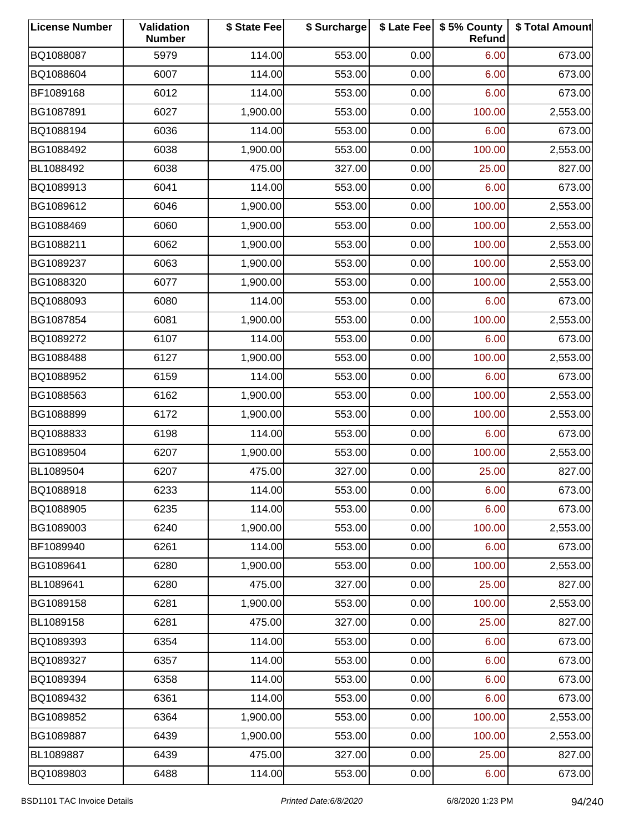| <b>License Number</b> | Validation<br><b>Number</b> | \$ State Fee | \$ Surcharge |      | \$ Late Fee   \$5% County<br>Refund | \$ Total Amount |
|-----------------------|-----------------------------|--------------|--------------|------|-------------------------------------|-----------------|
| BQ1088087             | 5979                        | 114.00       | 553.00       | 0.00 | 6.00                                | 673.00          |
| BQ1088604             | 6007                        | 114.00       | 553.00       | 0.00 | 6.00                                | 673.00          |
| BF1089168             | 6012                        | 114.00       | 553.00       | 0.00 | 6.00                                | 673.00          |
| BG1087891             | 6027                        | 1,900.00     | 553.00       | 0.00 | 100.00                              | 2,553.00        |
| BQ1088194             | 6036                        | 114.00       | 553.00       | 0.00 | 6.00                                | 673.00          |
| BG1088492             | 6038                        | 1,900.00     | 553.00       | 0.00 | 100.00                              | 2,553.00        |
| BL1088492             | 6038                        | 475.00       | 327.00       | 0.00 | 25.00                               | 827.00          |
| BQ1089913             | 6041                        | 114.00       | 553.00       | 0.00 | 6.00                                | 673.00          |
| BG1089612             | 6046                        | 1,900.00     | 553.00       | 0.00 | 100.00                              | 2,553.00        |
| BG1088469             | 6060                        | 1,900.00     | 553.00       | 0.00 | 100.00                              | 2,553.00        |
| BG1088211             | 6062                        | 1,900.00     | 553.00       | 0.00 | 100.00                              | 2,553.00        |
| BG1089237             | 6063                        | 1,900.00     | 553.00       | 0.00 | 100.00                              | 2,553.00        |
| BG1088320             | 6077                        | 1,900.00     | 553.00       | 0.00 | 100.00                              | 2,553.00        |
| BQ1088093             | 6080                        | 114.00       | 553.00       | 0.00 | 6.00                                | 673.00          |
| BG1087854             | 6081                        | 1,900.00     | 553.00       | 0.00 | 100.00                              | 2,553.00        |
| BQ1089272             | 6107                        | 114.00       | 553.00       | 0.00 | 6.00                                | 673.00          |
| BG1088488             | 6127                        | 1,900.00     | 553.00       | 0.00 | 100.00                              | 2,553.00        |
| BQ1088952             | 6159                        | 114.00       | 553.00       | 0.00 | 6.00                                | 673.00          |
| BG1088563             | 6162                        | 1,900.00     | 553.00       | 0.00 | 100.00                              | 2,553.00        |
| BG1088899             | 6172                        | 1,900.00     | 553.00       | 0.00 | 100.00                              | 2,553.00        |
| BQ1088833             | 6198                        | 114.00       | 553.00       | 0.00 | 6.00                                | 673.00          |
| BG1089504             | 6207                        | 1,900.00     | 553.00       | 0.00 | 100.00                              | 2,553.00        |
| BL1089504             | 6207                        | 475.00       | 327.00       | 0.00 | 25.00                               | 827.00          |
| BQ1088918             | 6233                        | 114.00       | 553.00       | 0.00 | 6.00                                | 673.00          |
| BQ1088905             | 6235                        | 114.00       | 553.00       | 0.00 | 6.00                                | 673.00          |
| BG1089003             | 6240                        | 1,900.00     | 553.00       | 0.00 | 100.00                              | 2,553.00        |
| BF1089940             | 6261                        | 114.00       | 553.00       | 0.00 | 6.00                                | 673.00          |
| BG1089641             | 6280                        | 1,900.00     | 553.00       | 0.00 | 100.00                              | 2,553.00        |
| BL1089641             | 6280                        | 475.00       | 327.00       | 0.00 | 25.00                               | 827.00          |
| BG1089158             | 6281                        | 1,900.00     | 553.00       | 0.00 | 100.00                              | 2,553.00        |
| BL1089158             | 6281                        | 475.00       | 327.00       | 0.00 | 25.00                               | 827.00          |
| BQ1089393             | 6354                        | 114.00       | 553.00       | 0.00 | 6.00                                | 673.00          |
| BQ1089327             | 6357                        | 114.00       | 553.00       | 0.00 | 6.00                                | 673.00          |
| BQ1089394             | 6358                        | 114.00       | 553.00       | 0.00 | 6.00                                | 673.00          |
| BQ1089432             | 6361                        | 114.00       | 553.00       | 0.00 | 6.00                                | 673.00          |
| BG1089852             | 6364                        | 1,900.00     | 553.00       | 0.00 | 100.00                              | 2,553.00        |
| BG1089887             | 6439                        | 1,900.00     | 553.00       | 0.00 | 100.00                              | 2,553.00        |
| BL1089887             | 6439                        | 475.00       | 327.00       | 0.00 | 25.00                               | 827.00          |
| BQ1089803             | 6488                        | 114.00       | 553.00       | 0.00 | 6.00                                | 673.00          |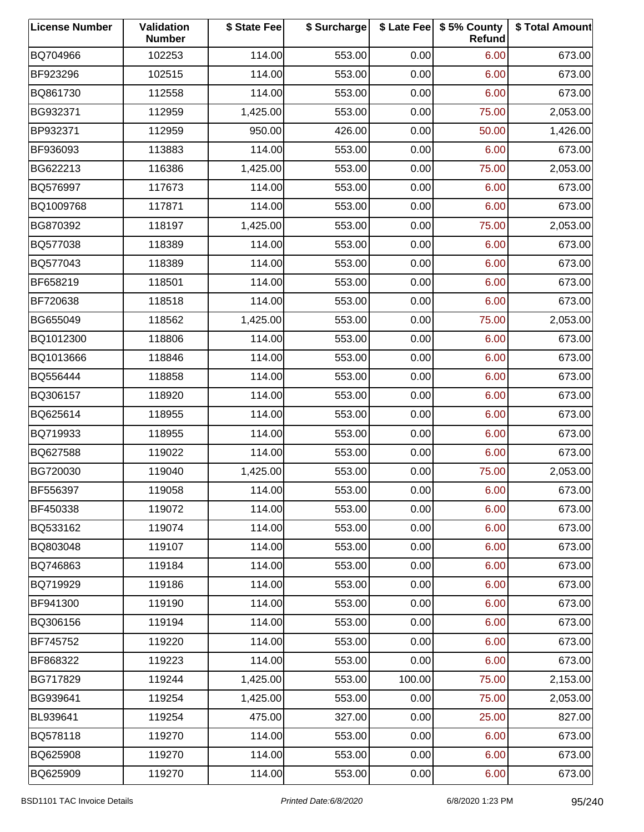| <b>License Number</b> | Validation<br><b>Number</b> | \$ State Fee | \$ Surcharge |        | \$ Late Fee   \$5% County<br>Refund | \$ Total Amount |
|-----------------------|-----------------------------|--------------|--------------|--------|-------------------------------------|-----------------|
| BQ704966              | 102253                      | 114.00       | 553.00       | 0.00   | 6.00                                | 673.00          |
| BF923296              | 102515                      | 114.00       | 553.00       | 0.00   | 6.00                                | 673.00          |
| BQ861730              | 112558                      | 114.00       | 553.00       | 0.00   | 6.00                                | 673.00          |
| BG932371              | 112959                      | 1,425.00     | 553.00       | 0.00   | 75.00                               | 2,053.00        |
| BP932371              | 112959                      | 950.00       | 426.00       | 0.00   | 50.00                               | 1,426.00        |
| BF936093              | 113883                      | 114.00       | 553.00       | 0.00   | 6.00                                | 673.00          |
| BG622213              | 116386                      | 1,425.00     | 553.00       | 0.00   | 75.00                               | 2,053.00        |
| BQ576997              | 117673                      | 114.00       | 553.00       | 0.00   | 6.00                                | 673.00          |
| BQ1009768             | 117871                      | 114.00       | 553.00       | 0.00   | 6.00                                | 673.00          |
| BG870392              | 118197                      | 1,425.00     | 553.00       | 0.00   | 75.00                               | 2,053.00        |
| BQ577038              | 118389                      | 114.00       | 553.00       | 0.00   | 6.00                                | 673.00          |
| BQ577043              | 118389                      | 114.00       | 553.00       | 0.00   | 6.00                                | 673.00          |
| BF658219              | 118501                      | 114.00       | 553.00       | 0.00   | 6.00                                | 673.00          |
| BF720638              | 118518                      | 114.00       | 553.00       | 0.00   | 6.00                                | 673.00          |
| BG655049              | 118562                      | 1,425.00     | 553.00       | 0.00   | 75.00                               | 2,053.00        |
| BQ1012300             | 118806                      | 114.00       | 553.00       | 0.00   | 6.00                                | 673.00          |
| BQ1013666             | 118846                      | 114.00       | 553.00       | 0.00   | 6.00                                | 673.00          |
| BQ556444              | 118858                      | 114.00       | 553.00       | 0.00   | 6.00                                | 673.00          |
| BQ306157              | 118920                      | 114.00       | 553.00       | 0.00   | 6.00                                | 673.00          |
| BQ625614              | 118955                      | 114.00       | 553.00       | 0.00   | 6.00                                | 673.00          |
| BQ719933              | 118955                      | 114.00       | 553.00       | 0.00   | 6.00                                | 673.00          |
| BQ627588              | 119022                      | 114.00       | 553.00       | 0.00   | 6.00                                | 673.00          |
| BG720030              | 119040                      | 1,425.00     | 553.00       | 0.00   | 75.00                               | 2,053.00        |
| BF556397              | 119058                      | 114.00       | 553.00       | 0.00   | 6.00                                | 673.00          |
| BF450338              | 119072                      | 114.00       | 553.00       | 0.00   | 6.00                                | 673.00          |
| BQ533162              | 119074                      | 114.00       | 553.00       | 0.00   | 6.00                                | 673.00          |
| BQ803048              | 119107                      | 114.00       | 553.00       | 0.00   | 6.00                                | 673.00          |
| BQ746863              | 119184                      | 114.00       | 553.00       | 0.00   | 6.00                                | 673.00          |
| BQ719929              | 119186                      | 114.00       | 553.00       | 0.00   | 6.00                                | 673.00          |
| BF941300              | 119190                      | 114.00       | 553.00       | 0.00   | 6.00                                | 673.00          |
| BQ306156              | 119194                      | 114.00       | 553.00       | 0.00   | 6.00                                | 673.00          |
| BF745752              | 119220                      | 114.00       | 553.00       | 0.00   | 6.00                                | 673.00          |
| BF868322              | 119223                      | 114.00       | 553.00       | 0.00   | 6.00                                | 673.00          |
| BG717829              | 119244                      | 1,425.00     | 553.00       | 100.00 | 75.00                               | 2,153.00        |
| BG939641              | 119254                      | 1,425.00     | 553.00       | 0.00   | 75.00                               | 2,053.00        |
| BL939641              | 119254                      | 475.00       | 327.00       | 0.00   | 25.00                               | 827.00          |
| BQ578118              | 119270                      | 114.00       | 553.00       | 0.00   | 6.00                                | 673.00          |
| BQ625908              | 119270                      | 114.00       | 553.00       | 0.00   | 6.00                                | 673.00          |
| BQ625909              | 119270                      | 114.00       | 553.00       | 0.00   | 6.00                                | 673.00          |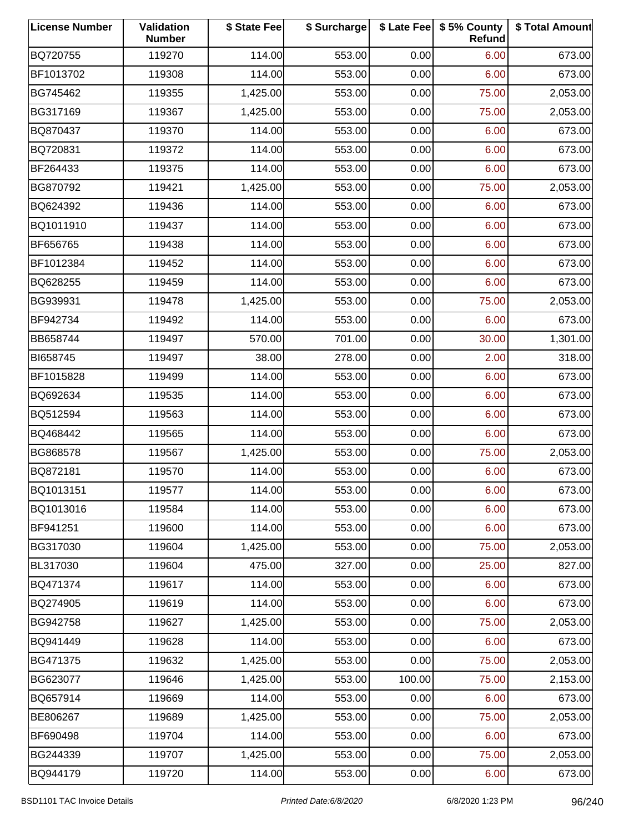| <b>License Number</b> | Validation<br><b>Number</b> | \$ State Fee | \$ Surcharge |        | \$ Late Fee   \$5% County<br>Refund | \$ Total Amount |
|-----------------------|-----------------------------|--------------|--------------|--------|-------------------------------------|-----------------|
| BQ720755              | 119270                      | 114.00       | 553.00       | 0.00   | 6.00                                | 673.00          |
| BF1013702             | 119308                      | 114.00       | 553.00       | 0.00   | 6.00                                | 673.00          |
| BG745462              | 119355                      | 1,425.00     | 553.00       | 0.00   | 75.00                               | 2,053.00        |
| BG317169              | 119367                      | 1,425.00     | 553.00       | 0.00   | 75.00                               | 2,053.00        |
| BQ870437              | 119370                      | 114.00       | 553.00       | 0.00   | 6.00                                | 673.00          |
| BQ720831              | 119372                      | 114.00       | 553.00       | 0.00   | 6.00                                | 673.00          |
| BF264433              | 119375                      | 114.00       | 553.00       | 0.00   | 6.00                                | 673.00          |
| BG870792              | 119421                      | 1,425.00     | 553.00       | 0.00   | 75.00                               | 2,053.00        |
| BQ624392              | 119436                      | 114.00       | 553.00       | 0.00   | 6.00                                | 673.00          |
| BQ1011910             | 119437                      | 114.00       | 553.00       | 0.00   | 6.00                                | 673.00          |
| BF656765              | 119438                      | 114.00       | 553.00       | 0.00   | 6.00                                | 673.00          |
| BF1012384             | 119452                      | 114.00       | 553.00       | 0.00   | 6.00                                | 673.00          |
| BQ628255              | 119459                      | 114.00       | 553.00       | 0.00   | 6.00                                | 673.00          |
| BG939931              | 119478                      | 1,425.00     | 553.00       | 0.00   | 75.00                               | 2,053.00        |
| BF942734              | 119492                      | 114.00       | 553.00       | 0.00   | 6.00                                | 673.00          |
| BB658744              | 119497                      | 570.00       | 701.00       | 0.00   | 30.00                               | 1,301.00        |
| BI658745              | 119497                      | 38.00        | 278.00       | 0.00   | 2.00                                | 318.00          |
| BF1015828             | 119499                      | 114.00       | 553.00       | 0.00   | 6.00                                | 673.00          |
| BQ692634              | 119535                      | 114.00       | 553.00       | 0.00   | 6.00                                | 673.00          |
| BQ512594              | 119563                      | 114.00       | 553.00       | 0.00   | 6.00                                | 673.00          |
| BQ468442              | 119565                      | 114.00       | 553.00       | 0.00   | 6.00                                | 673.00          |
| BG868578              | 119567                      | 1,425.00     | 553.00       | 0.00   | 75.00                               | 2,053.00        |
| BQ872181              | 119570                      | 114.00       | 553.00       | 0.00   | 6.00                                | 673.00          |
| BQ1013151             | 119577                      | 114.00       | 553.00       | 0.00   | 6.00                                | 673.00          |
| BQ1013016             | 119584                      | 114.00       | 553.00       | 0.00   | 6.00                                | 673.00          |
| BF941251              | 119600                      | 114.00       | 553.00       | 0.00   | 6.00                                | 673.00          |
| BG317030              | 119604                      | 1,425.00     | 553.00       | 0.00   | 75.00                               | 2,053.00        |
| BL317030              | 119604                      | 475.00       | 327.00       | 0.00   | 25.00                               | 827.00          |
| BQ471374              | 119617                      | 114.00       | 553.00       | 0.00   | 6.00                                | 673.00          |
| BQ274905              | 119619                      | 114.00       | 553.00       | 0.00   | 6.00                                | 673.00          |
| BG942758              | 119627                      | 1,425.00     | 553.00       | 0.00   | 75.00                               | 2,053.00        |
| BQ941449              | 119628                      | 114.00       | 553.00       | 0.00   | 6.00                                | 673.00          |
| BG471375              | 119632                      | 1,425.00     | 553.00       | 0.00   | 75.00                               | 2,053.00        |
| BG623077              | 119646                      | 1,425.00     | 553.00       | 100.00 | 75.00                               | 2,153.00        |
| BQ657914              | 119669                      | 114.00       | 553.00       | 0.00   | 6.00                                | 673.00          |
| BE806267              | 119689                      | 1,425.00     | 553.00       | 0.00   | 75.00                               | 2,053.00        |
| BF690498              | 119704                      | 114.00       | 553.00       | 0.00   | 6.00                                | 673.00          |
| BG244339              | 119707                      | 1,425.00     | 553.00       | 0.00   | 75.00                               | 2,053.00        |
| BQ944179              | 119720                      | 114.00       | 553.00       | 0.00   | 6.00                                | 673.00          |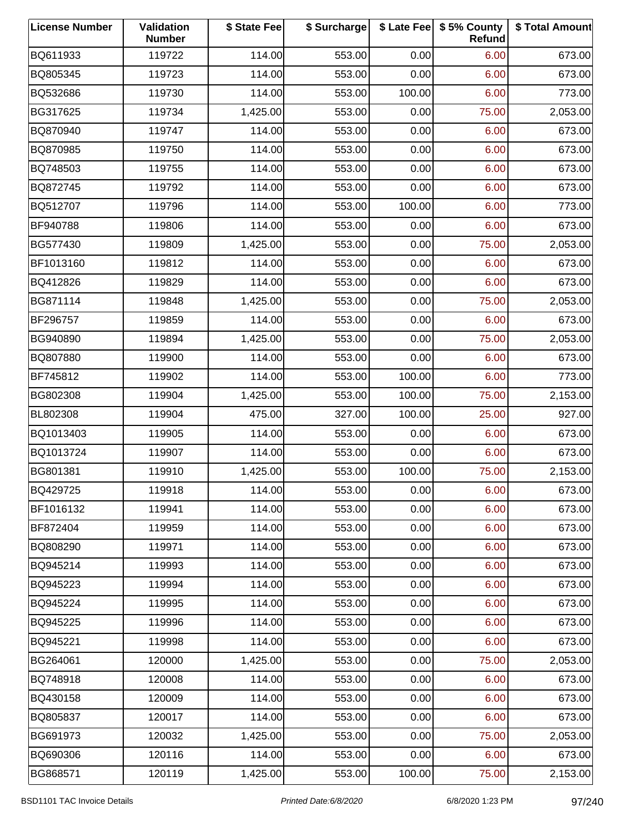| <b>License Number</b> | Validation<br><b>Number</b> | \$ State Fee | \$ Surcharge |        | \$ Late Fee   \$5% County<br>Refund | \$ Total Amount |
|-----------------------|-----------------------------|--------------|--------------|--------|-------------------------------------|-----------------|
| BQ611933              | 119722                      | 114.00       | 553.00       | 0.00   | 6.00                                | 673.00          |
| BQ805345              | 119723                      | 114.00       | 553.00       | 0.00   | 6.00                                | 673.00          |
| BQ532686              | 119730                      | 114.00       | 553.00       | 100.00 | 6.00                                | 773.00          |
| BG317625              | 119734                      | 1,425.00     | 553.00       | 0.00   | 75.00                               | 2,053.00        |
| BQ870940              | 119747                      | 114.00       | 553.00       | 0.00   | 6.00                                | 673.00          |
| BQ870985              | 119750                      | 114.00       | 553.00       | 0.00   | 6.00                                | 673.00          |
| BQ748503              | 119755                      | 114.00       | 553.00       | 0.00   | 6.00                                | 673.00          |
| BQ872745              | 119792                      | 114.00       | 553.00       | 0.00   | 6.00                                | 673.00          |
| BQ512707              | 119796                      | 114.00       | 553.00       | 100.00 | 6.00                                | 773.00          |
| BF940788              | 119806                      | 114.00       | 553.00       | 0.00   | 6.00                                | 673.00          |
| BG577430              | 119809                      | 1,425.00     | 553.00       | 0.00   | 75.00                               | 2,053.00        |
| BF1013160             | 119812                      | 114.00       | 553.00       | 0.00   | 6.00                                | 673.00          |
| BQ412826              | 119829                      | 114.00       | 553.00       | 0.00   | 6.00                                | 673.00          |
| BG871114              | 119848                      | 1,425.00     | 553.00       | 0.00   | 75.00                               | 2,053.00        |
| BF296757              | 119859                      | 114.00       | 553.00       | 0.00   | 6.00                                | 673.00          |
| BG940890              | 119894                      | 1,425.00     | 553.00       | 0.00   | 75.00                               | 2,053.00        |
| BQ807880              | 119900                      | 114.00       | 553.00       | 0.00   | 6.00                                | 673.00          |
| BF745812              | 119902                      | 114.00       | 553.00       | 100.00 | 6.00                                | 773.00          |
| BG802308              | 119904                      | 1,425.00     | 553.00       | 100.00 | 75.00                               | 2,153.00        |
| BL802308              | 119904                      | 475.00       | 327.00       | 100.00 | 25.00                               | 927.00          |
| BQ1013403             | 119905                      | 114.00       | 553.00       | 0.00   | 6.00                                | 673.00          |
| BQ1013724             | 119907                      | 114.00       | 553.00       | 0.00   | 6.00                                | 673.00          |
| BG801381              | 119910                      | 1,425.00     | 553.00       | 100.00 | 75.00                               | 2,153.00        |
| BQ429725              | 119918                      | 114.00       | 553.00       | 0.00   | 6.00                                | 673.00          |
| BF1016132             | 119941                      | 114.00       | 553.00       | 0.00   | 6.00                                | 673.00          |
| BF872404              | 119959                      | 114.00       | 553.00       | 0.00   | 6.00                                | 673.00          |
| BQ808290              | 119971                      | 114.00       | 553.00       | 0.00   | 6.00                                | 673.00          |
| BQ945214              | 119993                      | 114.00       | 553.00       | 0.00   | 6.00                                | 673.00          |
| BQ945223              | 119994                      | 114.00       | 553.00       | 0.00   | 6.00                                | 673.00          |
| BQ945224              | 119995                      | 114.00       | 553.00       | 0.00   | 6.00                                | 673.00          |
| BQ945225              | 119996                      | 114.00       | 553.00       | 0.00   | 6.00                                | 673.00          |
| BQ945221              | 119998                      | 114.00       | 553.00       | 0.00   | 6.00                                | 673.00          |
| BG264061              | 120000                      | 1,425.00     | 553.00       | 0.00   | 75.00                               | 2,053.00        |
| BQ748918              | 120008                      | 114.00       | 553.00       | 0.00   | 6.00                                | 673.00          |
| BQ430158              | 120009                      | 114.00       | 553.00       | 0.00   | 6.00                                | 673.00          |
| BQ805837              | 120017                      | 114.00       | 553.00       | 0.00   | 6.00                                | 673.00          |
| BG691973              | 120032                      | 1,425.00     | 553.00       | 0.00   | 75.00                               | 2,053.00        |
| BQ690306              | 120116                      | 114.00       | 553.00       | 0.00   | 6.00                                | 673.00          |
| BG868571              | 120119                      | 1,425.00     | 553.00       | 100.00 | 75.00                               | 2,153.00        |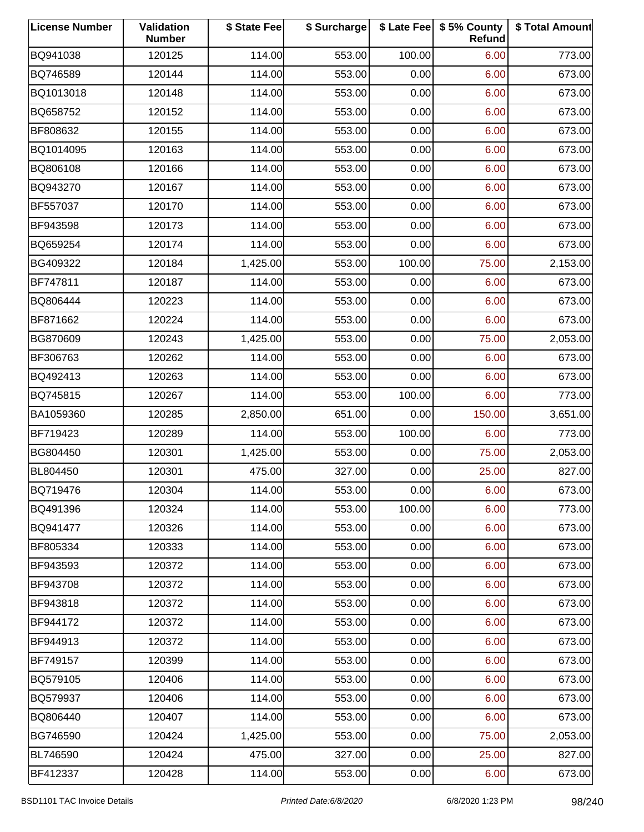| <b>License Number</b> | Validation<br><b>Number</b> | \$ State Fee | \$ Surcharge |        | \$ Late Fee   \$5% County<br>Refund | \$ Total Amount |
|-----------------------|-----------------------------|--------------|--------------|--------|-------------------------------------|-----------------|
| BQ941038              | 120125                      | 114.00       | 553.00       | 100.00 | 6.00                                | 773.00          |
| BQ746589              | 120144                      | 114.00       | 553.00       | 0.00   | 6.00                                | 673.00          |
| BQ1013018             | 120148                      | 114.00       | 553.00       | 0.00   | 6.00                                | 673.00          |
| BQ658752              | 120152                      | 114.00       | 553.00       | 0.00   | 6.00                                | 673.00          |
| BF808632              | 120155                      | 114.00       | 553.00       | 0.00   | 6.00                                | 673.00          |
| BQ1014095             | 120163                      | 114.00       | 553.00       | 0.00   | 6.00                                | 673.00          |
| BQ806108              | 120166                      | 114.00       | 553.00       | 0.00   | 6.00                                | 673.00          |
| BQ943270              | 120167                      | 114.00       | 553.00       | 0.00   | 6.00                                | 673.00          |
| BF557037              | 120170                      | 114.00       | 553.00       | 0.00   | 6.00                                | 673.00          |
| BF943598              | 120173                      | 114.00       | 553.00       | 0.00   | 6.00                                | 673.00          |
| BQ659254              | 120174                      | 114.00       | 553.00       | 0.00   | 6.00                                | 673.00          |
| BG409322              | 120184                      | 1,425.00     | 553.00       | 100.00 | 75.00                               | 2,153.00        |
| BF747811              | 120187                      | 114.00       | 553.00       | 0.00   | 6.00                                | 673.00          |
| BQ806444              | 120223                      | 114.00       | 553.00       | 0.00   | 6.00                                | 673.00          |
| BF871662              | 120224                      | 114.00       | 553.00       | 0.00   | 6.00                                | 673.00          |
| BG870609              | 120243                      | 1,425.00     | 553.00       | 0.00   | 75.00                               | 2,053.00        |
| BF306763              | 120262                      | 114.00       | 553.00       | 0.00   | 6.00                                | 673.00          |
| BQ492413              | 120263                      | 114.00       | 553.00       | 0.00   | 6.00                                | 673.00          |
| BQ745815              | 120267                      | 114.00       | 553.00       | 100.00 | 6.00                                | 773.00          |
| BA1059360             | 120285                      | 2,850.00     | 651.00       | 0.00   | 150.00                              | 3,651.00        |
| BF719423              | 120289                      | 114.00       | 553.00       | 100.00 | 6.00                                | 773.00          |
| BG804450              | 120301                      | 1,425.00     | 553.00       | 0.00   | 75.00                               | 2,053.00        |
| BL804450              | 120301                      | 475.00       | 327.00       | 0.00   | 25.00                               | 827.00          |
| BQ719476              | 120304                      | 114.00       | 553.00       | 0.00   | 6.00                                | 673.00          |
| BQ491396              | 120324                      | 114.00       | 553.00       | 100.00 | 6.00                                | 773.00          |
| BQ941477              | 120326                      | 114.00       | 553.00       | 0.00   | 6.00                                | 673.00          |
| BF805334              | 120333                      | 114.00       | 553.00       | 0.00   | 6.00                                | 673.00          |
| BF943593              | 120372                      | 114.00       | 553.00       | 0.00   | 6.00                                | 673.00          |
| BF943708              | 120372                      | 114.00       | 553.00       | 0.00   | 6.00                                | 673.00          |
| BF943818              | 120372                      | 114.00       | 553.00       | 0.00   | 6.00                                | 673.00          |
| BF944172              | 120372                      | 114.00       | 553.00       | 0.00   | 6.00                                | 673.00          |
| BF944913              | 120372                      | 114.00       | 553.00       | 0.00   | 6.00                                | 673.00          |
| BF749157              | 120399                      | 114.00       | 553.00       | 0.00   | 6.00                                | 673.00          |
| BQ579105              | 120406                      | 114.00       | 553.00       | 0.00   | 6.00                                | 673.00          |
| BQ579937              | 120406                      | 114.00       | 553.00       | 0.00   | 6.00                                | 673.00          |
| BQ806440              | 120407                      | 114.00       | 553.00       | 0.00   | 6.00                                | 673.00          |
| BG746590              | 120424                      | 1,425.00     | 553.00       | 0.00   | 75.00                               | 2,053.00        |
| BL746590              | 120424                      | 475.00       | 327.00       | 0.00   | 25.00                               | 827.00          |
| BF412337              | 120428                      | 114.00       | 553.00       | 0.00   | 6.00                                | 673.00          |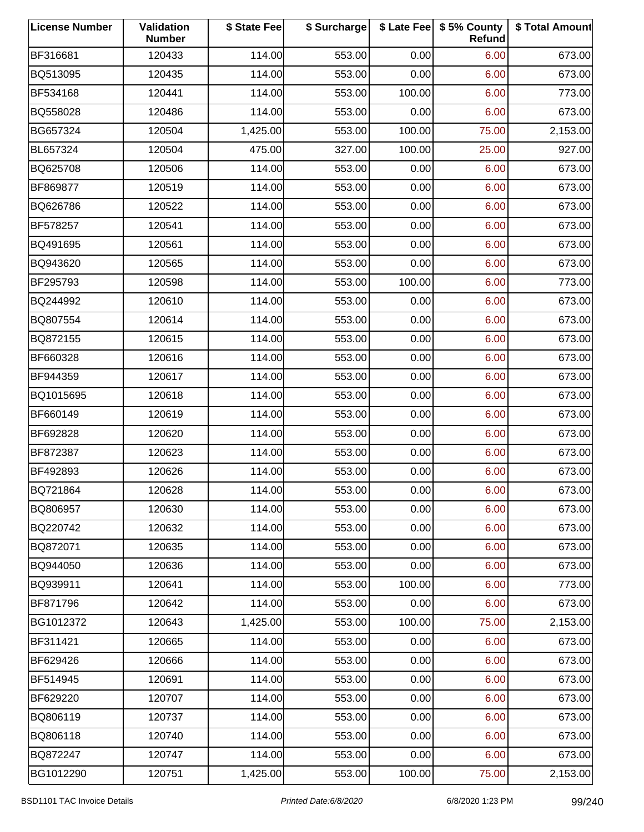| <b>License Number</b> | Validation<br><b>Number</b> | \$ State Fee | \$ Surcharge |        | \$ Late Fee   \$5% County<br>Refund | \$ Total Amount |
|-----------------------|-----------------------------|--------------|--------------|--------|-------------------------------------|-----------------|
| BF316681              | 120433                      | 114.00       | 553.00       | 0.00   | 6.00                                | 673.00          |
| BQ513095              | 120435                      | 114.00       | 553.00       | 0.00   | 6.00                                | 673.00          |
| BF534168              | 120441                      | 114.00       | 553.00       | 100.00 | 6.00                                | 773.00          |
| BQ558028              | 120486                      | 114.00       | 553.00       | 0.00   | 6.00                                | 673.00          |
| BG657324              | 120504                      | 1,425.00     | 553.00       | 100.00 | 75.00                               | 2,153.00        |
| BL657324              | 120504                      | 475.00       | 327.00       | 100.00 | 25.00                               | 927.00          |
| BQ625708              | 120506                      | 114.00       | 553.00       | 0.00   | 6.00                                | 673.00          |
| BF869877              | 120519                      | 114.00       | 553.00       | 0.00   | 6.00                                | 673.00          |
| BQ626786              | 120522                      | 114.00       | 553.00       | 0.00   | 6.00                                | 673.00          |
| BF578257              | 120541                      | 114.00       | 553.00       | 0.00   | 6.00                                | 673.00          |
| BQ491695              | 120561                      | 114.00       | 553.00       | 0.00   | 6.00                                | 673.00          |
| BQ943620              | 120565                      | 114.00       | 553.00       | 0.00   | 6.00                                | 673.00          |
| BF295793              | 120598                      | 114.00       | 553.00       | 100.00 | 6.00                                | 773.00          |
| BQ244992              | 120610                      | 114.00       | 553.00       | 0.00   | 6.00                                | 673.00          |
| BQ807554              | 120614                      | 114.00       | 553.00       | 0.00   | 6.00                                | 673.00          |
| BQ872155              | 120615                      | 114.00       | 553.00       | 0.00   | 6.00                                | 673.00          |
| BF660328              | 120616                      | 114.00       | 553.00       | 0.00   | 6.00                                | 673.00          |
| BF944359              | 120617                      | 114.00       | 553.00       | 0.00   | 6.00                                | 673.00          |
| BQ1015695             | 120618                      | 114.00       | 553.00       | 0.00   | 6.00                                | 673.00          |
| BF660149              | 120619                      | 114.00       | 553.00       | 0.00   | 6.00                                | 673.00          |
| BF692828              | 120620                      | 114.00       | 553.00       | 0.00   | 6.00                                | 673.00          |
| BF872387              | 120623                      | 114.00       | 553.00       | 0.00   | 6.00                                | 673.00          |
| BF492893              | 120626                      | 114.00       | 553.00       | 0.00   | 6.00                                | 673.00          |
| BQ721864              | 120628                      | 114.00       | 553.00       | 0.00   | 6.00                                | 673.00          |
| BQ806957              | 120630                      | 114.00       | 553.00       | 0.00   | 6.00                                | 673.00          |
| BQ220742              | 120632                      | 114.00       | 553.00       | 0.00   | 6.00                                | 673.00          |
| BQ872071              | 120635                      | 114.00       | 553.00       | 0.00   | 6.00                                | 673.00          |
| BQ944050              | 120636                      | 114.00       | 553.00       | 0.00   | 6.00                                | 673.00          |
| BQ939911              | 120641                      | 114.00       | 553.00       | 100.00 | 6.00                                | 773.00          |
| BF871796              | 120642                      | 114.00       | 553.00       | 0.00   | 6.00                                | 673.00          |
| BG1012372             | 120643                      | 1,425.00     | 553.00       | 100.00 | 75.00                               | 2,153.00        |
| BF311421              | 120665                      | 114.00       | 553.00       | 0.00   | 6.00                                | 673.00          |
| BF629426              | 120666                      | 114.00       | 553.00       | 0.00   | 6.00                                | 673.00          |
| BF514945              | 120691                      | 114.00       | 553.00       | 0.00   | 6.00                                | 673.00          |
| BF629220              | 120707                      | 114.00       | 553.00       | 0.00   | 6.00                                | 673.00          |
| BQ806119              | 120737                      | 114.00       | 553.00       | 0.00   | 6.00                                | 673.00          |
| BQ806118              | 120740                      | 114.00       | 553.00       | 0.00   | 6.00                                | 673.00          |
| BQ872247              | 120747                      | 114.00       | 553.00       | 0.00   | 6.00                                | 673.00          |
| BG1012290             | 120751                      | 1,425.00     | 553.00       | 100.00 | 75.00                               | 2,153.00        |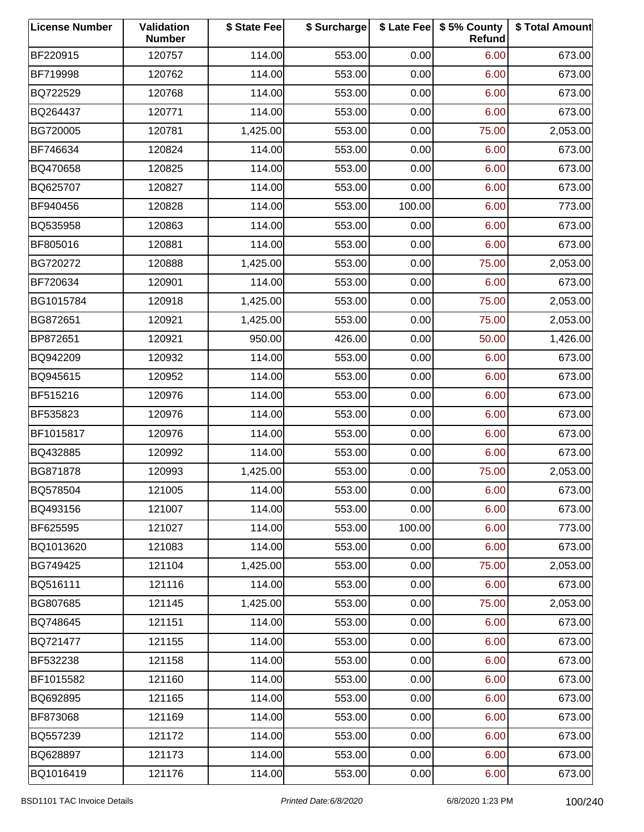| <b>License Number</b> | Validation<br><b>Number</b> | \$ State Fee | \$ Surcharge |        | \$ Late Fee   \$5% County<br>Refund | \$ Total Amount |
|-----------------------|-----------------------------|--------------|--------------|--------|-------------------------------------|-----------------|
| BF220915              | 120757                      | 114.00       | 553.00       | 0.00   | 6.00                                | 673.00          |
| BF719998              | 120762                      | 114.00       | 553.00       | 0.00   | 6.00                                | 673.00          |
| BQ722529              | 120768                      | 114.00       | 553.00       | 0.00   | 6.00                                | 673.00          |
| BQ264437              | 120771                      | 114.00       | 553.00       | 0.00   | 6.00                                | 673.00          |
| BG720005              | 120781                      | 1,425.00     | 553.00       | 0.00   | 75.00                               | 2,053.00        |
| BF746634              | 120824                      | 114.00       | 553.00       | 0.00   | 6.00                                | 673.00          |
| BQ470658              | 120825                      | 114.00       | 553.00       | 0.00   | 6.00                                | 673.00          |
| BQ625707              | 120827                      | 114.00       | 553.00       | 0.00   | 6.00                                | 673.00          |
| BF940456              | 120828                      | 114.00       | 553.00       | 100.00 | 6.00                                | 773.00          |
| BQ535958              | 120863                      | 114.00       | 553.00       | 0.00   | 6.00                                | 673.00          |
| BF805016              | 120881                      | 114.00       | 553.00       | 0.00   | 6.00                                | 673.00          |
| BG720272              | 120888                      | 1,425.00     | 553.00       | 0.00   | 75.00                               | 2,053.00        |
| BF720634              | 120901                      | 114.00       | 553.00       | 0.00   | 6.00                                | 673.00          |
| BG1015784             | 120918                      | 1,425.00     | 553.00       | 0.00   | 75.00                               | 2,053.00        |
| BG872651              | 120921                      | 1,425.00     | 553.00       | 0.00   | 75.00                               | 2,053.00        |
| BP872651              | 120921                      | 950.00       | 426.00       | 0.00   | 50.00                               | 1,426.00        |
| BQ942209              | 120932                      | 114.00       | 553.00       | 0.00   | 6.00                                | 673.00          |
| BQ945615              | 120952                      | 114.00       | 553.00       | 0.00   | 6.00                                | 673.00          |
| BF515216              | 120976                      | 114.00       | 553.00       | 0.00   | 6.00                                | 673.00          |
| BF535823              | 120976                      | 114.00       | 553.00       | 0.00   | 6.00                                | 673.00          |
| BF1015817             | 120976                      | 114.00       | 553.00       | 0.00   | 6.00                                | 673.00          |
| BQ432885              | 120992                      | 114.00       | 553.00       | 0.00   | 6.00                                | 673.00          |
| BG871878              | 120993                      | 1,425.00     | 553.00       | 0.00   | 75.00                               | 2,053.00        |
| BQ578504              | 121005                      | 114.00       | 553.00       | 0.00   | 6.00                                | 673.00          |
| BQ493156              | 121007                      | 114.00       | 553.00       | 0.00   | 6.00                                | 673.00          |
| BF625595              | 121027                      | 114.00       | 553.00       | 100.00 | 6.00                                | 773.00          |
| BQ1013620             | 121083                      | 114.00       | 553.00       | 0.00   | 6.00                                | 673.00          |
| BG749425              | 121104                      | 1,425.00     | 553.00       | 0.00   | 75.00                               | 2,053.00        |
| BQ516111              | 121116                      | 114.00       | 553.00       | 0.00   | 6.00                                | 673.00          |
| BG807685              | 121145                      | 1,425.00     | 553.00       | 0.00   | 75.00                               | 2,053.00        |
| BQ748645              | 121151                      | 114.00       | 553.00       | 0.00   | 6.00                                | 673.00          |
| BQ721477              | 121155                      | 114.00       | 553.00       | 0.00   | 6.00                                | 673.00          |
| BF532238              | 121158                      | 114.00       | 553.00       | 0.00   | 6.00                                | 673.00          |
| BF1015582             | 121160                      | 114.00       | 553.00       | 0.00   | 6.00                                | 673.00          |
| BQ692895              | 121165                      | 114.00       | 553.00       | 0.00   | 6.00                                | 673.00          |
| BF873068              | 121169                      | 114.00       | 553.00       | 0.00   | 6.00                                | 673.00          |
| BQ557239              | 121172                      | 114.00       | 553.00       | 0.00   | 6.00                                | 673.00          |
| BQ628897              | 121173                      | 114.00       | 553.00       | 0.00   | 6.00                                | 673.00          |
| BQ1016419             | 121176                      | 114.00       | 553.00       | 0.00   | 6.00                                | 673.00          |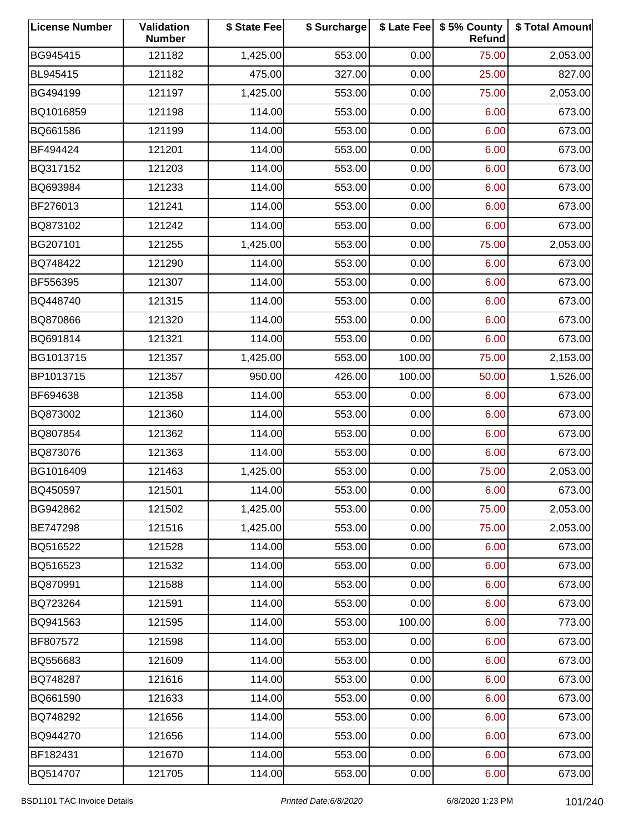| <b>License Number</b> | Validation<br><b>Number</b> | \$ State Fee | \$ Surcharge |        | \$ Late Fee   \$5% County<br>Refund | \$ Total Amount |
|-----------------------|-----------------------------|--------------|--------------|--------|-------------------------------------|-----------------|
| BG945415              | 121182                      | 1,425.00     | 553.00       | 0.00   | 75.00                               | 2,053.00        |
| BL945415              | 121182                      | 475.00       | 327.00       | 0.00   | 25.00                               | 827.00          |
| BG494199              | 121197                      | 1,425.00     | 553.00       | 0.00   | 75.00                               | 2,053.00        |
| BQ1016859             | 121198                      | 114.00       | 553.00       | 0.00   | 6.00                                | 673.00          |
| BQ661586              | 121199                      | 114.00       | 553.00       | 0.00   | 6.00                                | 673.00          |
| BF494424              | 121201                      | 114.00       | 553.00       | 0.00   | 6.00                                | 673.00          |
| BQ317152              | 121203                      | 114.00       | 553.00       | 0.00   | 6.00                                | 673.00          |
| BQ693984              | 121233                      | 114.00       | 553.00       | 0.00   | 6.00                                | 673.00          |
| BF276013              | 121241                      | 114.00       | 553.00       | 0.00   | 6.00                                | 673.00          |
| BQ873102              | 121242                      | 114.00       | 553.00       | 0.00   | 6.00                                | 673.00          |
| BG207101              | 121255                      | 1,425.00     | 553.00       | 0.00   | 75.00                               | 2,053.00        |
| BQ748422              | 121290                      | 114.00       | 553.00       | 0.00   | 6.00                                | 673.00          |
| BF556395              | 121307                      | 114.00       | 553.00       | 0.00   | 6.00                                | 673.00          |
| BQ448740              | 121315                      | 114.00       | 553.00       | 0.00   | 6.00                                | 673.00          |
| BQ870866              | 121320                      | 114.00       | 553.00       | 0.00   | 6.00                                | 673.00          |
| BQ691814              | 121321                      | 114.00       | 553.00       | 0.00   | 6.00                                | 673.00          |
| BG1013715             | 121357                      | 1,425.00     | 553.00       | 100.00 | 75.00                               | 2,153.00        |
| BP1013715             | 121357                      | 950.00       | 426.00       | 100.00 | 50.00                               | 1,526.00        |
| BF694638              | 121358                      | 114.00       | 553.00       | 0.00   | 6.00                                | 673.00          |
| BQ873002              | 121360                      | 114.00       | 553.00       | 0.00   | 6.00                                | 673.00          |
| BQ807854              | 121362                      | 114.00       | 553.00       | 0.00   | 6.00                                | 673.00          |
| BQ873076              | 121363                      | 114.00       | 553.00       | 0.00   | 6.00                                | 673.00          |
| BG1016409             | 121463                      | 1,425.00     | 553.00       | 0.00   | 75.00                               | 2,053.00        |
| BQ450597              | 121501                      | 114.00       | 553.00       | 0.00   | 6.00                                | 673.00          |
| BG942862              | 121502                      | 1,425.00     | 553.00       | 0.00   | 75.00                               | 2,053.00        |
| BE747298              | 121516                      | 1,425.00     | 553.00       | 0.00   | 75.00                               | 2,053.00        |
| BQ516522              | 121528                      | 114.00       | 553.00       | 0.00   | 6.00                                | 673.00          |
| BQ516523              | 121532                      | 114.00       | 553.00       | 0.00   | 6.00                                | 673.00          |
| BQ870991              | 121588                      | 114.00       | 553.00       | 0.00   | 6.00                                | 673.00          |
| BQ723264              | 121591                      | 114.00       | 553.00       | 0.00   | 6.00                                | 673.00          |
| BQ941563              | 121595                      | 114.00       | 553.00       | 100.00 | 6.00                                | 773.00          |
| BF807572              | 121598                      | 114.00       | 553.00       | 0.00   | 6.00                                | 673.00          |
| BQ556683              | 121609                      | 114.00       | 553.00       | 0.00   | 6.00                                | 673.00          |
| BQ748287              | 121616                      | 114.00       | 553.00       | 0.00   | 6.00                                | 673.00          |
| BQ661590              | 121633                      | 114.00       | 553.00       | 0.00   | 6.00                                | 673.00          |
| BQ748292              | 121656                      | 114.00       | 553.00       | 0.00   | 6.00                                | 673.00          |
| BQ944270              | 121656                      | 114.00       | 553.00       | 0.00   | 6.00                                | 673.00          |
| BF182431              | 121670                      | 114.00       | 553.00       | 0.00   | 6.00                                | 673.00          |
| BQ514707              | 121705                      | 114.00       | 553.00       | 0.00   | 6.00                                | 673.00          |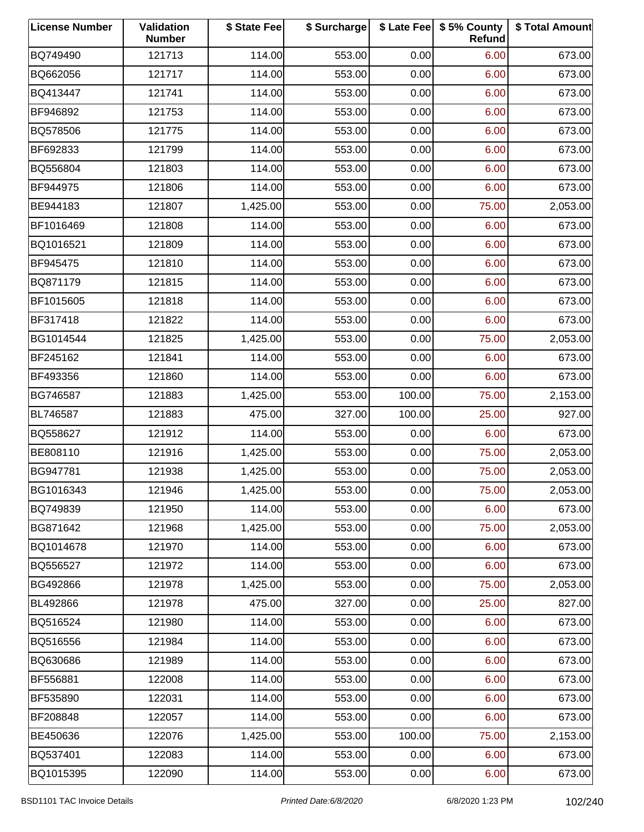| <b>License Number</b> | Validation<br><b>Number</b> | \$ State Fee | \$ Surcharge |        | \$ Late Fee   \$5% County<br>Refund | \$ Total Amount |
|-----------------------|-----------------------------|--------------|--------------|--------|-------------------------------------|-----------------|
| BQ749490              | 121713                      | 114.00       | 553.00       | 0.00   | 6.00                                | 673.00          |
| BQ662056              | 121717                      | 114.00       | 553.00       | 0.00   | 6.00                                | 673.00          |
| BQ413447              | 121741                      | 114.00       | 553.00       | 0.00   | 6.00                                | 673.00          |
| BF946892              | 121753                      | 114.00       | 553.00       | 0.00   | 6.00                                | 673.00          |
| BQ578506              | 121775                      | 114.00       | 553.00       | 0.00   | 6.00                                | 673.00          |
| BF692833              | 121799                      | 114.00       | 553.00       | 0.00   | 6.00                                | 673.00          |
| BQ556804              | 121803                      | 114.00       | 553.00       | 0.00   | 6.00                                | 673.00          |
| BF944975              | 121806                      | 114.00       | 553.00       | 0.00   | 6.00                                | 673.00          |
| BE944183              | 121807                      | 1,425.00     | 553.00       | 0.00   | 75.00                               | 2,053.00        |
| BF1016469             | 121808                      | 114.00       | 553.00       | 0.00   | 6.00                                | 673.00          |
| BQ1016521             | 121809                      | 114.00       | 553.00       | 0.00   | 6.00                                | 673.00          |
| BF945475              | 121810                      | 114.00       | 553.00       | 0.00   | 6.00                                | 673.00          |
| BQ871179              | 121815                      | 114.00       | 553.00       | 0.00   | 6.00                                | 673.00          |
| BF1015605             | 121818                      | 114.00       | 553.00       | 0.00   | 6.00                                | 673.00          |
| BF317418              | 121822                      | 114.00       | 553.00       | 0.00   | 6.00                                | 673.00          |
| BG1014544             | 121825                      | 1,425.00     | 553.00       | 0.00   | 75.00                               | 2,053.00        |
| BF245162              | 121841                      | 114.00       | 553.00       | 0.00   | 6.00                                | 673.00          |
| BF493356              | 121860                      | 114.00       | 553.00       | 0.00   | 6.00                                | 673.00          |
| BG746587              | 121883                      | 1,425.00     | 553.00       | 100.00 | 75.00                               | 2,153.00        |
| BL746587              | 121883                      | 475.00       | 327.00       | 100.00 | 25.00                               | 927.00          |
| BQ558627              | 121912                      | 114.00       | 553.00       | 0.00   | 6.00                                | 673.00          |
| BE808110              | 121916                      | 1,425.00     | 553.00       | 0.00   | 75.00                               | 2,053.00        |
| BG947781              | 121938                      | 1,425.00     | 553.00       | 0.00   | 75.00                               | 2,053.00        |
| BG1016343             | 121946                      | 1,425.00     | 553.00       | 0.00   | 75.00                               | 2,053.00        |
| BQ749839              | 121950                      | 114.00       | 553.00       | 0.00   | 6.00                                | 673.00          |
| BG871642              | 121968                      | 1,425.00     | 553.00       | 0.00   | 75.00                               | 2,053.00        |
| BQ1014678             | 121970                      | 114.00       | 553.00       | 0.00   | 6.00                                | 673.00          |
| BQ556527              | 121972                      | 114.00       | 553.00       | 0.00   | 6.00                                | 673.00          |
| BG492866              | 121978                      | 1,425.00     | 553.00       | 0.00   | 75.00                               | 2,053.00        |
| BL492866              | 121978                      | 475.00       | 327.00       | 0.00   | 25.00                               | 827.00          |
| BQ516524              | 121980                      | 114.00       | 553.00       | 0.00   | 6.00                                | 673.00          |
| BQ516556              | 121984                      | 114.00       | 553.00       | 0.00   | 6.00                                | 673.00          |
| BQ630686              | 121989                      | 114.00       | 553.00       | 0.00   | 6.00                                | 673.00          |
| BF556881              | 122008                      | 114.00       | 553.00       | 0.00   | 6.00                                | 673.00          |
| BF535890              | 122031                      | 114.00       | 553.00       | 0.00   | 6.00                                | 673.00          |
| BF208848              | 122057                      | 114.00       | 553.00       | 0.00   | 6.00                                | 673.00          |
| BE450636              | 122076                      | 1,425.00     | 553.00       | 100.00 | 75.00                               | 2,153.00        |
| BQ537401              | 122083                      | 114.00       | 553.00       | 0.00   | 6.00                                | 673.00          |
| BQ1015395             | 122090                      | 114.00       | 553.00       | 0.00   | 6.00                                | 673.00          |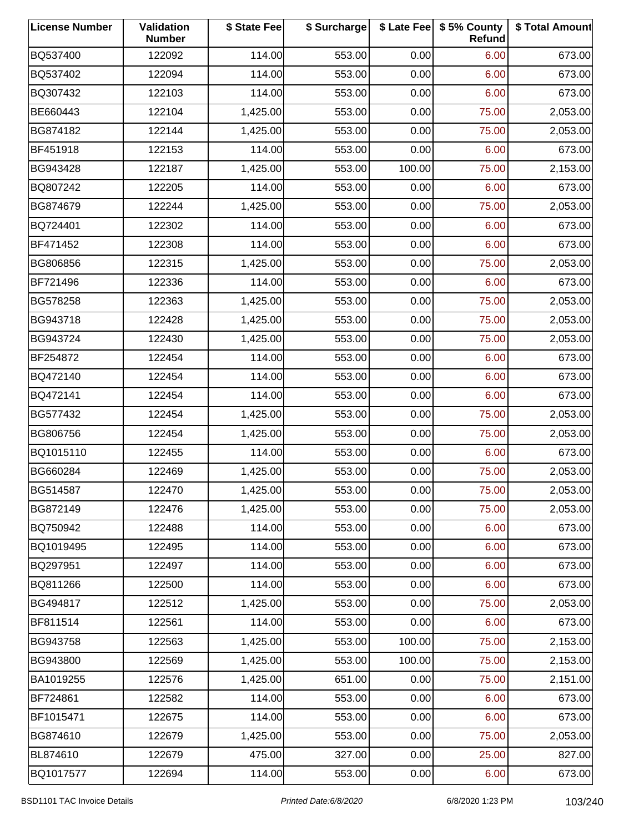| <b>License Number</b> | Validation<br><b>Number</b> | \$ State Fee | \$ Surcharge |        | \$ Late Fee   \$5% County<br>Refund | \$ Total Amount |
|-----------------------|-----------------------------|--------------|--------------|--------|-------------------------------------|-----------------|
| BQ537400              | 122092                      | 114.00       | 553.00       | 0.00   | 6.00                                | 673.00          |
| BQ537402              | 122094                      | 114.00       | 553.00       | 0.00   | 6.00                                | 673.00          |
| BQ307432              | 122103                      | 114.00       | 553.00       | 0.00   | 6.00                                | 673.00          |
| BE660443              | 122104                      | 1,425.00     | 553.00       | 0.00   | 75.00                               | 2,053.00        |
| BG874182              | 122144                      | 1,425.00     | 553.00       | 0.00   | 75.00                               | 2,053.00        |
| BF451918              | 122153                      | 114.00       | 553.00       | 0.00   | 6.00                                | 673.00          |
| BG943428              | 122187                      | 1,425.00     | 553.00       | 100.00 | 75.00                               | 2,153.00        |
| BQ807242              | 122205                      | 114.00       | 553.00       | 0.00   | 6.00                                | 673.00          |
| BG874679              | 122244                      | 1,425.00     | 553.00       | 0.00   | 75.00                               | 2,053.00        |
| BQ724401              | 122302                      | 114.00       | 553.00       | 0.00   | 6.00                                | 673.00          |
| BF471452              | 122308                      | 114.00       | 553.00       | 0.00   | 6.00                                | 673.00          |
| BG806856              | 122315                      | 1,425.00     | 553.00       | 0.00   | 75.00                               | 2,053.00        |
| BF721496              | 122336                      | 114.00       | 553.00       | 0.00   | 6.00                                | 673.00          |
| BG578258              | 122363                      | 1,425.00     | 553.00       | 0.00   | 75.00                               | 2,053.00        |
| BG943718              | 122428                      | 1,425.00     | 553.00       | 0.00   | 75.00                               | 2,053.00        |
| BG943724              | 122430                      | 1,425.00     | 553.00       | 0.00   | 75.00                               | 2,053.00        |
| BF254872              | 122454                      | 114.00       | 553.00       | 0.00   | 6.00                                | 673.00          |
| BQ472140              | 122454                      | 114.00       | 553.00       | 0.00   | 6.00                                | 673.00          |
| BQ472141              | 122454                      | 114.00       | 553.00       | 0.00   | 6.00                                | 673.00          |
| BG577432              | 122454                      | 1,425.00     | 553.00       | 0.00   | 75.00                               | 2,053.00        |
| BG806756              | 122454                      | 1,425.00     | 553.00       | 0.00   | 75.00                               | 2,053.00        |
| BQ1015110             | 122455                      | 114.00       | 553.00       | 0.00   | 6.00                                | 673.00          |
| BG660284              | 122469                      | 1,425.00     | 553.00       | 0.00   | 75.00                               | 2,053.00        |
| BG514587              | 122470                      | 1,425.00     | 553.00       | 0.00   | 75.00                               | 2,053.00        |
| BG872149              | 122476                      | 1,425.00     | 553.00       | 0.00   | 75.00                               | 2,053.00        |
| BQ750942              | 122488                      | 114.00       | 553.00       | 0.00   | 6.00                                | 673.00          |
| BQ1019495             | 122495                      | 114.00       | 553.00       | 0.00   | 6.00                                | 673.00          |
| BQ297951              | 122497                      | 114.00       | 553.00       | 0.00   | 6.00                                | 673.00          |
| BQ811266              | 122500                      | 114.00       | 553.00       | 0.00   | 6.00                                | 673.00          |
| BG494817              | 122512                      | 1,425.00     | 553.00       | 0.00   | 75.00                               | 2,053.00        |
| BF811514              | 122561                      | 114.00       | 553.00       | 0.00   | 6.00                                | 673.00          |
| BG943758              | 122563                      | 1,425.00     | 553.00       | 100.00 | 75.00                               | 2,153.00        |
| BG943800              | 122569                      | 1,425.00     | 553.00       | 100.00 | 75.00                               | 2,153.00        |
| BA1019255             | 122576                      | 1,425.00     | 651.00       | 0.00   | 75.00                               | 2,151.00        |
| BF724861              | 122582                      | 114.00       | 553.00       | 0.00   | 6.00                                | 673.00          |
| BF1015471             | 122675                      | 114.00       | 553.00       | 0.00   | 6.00                                | 673.00          |
| BG874610              | 122679                      | 1,425.00     | 553.00       | 0.00   | 75.00                               | 2,053.00        |
| BL874610              | 122679                      | 475.00       | 327.00       | 0.00   | 25.00                               | 827.00          |
| BQ1017577             | 122694                      | 114.00       | 553.00       | 0.00   | 6.00                                | 673.00          |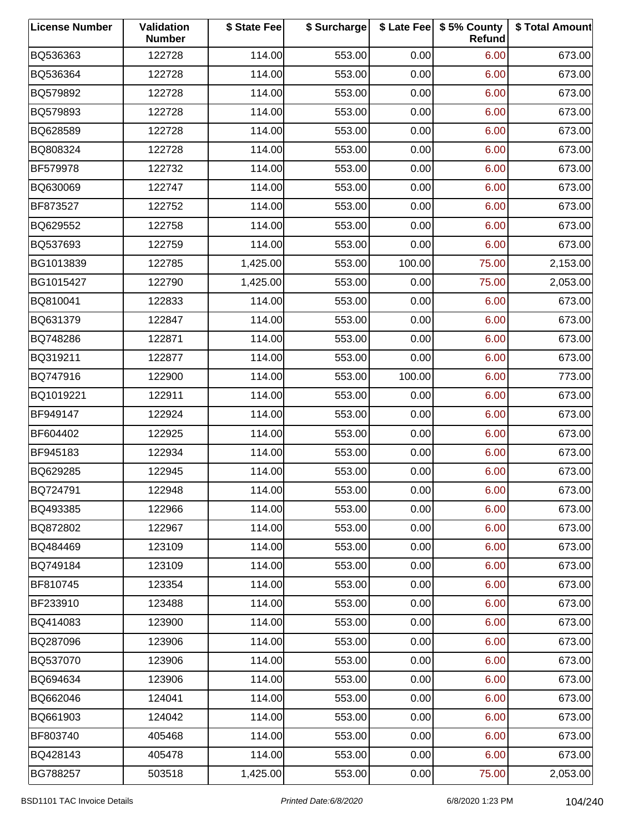| <b>License Number</b> | Validation<br><b>Number</b> | \$ State Fee | \$ Surcharge |        | \$ Late Fee   \$5% County<br>Refund | \$ Total Amount |
|-----------------------|-----------------------------|--------------|--------------|--------|-------------------------------------|-----------------|
| BQ536363              | 122728                      | 114.00       | 553.00       | 0.00   | 6.00                                | 673.00          |
| BQ536364              | 122728                      | 114.00       | 553.00       | 0.00   | 6.00                                | 673.00          |
| BQ579892              | 122728                      | 114.00       | 553.00       | 0.00   | 6.00                                | 673.00          |
| BQ579893              | 122728                      | 114.00       | 553.00       | 0.00   | 6.00                                | 673.00          |
| BQ628589              | 122728                      | 114.00       | 553.00       | 0.00   | 6.00                                | 673.00          |
| BQ808324              | 122728                      | 114.00       | 553.00       | 0.00   | 6.00                                | 673.00          |
| BF579978              | 122732                      | 114.00       | 553.00       | 0.00   | 6.00                                | 673.00          |
| BQ630069              | 122747                      | 114.00       | 553.00       | 0.00   | 6.00                                | 673.00          |
| BF873527              | 122752                      | 114.00       | 553.00       | 0.00   | 6.00                                | 673.00          |
| BQ629552              | 122758                      | 114.00       | 553.00       | 0.00   | 6.00                                | 673.00          |
| BQ537693              | 122759                      | 114.00       | 553.00       | 0.00   | 6.00                                | 673.00          |
| BG1013839             | 122785                      | 1,425.00     | 553.00       | 100.00 | 75.00                               | 2,153.00        |
| BG1015427             | 122790                      | 1,425.00     | 553.00       | 0.00   | 75.00                               | 2,053.00        |
| BQ810041              | 122833                      | 114.00       | 553.00       | 0.00   | 6.00                                | 673.00          |
| BQ631379              | 122847                      | 114.00       | 553.00       | 0.00   | 6.00                                | 673.00          |
| BQ748286              | 122871                      | 114.00       | 553.00       | 0.00   | 6.00                                | 673.00          |
| BQ319211              | 122877                      | 114.00       | 553.00       | 0.00   | 6.00                                | 673.00          |
| BQ747916              | 122900                      | 114.00       | 553.00       | 100.00 | 6.00                                | 773.00          |
| BQ1019221             | 122911                      | 114.00       | 553.00       | 0.00   | 6.00                                | 673.00          |
| BF949147              | 122924                      | 114.00       | 553.00       | 0.00   | 6.00                                | 673.00          |
| BF604402              | 122925                      | 114.00       | 553.00       | 0.00   | 6.00                                | 673.00          |
| BF945183              | 122934                      | 114.00       | 553.00       | 0.00   | 6.00                                | 673.00          |
| BQ629285              | 122945                      | 114.00       | 553.00       | 0.00   | 6.00                                | 673.00          |
| BQ724791              | 122948                      | 114.00       | 553.00       | 0.00   | 6.00                                | 673.00          |
| BQ493385              | 122966                      | 114.00       | 553.00       | 0.00   | 6.00                                | 673.00          |
| BQ872802              | 122967                      | 114.00       | 553.00       | 0.00   | 6.00                                | 673.00          |
| BQ484469              | 123109                      | 114.00       | 553.00       | 0.00   | 6.00                                | 673.00          |
| BQ749184              | 123109                      | 114.00       | 553.00       | 0.00   | 6.00                                | 673.00          |
| BF810745              | 123354                      | 114.00       | 553.00       | 0.00   | 6.00                                | 673.00          |
| BF233910              | 123488                      | 114.00       | 553.00       | 0.00   | 6.00                                | 673.00          |
| BQ414083              | 123900                      | 114.00       | 553.00       | 0.00   | 6.00                                | 673.00          |
| BQ287096              | 123906                      | 114.00       | 553.00       | 0.00   | 6.00                                | 673.00          |
| BQ537070              | 123906                      | 114.00       | 553.00       | 0.00   | 6.00                                | 673.00          |
| BQ694634              | 123906                      | 114.00       | 553.00       | 0.00   | 6.00                                | 673.00          |
| BQ662046              | 124041                      | 114.00       | 553.00       | 0.00   | 6.00                                | 673.00          |
| BQ661903              | 124042                      | 114.00       | 553.00       | 0.00   | 6.00                                | 673.00          |
| BF803740              | 405468                      | 114.00       | 553.00       | 0.00   | 6.00                                | 673.00          |
| BQ428143              | 405478                      | 114.00       | 553.00       | 0.00   | 6.00                                | 673.00          |
| BG788257              | 503518                      | 1,425.00     | 553.00       | 0.00   | 75.00                               | 2,053.00        |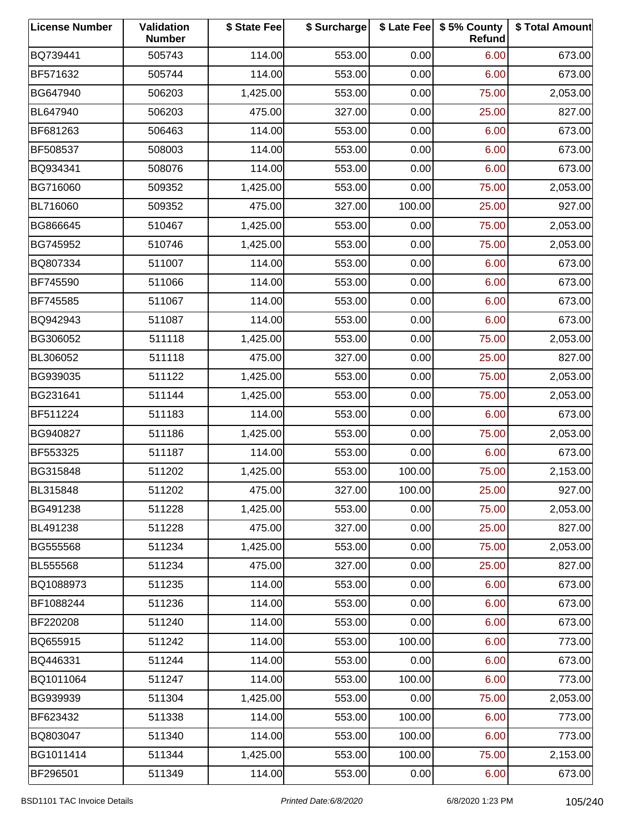| <b>License Number</b> | Validation<br><b>Number</b> | \$ State Fee | \$ Surcharge |        | \$ Late Fee   \$5% County<br>Refund | \$ Total Amount |
|-----------------------|-----------------------------|--------------|--------------|--------|-------------------------------------|-----------------|
| BQ739441              | 505743                      | 114.00       | 553.00       | 0.00   | 6.00                                | 673.00          |
| BF571632              | 505744                      | 114.00       | 553.00       | 0.00   | 6.00                                | 673.00          |
| BG647940              | 506203                      | 1,425.00     | 553.00       | 0.00   | 75.00                               | 2,053.00        |
| BL647940              | 506203                      | 475.00       | 327.00       | 0.00   | 25.00                               | 827.00          |
| BF681263              | 506463                      | 114.00       | 553.00       | 0.00   | 6.00                                | 673.00          |
| BF508537              | 508003                      | 114.00       | 553.00       | 0.00   | 6.00                                | 673.00          |
| BQ934341              | 508076                      | 114.00       | 553.00       | 0.00   | 6.00                                | 673.00          |
| BG716060              | 509352                      | 1,425.00     | 553.00       | 0.00   | 75.00                               | 2,053.00        |
| BL716060              | 509352                      | 475.00       | 327.00       | 100.00 | 25.00                               | 927.00          |
| BG866645              | 510467                      | 1,425.00     | 553.00       | 0.00   | 75.00                               | 2,053.00        |
| BG745952              | 510746                      | 1,425.00     | 553.00       | 0.00   | 75.00                               | 2,053.00        |
| BQ807334              | 511007                      | 114.00       | 553.00       | 0.00   | 6.00                                | 673.00          |
| BF745590              | 511066                      | 114.00       | 553.00       | 0.00   | 6.00                                | 673.00          |
| BF745585              | 511067                      | 114.00       | 553.00       | 0.00   | 6.00                                | 673.00          |
| BQ942943              | 511087                      | 114.00       | 553.00       | 0.00   | 6.00                                | 673.00          |
| BG306052              | 511118                      | 1,425.00     | 553.00       | 0.00   | 75.00                               | 2,053.00        |
| BL306052              | 511118                      | 475.00       | 327.00       | 0.00   | 25.00                               | 827.00          |
| BG939035              | 511122                      | 1,425.00     | 553.00       | 0.00   | 75.00                               | 2,053.00        |
| BG231641              | 511144                      | 1,425.00     | 553.00       | 0.00   | 75.00                               | 2,053.00        |
| BF511224              | 511183                      | 114.00       | 553.00       | 0.00   | 6.00                                | 673.00          |
| BG940827              | 511186                      | 1,425.00     | 553.00       | 0.00   | 75.00                               | 2,053.00        |
| BF553325              | 511187                      | 114.00       | 553.00       | 0.00   | 6.00                                | 673.00          |
| BG315848              | 511202                      | 1,425.00     | 553.00       | 100.00 | 75.00                               | 2,153.00        |
| BL315848              | 511202                      | 475.00       | 327.00       | 100.00 | 25.00                               | 927.00          |
| BG491238              | 511228                      | 1,425.00     | 553.00       | 0.00   | 75.00                               | 2,053.00        |
| BL491238              | 511228                      | 475.00       | 327.00       | 0.00   | 25.00                               | 827.00          |
| BG555568              | 511234                      | 1,425.00     | 553.00       | 0.00   | 75.00                               | 2,053.00        |
| BL555568              | 511234                      | 475.00       | 327.00       | 0.00   | 25.00                               | 827.00          |
| BQ1088973             | 511235                      | 114.00       | 553.00       | 0.00   | 6.00                                | 673.00          |
| BF1088244             | 511236                      | 114.00       | 553.00       | 0.00   | 6.00                                | 673.00          |
| BF220208              | 511240                      | 114.00       | 553.00       | 0.00   | 6.00                                | 673.00          |
| BQ655915              | 511242                      | 114.00       | 553.00       | 100.00 | 6.00                                | 773.00          |
| BQ446331              | 511244                      | 114.00       | 553.00       | 0.00   | 6.00                                | 673.00          |
| BQ1011064             | 511247                      | 114.00       | 553.00       | 100.00 | 6.00                                | 773.00          |
| BG939939              | 511304                      | 1,425.00     | 553.00       | 0.00   | 75.00                               | 2,053.00        |
| BF623432              | 511338                      | 114.00       | 553.00       | 100.00 | 6.00                                | 773.00          |
| BQ803047              | 511340                      | 114.00       | 553.00       | 100.00 | 6.00                                | 773.00          |
| BG1011414             | 511344                      | 1,425.00     | 553.00       | 100.00 | 75.00                               | 2,153.00        |
| BF296501              | 511349                      | 114.00       | 553.00       | 0.00   | 6.00                                | 673.00          |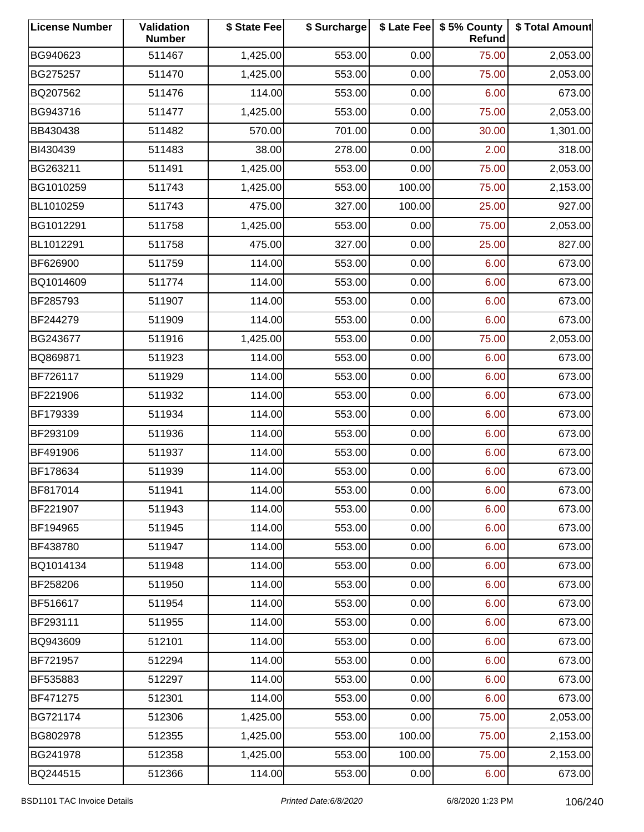| <b>License Number</b> | Validation<br><b>Number</b> | \$ State Fee | \$ Surcharge |        | \$ Late Fee   \$5% County<br>Refund | \$ Total Amount |
|-----------------------|-----------------------------|--------------|--------------|--------|-------------------------------------|-----------------|
| BG940623              | 511467                      | 1,425.00     | 553.00       | 0.00   | 75.00                               | 2,053.00        |
| BG275257              | 511470                      | 1,425.00     | 553.00       | 0.00   | 75.00                               | 2,053.00        |
| BQ207562              | 511476                      | 114.00       | 553.00       | 0.00   | 6.00                                | 673.00          |
| BG943716              | 511477                      | 1,425.00     | 553.00       | 0.00   | 75.00                               | 2,053.00        |
| BB430438              | 511482                      | 570.00       | 701.00       | 0.00   | 30.00                               | 1,301.00        |
| BI430439              | 511483                      | 38.00        | 278.00       | 0.00   | 2.00                                | 318.00          |
| BG263211              | 511491                      | 1,425.00     | 553.00       | 0.00   | 75.00                               | 2,053.00        |
| BG1010259             | 511743                      | 1,425.00     | 553.00       | 100.00 | 75.00                               | 2,153.00        |
| BL1010259             | 511743                      | 475.00       | 327.00       | 100.00 | 25.00                               | 927.00          |
| BG1012291             | 511758                      | 1,425.00     | 553.00       | 0.00   | 75.00                               | 2,053.00        |
| BL1012291             | 511758                      | 475.00       | 327.00       | 0.00   | 25.00                               | 827.00          |
| BF626900              | 511759                      | 114.00       | 553.00       | 0.00   | 6.00                                | 673.00          |
| BQ1014609             | 511774                      | 114.00       | 553.00       | 0.00   | 6.00                                | 673.00          |
| BF285793              | 511907                      | 114.00       | 553.00       | 0.00   | 6.00                                | 673.00          |
| BF244279              | 511909                      | 114.00       | 553.00       | 0.00   | 6.00                                | 673.00          |
| BG243677              | 511916                      | 1,425.00     | 553.00       | 0.00   | 75.00                               | 2,053.00        |
| BQ869871              | 511923                      | 114.00       | 553.00       | 0.00   | 6.00                                | 673.00          |
| BF726117              | 511929                      | 114.00       | 553.00       | 0.00   | 6.00                                | 673.00          |
| BF221906              | 511932                      | 114.00       | 553.00       | 0.00   | 6.00                                | 673.00          |
| BF179339              | 511934                      | 114.00       | 553.00       | 0.00   | 6.00                                | 673.00          |
| BF293109              | 511936                      | 114.00       | 553.00       | 0.00   | 6.00                                | 673.00          |
| BF491906              | 511937                      | 114.00       | 553.00       | 0.00   | 6.00                                | 673.00          |
| BF178634              | 511939                      | 114.00       | 553.00       | 0.00   | 6.00                                | 673.00          |
| BF817014              | 511941                      | 114.00       | 553.00       | 0.00   | 6.00                                | 673.00          |
| BF221907              | 511943                      | 114.00       | 553.00       | 0.00   | 6.00                                | 673.00          |
| BF194965              | 511945                      | 114.00       | 553.00       | 0.00   | 6.00                                | 673.00          |
| BF438780              | 511947                      | 114.00       | 553.00       | 0.00   | 6.00                                | 673.00          |
| BQ1014134             | 511948                      | 114.00       | 553.00       | 0.00   | 6.00                                | 673.00          |
| BF258206              | 511950                      | 114.00       | 553.00       | 0.00   | 6.00                                | 673.00          |
| BF516617              | 511954                      | 114.00       | 553.00       | 0.00   | 6.00                                | 673.00          |
| BF293111              | 511955                      | 114.00       | 553.00       | 0.00   | 6.00                                | 673.00          |
| BQ943609              | 512101                      | 114.00       | 553.00       | 0.00   | 6.00                                | 673.00          |
| BF721957              | 512294                      | 114.00       | 553.00       | 0.00   | 6.00                                | 673.00          |
| BF535883              | 512297                      | 114.00       | 553.00       | 0.00   | 6.00                                | 673.00          |
| BF471275              | 512301                      | 114.00       | 553.00       | 0.00   | 6.00                                | 673.00          |
| BG721174              | 512306                      | 1,425.00     | 553.00       | 0.00   | 75.00                               | 2,053.00        |
| BG802978              | 512355                      | 1,425.00     | 553.00       | 100.00 | 75.00                               | 2,153.00        |
| BG241978              | 512358                      | 1,425.00     | 553.00       | 100.00 | 75.00                               | 2,153.00        |
| BQ244515              | 512366                      | 114.00       | 553.00       | 0.00   | 6.00                                | 673.00          |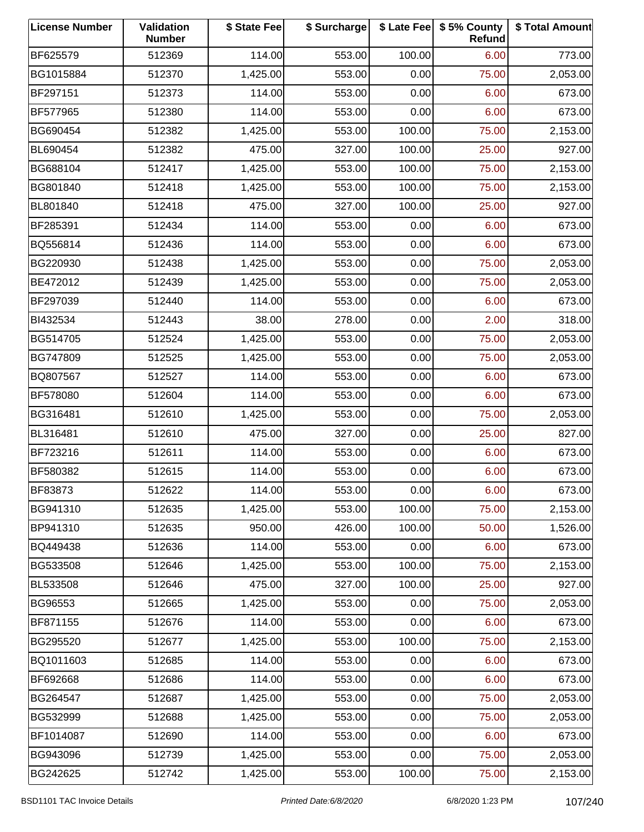| <b>License Number</b> | Validation<br><b>Number</b> | \$ State Fee | \$ Surcharge |        | \$ Late Fee   \$5% County<br>Refund | \$ Total Amount |
|-----------------------|-----------------------------|--------------|--------------|--------|-------------------------------------|-----------------|
| BF625579              | 512369                      | 114.00       | 553.00       | 100.00 | 6.00                                | 773.00          |
| BG1015884             | 512370                      | 1,425.00     | 553.00       | 0.00   | 75.00                               | 2,053.00        |
| BF297151              | 512373                      | 114.00       | 553.00       | 0.00   | 6.00                                | 673.00          |
| BF577965              | 512380                      | 114.00       | 553.00       | 0.00   | 6.00                                | 673.00          |
| BG690454              | 512382                      | 1,425.00     | 553.00       | 100.00 | 75.00                               | 2,153.00        |
| BL690454              | 512382                      | 475.00       | 327.00       | 100.00 | 25.00                               | 927.00          |
| BG688104              | 512417                      | 1,425.00     | 553.00       | 100.00 | 75.00                               | 2,153.00        |
| BG801840              | 512418                      | 1,425.00     | 553.00       | 100.00 | 75.00                               | 2,153.00        |
| BL801840              | 512418                      | 475.00       | 327.00       | 100.00 | 25.00                               | 927.00          |
| BF285391              | 512434                      | 114.00       | 553.00       | 0.00   | 6.00                                | 673.00          |
| BQ556814              | 512436                      | 114.00       | 553.00       | 0.00   | 6.00                                | 673.00          |
| BG220930              | 512438                      | 1,425.00     | 553.00       | 0.00   | 75.00                               | 2,053.00        |
| BE472012              | 512439                      | 1,425.00     | 553.00       | 0.00   | 75.00                               | 2,053.00        |
| BF297039              | 512440                      | 114.00       | 553.00       | 0.00   | 6.00                                | 673.00          |
| BI432534              | 512443                      | 38.00        | 278.00       | 0.00   | 2.00                                | 318.00          |
| BG514705              | 512524                      | 1,425.00     | 553.00       | 0.00   | 75.00                               | 2,053.00        |
| BG747809              | 512525                      | 1,425.00     | 553.00       | 0.00   | 75.00                               | 2,053.00        |
| BQ807567              | 512527                      | 114.00       | 553.00       | 0.00   | 6.00                                | 673.00          |
| BF578080              | 512604                      | 114.00       | 553.00       | 0.00   | 6.00                                | 673.00          |
| BG316481              | 512610                      | 1,425.00     | 553.00       | 0.00   | 75.00                               | 2,053.00        |
| BL316481              | 512610                      | 475.00       | 327.00       | 0.00   | 25.00                               | 827.00          |
| BF723216              | 512611                      | 114.00       | 553.00       | 0.00   | 6.00                                | 673.00          |
| BF580382              | 512615                      | 114.00       | 553.00       | 0.00   | 6.00                                | 673.00          |
| <b>BF83873</b>        | 512622                      | 114.00       | 553.00       | 0.00   | 6.00                                | 673.00          |
| BG941310              | 512635                      | 1,425.00     | 553.00       | 100.00 | 75.00                               | 2,153.00        |
| BP941310              | 512635                      | 950.00       | 426.00       | 100.00 | 50.00                               | 1,526.00        |
| BQ449438              | 512636                      | 114.00       | 553.00       | 0.00   | 6.00                                | 673.00          |
| BG533508              | 512646                      | 1,425.00     | 553.00       | 100.00 | 75.00                               | 2,153.00        |
| BL533508              | 512646                      | 475.00       | 327.00       | 100.00 | 25.00                               | 927.00          |
| BG96553               | 512665                      | 1,425.00     | 553.00       | 0.00   | 75.00                               | 2,053.00        |
| BF871155              | 512676                      | 114.00       | 553.00       | 0.00   | 6.00                                | 673.00          |
| BG295520              | 512677                      | 1,425.00     | 553.00       | 100.00 | 75.00                               | 2,153.00        |
| BQ1011603             | 512685                      | 114.00       | 553.00       | 0.00   | 6.00                                | 673.00          |
| BF692668              | 512686                      | 114.00       | 553.00       | 0.00   | 6.00                                | 673.00          |
| BG264547              | 512687                      | 1,425.00     | 553.00       | 0.00   | 75.00                               | 2,053.00        |
| BG532999              | 512688                      | 1,425.00     | 553.00       | 0.00   | 75.00                               | 2,053.00        |
| BF1014087             | 512690                      | 114.00       | 553.00       | 0.00   | 6.00                                | 673.00          |
| BG943096              | 512739                      | 1,425.00     | 553.00       | 0.00   | 75.00                               | 2,053.00        |
| BG242625              | 512742                      | 1,425.00     | 553.00       | 100.00 | 75.00                               | 2,153.00        |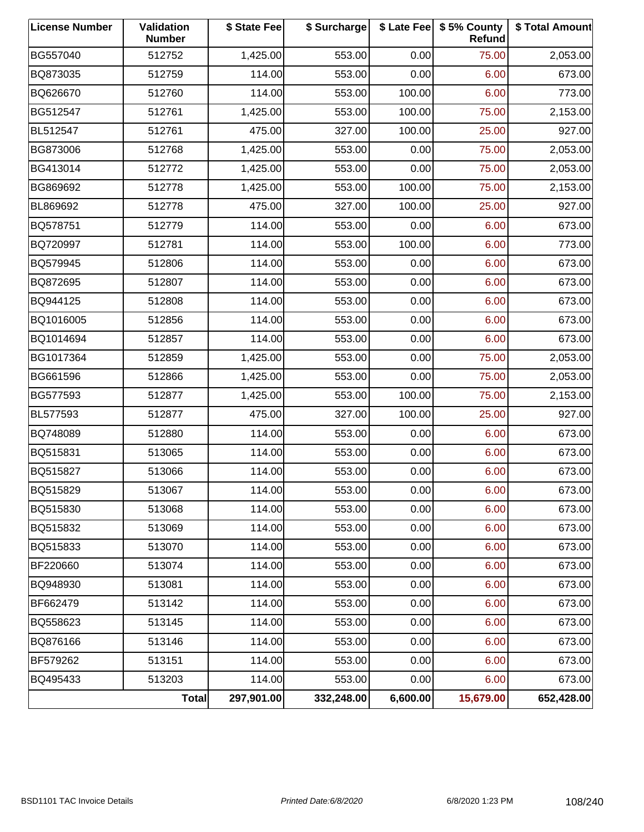| <b>License Number</b> | Validation<br><b>Number</b> | \$ State Fee | \$ Surcharge |          | \$ Late Fee   \$5% County<br><b>Refund</b> | \$ Total Amount |
|-----------------------|-----------------------------|--------------|--------------|----------|--------------------------------------------|-----------------|
| BG557040              | 512752                      | 1,425.00     | 553.00       | 0.00     | 75.00                                      | 2,053.00        |
| BQ873035              | 512759                      | 114.00       | 553.00       | 0.00     | 6.00                                       | 673.00          |
| BQ626670              | 512760                      | 114.00       | 553.00       | 100.00   | 6.00                                       | 773.00          |
| BG512547              | 512761                      | 1,425.00     | 553.00       | 100.00   | 75.00                                      | 2,153.00        |
| BL512547              | 512761                      | 475.00       | 327.00       | 100.00   | 25.00                                      | 927.00          |
| BG873006              | 512768                      | 1,425.00     | 553.00       | 0.00     | 75.00                                      | 2,053.00        |
| BG413014              | 512772                      | 1,425.00     | 553.00       | 0.00     | 75.00                                      | 2,053.00        |
| BG869692              | 512778                      | 1,425.00     | 553.00       | 100.00   | 75.00                                      | 2,153.00        |
| BL869692              | 512778                      | 475.00       | 327.00       | 100.00   | 25.00                                      | 927.00          |
| BQ578751              | 512779                      | 114.00       | 553.00       | 0.00     | 6.00                                       | 673.00          |
| BQ720997              | 512781                      | 114.00       | 553.00       | 100.00   | 6.00                                       | 773.00          |
| BQ579945              | 512806                      | 114.00       | 553.00       | 0.00     | 6.00                                       | 673.00          |
| BQ872695              | 512807                      | 114.00       | 553.00       | 0.00     | 6.00                                       | 673.00          |
| BQ944125              | 512808                      | 114.00       | 553.00       | 0.00     | 6.00                                       | 673.00          |
| BQ1016005             | 512856                      | 114.00       | 553.00       | 0.00     | 6.00                                       | 673.00          |
| BQ1014694             | 512857                      | 114.00       | 553.00       | 0.00     | 6.00                                       | 673.00          |
| BG1017364             | 512859                      | 1,425.00     | 553.00       | 0.00     | 75.00                                      | 2,053.00        |
| BG661596              | 512866                      | 1,425.00     | 553.00       | 0.00     | 75.00                                      | 2,053.00        |
| BG577593              | 512877                      | 1,425.00     | 553.00       | 100.00   | 75.00                                      | 2,153.00        |
| BL577593              | 512877                      | 475.00       | 327.00       | 100.00   | 25.00                                      | 927.00          |
| BQ748089              | 512880                      | 114.00       | 553.00       | 0.00     | 6.00                                       | 673.00          |
| BQ515831              | 513065                      | 114.00       | 553.00       | 0.00     | 6.00                                       | 673.00          |
| BQ515827              | 513066                      | 114.00       | 553.00       | 0.00     | 6.00                                       | 673.00          |
| BQ515829              | 513067                      | 114.00       | 553.00       | 0.00     | 6.00                                       | 673.00          |
| BQ515830              | 513068                      | 114.00       | 553.00       | 0.00     | 6.00                                       | 673.00          |
| BQ515832              | 513069                      | 114.00       | 553.00       | 0.00     | 6.00                                       | 673.00          |
| BQ515833              | 513070                      | 114.00       | 553.00       | 0.00     | 6.00                                       | 673.00          |
| BF220660              | 513074                      | 114.00       | 553.00       | 0.00     | 6.00                                       | 673.00          |
| BQ948930              | 513081                      | 114.00       | 553.00       | 0.00     | 6.00                                       | 673.00          |
| BF662479              | 513142                      | 114.00       | 553.00       | 0.00     | 6.00                                       | 673.00          |
| BQ558623              | 513145                      | 114.00       | 553.00       | 0.00     | 6.00                                       | 673.00          |
| BQ876166              | 513146                      | 114.00       | 553.00       | 0.00     | 6.00                                       | 673.00          |
| BF579262              | 513151                      | 114.00       | 553.00       | 0.00     | 6.00                                       | 673.00          |
| BQ495433              | 513203                      | 114.00       | 553.00       | 0.00     | 6.00                                       | 673.00          |
|                       | <b>Total</b>                | 297,901.00   | 332,248.00   | 6,600.00 | 15,679.00                                  | 652,428.00      |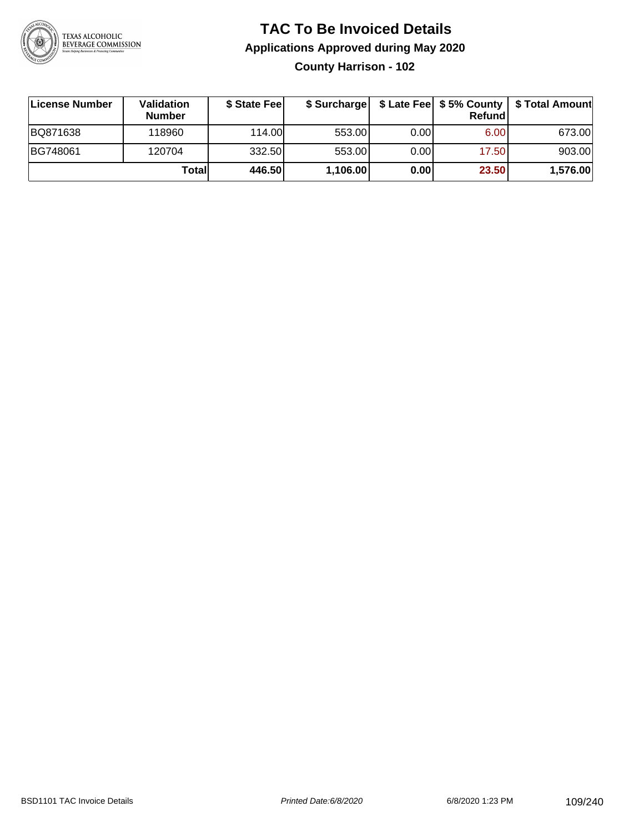

**County Harrison - 102**

| License Number | <b>Validation</b><br><b>Number</b> | \$ State Fee | \$ Surcharge |       | Refundl | \$ Late Fee   \$5% County   \$ Total Amount |
|----------------|------------------------------------|--------------|--------------|-------|---------|---------------------------------------------|
| BQ871638       | 118960                             | 114.00       | 553.00       | 0.001 | 6.00    | 673.00                                      |
| BG748061       | 120704                             | 332.50       | 553.00       | 0.001 | 17.50   | 903.00                                      |
|                | Totall                             | 446.50       | 1,106.00     | 0.00  | 23.50   | 1,576.00                                    |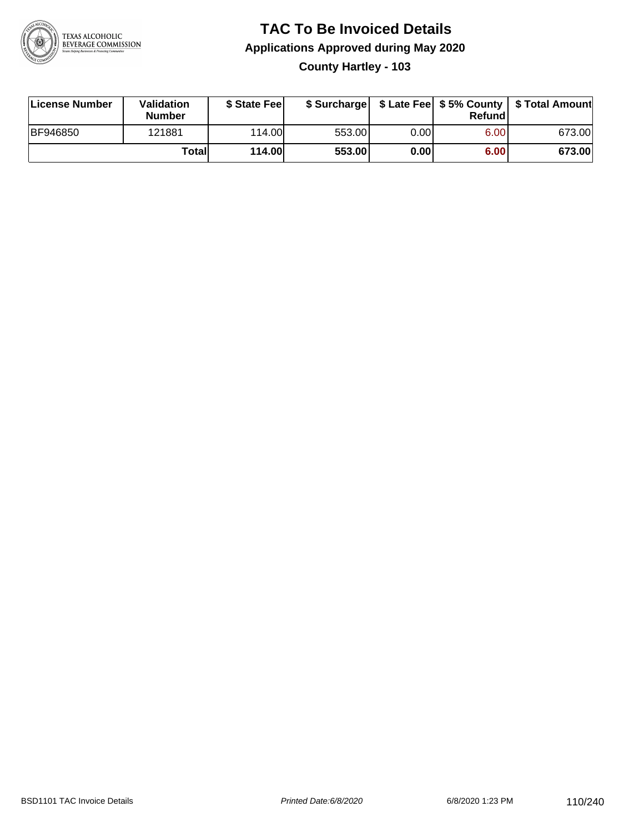

# **TAC To Be Invoiced Details Applications Approved during May 2020 County Hartley - 103**

| License Number  | Validation<br><b>Number</b> | \$ State Fee  |        |      | Refund | \$ Surcharge   \$ Late Fee   \$5% County   \$ Total Amount |
|-----------------|-----------------------------|---------------|--------|------|--------|------------------------------------------------------------|
| <b>BF946850</b> | 121881                      | 114.00        | 553.00 | 0.00 | 6.00   | 673.00                                                     |
|                 | Totall                      | <b>114.00</b> | 553.00 | 0.00 | 6.00   | 673.00                                                     |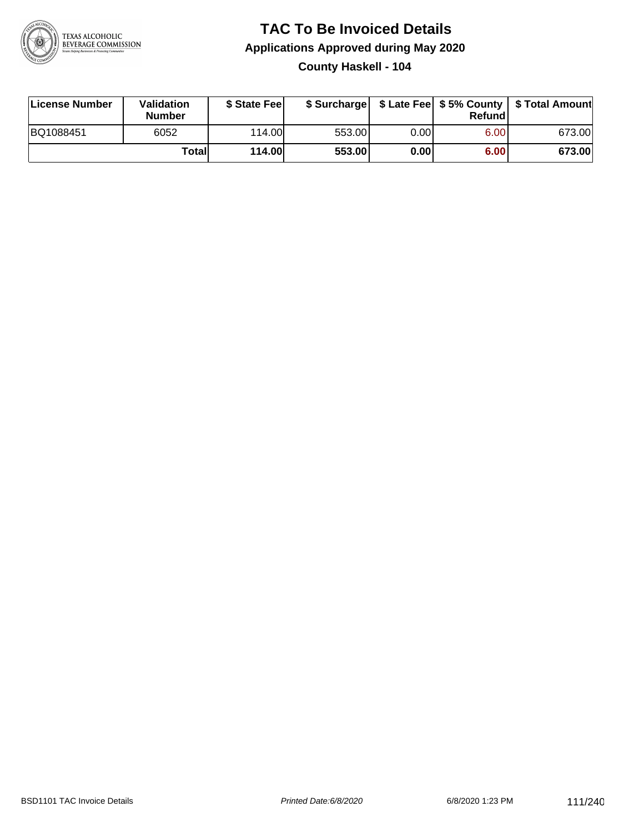

### **TAC To Be Invoiced Details Applications Approved during May 2020 County Haskell - 104**

| License Number | Validation<br><b>Number</b> | \$ State Fee  |        |      | Refund | \$ Surcharge   \$ Late Fee   \$5% County   \$ Total Amount |
|----------------|-----------------------------|---------------|--------|------|--------|------------------------------------------------------------|
| BQ1088451      | 6052                        | 114.00        | 553.00 | 0.00 | 6.00   | 673.00                                                     |
|                | Totall                      | <b>114.00</b> | 553.00 | 0.00 | 6.00   | 673.00                                                     |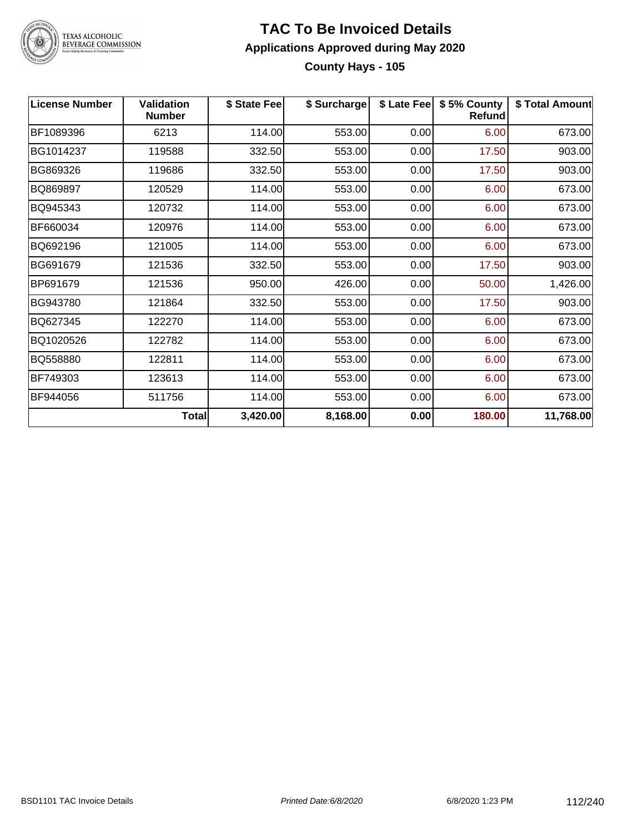

# TEXAS ALCOHOLIC<br>BEVERAGE COMMISSION

### **TAC To Be Invoiced Details Applications Approved during May 2020 County Hays - 105**

| <b>License Number</b> | <b>Validation</b><br><b>Number</b> | \$ State Fee | \$ Surcharge | \$ Late Fee | \$5% County<br>Refund | \$ Total Amount |
|-----------------------|------------------------------------|--------------|--------------|-------------|-----------------------|-----------------|
| BF1089396             | 6213                               | 114.00       | 553.00       | 0.00        | 6.00                  | 673.00          |
| BG1014237             | 119588                             | 332.50       | 553.00       | 0.00        | 17.50                 | 903.00          |
| BG869326              | 119686                             | 332.50       | 553.00       | 0.00        | 17.50                 | 903.00          |
| BQ869897              | 120529                             | 114.00       | 553.00       | 0.00        | 6.00                  | 673.00          |
| BQ945343              | 120732                             | 114.00       | 553.00       | 0.00        | 6.00                  | 673.00          |
| BF660034              | 120976                             | 114.00       | 553.00       | 0.00        | 6.00                  | 673.00          |
| BQ692196              | 121005                             | 114.00       | 553.00       | 0.00        | 6.00                  | 673.00          |
| BG691679              | 121536                             | 332.50       | 553.00       | 0.00        | 17.50                 | 903.00          |
| BP691679              | 121536                             | 950.00       | 426.00       | 0.00        | 50.00                 | 1,426.00        |
| BG943780              | 121864                             | 332.50       | 553.00       | 0.00        | 17.50                 | 903.00          |
| BQ627345              | 122270                             | 114.00       | 553.00       | 0.00        | 6.00                  | 673.00          |
| BQ1020526             | 122782                             | 114.00       | 553.00       | 0.00        | 6.00                  | 673.00          |
| BQ558880              | 122811                             | 114.00       | 553.00       | 0.00        | 6.00                  | 673.00          |
| BF749303              | 123613                             | 114.00       | 553.00       | 0.00        | 6.00                  | 673.00          |
| BF944056              | 511756                             | 114.00       | 553.00       | 0.00        | 6.00                  | 673.00          |
|                       | Total                              | 3,420.00     | 8,168.00     | 0.00        | 180.00                | 11,768.00       |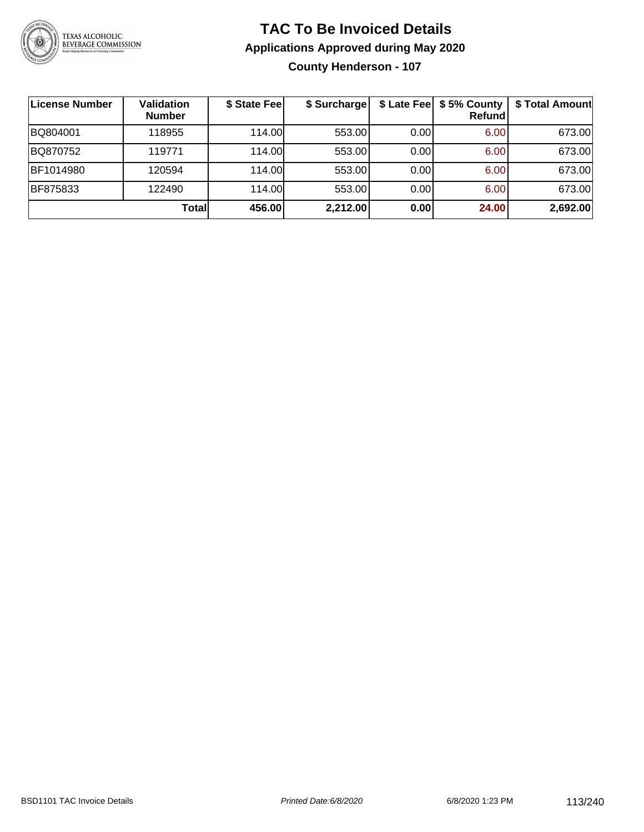

### **TAC To Be Invoiced Details Applications Approved during May 2020 County Henderson - 107**

| License Number | Validation<br><b>Number</b> | \$ State Fee | \$ Surcharge | \$ Late Fee | \$5% County<br>Refund | \$ Total Amount |
|----------------|-----------------------------|--------------|--------------|-------------|-----------------------|-----------------|
| BQ804001       | 118955                      | 114.00L      | 553.00       | 0.00        | 6.00                  | 673.00          |
| BQ870752       | 119771                      | 114.00L      | 553.00       | 0.00        | 6.00                  | 673.00          |
| BF1014980      | 120594                      | 114.00       | 553.00       | 0.00        | 6.00                  | 673.00          |
| BF875833       | 122490                      | 114.00       | 553.00       | 0.00        | 6.00                  | 673.00          |
|                | Total                       | 456.00       | 2,212.00     | 0.00        | 24.00                 | 2,692.00        |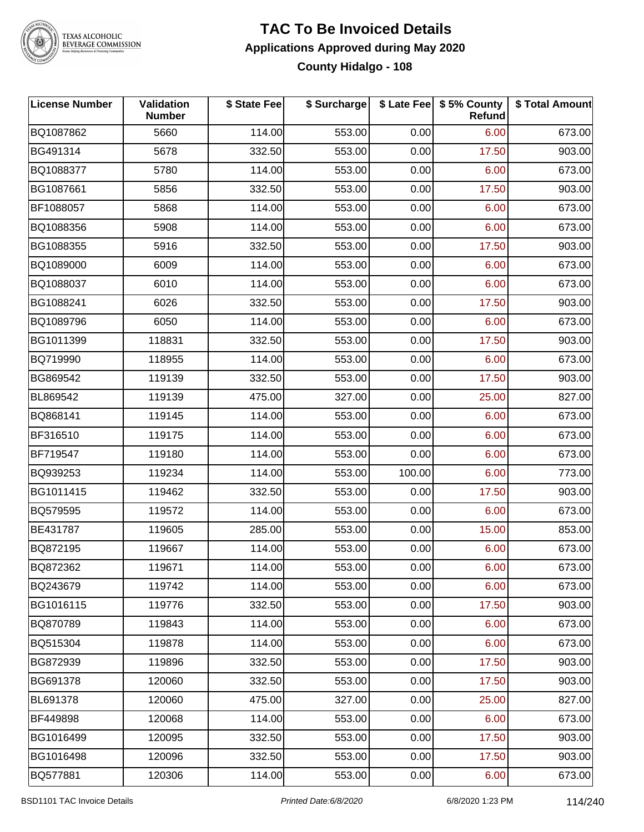

# TEXAS ALCOHOLIC<br>BEVERAGE COMMISSION

### **TAC To Be Invoiced Details Applications Approved during May 2020 County Hidalgo - 108**

| License Number | Validation<br><b>Number</b> | \$ State Fee | \$ Surcharge |        | \$ Late Fee   \$5% County<br>Refund | \$ Total Amount |
|----------------|-----------------------------|--------------|--------------|--------|-------------------------------------|-----------------|
| BQ1087862      | 5660                        | 114.00       | 553.00       | 0.00   | 6.00                                | 673.00          |
| BG491314       | 5678                        | 332.50       | 553.00       | 0.00   | 17.50                               | 903.00          |
| BQ1088377      | 5780                        | 114.00       | 553.00       | 0.00   | 6.00                                | 673.00          |
| BG1087661      | 5856                        | 332.50       | 553.00       | 0.00   | 17.50                               | 903.00          |
| BF1088057      | 5868                        | 114.00       | 553.00       | 0.00   | 6.00                                | 673.00          |
| BQ1088356      | 5908                        | 114.00       | 553.00       | 0.00   | 6.00                                | 673.00          |
| BG1088355      | 5916                        | 332.50       | 553.00       | 0.00   | 17.50                               | 903.00          |
| BQ1089000      | 6009                        | 114.00       | 553.00       | 0.00   | 6.00                                | 673.00          |
| BQ1088037      | 6010                        | 114.00       | 553.00       | 0.00   | 6.00                                | 673.00          |
| BG1088241      | 6026                        | 332.50       | 553.00       | 0.00   | 17.50                               | 903.00          |
| BQ1089796      | 6050                        | 114.00       | 553.00       | 0.00   | 6.00                                | 673.00          |
| BG1011399      | 118831                      | 332.50       | 553.00       | 0.00   | 17.50                               | 903.00          |
| BQ719990       | 118955                      | 114.00       | 553.00       | 0.00   | 6.00                                | 673.00          |
| BG869542       | 119139                      | 332.50       | 553.00       | 0.00   | 17.50                               | 903.00          |
| BL869542       | 119139                      | 475.00       | 327.00       | 0.00   | 25.00                               | 827.00          |
| BQ868141       | 119145                      | 114.00       | 553.00       | 0.00   | 6.00                                | 673.00          |
| BF316510       | 119175                      | 114.00       | 553.00       | 0.00   | 6.00                                | 673.00          |
| BF719547       | 119180                      | 114.00       | 553.00       | 0.00   | 6.00                                | 673.00          |
| BQ939253       | 119234                      | 114.00       | 553.00       | 100.00 | 6.00                                | 773.00          |
| BG1011415      | 119462                      | 332.50       | 553.00       | 0.00   | 17.50                               | 903.00          |
| BQ579595       | 119572                      | 114.00       | 553.00       | 0.00   | 6.00                                | 673.00          |
| BE431787       | 119605                      | 285.00       | 553.00       | 0.00   | 15.00                               | 853.00          |
| BQ872195       | 119667                      | 114.00       | 553.00       | 0.00   | 6.00                                | 673.00          |
| BQ872362       | 119671                      | 114.00       | 553.00       | 0.00   | 6.00                                | 673.00          |
| BQ243679       | 119742                      | 114.00       | 553.00       | 0.00   | 6.00                                | 673.00          |
| BG1016115      | 119776                      | 332.50       | 553.00       | 0.00   | 17.50                               | 903.00          |
| BQ870789       | 119843                      | 114.00       | 553.00       | 0.00   | 6.00                                | 673.00          |
| BQ515304       | 119878                      | 114.00       | 553.00       | 0.00   | 6.00                                | 673.00          |
| BG872939       | 119896                      | 332.50       | 553.00       | 0.00   | 17.50                               | 903.00          |
| BG691378       | 120060                      | 332.50       | 553.00       | 0.00   | 17.50                               | 903.00          |
| BL691378       | 120060                      | 475.00       | 327.00       | 0.00   | 25.00                               | 827.00          |
| BF449898       | 120068                      | 114.00       | 553.00       | 0.00   | 6.00                                | 673.00          |
| BG1016499      | 120095                      | 332.50       | 553.00       | 0.00   | 17.50                               | 903.00          |
| BG1016498      | 120096                      | 332.50       | 553.00       | 0.00   | 17.50                               | 903.00          |
| BQ577881       | 120306                      | 114.00       | 553.00       | 0.00   | 6.00                                | 673.00          |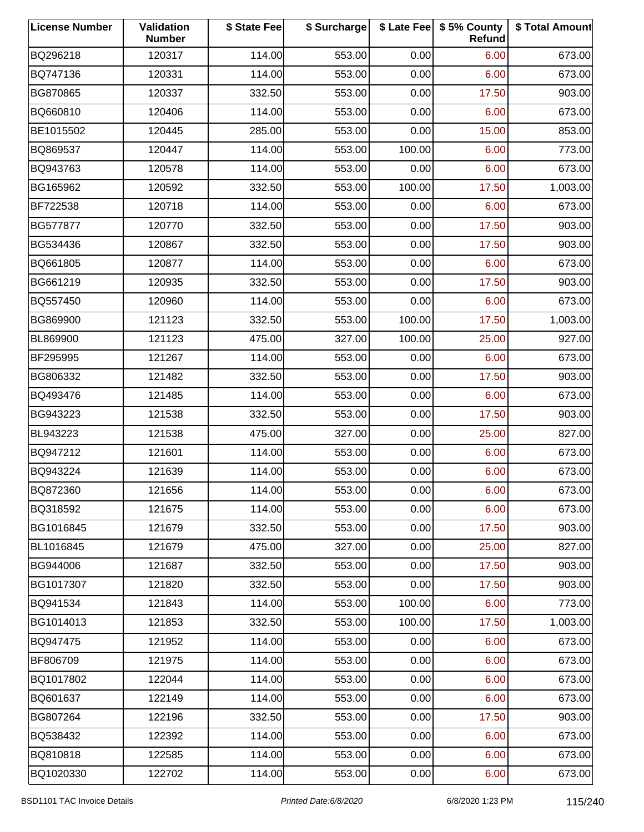| <b>License Number</b> | Validation<br><b>Number</b> | \$ State Fee | \$ Surcharge |        | \$ Late Fee   \$5% County<br>Refund | \$ Total Amount |
|-----------------------|-----------------------------|--------------|--------------|--------|-------------------------------------|-----------------|
| BQ296218              | 120317                      | 114.00       | 553.00       | 0.00   | 6.00                                | 673.00          |
| BQ747136              | 120331                      | 114.00       | 553.00       | 0.00   | 6.00                                | 673.00          |
| BG870865              | 120337                      | 332.50       | 553.00       | 0.00   | 17.50                               | 903.00          |
| BQ660810              | 120406                      | 114.00       | 553.00       | 0.00   | 6.00                                | 673.00          |
| BE1015502             | 120445                      | 285.00       | 553.00       | 0.00   | 15.00                               | 853.00          |
| BQ869537              | 120447                      | 114.00       | 553.00       | 100.00 | 6.00                                | 773.00          |
| BQ943763              | 120578                      | 114.00       | 553.00       | 0.00   | 6.00                                | 673.00          |
| BG165962              | 120592                      | 332.50       | 553.00       | 100.00 | 17.50                               | 1,003.00        |
| BF722538              | 120718                      | 114.00       | 553.00       | 0.00   | 6.00                                | 673.00          |
| BG577877              | 120770                      | 332.50       | 553.00       | 0.00   | 17.50                               | 903.00          |
| BG534436              | 120867                      | 332.50       | 553.00       | 0.00   | 17.50                               | 903.00          |
| BQ661805              | 120877                      | 114.00       | 553.00       | 0.00   | 6.00                                | 673.00          |
| BG661219              | 120935                      | 332.50       | 553.00       | 0.00   | 17.50                               | 903.00          |
| BQ557450              | 120960                      | 114.00       | 553.00       | 0.00   | 6.00                                | 673.00          |
| BG869900              | 121123                      | 332.50       | 553.00       | 100.00 | 17.50                               | 1,003.00        |
| BL869900              | 121123                      | 475.00       | 327.00       | 100.00 | 25.00                               | 927.00          |
| BF295995              | 121267                      | 114.00       | 553.00       | 0.00   | 6.00                                | 673.00          |
| BG806332              | 121482                      | 332.50       | 553.00       | 0.00   | 17.50                               | 903.00          |
| BQ493476              | 121485                      | 114.00       | 553.00       | 0.00   | 6.00                                | 673.00          |
| BG943223              | 121538                      | 332.50       | 553.00       | 0.00   | 17.50                               | 903.00          |
| BL943223              | 121538                      | 475.00       | 327.00       | 0.00   | 25.00                               | 827.00          |
| BQ947212              | 121601                      | 114.00       | 553.00       | 0.00   | 6.00                                | 673.00          |
| BQ943224              | 121639                      | 114.00       | 553.00       | 0.00   | 6.00                                | 673.00          |
| BQ872360              | 121656                      | 114.00       | 553.00       | 0.00   | 6.00                                | 673.00          |
| BQ318592              | 121675                      | 114.00       | 553.00       | 0.00   | 6.00                                | 673.00          |
| BG1016845             | 121679                      | 332.50       | 553.00       | 0.00   | 17.50                               | 903.00          |
| BL1016845             | 121679                      | 475.00       | 327.00       | 0.00   | 25.00                               | 827.00          |
| BG944006              | 121687                      | 332.50       | 553.00       | 0.00   | 17.50                               | 903.00          |
| BG1017307             | 121820                      | 332.50       | 553.00       | 0.00   | 17.50                               | 903.00          |
| BQ941534              | 121843                      | 114.00       | 553.00       | 100.00 | 6.00                                | 773.00          |
| BG1014013             | 121853                      | 332.50       | 553.00       | 100.00 | 17.50                               | 1,003.00        |
| BQ947475              | 121952                      | 114.00       | 553.00       | 0.00   | 6.00                                | 673.00          |
| BF806709              | 121975                      | 114.00       | 553.00       | 0.00   | 6.00                                | 673.00          |
| BQ1017802             | 122044                      | 114.00       | 553.00       | 0.00   | 6.00                                | 673.00          |
| BQ601637              | 122149                      | 114.00       | 553.00       | 0.00   | 6.00                                | 673.00          |
| BG807264              | 122196                      | 332.50       | 553.00       | 0.00   | 17.50                               | 903.00          |
| BQ538432              | 122392                      | 114.00       | 553.00       | 0.00   | 6.00                                | 673.00          |
| BQ810818              | 122585                      | 114.00       | 553.00       | 0.00   | 6.00                                | 673.00          |
| BQ1020330             | 122702                      | 114.00       | 553.00       | 0.00   | 6.00                                | 673.00          |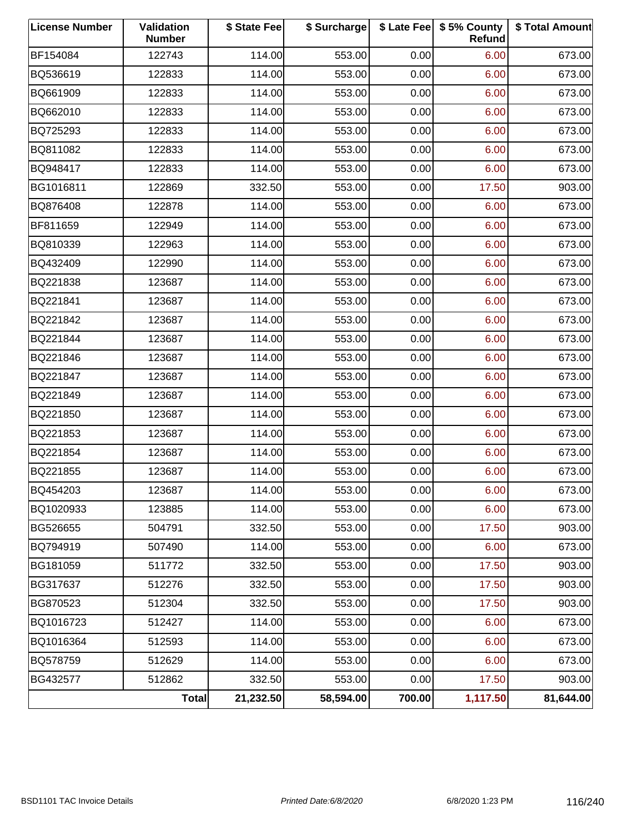| <b>License Number</b> | Validation<br><b>Number</b> | \$ State Fee | \$ Surcharge |        | \$ Late Fee   \$5% County<br>Refund | \$ Total Amount |
|-----------------------|-----------------------------|--------------|--------------|--------|-------------------------------------|-----------------|
| BF154084              | 122743                      | 114.00       | 553.00       | 0.00   | 6.00                                | 673.00          |
| BQ536619              | 122833                      | 114.00       | 553.00       | 0.00   | 6.00                                | 673.00          |
| BQ661909              | 122833                      | 114.00       | 553.00       | 0.00   | 6.00                                | 673.00          |
| BQ662010              | 122833                      | 114.00       | 553.00       | 0.00   | 6.00                                | 673.00          |
| BQ725293              | 122833                      | 114.00       | 553.00       | 0.00   | 6.00                                | 673.00          |
| BQ811082              | 122833                      | 114.00       | 553.00       | 0.00   | 6.00                                | 673.00          |
| BQ948417              | 122833                      | 114.00       | 553.00       | 0.00   | 6.00                                | 673.00          |
| BG1016811             | 122869                      | 332.50       | 553.00       | 0.00   | 17.50                               | 903.00          |
| BQ876408              | 122878                      | 114.00       | 553.00       | 0.00   | 6.00                                | 673.00          |
| BF811659              | 122949                      | 114.00       | 553.00       | 0.00   | 6.00                                | 673.00          |
| BQ810339              | 122963                      | 114.00       | 553.00       | 0.00   | 6.00                                | 673.00          |
| BQ432409              | 122990                      | 114.00       | 553.00       | 0.00   | 6.00                                | 673.00          |
| BQ221838              | 123687                      | 114.00       | 553.00       | 0.00   | 6.00                                | 673.00          |
| BQ221841              | 123687                      | 114.00       | 553.00       | 0.00   | 6.00                                | 673.00          |
| BQ221842              | 123687                      | 114.00       | 553.00       | 0.00   | 6.00                                | 673.00          |
| BQ221844              | 123687                      | 114.00       | 553.00       | 0.00   | 6.00                                | 673.00          |
| BQ221846              | 123687                      | 114.00       | 553.00       | 0.00   | 6.00                                | 673.00          |
| BQ221847              | 123687                      | 114.00       | 553.00       | 0.00   | 6.00                                | 673.00          |
| BQ221849              | 123687                      | 114.00       | 553.00       | 0.00   | 6.00                                | 673.00          |
| BQ221850              | 123687                      | 114.00       | 553.00       | 0.00   | 6.00                                | 673.00          |
| BQ221853              | 123687                      | 114.00       | 553.00       | 0.00   | 6.00                                | 673.00          |
| BQ221854              | 123687                      | 114.00       | 553.00       | 0.00   | 6.00                                | 673.00          |
| BQ221855              | 123687                      | 114.00       | 553.00       | 0.00   | 6.00                                | 673.00          |
| BQ454203              | 123687                      | 114.00       | 553.00       | 0.00   | 6.00                                | 673.00          |
| BQ1020933             | 123885                      | 114.00       | 553.00       | 0.00   | 6.00                                | 673.00          |
| BG526655              | 504791                      | 332.50       | 553.00       | 0.00   | 17.50                               | 903.00          |
| BQ794919              | 507490                      | 114.00       | 553.00       | 0.00   | 6.00                                | 673.00          |
| BG181059              | 511772                      | 332.50       | 553.00       | 0.00   | 17.50                               | 903.00          |
| BG317637              | 512276                      | 332.50       | 553.00       | 0.00   | 17.50                               | 903.00          |
| BG870523              | 512304                      | 332.50       | 553.00       | 0.00   | 17.50                               | 903.00          |
| BQ1016723             | 512427                      | 114.00       | 553.00       | 0.00   | 6.00                                | 673.00          |
| BQ1016364             | 512593                      | 114.00       | 553.00       | 0.00   | 6.00                                | 673.00          |
| BQ578759              | 512629                      | 114.00       | 553.00       | 0.00   | 6.00                                | 673.00          |
| BG432577              | 512862                      | 332.50       | 553.00       | 0.00   | 17.50                               | 903.00          |
|                       | <b>Total</b>                | 21,232.50    | 58,594.00    | 700.00 | 1,117.50                            | 81,644.00       |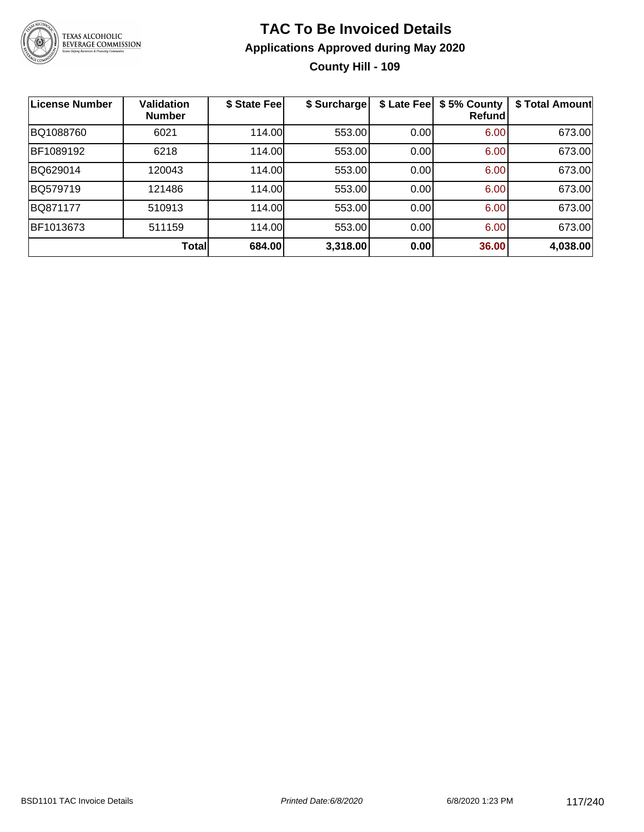

## **TAC To Be Invoiced Details Applications Approved during May 2020 County Hill - 109**

| <b>License Number</b> | <b>Validation</b><br><b>Number</b> | \$ State Fee | \$ Surcharge | \$ Late Fee | \$5% County<br>Refund | \$ Total Amount |
|-----------------------|------------------------------------|--------------|--------------|-------------|-----------------------|-----------------|
| BQ1088760             | 6021                               | 114.00       | 553.00       | 0.00        | 6.00                  | 673.00          |
| BF1089192             | 6218                               | 114.00       | 553.00       | 0.00        | 6.00                  | 673.00          |
| BQ629014              | 120043                             | 114.00       | 553.00       | 0.00        | 6.00                  | 673.00          |
| BQ579719              | 121486                             | 114.00       | 553.00       | 0.00        | 6.00                  | 673.00          |
| BQ871177              | 510913                             | 114.00       | 553.00       | 0.00        | 6.00                  | 673.00          |
| BF1013673             | 511159                             | 114.00       | 553.00       | 0.00        | 6.00                  | 673.00          |
|                       | <b>Total</b>                       | 684.00       | 3,318.00     | 0.00        | 36.00                 | 4,038.00        |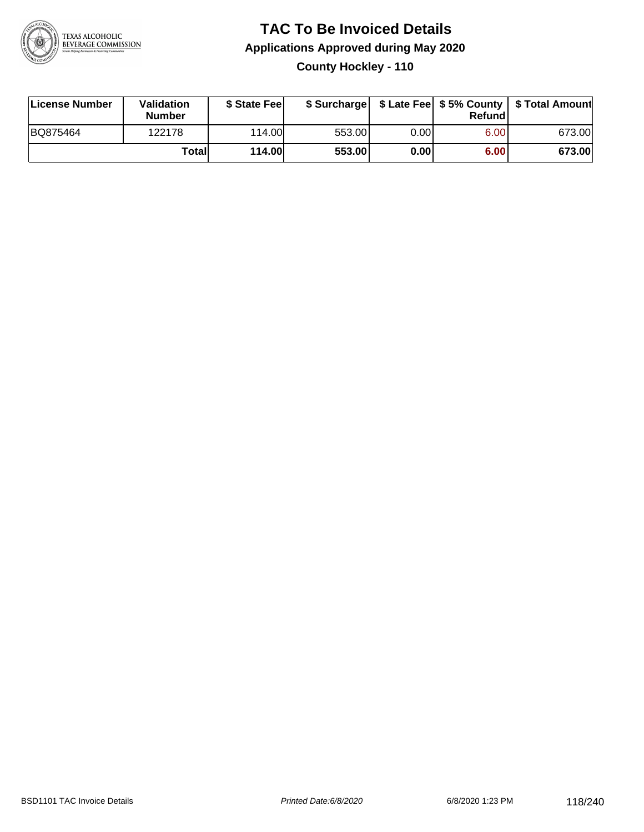

### **TAC To Be Invoiced Details Applications Approved during May 2020 County Hockley - 110**

| License Number | Validation<br><b>Number</b> | \$ State Feel |        |      | Refundl | \$ Surcharge   \$ Late Fee   \$5% County   \$ Total Amount |
|----------------|-----------------------------|---------------|--------|------|---------|------------------------------------------------------------|
| BQ875464       | 122178                      | 114.00        | 553.00 | 0.00 | 6.00    | 673.00                                                     |
|                | Totall                      | <b>114.00</b> | 553.00 | 0.00 | 6.00    | 673.00                                                     |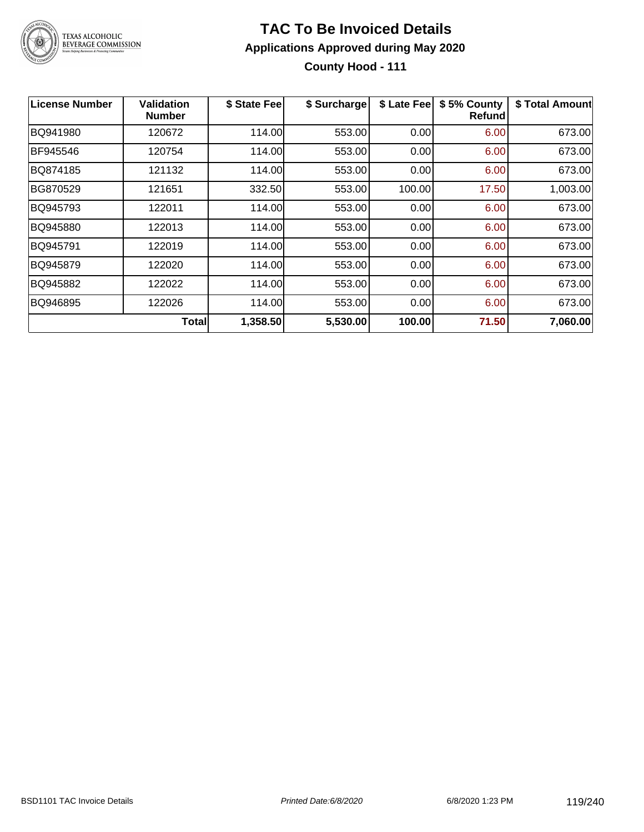

### **TAC To Be Invoiced Details Applications Approved during May 2020 County Hood - 111**

| <b>License Number</b> | Validation<br><b>Number</b> | \$ State Fee | \$ Surcharge | \$ Late Fee | \$5% County<br>Refund | \$ Total Amount |
|-----------------------|-----------------------------|--------------|--------------|-------------|-----------------------|-----------------|
| BQ941980              | 120672                      | 114.00       | 553.00       | 0.00        | 6.00                  | 673.00          |
| BF945546              | 120754                      | 114.00       | 553.00       | 0.00        | 6.00                  | 673.00          |
| BQ874185              | 121132                      | 114.00       | 553.00       | 0.00        | 6.00                  | 673.00          |
| <b>BG870529</b>       | 121651                      | 332.50       | 553.00       | 100.00      | 17.50                 | 1,003.00        |
| BQ945793              | 122011                      | 114.00       | 553.00       | 0.00        | 6.00                  | 673.00          |
| BQ945880              | 122013                      | 114.00       | 553.00       | 0.00        | 6.00                  | 673.00          |
| BQ945791              | 122019                      | 114.00       | 553.00       | 0.00        | 6.00                  | 673.00          |
| BQ945879              | 122020                      | 114.00       | 553.00       | 0.00        | 6.00                  | 673.00          |
| BQ945882              | 122022                      | 114.00       | 553.00       | 0.00        | 6.00                  | 673.00          |
| BQ946895              | 122026                      | 114.00       | 553.00       | 0.00        | 6.00                  | 673.00          |
|                       | Totall                      | 1,358.50     | 5,530.00     | 100.00      | 71.50                 | 7,060.00        |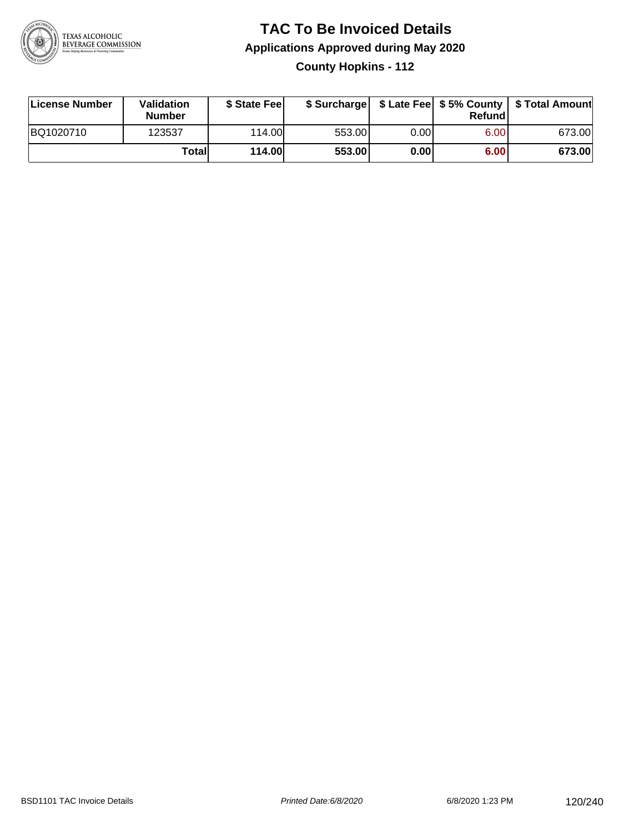

**County Hopkins - 112**

| License Number | <b>Validation</b><br><b>Number</b> | \$ State Feel |        |      | Refundl | \$ Surcharge   \$ Late Fee   \$5% County   \$ Total Amount |
|----------------|------------------------------------|---------------|--------|------|---------|------------------------------------------------------------|
| BQ1020710      | 123537                             | 114.00        | 553.00 | 0.00 | 6.00    | 673.00                                                     |
|                | Totall                             | <b>114.00</b> | 553.00 | 0.00 | 6.00    | 673.00                                                     |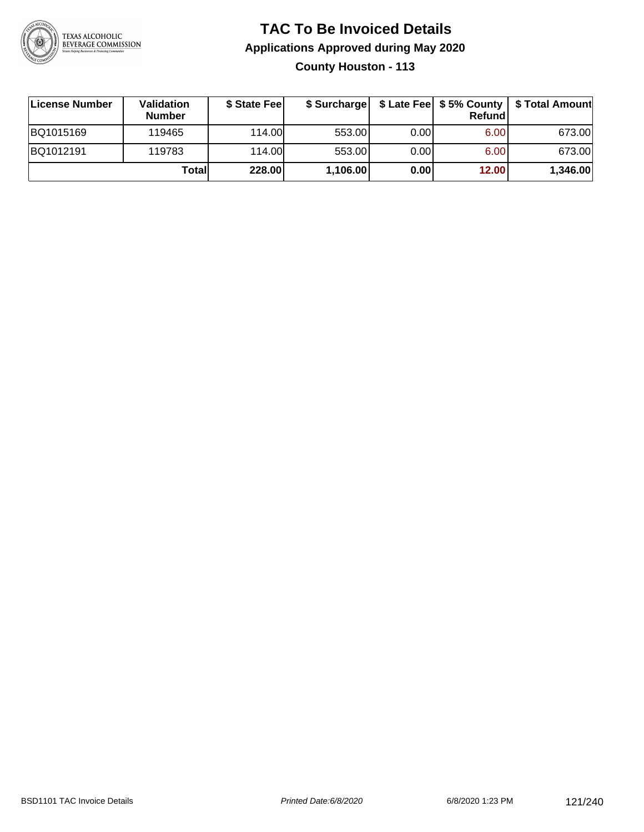

## **TAC To Be Invoiced Details Applications Approved during May 2020 County Houston - 113**

| License Number | Validation<br><b>Number</b> | \$ State Fee |          |      | Refundl | \$ Surcharge   \$ Late Fee   \$5% County   \$ Total Amount |
|----------------|-----------------------------|--------------|----------|------|---------|------------------------------------------------------------|
| BQ1015169      | 119465                      | 114.00L      | 553.00   | 0.00 | 6.00    | 673.00                                                     |
| BQ1012191      | 119783                      | 114.00       | 553.00   | 0.00 | 6.00    | 673.00                                                     |
|                | Totall                      | 228.00       | 1,106.00 | 0.00 | 12.00   | 1,346.00                                                   |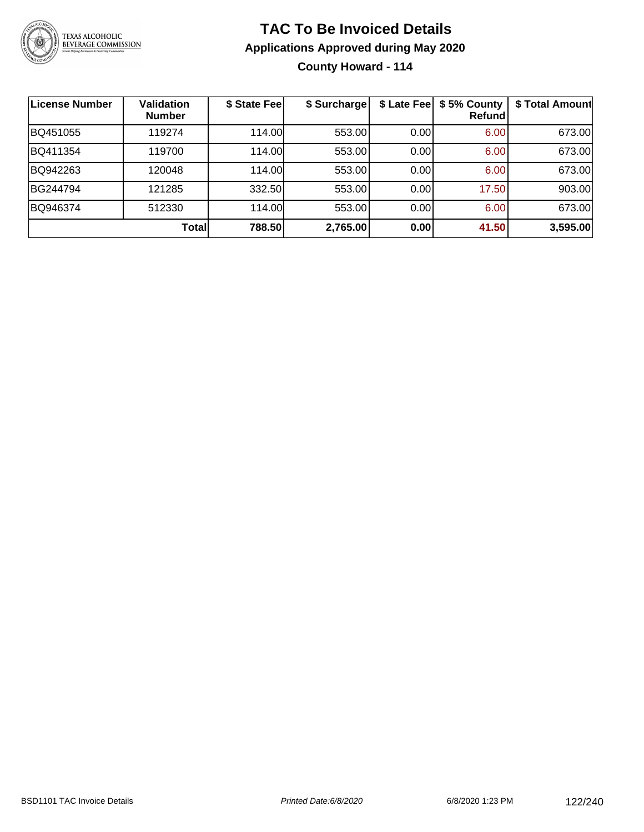

**County Howard - 114**

| License Number | <b>Validation</b><br><b>Number</b> | \$ State Fee | \$ Surcharge | \$ Late Fee | \$5% County<br>Refundl | \$ Total Amount |
|----------------|------------------------------------|--------------|--------------|-------------|------------------------|-----------------|
| BQ451055       | 119274                             | 114.00       | 553.00       | 0.00        | 6.00                   | 673.00          |
| BQ411354       | 119700                             | 114.00L      | 553.00       | 0.00        | 6.00                   | 673.00          |
| BQ942263       | 120048                             | 114.00       | 553.00       | 0.00        | 6.00                   | 673.00          |
| BG244794       | 121285                             | 332.50       | 553.00       | 0.00        | 17.50                  | 903.00          |
| BQ946374       | 512330                             | 114.00       | 553.00       | 0.00        | 6.00                   | 673.00          |
|                | <b>Total</b>                       | 788.50       | 2,765.00     | 0.00        | 41.50                  | 3,595.00        |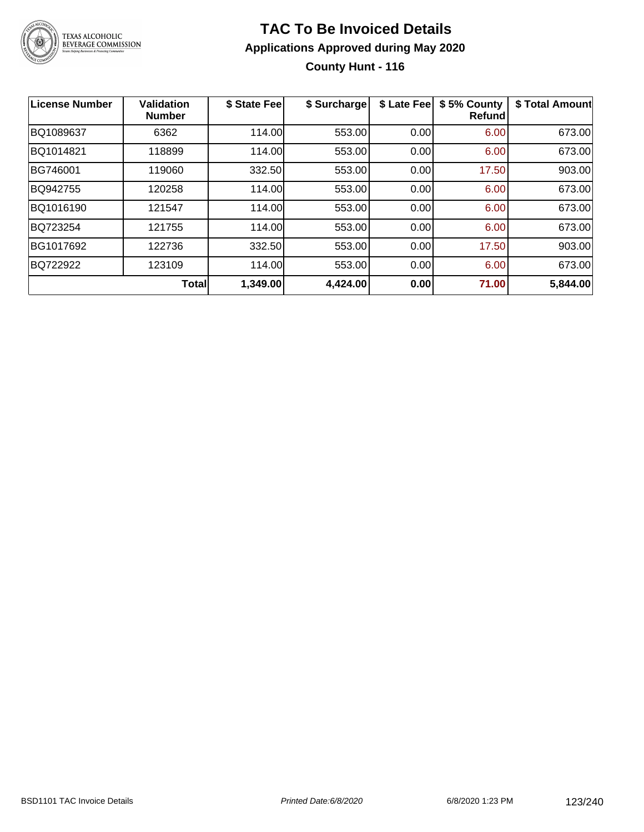

## **TAC To Be Invoiced Details Applications Approved during May 2020 County Hunt - 116**

| <b>License Number</b> | <b>Validation</b><br><b>Number</b> | \$ State Fee | \$ Surcharge | \$ Late Fee | \$5% County<br><b>Refund</b> | \$ Total Amount |
|-----------------------|------------------------------------|--------------|--------------|-------------|------------------------------|-----------------|
| BQ1089637             | 6362                               | 114.00       | 553.00       | 0.00        | 6.00                         | 673.00          |
| BQ1014821             | 118899                             | 114.00       | 553.00       | 0.00        | 6.00                         | 673.00          |
| BG746001              | 119060                             | 332.50       | 553.00       | 0.00        | 17.50                        | 903.00          |
| BQ942755              | 120258                             | 114.00       | 553.00       | 0.00        | 6.00                         | 673.00          |
| BQ1016190             | 121547                             | 114.00       | 553.00       | 0.00        | 6.00                         | 673.00          |
| BQ723254              | 121755                             | 114.00       | 553.00       | 0.00        | 6.00                         | 673.00          |
| BG1017692             | 122736                             | 332.50       | 553.00       | 0.00        | 17.50                        | 903.00          |
| BQ722922              | 123109                             | 114.00       | 553.00       | 0.00        | 6.00                         | 673.00          |
|                       | <b>Total</b>                       | 1,349.00     | 4,424.00     | 0.00        | 71.00                        | 5,844.00        |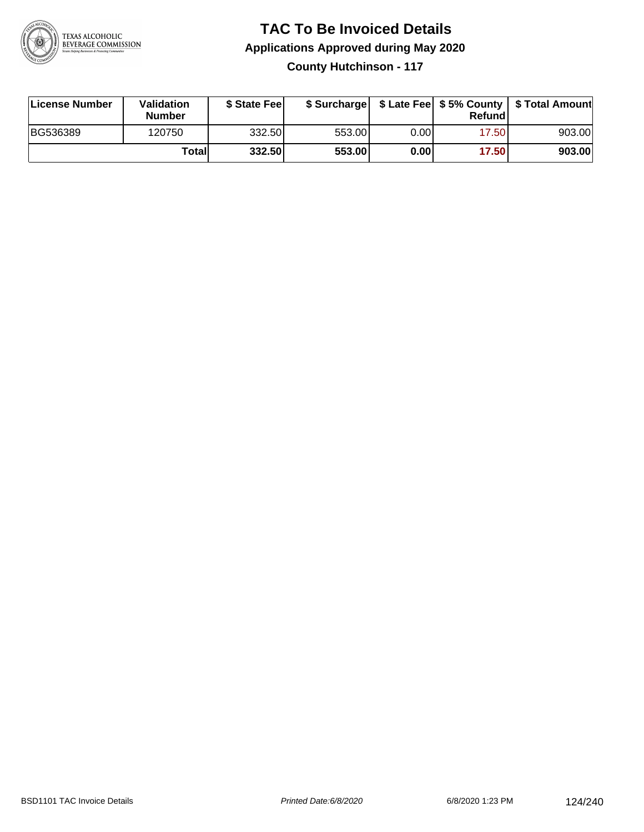

**County Hutchinson - 117**

| License Number | <b>Validation</b><br><b>Number</b> | \$ State Feel |        |       | Refundl | \$ Surcharge   \$ Late Fee   \$5% County   \$ Total Amount |
|----------------|------------------------------------|---------------|--------|-------|---------|------------------------------------------------------------|
| BG536389       | 120750                             | 332.50        | 553.00 | 0.001 | 17.50   | 903.00                                                     |
|                | Totall                             | 332.50        | 553.00 | 0.00  | 17.50   | 903.00                                                     |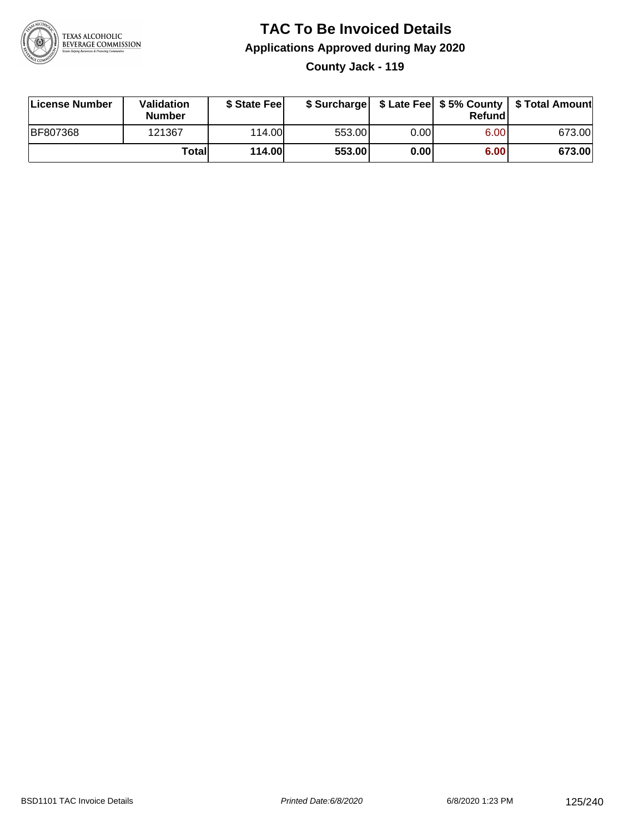

**County Jack - 119**

| License Number  | Validation<br><b>Number</b> | \$ State Feel | \$ Surcharge |      | Refundl | \$ Late Fee   \$5% County   \$ Total Amount |
|-----------------|-----------------------------|---------------|--------------|------|---------|---------------------------------------------|
| <b>BF807368</b> | 121367                      | 114.00L       | 553.00       | 0.00 | 6.00    | 673.00                                      |
|                 | Totall                      | <b>114.00</b> | 553.00       | 0.00 | 6.00    | 673.00                                      |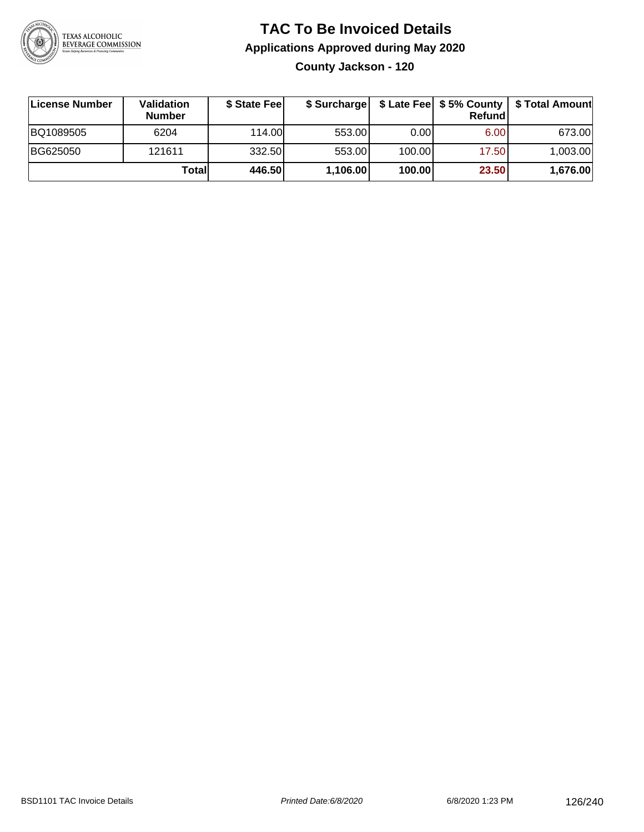

**County Jackson - 120**

| ∣License Number | Validation<br><b>Number</b> | \$ State Fee | \$ Surcharge |        | Refundl | \$ Late Fee   \$5% County   \$ Total Amount |
|-----------------|-----------------------------|--------------|--------------|--------|---------|---------------------------------------------|
| BQ1089505       | 6204                        | 114.00L      | 553.00       | 0.00   | 6.00    | 673.00                                      |
| BG625050        | 121611                      | 332.50       | 553.00       | 100.00 | 17.50   | 1,003.00                                    |
|                 | Total                       | 446.50       | 1,106.00     | 100.00 | 23.50   | 1,676.00                                    |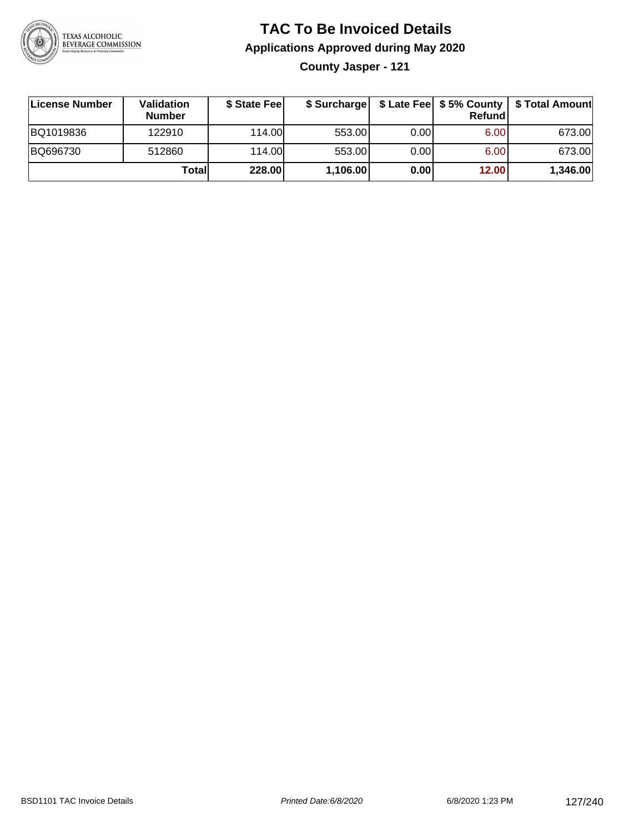

**County Jasper - 121**

| License Number | <b>Validation</b><br><b>Number</b> | \$ State Feel |          |      | Refundl | \$ Surcharge   \$ Late Fee   \$5% County   \$ Total Amount |
|----------------|------------------------------------|---------------|----------|------|---------|------------------------------------------------------------|
| BQ1019836      | 122910                             | 114.00L       | 553.00   | 0.00 | 6.00    | 673.00                                                     |
| BQ696730       | 512860                             | 114.00L       | 553.00   | 0.00 | 6.00    | 673.00                                                     |
|                | Totall                             | 228.00        | 1,106.00 | 0.00 | 12.00   | 1,346.00                                                   |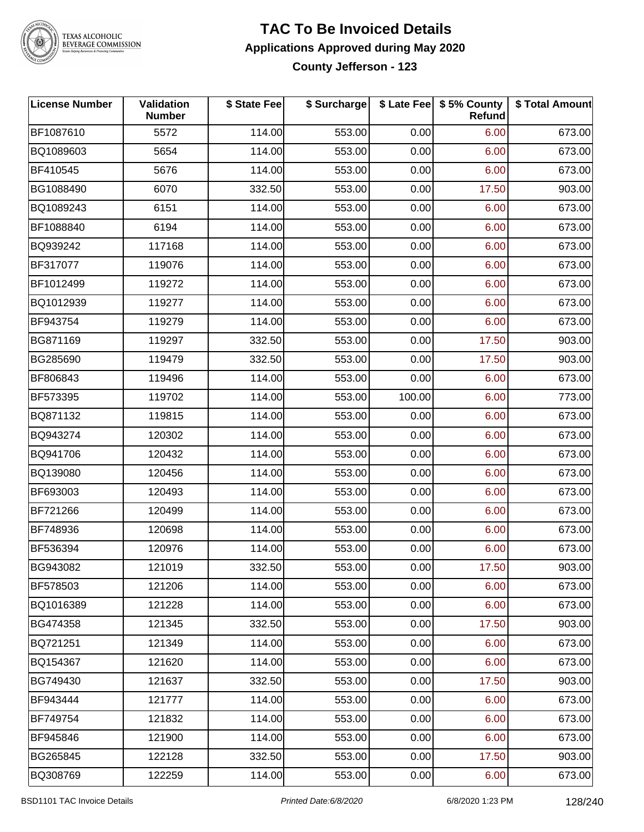

#### **TEXAS ALCOHOLIC BEVERAGE COMMISSION**

### **TAC To Be Invoiced Details Applications Approved during May 2020 County Jefferson - 123**

**License Number Validation Number \$ State Fee \$ Surcharge \$ Late Fee \$ 5% County Refund \$ Total Amount** BF1087610 5572 114.00 553.00 0.00 6.00 673.00 BQ1089603 | 5654 | 114.00| 553.00| 0.00| 6.00| 673.00 BF410545 5676 114.00 553.00 0.00 6.00 673.00 BG1088490 | 6070 | 332.50| 553.00| 0.00| 17.50| 903.00 BQ1089243 6151 114.00 553.00 0.00 6.00 673.00 BF1088840 6194 114.00 553.00 0.00 6.00 673.00 BQ939242 117168 114.00 553.00 0.00 6.00 673.00 BF317077 119076 114.00 553.00 0.00 6.00 673.00 BF1012499 119272 114.00 553.00 0.00 6.00 673.00 BQ1012939 119277 114.00 553.00 0.00 6.00 673.00 BF943754 119279 114.00 553.00 0.00 6.00 673.00 BG871169 | 119297 | 332.50| 553.00| 0.00| 17.50| 903.00 BG285690 | 119479 | 332.50| 553.00| 0.00| 17.50| 903.00 BF806843 119496 114.00 553.00 0.00 6.00 673.00 BF573395 119702 114.00 553.00 100.00 6.00 773.00 BQ871132 119815 114.00 553.00 0.00 6.00 673.00 BQ943274 120302 114.00 553.00 0.00 6.00 673.00 BQ941706 120432 114.00 553.00 0.00 6.00 673.00 BQ139080 120456 114.00 553.00 0.00 6.00 673.00 BF693003 120493 114.00 553.00 0.00 6.00 673.00 BF721266 120499 114.00 553.00 0.00 6.00 673.00 BF748936 | 120698 | 114.00| 553.00| 0.00| 6.00| 673.00 BF536394 120976 114.00 553.00 0.00 6.00 673.00 BG943082 | 121019 | 332.50| 553.00| 0.00| 17.50| 903.00 BF578503 121206 114.00 553.00 0.00 6.00 673.00 BQ1016389 121228 114.00 553.00 0.00 6.00 673.00 BG474358 121345 332.50 553.00 0.00 17.50 903.00 BQ721251 121349 114.00 553.00 0.00 6.00 673.00 BQ154367 121620 114.00 553.00 0.00 6.00 673.00 BG749430 | 121637 | 332.50| 553.00| 0.00| 17.50| 903.00 BF943444 | 121777 | 114.00| 553.00| 0.00| 6.00| 673.00 BF749754 | 121832 | 114.00| 553.00| 0.00| 6.00| 673.00 BF945846 | 121900 | 114.00| 553.00| 0.00| 6.00| 673.00 BG265845 122128 332.50 553.00 0.00 17.50 903.00 BQ308769 122259 114.00 553.00 0.00 6.00 673.00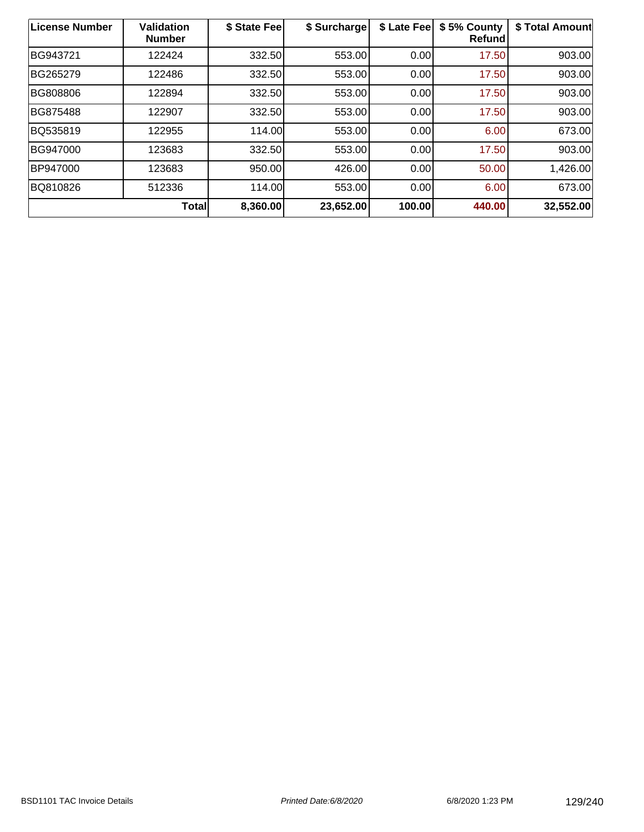| License Number  | <b>Validation</b><br><b>Number</b> | \$ State Fee | \$ Surcharge | \$ Late Fee | \$5% County<br>Refund | \$ Total Amount |
|-----------------|------------------------------------|--------------|--------------|-------------|-----------------------|-----------------|
| BG943721        | 122424                             | 332.50       | 553.00       | 0.00        | 17.50                 | 903.00          |
| BG265279        | 122486                             | 332.50       | 553.00       | 0.00        | 17.50                 | 903.00          |
| BG808806        | 122894                             | 332.50       | 553.00       | 0.00        | 17.50                 | 903.00          |
| <b>BG875488</b> | 122907                             | 332.50       | 553.00       | 0.00        | 17.50                 | 903.00          |
| BQ535819        | 122955                             | 114.00       | 553.00       | 0.00        | 6.00                  | 673.00          |
| BG947000        | 123683                             | 332.50       | 553.00       | 0.00        | 17.50                 | 903.00          |
| BP947000        | 123683                             | 950.00       | 426.00       | 0.00        | 50.00                 | 1,426.00        |
| BQ810826        | 512336                             | 114.00       | 553.00       | 0.00        | 6.00                  | 673.00          |
|                 | Total                              | 8,360.00     | 23,652.00    | 100.00      | 440.00                | 32,552.00       |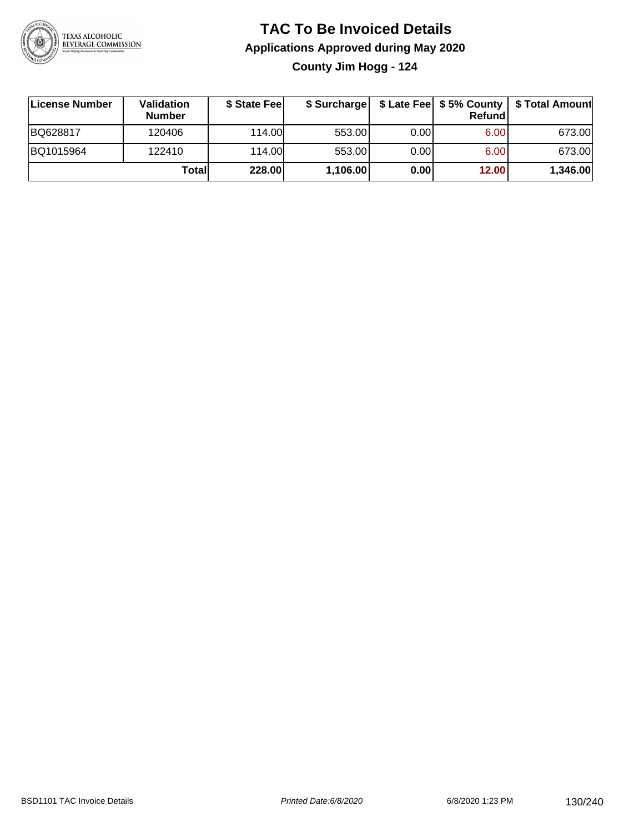

## **TAC To Be Invoiced Details Applications Approved during May 2020 County Jim Hogg - 124**

**License Number Validation Number \$ State Fee \$ Surcharge \$ Late Fee \$ 5% County Refund \$ Total Amount** BQ628817 120406 114.00 553.00 0.00 6.00 673.00 BQ1015964 122410 114.00 553.00 0.00 6.00 673.00 **Total 228.00 1,106.00 0.00 12.00 1,346.00**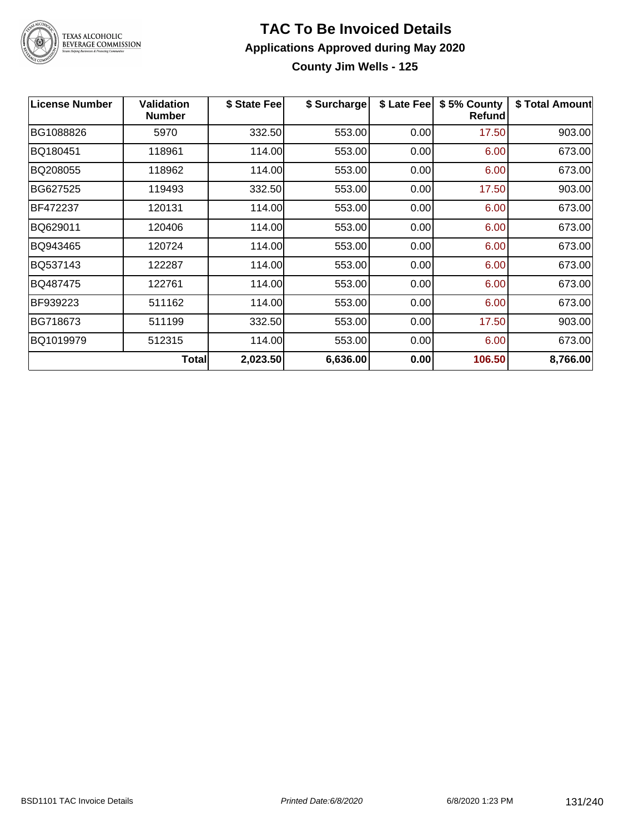

**County Jim Wells - 125**

| <b>License Number</b> | <b>Validation</b><br><b>Number</b> | \$ State Fee | \$ Surcharge | \$ Late Fee | \$5% County<br>Refund | \$ Total Amount |
|-----------------------|------------------------------------|--------------|--------------|-------------|-----------------------|-----------------|
| BG1088826             | 5970                               | 332.50       | 553.00       | 0.00        | 17.50                 | 903.00          |
| BQ180451              | 118961                             | 114.00       | 553.00       | 0.00        | 6.00                  | 673.00          |
| BQ208055              | 118962                             | 114.00       | 553.00       | 0.00        | 6.00                  | 673.00          |
| BG627525              | 119493                             | 332.50       | 553.00       | 0.00        | 17.50                 | 903.00          |
| BF472237              | 120131                             | 114.00       | 553.00       | 0.00        | 6.00                  | 673.00          |
| BQ629011              | 120406                             | 114.00       | 553.00       | 0.00        | 6.00                  | 673.00          |
| BQ943465              | 120724                             | 114.00       | 553.00       | 0.00        | 6.00                  | 673.00          |
| BQ537143              | 122287                             | 114.00       | 553.00       | 0.00        | 6.00                  | 673.00          |
| BQ487475              | 122761                             | 114.00       | 553.00       | 0.00        | 6.00                  | 673.00          |
| BF939223              | 511162                             | 114.00       | 553.00       | 0.00        | 6.00                  | 673.00          |
| BG718673              | 511199                             | 332.50       | 553.00       | 0.00        | 17.50                 | 903.00          |
| BQ1019979             | 512315                             | 114.00       | 553.00       | 0.00        | 6.00                  | 673.00          |
|                       | <b>Total</b>                       | 2,023.50     | 6,636.00     | 0.00        | 106.50                | 8,766.00        |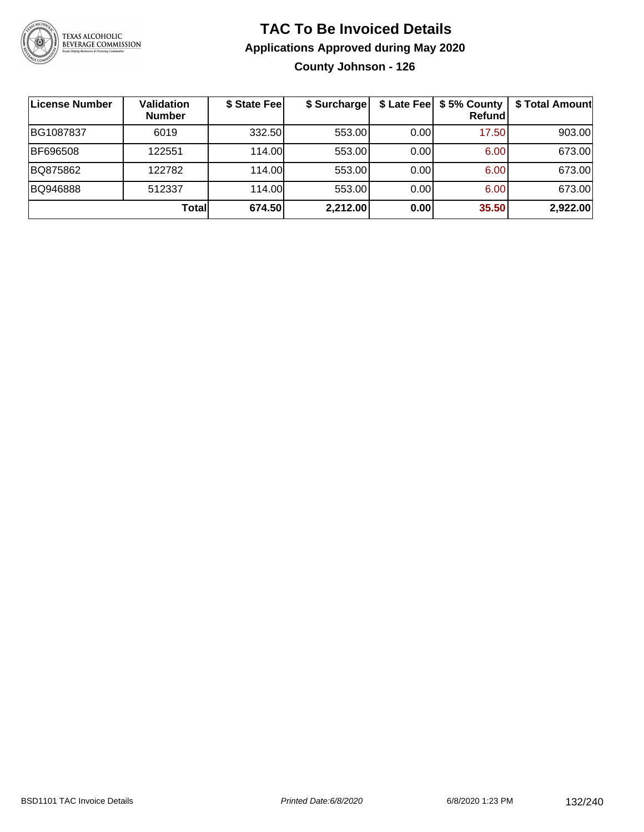

## **TAC To Be Invoiced Details Applications Approved during May 2020 County Johnson - 126**

| ∣License Number | Validation<br><b>Number</b> | \$ State Fee | \$ Surcharge |      | \$ Late Fee   \$5% County<br>Refundl | \$ Total Amount |
|-----------------|-----------------------------|--------------|--------------|------|--------------------------------------|-----------------|
| BG1087837       | 6019                        | 332.50       | 553.00       | 0.00 | 17.50                                | 903.00          |
| BF696508        | 122551                      | 114.00       | 553.00       | 0.00 | 6.00                                 | 673.00          |
| BQ875862        | 122782                      | 114.00       | 553.00       | 0.00 | 6.00                                 | 673.00          |
| BQ946888        | 512337                      | 114.00       | 553.00       | 0.00 | 6.00                                 | 673.00          |
|                 | Total                       | 674.50       | 2,212.00     | 0.00 | 35.50                                | 2,922.00        |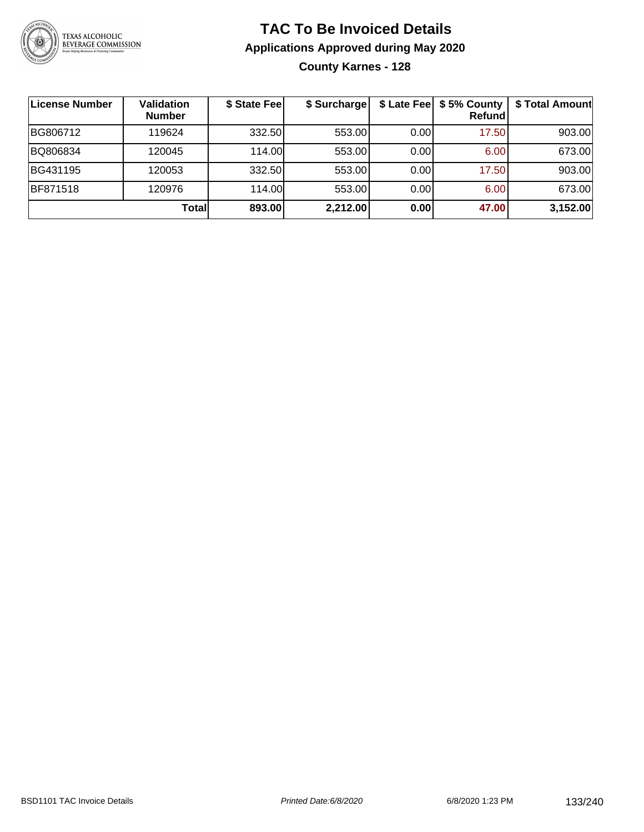

## **TAC To Be Invoiced Details Applications Approved during May 2020 County Karnes - 128**

| <b>License Number</b> | <b>Validation</b><br><b>Number</b> | \$ State Fee | \$ Surcharge |      | \$ Late Fee   \$5% County<br>Refundl | \$ Total Amount |
|-----------------------|------------------------------------|--------------|--------------|------|--------------------------------------|-----------------|
| BG806712              | 119624                             | 332.50       | 553.00       | 0.00 | 17.50                                | 903.00          |
| BQ806834              | 120045                             | 114.00       | 553.00       | 0.00 | 6.00                                 | 673.00          |
| BG431195              | 120053                             | 332.50       | 553.00       | 0.00 | 17.50                                | 903.00          |
| <b>BF871518</b>       | 120976                             | 114.00       | 553.00       | 0.00 | 6.00                                 | 673.00          |
|                       | Totall                             | 893.00       | 2,212.00     | 0.00 | 47.00                                | 3,152.00        |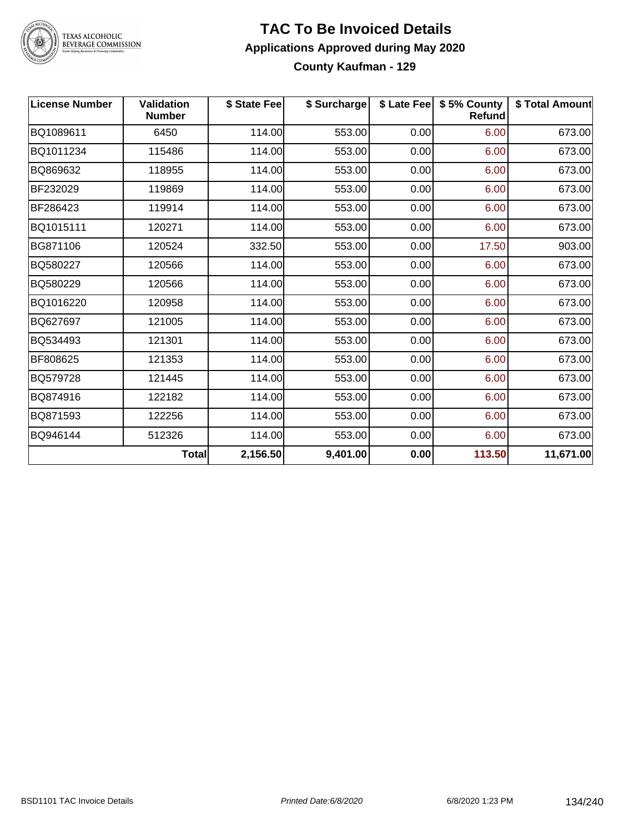

# TEXAS ALCOHOLIC<br>BEVERAGE COMMISSION

### **TAC To Be Invoiced Details Applications Approved during May 2020 County Kaufman - 129**

| <b>License Number</b> | <b>Validation</b><br><b>Number</b> | \$ State Fee | \$ Surcharge |      | \$ Late Fee   \$5% County<br>Refund | \$ Total Amount |
|-----------------------|------------------------------------|--------------|--------------|------|-------------------------------------|-----------------|
| BQ1089611             | 6450                               | 114.00       | 553.00       | 0.00 | 6.00                                | 673.00          |
| BQ1011234             | 115486                             | 114.00       | 553.00       | 0.00 | 6.00                                | 673.00          |
| BQ869632              | 118955                             | 114.00       | 553.00       | 0.00 | 6.00                                | 673.00          |
| BF232029              | 119869                             | 114.00       | 553.00       | 0.00 | 6.00                                | 673.00          |
| BF286423              | 119914                             | 114.00       | 553.00       | 0.00 | 6.00                                | 673.00          |
| BQ1015111             | 120271                             | 114.00       | 553.00       | 0.00 | 6.00                                | 673.00          |
| BG871106              | 120524                             | 332.50       | 553.00       | 0.00 | 17.50                               | 903.00          |
| BQ580227              | 120566                             | 114.00       | 553.00       | 0.00 | 6.00                                | 673.00          |
| BQ580229              | 120566                             | 114.00       | 553.00       | 0.00 | 6.00                                | 673.00          |
| BQ1016220             | 120958                             | 114.00       | 553.00       | 0.00 | 6.00                                | 673.00          |
| BQ627697              | 121005                             | 114.00       | 553.00       | 0.00 | 6.00                                | 673.00          |
| BQ534493              | 121301                             | 114.00       | 553.00       | 0.00 | 6.00                                | 673.00          |
| BF808625              | 121353                             | 114.00       | 553.00       | 0.00 | 6.00                                | 673.00          |
| BQ579728              | 121445                             | 114.00       | 553.00       | 0.00 | 6.00                                | 673.00          |
| BQ874916              | 122182                             | 114.00       | 553.00       | 0.00 | 6.00                                | 673.00          |
| BQ871593              | 122256                             | 114.00       | 553.00       | 0.00 | 6.00                                | 673.00          |
| BQ946144              | 512326                             | 114.00       | 553.00       | 0.00 | 6.00                                | 673.00          |
|                       | <b>Total</b>                       | 2,156.50     | 9,401.00     | 0.00 | 113.50                              | 11,671.00       |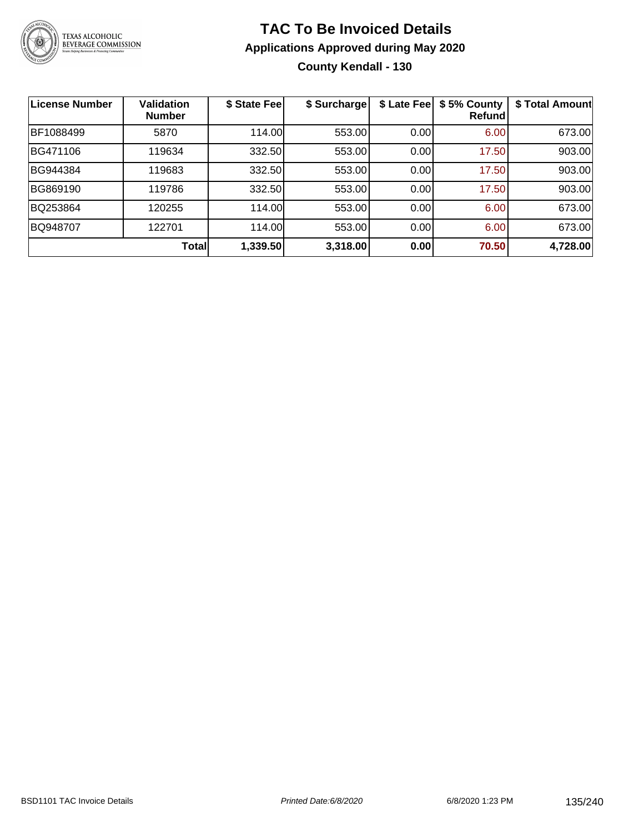

## **TAC To Be Invoiced Details Applications Approved during May 2020 County Kendall - 130**

| <b>License Number</b> | <b>Validation</b><br><b>Number</b> | \$ State Fee | \$ Surcharge | \$ Late Fee | \$5% County<br>Refund | \$ Total Amount |
|-----------------------|------------------------------------|--------------|--------------|-------------|-----------------------|-----------------|
| BF1088499             | 5870                               | 114.00       | 553.00       | 0.00        | 6.00                  | 673.00          |
| BG471106              | 119634                             | 332.50       | 553.00       | 0.00        | 17.50                 | 903.00          |
| BG944384              | 119683                             | 332.50       | 553.00       | 0.00        | 17.50                 | 903.00          |
| BG869190              | 119786                             | 332.50       | 553.00       | 0.00        | 17.50                 | 903.00          |
| BQ253864              | 120255                             | 114.00       | 553.00       | 0.00        | 6.00                  | 673.00          |
| BQ948707              | 122701                             | 114.00       | 553.00       | 0.00        | 6.00                  | 673.00          |
|                       | Total                              | 1,339.50     | 3,318.00     | 0.00        | 70.50                 | 4,728.00        |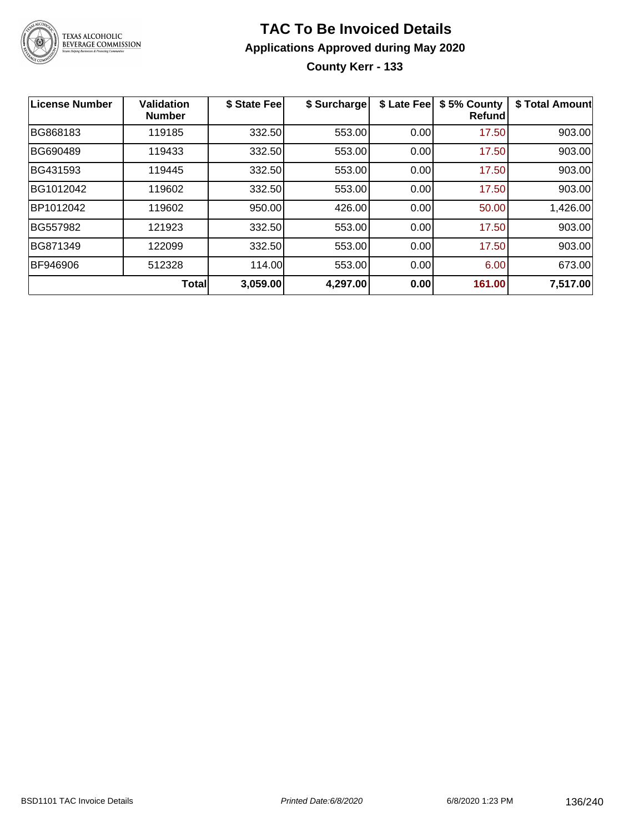

**County Kerr - 133**

| License Number  | Validation<br><b>Number</b> | \$ State Fee | \$ Surcharge | \$ Late Fee | \$5% County<br>Refundl | \$ Total Amount |
|-----------------|-----------------------------|--------------|--------------|-------------|------------------------|-----------------|
| BG868183        | 119185                      | 332.50       | 553.00       | 0.00        | 17.50                  | 903.00          |
| <b>BG690489</b> | 119433                      | 332.50       | 553.00       | 0.00        | 17.50                  | 903.00          |
| BG431593        | 119445                      | 332.50       | 553.00       | 0.00        | 17.50                  | 903.00          |
| BG1012042       | 119602                      | 332.50       | 553.00       | 0.00        | 17.50                  | 903.00          |
| BP1012042       | 119602                      | 950.00       | 426.00       | 0.00        | 50.00                  | 1,426.00        |
| BG557982        | 121923                      | 332.50       | 553.00       | 0.00        | 17.50                  | 903.00          |
| BG871349        | 122099                      | 332.50       | 553.00       | 0.00        | 17.50                  | 903.00          |
| BF946906        | 512328                      | 114.00       | 553.00       | 0.00        | 6.00                   | 673.00          |
|                 | <b>Total</b>                | 3,059.00     | 4,297.00     | 0.00        | 161.00                 | 7,517.00        |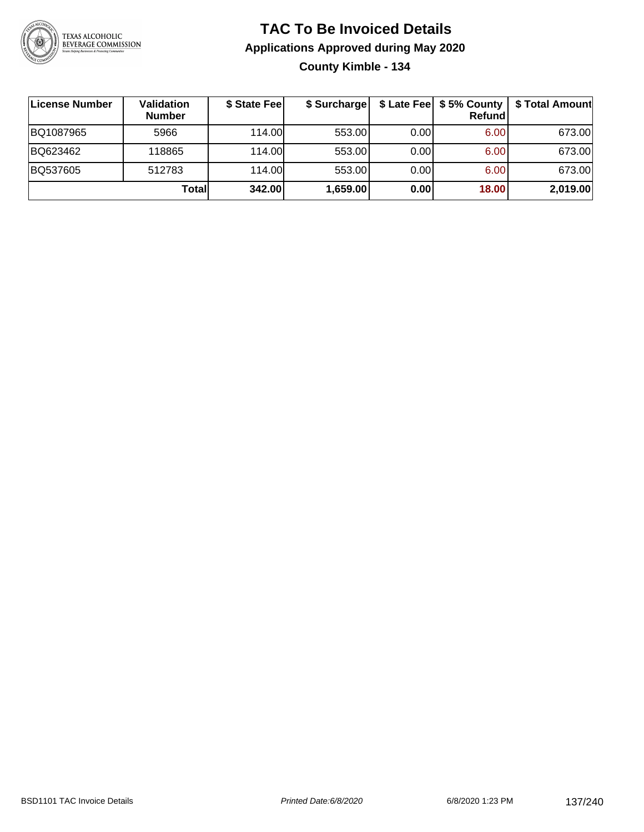

## **TAC To Be Invoiced Details Applications Approved during May 2020 County Kimble - 134**

| License Number | Validation<br><b>Number</b> | \$ State Fee | \$ Surcharge |      | $$$ Late Fee $$5%$ County<br>Refund | \$ Total Amount |
|----------------|-----------------------------|--------------|--------------|------|-------------------------------------|-----------------|
| BQ1087965      | 5966                        | 114.00L      | 553.00       | 0.00 | 6.00                                | 673.00          |
| BQ623462       | 118865                      | 114.00L      | 553.00       | 0.00 | 6.00                                | 673.00          |
| BQ537605       | 512783                      | 114.00L      | 553.00       | 0.00 | 6.00                                | 673.00          |
|                | Totall                      | 342.00       | 1,659.00     | 0.00 | 18.00                               | 2,019.00        |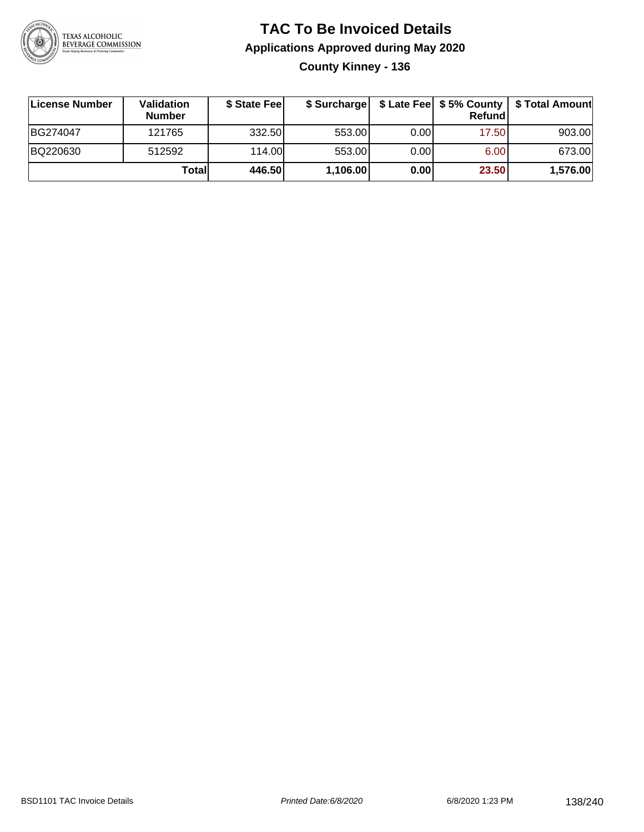

# **TAC To Be Invoiced Details Applications Approved during May 2020 County Kinney - 136**

| License Number | Validation<br><b>Number</b> | \$ State Fee |          |      | Refund | \$ Surcharge   \$ Late Fee   \$5% County   \$ Total Amount |
|----------------|-----------------------------|--------------|----------|------|--------|------------------------------------------------------------|
| BG274047       | 121765                      | 332.50       | 553.00   | 0.00 | 17.50  | 903.00                                                     |
| BQ220630       | 512592                      | 114.00       | 553.00   | 0.00 | 6.00   | 673.00                                                     |
|                | Totall                      | 446.50       | 1,106.00 | 0.00 | 23.50  | 1,576.00                                                   |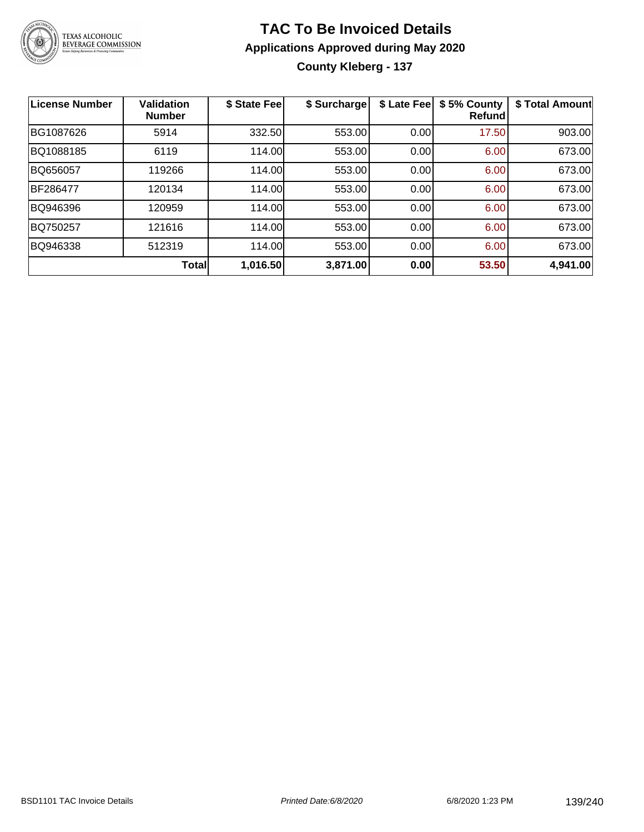

# **TAC To Be Invoiced Details Applications Approved during May 2020 County Kleberg - 137**

| <b>License Number</b> | <b>Validation</b><br><b>Number</b> | \$ State Fee | \$ Surcharge | \$ Late Fee | \$5% County<br>Refundl | \$ Total Amount |
|-----------------------|------------------------------------|--------------|--------------|-------------|------------------------|-----------------|
| BG1087626             | 5914                               | 332.50       | 553.00       | 0.00        | 17.50                  | 903.00          |
| BQ1088185             | 6119                               | 114.00       | 553.00       | 0.00        | 6.00                   | 673.00          |
| BQ656057              | 119266                             | 114.00       | 553.00       | 0.00        | 6.00                   | 673.00          |
| BF286477              | 120134                             | 114.00       | 553.00       | 0.00        | 6.00                   | 673.00          |
| BQ946396              | 120959                             | 114.00       | 553.00       | 0.00        | 6.00                   | 673.00          |
| BQ750257              | 121616                             | 114.00       | 553.00       | 0.00        | 6.00                   | 673.00          |
| BQ946338              | 512319                             | 114.00       | 553.00       | 0.00        | 6.00                   | 673.00          |
|                       | <b>Total</b>                       | 1,016.50     | 3,871.00     | 0.00        | 53.50                  | 4,941.00        |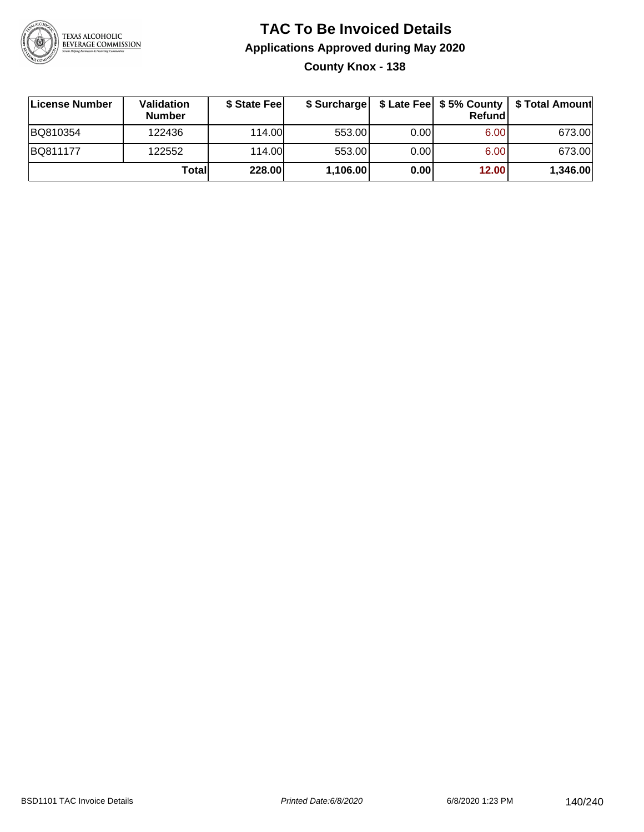

**County Knox - 138**

| License Number | Validation<br><b>Number</b> | \$ State Fee |          |      | <b>Refund</b> | \$ Surcharge   \$ Late Fee   \$5% County   \$ Total Amount |
|----------------|-----------------------------|--------------|----------|------|---------------|------------------------------------------------------------|
| BQ810354       | 122436                      | 114.00       | 553.00   | 0.00 | 6.00          | 673.00                                                     |
| BQ811177       | 122552                      | 114.00       | 553.00   | 0.00 | 6.00          | 673.00                                                     |
|                | Totall                      | 228.00       | 1,106.00 | 0.00 | 12.00         | 1,346.00                                                   |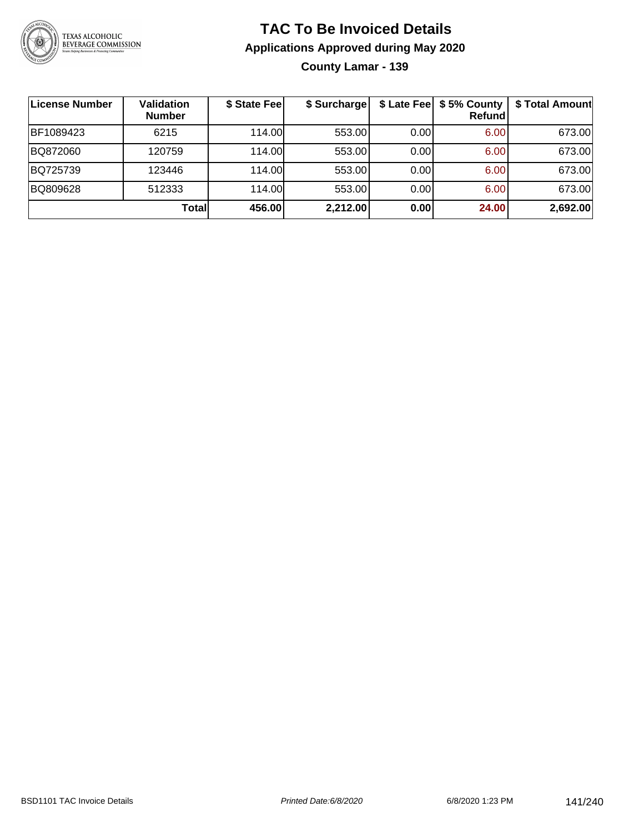

**County Lamar - 139**

| License Number | <b>Validation</b><br><b>Number</b> | \$ State Fee | \$ Surcharge |      | \$ Late Fee   \$5% County  <br>Refundl | \$ Total Amount |
|----------------|------------------------------------|--------------|--------------|------|----------------------------------------|-----------------|
| BF1089423      | 6215                               | 114.00L      | 553.00       | 0.00 | 6.00                                   | 673.00          |
| BQ872060       | 120759                             | 114.00L      | 553.00       | 0.00 | 6.00                                   | 673.00          |
| BQ725739       | 123446                             | 114.00L      | 553.00       | 0.00 | 6.00                                   | 673.00          |
| BQ809628       | 512333                             | 114.00       | 553.00       | 0.00 | 6.00                                   | 673.00          |
|                | Totall                             | 456.00       | 2,212.00     | 0.00 | 24.00                                  | 2,692.00        |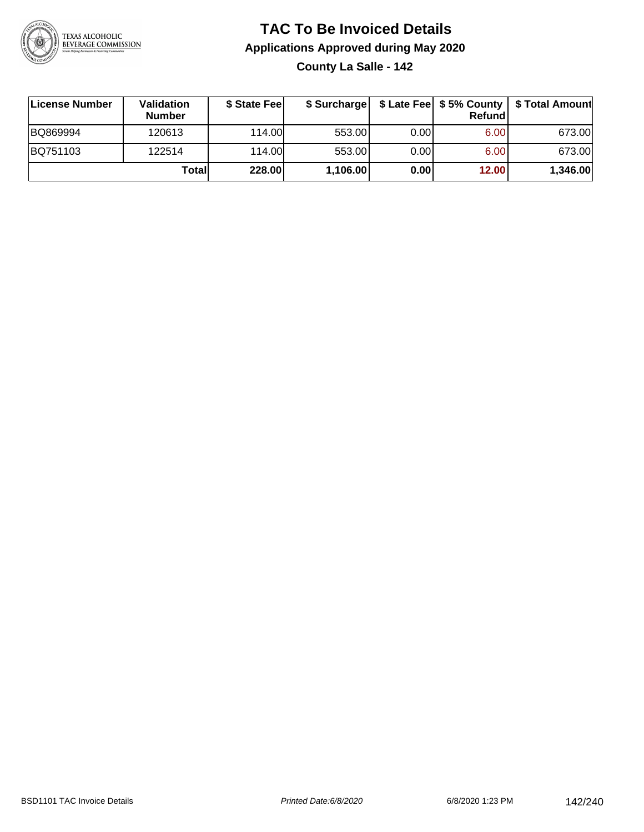

**County La Salle - 142**

| License Number | <b>Validation</b><br><b>Number</b> | \$ State Fee | \$ Surcharge |       | Refundl | \$ Late Fee   \$5% County   \$ Total Amount |
|----------------|------------------------------------|--------------|--------------|-------|---------|---------------------------------------------|
| BQ869994       | 120613                             | 114.00       | 553.00       | 0.001 | 6.00    | 673.00                                      |
| BQ751103       | 122514                             | 114.00       | 553.00       | 0.001 | 6.00    | 673.00                                      |
|                | Totall                             | 228.00       | 1,106.00     | 0.00  | 12.00   | 1,346.00                                    |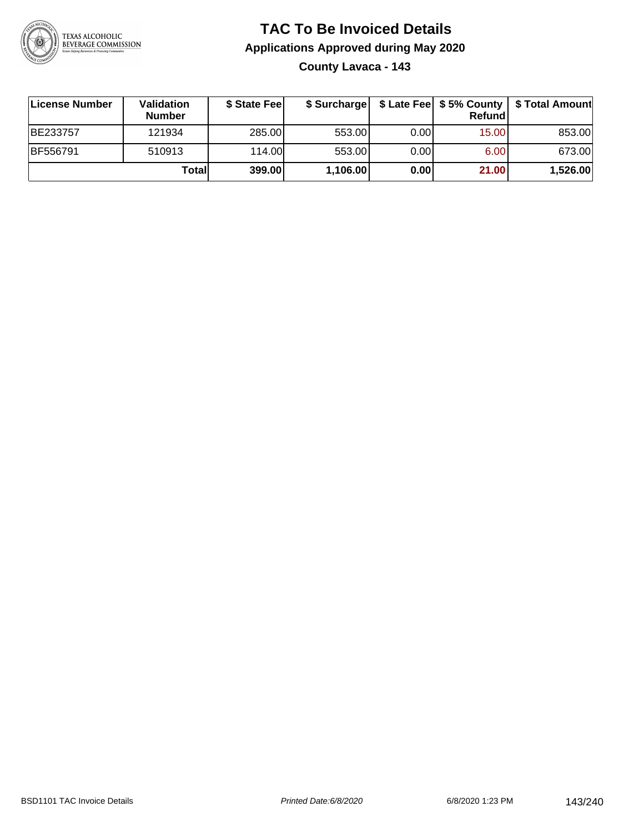

## **TAC To Be Invoiced Details Applications Approved during May 2020 County Lavaca - 143**

| License Number | Validation<br><b>Number</b> | \$ State Feel | \$ Surcharge |      | Refund |          |
|----------------|-----------------------------|---------------|--------------|------|--------|----------|
| BE233757       | 121934                      | 285.00        | 553.00       | 0.00 | 15.00  | 853.00   |
| BF556791       | 510913                      | 114.00        | 553.00       | 0.00 | 6.00   | 673.00   |
|                | Totall                      | 399.00        | 1,106.00     | 0.00 | 21.00  | 1,526.00 |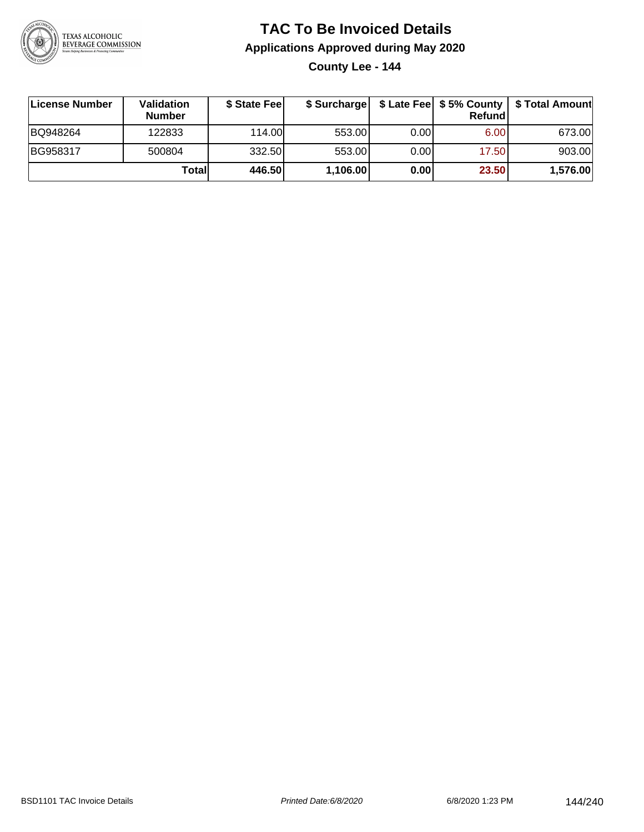

**County Lee - 144**

| License Number | <b>Validation</b><br><b>Number</b> | \$ State Fee | \$ Surcharge |       | Refundl | \$ Late Fee   \$5% County   \$ Total Amount |
|----------------|------------------------------------|--------------|--------------|-------|---------|---------------------------------------------|
| BQ948264       | 122833                             | 114.00       | 553.00       | 0.001 | 6.00    | 673.00                                      |
| BG958317       | 500804                             | 332.50       | 553.00       | 0.001 | 17.50   | 903.00                                      |
|                | Totall                             | 446.50       | 1,106.00     | 0.00  | 23.50   | 1,576.00                                    |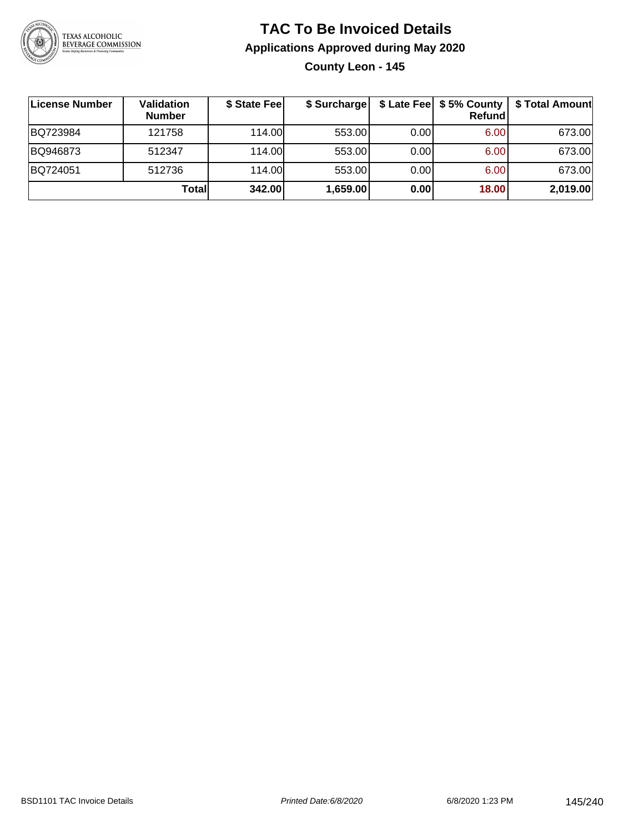

## **TAC To Be Invoiced Details Applications Approved during May 2020 County Leon - 145**

| License Number | Validation<br><b>Number</b> | \$ State Fee | \$ Surcharge |      | \$ Late Fee   \$5% County<br><b>Refund</b> | \$ Total Amount |
|----------------|-----------------------------|--------------|--------------|------|--------------------------------------------|-----------------|
| BQ723984       | 121758                      | 114.00       | 553.00       | 0.00 | 6.00                                       | 673.00          |
| BQ946873       | 512347                      | 114.00       | 553.00       | 0.00 | 6.00                                       | 673.00          |
| BQ724051       | 512736                      | 114.00       | 553.00       | 0.00 | 6.00                                       | 673.00          |
|                | Total                       | 342.00       | 1,659.00     | 0.00 | 18.00                                      | 2,019.00        |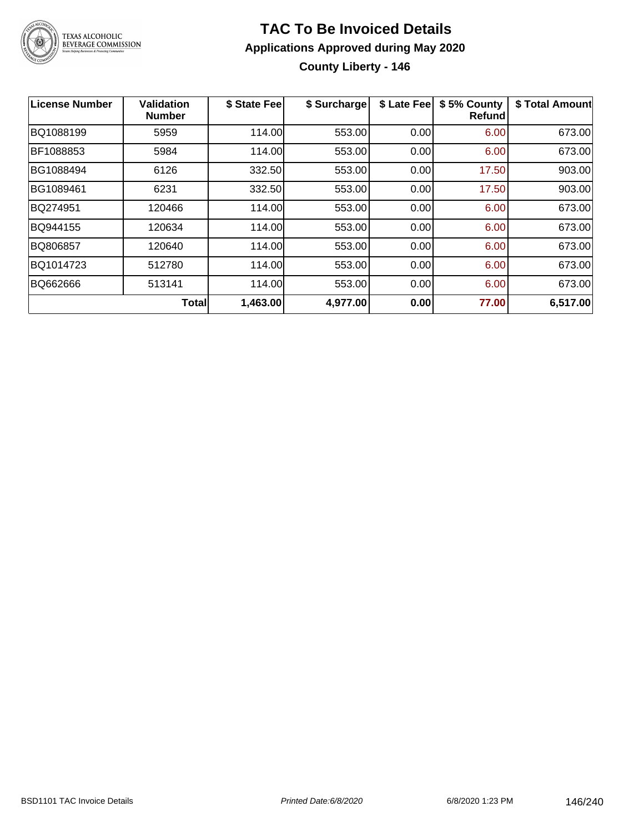

## **TAC To Be Invoiced Details Applications Approved during May 2020 County Liberty - 146**

| <b>License Number</b> | <b>Validation</b><br><b>Number</b> | \$ State Fee | \$ Surcharge | \$ Late Fee | \$5% County<br><b>Refund</b> | \$ Total Amount |
|-----------------------|------------------------------------|--------------|--------------|-------------|------------------------------|-----------------|
| BQ1088199             | 5959                               | 114.00       | 553.00       | 0.00        | 6.00                         | 673.00          |
| BF1088853             | 5984                               | 114.00       | 553.00       | 0.00        | 6.00                         | 673.00          |
| BG1088494             | 6126                               | 332.50       | 553.00       | 0.00        | 17.50                        | 903.00          |
| BG1089461             | 6231                               | 332.50       | 553.00       | 0.00        | 17.50                        | 903.00          |
| BQ274951              | 120466                             | 114.00       | 553.00       | 0.00        | 6.00                         | 673.00          |
| BQ944155              | 120634                             | 114.00       | 553.00       | 0.00        | 6.00                         | 673.00          |
| BQ806857              | 120640                             | 114.00       | 553.00       | 0.00        | 6.00                         | 673.00          |
| BQ1014723             | 512780                             | 114.00       | 553.00       | 0.00        | 6.00                         | 673.00          |
| BQ662666              | 513141                             | 114.00       | 553.00       | 0.00        | 6.00                         | 673.00          |
|                       | <b>Total</b>                       | 1,463.00     | 4,977.00     | 0.00        | 77.00                        | 6,517.00        |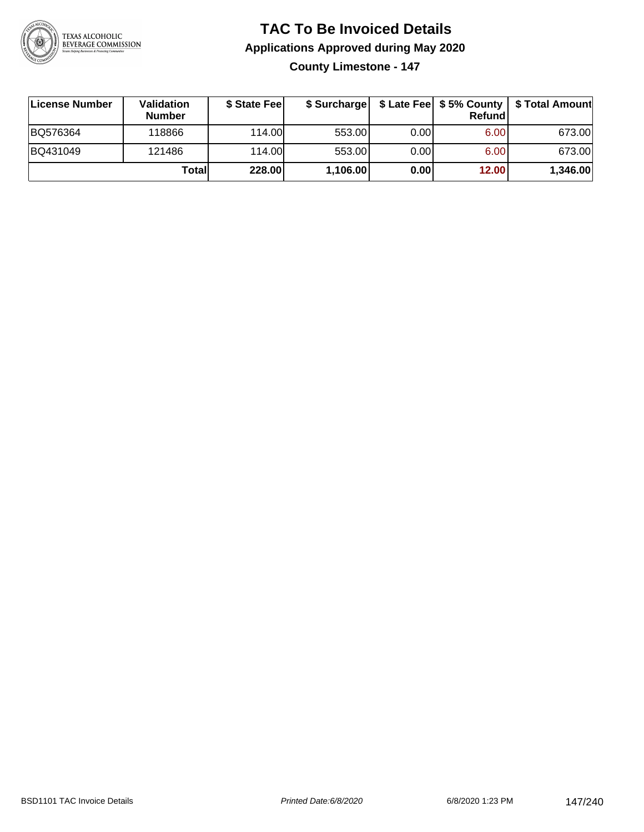

**County Limestone - 147**

| ∣License Number | <b>Validation</b><br><b>Number</b> | \$ State Fee | \$ Surcharge |       | <b>Refund</b> | \$ Late Fee   \$5% County   \$ Total Amount |
|-----------------|------------------------------------|--------------|--------------|-------|---------------|---------------------------------------------|
| BQ576364        | 118866                             | 114.00       | 553.00       | 0.001 | 6.00          | 673.00                                      |
| BQ431049        | 121486                             | 114.00       | 553.00       | 0.001 | 6.00          | 673.00                                      |
|                 | Totall                             | 228.00       | 1,106.00     | 0.00  | 12.00         | 1,346.00                                    |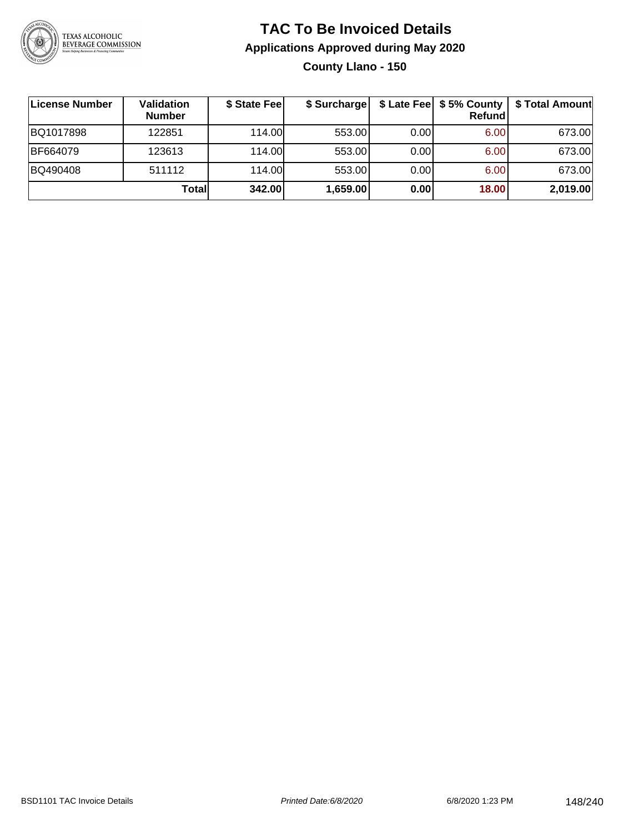

**County Llano - 150**

| <b>License Number</b> | Validation<br><b>Number</b> | \$ State Fee | \$ Surcharge |       | Refundl | \$ Late Fee   \$5% County   \$ Total Amount |
|-----------------------|-----------------------------|--------------|--------------|-------|---------|---------------------------------------------|
| BQ1017898             | 122851                      | 114.00       | 553.00       | 0.001 | 6.00    | 673.00                                      |
| BF664079              | 123613                      | 114.00       | 553.00       | 0.00  | 6.00    | 673.00                                      |
| BQ490408              | 511112                      | 114.00       | 553.00       | 0.00  | 6.00    | 673.00                                      |
|                       | Total                       | 342.00       | 1,659.00     | 0.00  | 18.00   | 2,019.00                                    |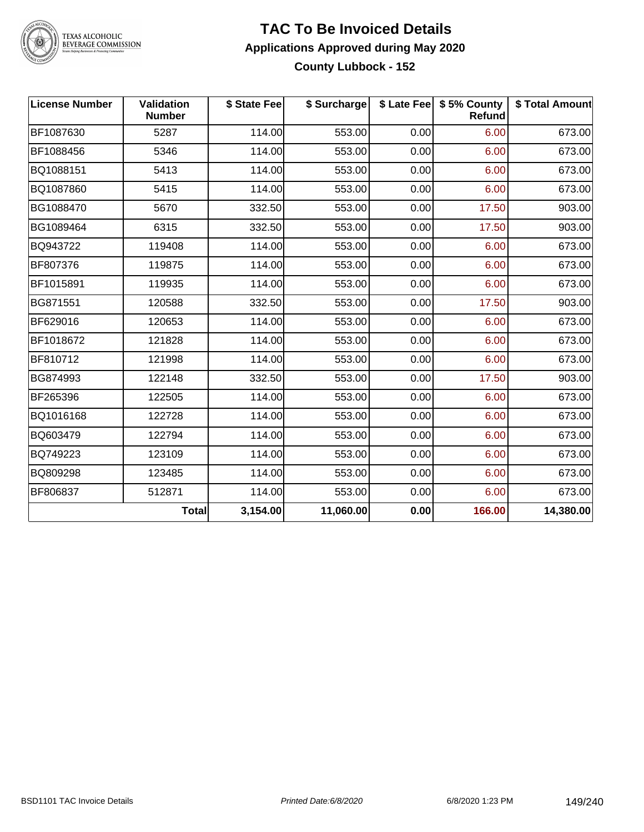

# TEXAS ALCOHOLIC<br>BEVERAGE COMMISSION

#### **TAC To Be Invoiced Details Applications Approved during May 2020 County Lubbock - 152**

| <b>License Number</b> | <b>Validation</b><br><b>Number</b> | \$ State Fee | \$ Surcharge |      | \$ Late Fee   \$5% County<br>Refund | \$ Total Amount |
|-----------------------|------------------------------------|--------------|--------------|------|-------------------------------------|-----------------|
| BF1087630             | 5287                               | 114.00       | 553.00       | 0.00 | 6.00                                | 673.00          |
| BF1088456             | 5346                               | 114.00       | 553.00       | 0.00 | 6.00                                | 673.00          |
| BQ1088151             | 5413                               | 114.00       | 553.00       | 0.00 | 6.00                                | 673.00          |
| BQ1087860             | 5415                               | 114.00       | 553.00       | 0.00 | 6.00                                | 673.00          |
| BG1088470             | 5670                               | 332.50       | 553.00       | 0.00 | 17.50                               | 903.00          |
| BG1089464             | 6315                               | 332.50       | 553.00       | 0.00 | 17.50                               | 903.00          |
| BQ943722              | 119408                             | 114.00       | 553.00       | 0.00 | 6.00                                | 673.00          |
| BF807376              | 119875                             | 114.00       | 553.00       | 0.00 | 6.00                                | 673.00          |
| BF1015891             | 119935                             | 114.00       | 553.00       | 0.00 | 6.00                                | 673.00          |
| BG871551              | 120588                             | 332.50       | 553.00       | 0.00 | 17.50                               | 903.00          |
| BF629016              | 120653                             | 114.00       | 553.00       | 0.00 | 6.00                                | 673.00          |
| BF1018672             | 121828                             | 114.00       | 553.00       | 0.00 | 6.00                                | 673.00          |
| BF810712              | 121998                             | 114.00       | 553.00       | 0.00 | 6.00                                | 673.00          |
| BG874993              | 122148                             | 332.50       | 553.00       | 0.00 | 17.50                               | 903.00          |
| BF265396              | 122505                             | 114.00       | 553.00       | 0.00 | 6.00                                | 673.00          |
| BQ1016168             | 122728                             | 114.00       | 553.00       | 0.00 | 6.00                                | 673.00          |
| BQ603479              | 122794                             | 114.00       | 553.00       | 0.00 | 6.00                                | 673.00          |
| BQ749223              | 123109                             | 114.00       | 553.00       | 0.00 | 6.00                                | 673.00          |
| BQ809298              | 123485                             | 114.00       | 553.00       | 0.00 | 6.00                                | 673.00          |
| BF806837              | 512871                             | 114.00       | 553.00       | 0.00 | 6.00                                | 673.00          |
|                       | <b>Total</b>                       | 3,154.00     | 11,060.00    | 0.00 | 166.00                              | 14,380.00       |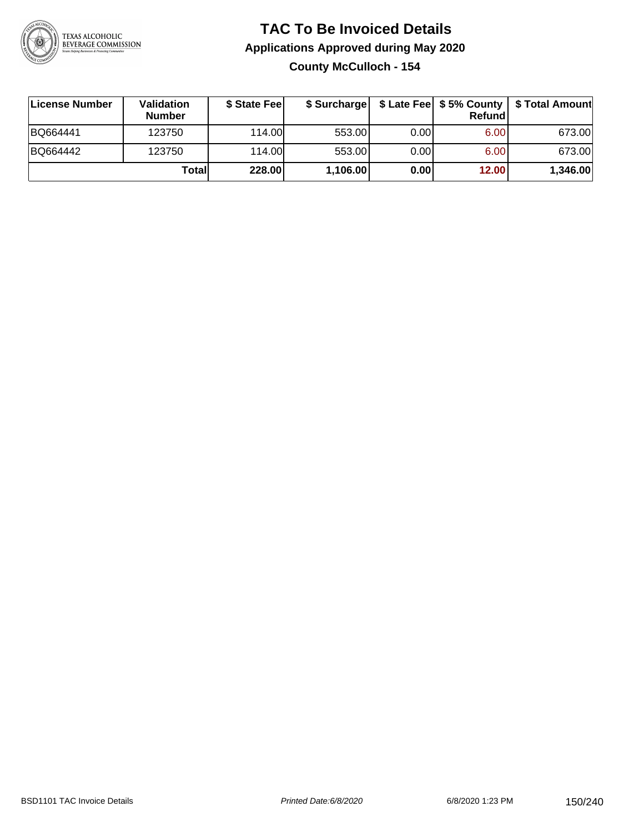

## **TAC To Be Invoiced Details Applications Approved during May 2020 County McCulloch - 154**

| <b>∣License Number</b> | <b>Validation</b><br><b>Number</b> | \$ State Feel | \$ Surcharge |      | Refund | \$ Late Fee   \$5% County   \$ Total Amount |
|------------------------|------------------------------------|---------------|--------------|------|--------|---------------------------------------------|
| BQ664441               | 123750                             | 114.00L       | 553.00       | 0.00 | 6.00   | 673.00                                      |
| BQ664442               | 123750                             | 114.00L       | 553.00       | 0.00 | 6.00   | 673.00                                      |
|                        | Totall                             | 228.00        | 1,106.00     | 0.00 | 12.00  | 1,346.00                                    |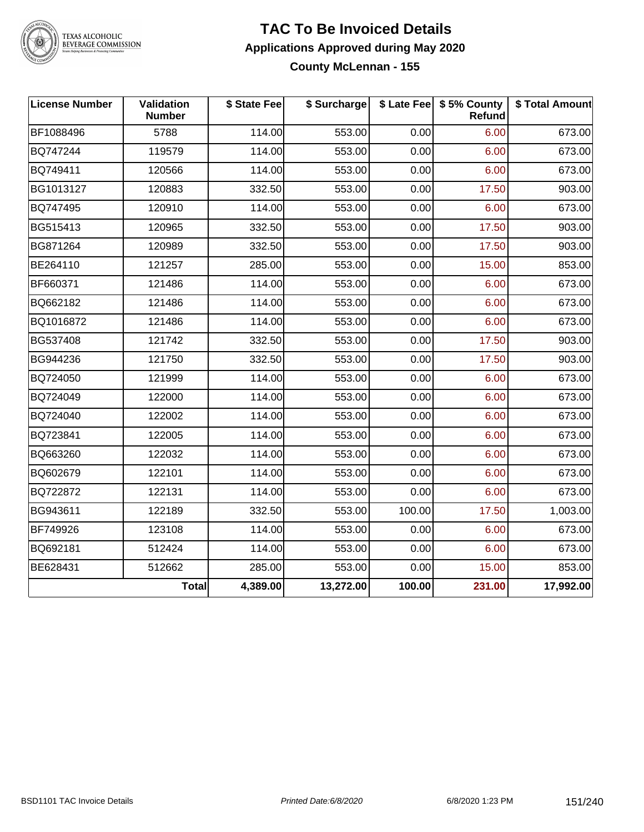

# TEXAS ALCOHOLIC<br>BEVERAGE COMMISSION

#### **TAC To Be Invoiced Details Applications Approved during May 2020 County McLennan - 155**

| <b>License Number</b> | <b>Validation</b><br><b>Number</b> | \$ State Fee | \$ Surcharge |        | \$ Late Fee   \$5% County<br><b>Refund</b> | \$ Total Amount |
|-----------------------|------------------------------------|--------------|--------------|--------|--------------------------------------------|-----------------|
| BF1088496             | 5788                               | 114.00       | 553.00       | 0.00   | 6.00                                       | 673.00          |
| BQ747244              | 119579                             | 114.00       | 553.00       | 0.00   | 6.00                                       | 673.00          |
| BQ749411              | 120566                             | 114.00       | 553.00       | 0.00   | 6.00                                       | 673.00          |
| BG1013127             | 120883                             | 332.50       | 553.00       | 0.00   | 17.50                                      | 903.00          |
| BQ747495              | 120910                             | 114.00       | 553.00       | 0.00   | 6.00                                       | 673.00          |
| BG515413              | 120965                             | 332.50       | 553.00       | 0.00   | 17.50                                      | 903.00          |
| BG871264              | 120989                             | 332.50       | 553.00       | 0.00   | 17.50                                      | 903.00          |
| BE264110              | 121257                             | 285.00       | 553.00       | 0.00   | 15.00                                      | 853.00          |
| BF660371              | 121486                             | 114.00       | 553.00       | 0.00   | 6.00                                       | 673.00          |
| BQ662182              | 121486                             | 114.00       | 553.00       | 0.00   | 6.00                                       | 673.00          |
| BQ1016872             | 121486                             | 114.00       | 553.00       | 0.00   | 6.00                                       | 673.00          |
| BG537408              | 121742                             | 332.50       | 553.00       | 0.00   | 17.50                                      | 903.00          |
| BG944236              | 121750                             | 332.50       | 553.00       | 0.00   | 17.50                                      | 903.00          |
| BQ724050              | 121999                             | 114.00       | 553.00       | 0.00   | 6.00                                       | 673.00          |
| BQ724049              | 122000                             | 114.00       | 553.00       | 0.00   | 6.00                                       | 673.00          |
| BQ724040              | 122002                             | 114.00       | 553.00       | 0.00   | 6.00                                       | 673.00          |
| BQ723841              | 122005                             | 114.00       | 553.00       | 0.00   | 6.00                                       | 673.00          |
| BQ663260              | 122032                             | 114.00       | 553.00       | 0.00   | 6.00                                       | 673.00          |
| BQ602679              | 122101                             | 114.00       | 553.00       | 0.00   | 6.00                                       | 673.00          |
| BQ722872              | 122131                             | 114.00       | 553.00       | 0.00   | 6.00                                       | 673.00          |
| BG943611              | 122189                             | 332.50       | 553.00       | 100.00 | 17.50                                      | 1,003.00        |
| BF749926              | 123108                             | 114.00       | 553.00       | 0.00   | 6.00                                       | 673.00          |
| BQ692181              | 512424                             | 114.00       | 553.00       | 0.00   | 6.00                                       | 673.00          |
| BE628431              | 512662                             | 285.00       | 553.00       | 0.00   | 15.00                                      | 853.00          |
|                       | <b>Total</b>                       | 4,389.00     | 13,272.00    | 100.00 | 231.00                                     | 17,992.00       |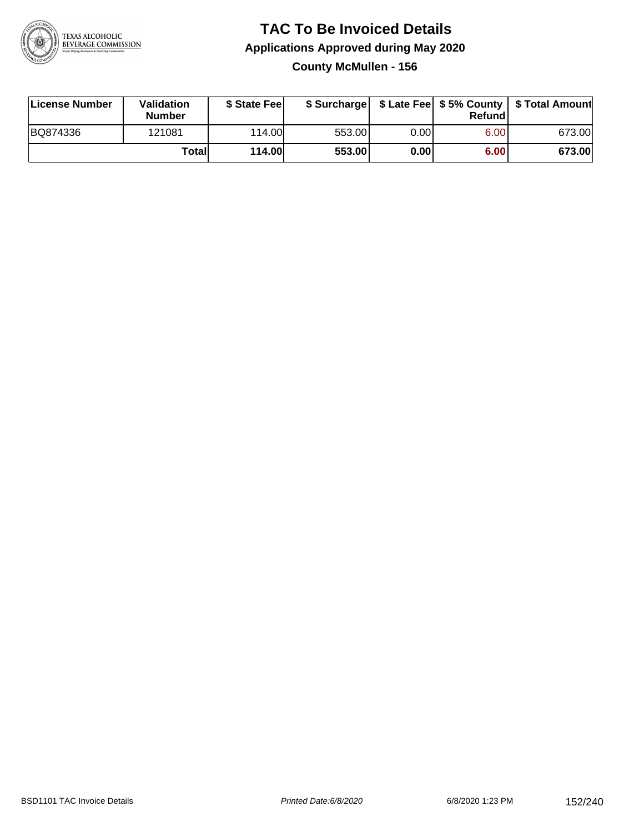

## **TAC To Be Invoiced Details Applications Approved during May 2020 County McMullen - 156**

| License Number | Validation<br><b>Number</b> | \$ State Feel |        |       | Refundl | \$ Surcharge   \$ Late Fee   \$5% County   \$ Total Amount |
|----------------|-----------------------------|---------------|--------|-------|---------|------------------------------------------------------------|
| BQ874336       | 121081                      | 114.00        | 553.00 | 0.00  | 6.00    | 673.00                                                     |
|                | <b>Total</b>                | <b>114.00</b> | 553.00 | 0.001 | 6.00    | 673.00                                                     |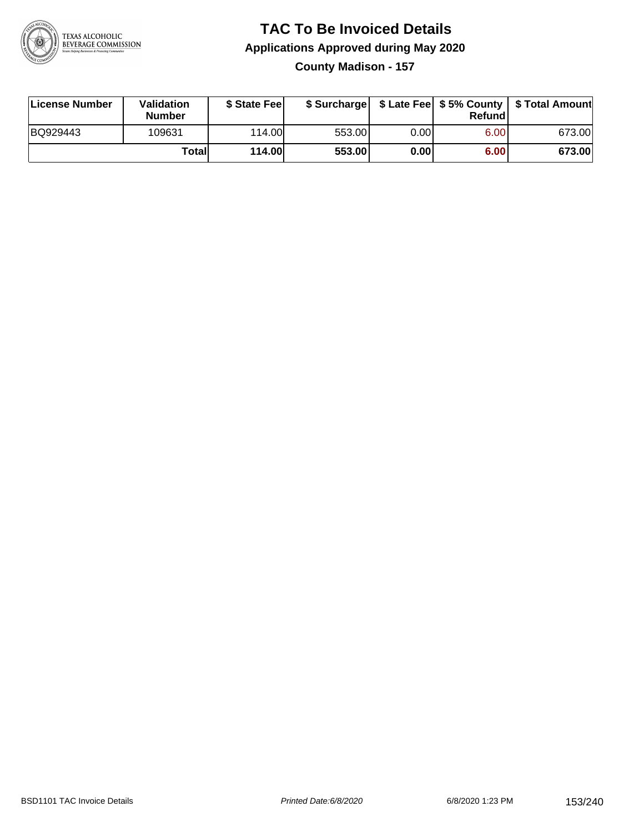

**County Madison - 157**

| License Number | <b>Validation</b><br><b>Number</b> | \$ State Fee  | \$ Surcharge |      | Refundl | \$ Late Fee   \$5% County   \$ Total Amount |
|----------------|------------------------------------|---------------|--------------|------|---------|---------------------------------------------|
| BQ929443       | 109631                             | 114.00L       | 553.00       | 0.00 | 6.00    | 673.00                                      |
|                | Totall                             | <b>114.00</b> | 553.00       | 0.00 | 6.00    | 673.00                                      |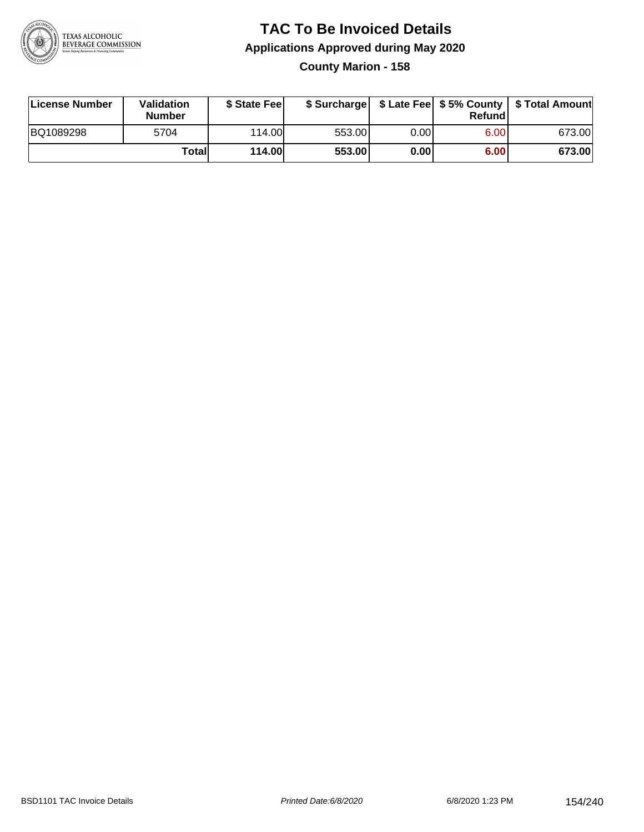

## **TAC To Be Invoiced Details Applications Approved during May 2020 County Marion - 158**

| License Number | Validation<br><b>Number</b> | \$ State Fee  |        |      | Refund | \$ Surcharge   \$ Late Fee   \$5% County   \$ Total Amount |
|----------------|-----------------------------|---------------|--------|------|--------|------------------------------------------------------------|
| BQ1089298      | 5704                        | 114.00L       | 553.00 | 0.00 | 6.00   | 673.00                                                     |
|                | Totall                      | <b>114.00</b> | 553.00 | 0.00 | 6.00   | 673.00                                                     |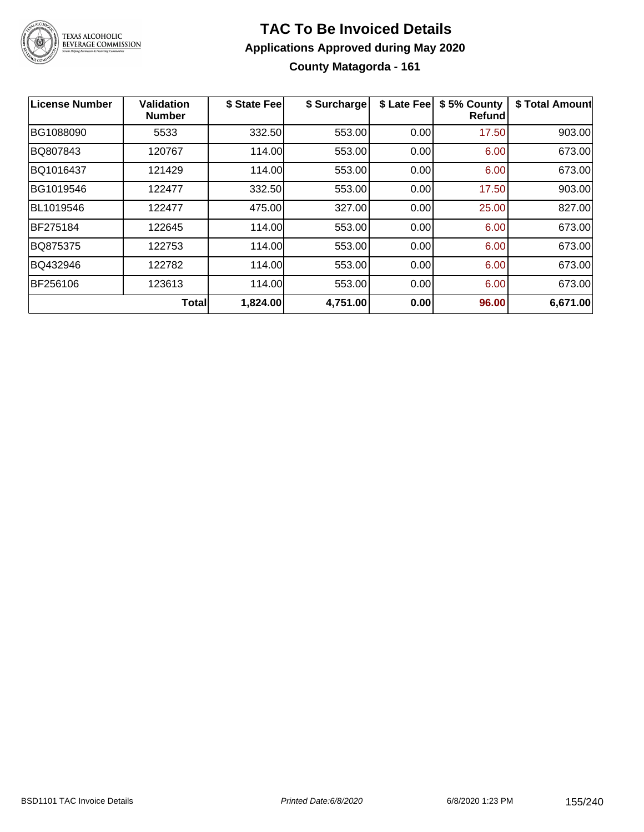

# **TAC To Be Invoiced Details Applications Approved during May 2020 County Matagorda - 161**

| License Number | Validation<br><b>Number</b> | \$ State Fee | \$ Surcharge | \$ Late Fee | \$5% County<br>Refund | \$ Total Amount |
|----------------|-----------------------------|--------------|--------------|-------------|-----------------------|-----------------|
| BG1088090      | 5533                        | 332.50       | 553.00       | 0.00        | 17.50                 | 903.00          |
| BQ807843       | 120767                      | 114.00       | 553.00       | 0.00        | 6.00                  | 673.00          |
| BQ1016437      | 121429                      | 114.00       | 553.00       | 0.00        | 6.00                  | 673.00          |
| BG1019546      | 122477                      | 332.50       | 553.00       | 0.00        | 17.50                 | 903.00          |
| BL1019546      | 122477                      | 475.00       | 327.00       | 0.00        | 25.00                 | 827.00          |
| BF275184       | 122645                      | 114.00       | 553.00       | 0.00        | 6.00                  | 673.00          |
| BQ875375       | 122753                      | 114.00       | 553.00       | 0.00        | 6.00                  | 673.00          |
| BQ432946       | 122782                      | 114.00       | 553.00       | 0.00        | 6.00                  | 673.00          |
| BF256106       | 123613                      | 114.00       | 553.00       | 0.00        | 6.00                  | 673.00          |
|                | <b>Total</b>                | 1,824.00     | 4,751.00     | 0.00        | 96.00                 | 6,671.00        |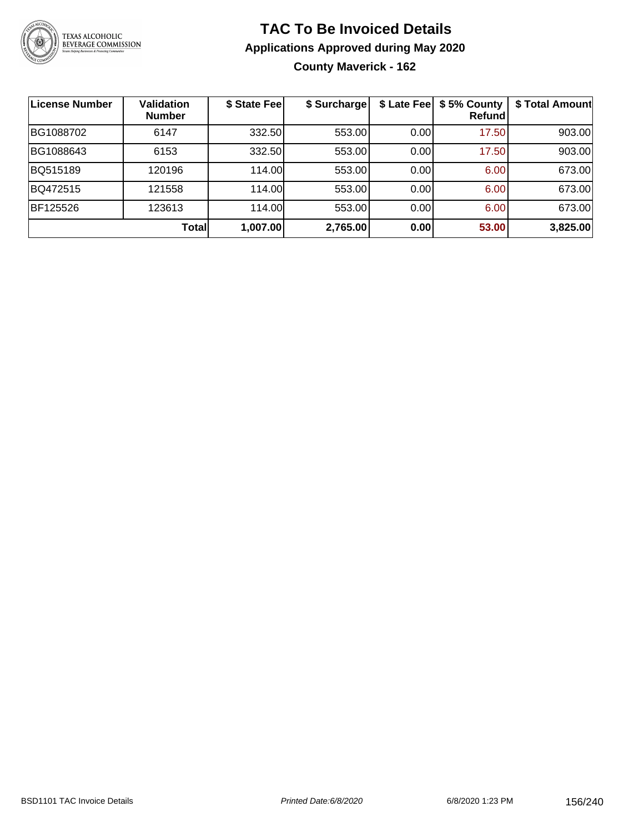

## **TAC To Be Invoiced Details Applications Approved during May 2020 County Maverick - 162**

| License Number | <b>Validation</b><br><b>Number</b> | \$ State Fee | \$ Surcharge | \$ Late Fee | \$5% County<br>Refundl | \$ Total Amount |
|----------------|------------------------------------|--------------|--------------|-------------|------------------------|-----------------|
| BG1088702      | 6147                               | 332.50       | 553.00       | 0.00        | 17.50                  | 903.00          |
| BG1088643      | 6153                               | 332.50       | 553.00       | 0.00        | 17.50                  | 903.00          |
| BQ515189       | 120196                             | 114.00       | 553.00       | 0.00        | 6.00                   | 673.00          |
| BQ472515       | 121558                             | 114.00       | 553.00       | 0.00        | 6.00                   | 673.00          |
| BF125526       | 123613                             | 114.00       | 553.00       | 0.00        | 6.00                   | 673.00          |
|                | <b>Total</b>                       | 1,007.00     | 2,765.00     | 0.00        | 53.00                  | 3,825.00        |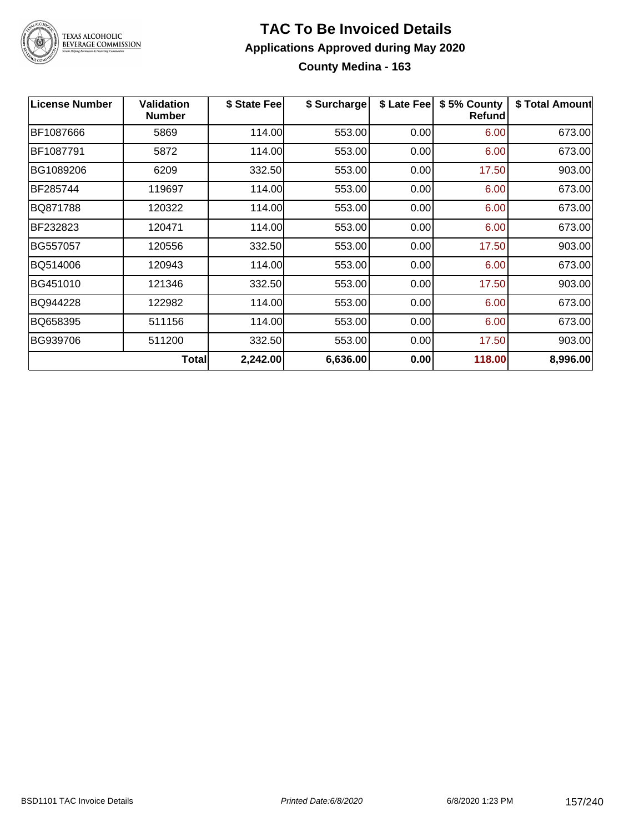

### **TAC To Be Invoiced Details Applications Approved during May 2020 County Medina - 163**

| <b>License Number</b> | <b>Validation</b><br><b>Number</b> | \$ State Fee | \$ Surcharge | \$ Late Fee | \$5% County<br>Refund | \$ Total Amount |
|-----------------------|------------------------------------|--------------|--------------|-------------|-----------------------|-----------------|
| BF1087666             | 5869                               | 114.00       | 553.00       | 0.00        | 6.00                  | 673.00          |
| BF1087791             | 5872                               | 114.00       | 553.00       | 0.00        | 6.00                  | 673.00          |
| BG1089206             | 6209                               | 332.50       | 553.00       | 0.00        | 17.50                 | 903.00          |
| BF285744              | 119697                             | 114.00       | 553.00       | 0.00        | 6.00                  | 673.00          |
| BQ871788              | 120322                             | 114.00       | 553.00       | 0.00        | 6.00                  | 673.00          |
| BF232823              | 120471                             | 114.00       | 553.00       | 0.00        | 6.00                  | 673.00          |
| BG557057              | 120556                             | 332.50       | 553.00       | 0.00        | 17.50                 | 903.00          |
| BQ514006              | 120943                             | 114.00       | 553.00       | 0.00        | 6.00                  | 673.00          |
| BG451010              | 121346                             | 332.50       | 553.00       | 0.00        | 17.50                 | 903.00          |
| BQ944228              | 122982                             | 114.00       | 553.00       | 0.00        | 6.00                  | 673.00          |
| BQ658395              | 511156                             | 114.00       | 553.00       | 0.00        | 6.00                  | 673.00          |
| BG939706              | 511200                             | 332.50       | 553.00       | 0.00        | 17.50                 | 903.00          |
|                       | <b>Total</b>                       | 2,242.00     | 6,636.00     | 0.00        | 118.00                | 8,996.00        |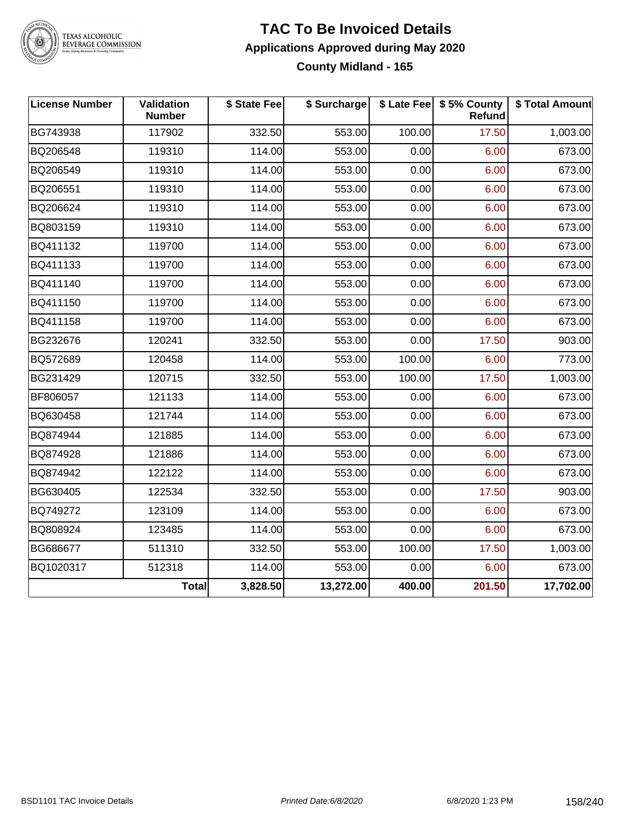

# TEXAS ALCOHOLIC<br>BEVERAGE COMMISSION

#### **TAC To Be Invoiced Details Applications Approved during May 2020 County Midland - 165**

| <b>License Number</b> | Validation<br><b>Number</b> | \$ State Fee | \$ Surcharge |        | \$ Late Fee   \$5% County<br>Refund | \$ Total Amount |
|-----------------------|-----------------------------|--------------|--------------|--------|-------------------------------------|-----------------|
| BG743938              | 117902                      | 332.50       | 553.00       | 100.00 | 17.50                               | 1,003.00        |
| BQ206548              | 119310                      | 114.00       | 553.00       | 0.00   | 6.00                                | 673.00          |
| BQ206549              | 119310                      | 114.00       | 553.00       | 0.00   | 6.00                                | 673.00          |
| BQ206551              | 119310                      | 114.00       | 553.00       | 0.00   | 6.00                                | 673.00          |
| BQ206624              | 119310                      | 114.00       | 553.00       | 0.00   | 6.00                                | 673.00          |
| BQ803159              | 119310                      | 114.00       | 553.00       | 0.00   | 6.00                                | 673.00          |
| BQ411132              | 119700                      | 114.00       | 553.00       | 0.00   | 6.00                                | 673.00          |
| BQ411133              | 119700                      | 114.00       | 553.00       | 0.00   | 6.00                                | 673.00          |
| BQ411140              | 119700                      | 114.00       | 553.00       | 0.00   | 6.00                                | 673.00          |
| BQ411150              | 119700                      | 114.00       | 553.00       | 0.00   | 6.00                                | 673.00          |
| BQ411158              | 119700                      | 114.00       | 553.00       | 0.00   | 6.00                                | 673.00          |
| BG232676              | 120241                      | 332.50       | 553.00       | 0.00   | 17.50                               | 903.00          |
| BQ572689              | 120458                      | 114.00       | 553.00       | 100.00 | 6.00                                | 773.00          |
| BG231429              | 120715                      | 332.50       | 553.00       | 100.00 | 17.50                               | 1,003.00        |
| BF806057              | 121133                      | 114.00       | 553.00       | 0.00   | 6.00                                | 673.00          |
| BQ630458              | 121744                      | 114.00       | 553.00       | 0.00   | 6.00                                | 673.00          |
| BQ874944              | 121885                      | 114.00       | 553.00       | 0.00   | 6.00                                | 673.00          |
| BQ874928              | 121886                      | 114.00       | 553.00       | 0.00   | 6.00                                | 673.00          |
| BQ874942              | 122122                      | 114.00       | 553.00       | 0.00   | 6.00                                | 673.00          |
| BG630405              | 122534                      | 332.50       | 553.00       | 0.00   | 17.50                               | 903.00          |
| BQ749272              | 123109                      | 114.00       | 553.00       | 0.00   | 6.00                                | 673.00          |
| BQ808924              | 123485                      | 114.00       | 553.00       | 0.00   | 6.00                                | 673.00          |
| BG686677              | 511310                      | 332.50       | 553.00       | 100.00 | 17.50                               | 1,003.00        |
| BQ1020317             | 512318                      | 114.00       | 553.00       | 0.00   | 6.00                                | 673.00          |
|                       | <b>Total</b>                | 3,828.50     | 13,272.00    | 400.00 | 201.50                              | 17,702.00       |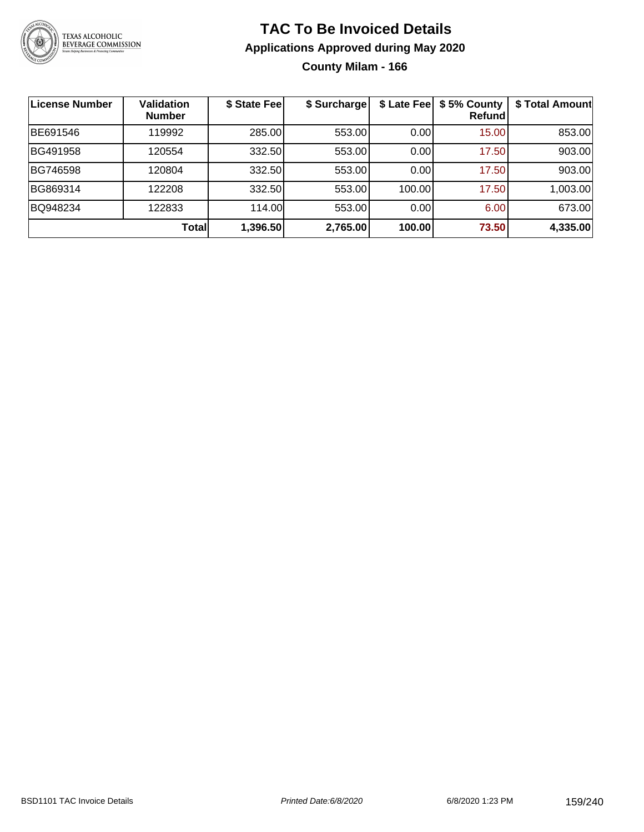

### **TAC To Be Invoiced Details Applications Approved during May 2020 County Milam - 166**

**License Number Validation Number \$ State Fee \$ Surcharge \$ Late Fee \$ 5% County Refund \$ Total Amount** BE691546 119992 285.00 553.00 0.00 15.00 853.00 BG491958 | 120554 | 332.50| 553.00| 0.00| 17.50| 903.00 BG746598 | 120804 | 332.50| 553.00| 0.00| 17.50| 903.00 BG869314 122208 332.50 553.00 100.00 17.50 1,003.00 BQ948234 | 122833 | 114.00| 553.00| 0.00| 6.00| 673.00 **Total 1,396.50 2,765.00 100.00 73.50 4,335.00**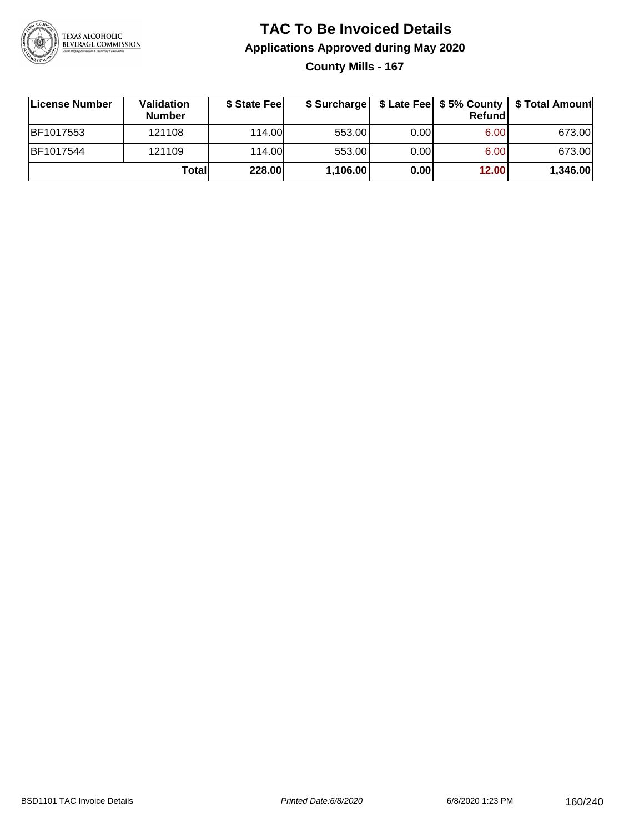

## **TAC To Be Invoiced Details Applications Approved during May 2020 County Mills - 167**

| License Number | Validation<br><b>Number</b> | \$ State Feel | \$ Surcharge |      | Refundl | \$ Late Fee   \$5% County   \$ Total Amount |
|----------------|-----------------------------|---------------|--------------|------|---------|---------------------------------------------|
| BF1017553      | 121108                      | 114.00        | 553.00       | 0.00 | 6.00    | 673.00                                      |
| BF1017544      | 121109                      | 114.00        | 553.00       | 0.00 | 6.00    | 673.00                                      |
|                | Totall                      | 228.00        | 1,106.00     | 0.00 | 12.00   | 1,346.00                                    |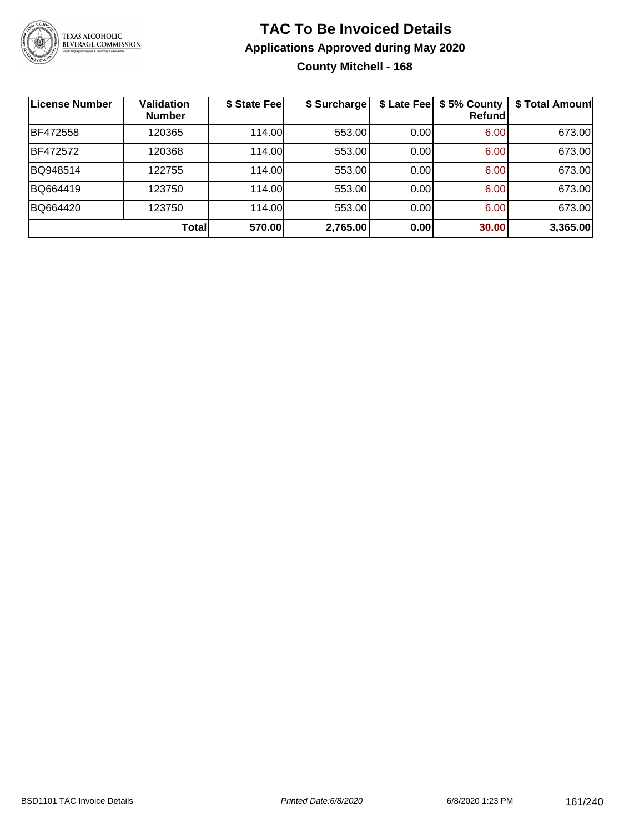

## **TAC To Be Invoiced Details Applications Approved during May 2020 County Mitchell - 168**

| License Number | <b>Validation</b><br><b>Number</b> | \$ State Fee | \$ Surcharge |      | \$ Late Fee   \$5% County<br><b>Refund</b> | \$ Total Amount |
|----------------|------------------------------------|--------------|--------------|------|--------------------------------------------|-----------------|
| BF472558       | 120365                             | 114.00       | 553.00       | 0.00 | 6.00                                       | 673.00          |
| BF472572       | 120368                             | 114.00       | 553.00       | 0.00 | 6.00                                       | 673.00          |
| BQ948514       | 122755                             | 114.00       | 553.00       | 0.00 | 6.00                                       | 673.00          |
| BQ664419       | 123750                             | 114.00       | 553.00       | 0.00 | 6.00                                       | 673.00          |
| BQ664420       | 123750                             | 114.00       | 553.00       | 0.00 | 6.00                                       | 673.00          |
|                | Total                              | 570.00       | 2,765.00     | 0.00 | 30.00                                      | 3,365.00        |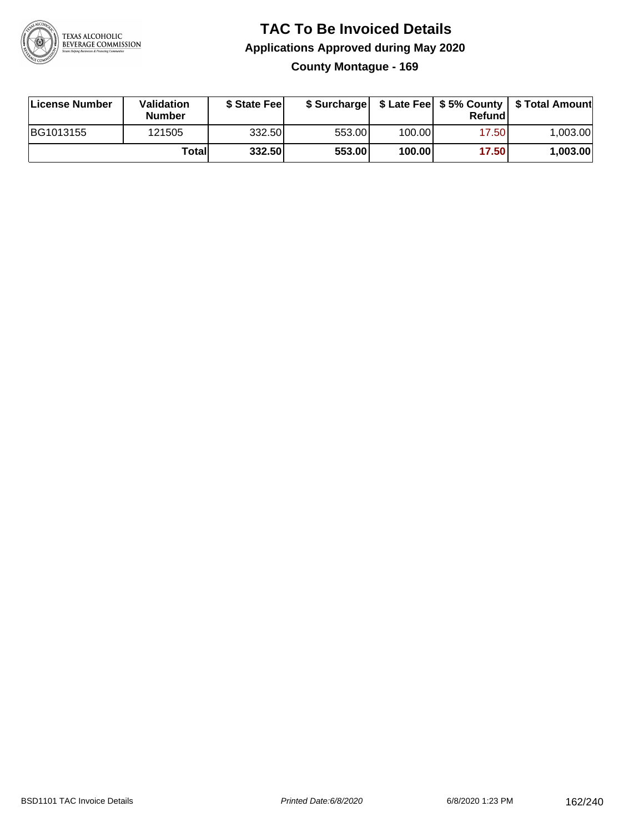

## **TAC To Be Invoiced Details Applications Approved during May 2020 County Montague - 169**

| License Number | Validation<br><b>Number</b> | \$ State Fee | \$ Surcharge |        | Refundl | \$ Late Fee   \$5% County   \$ Total Amount |
|----------------|-----------------------------|--------------|--------------|--------|---------|---------------------------------------------|
| BG1013155      | 121505                      | 332.50       | 553.00       | 100.00 | 17.50   | 1.003.00                                    |
|                | Totall                      | 332.50       | 553.00       | 100.00 | 17.50   | 1,003.00                                    |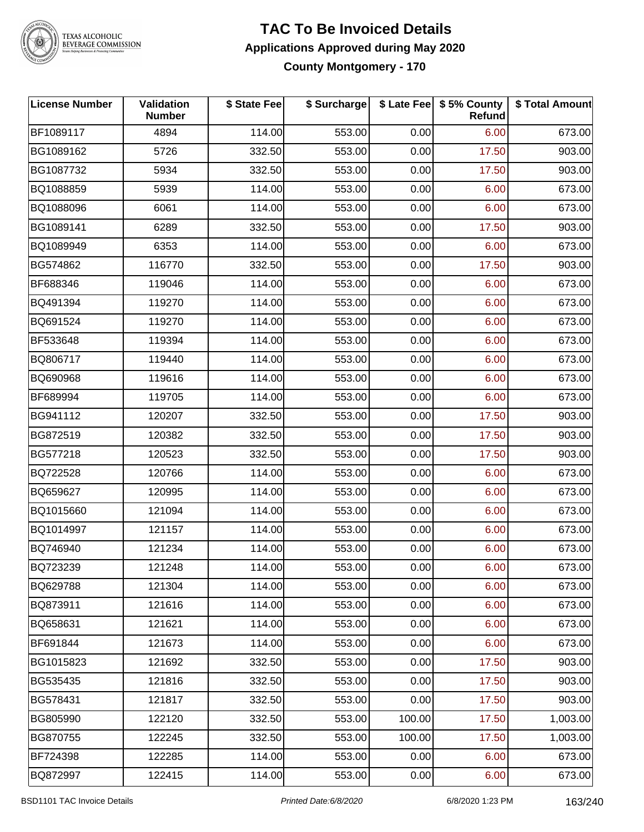

TEXAS ALCOHOLIC<br>BEVERAGE COMMISSION

#### **TAC To Be Invoiced Details Applications Approved during May 2020 County Montgomery - 170**

| <b>License Number</b> | Validation<br><b>Number</b> | \$ State Fee | \$ Surcharge |        | \$ Late Fee   \$5% County<br>Refund | \$ Total Amount |
|-----------------------|-----------------------------|--------------|--------------|--------|-------------------------------------|-----------------|
| BF1089117             | 4894                        | 114.00       | 553.00       | 0.00   | 6.00                                | 673.00          |
| BG1089162             | 5726                        | 332.50       | 553.00       | 0.00   | 17.50                               | 903.00          |
| BG1087732             | 5934                        | 332.50       | 553.00       | 0.00   | 17.50                               | 903.00          |
| BQ1088859             | 5939                        | 114.00       | 553.00       | 0.00   | 6.00                                | 673.00          |
| BQ1088096             | 6061                        | 114.00       | 553.00       | 0.00   | 6.00                                | 673.00          |
| BG1089141             | 6289                        | 332.50       | 553.00       | 0.00   | 17.50                               | 903.00          |
| BQ1089949             | 6353                        | 114.00       | 553.00       | 0.00   | 6.00                                | 673.00          |
| BG574862              | 116770                      | 332.50       | 553.00       | 0.00   | 17.50                               | 903.00          |
| BF688346              | 119046                      | 114.00       | 553.00       | 0.00   | 6.00                                | 673.00          |
| BQ491394              | 119270                      | 114.00       | 553.00       | 0.00   | 6.00                                | 673.00          |
| BQ691524              | 119270                      | 114.00       | 553.00       | 0.00   | 6.00                                | 673.00          |
| BF533648              | 119394                      | 114.00       | 553.00       | 0.00   | 6.00                                | 673.00          |
| BQ806717              | 119440                      | 114.00       | 553.00       | 0.00   | 6.00                                | 673.00          |
| BQ690968              | 119616                      | 114.00       | 553.00       | 0.00   | 6.00                                | 673.00          |
| BF689994              | 119705                      | 114.00       | 553.00       | 0.00   | 6.00                                | 673.00          |
| BG941112              | 120207                      | 332.50       | 553.00       | 0.00   | 17.50                               | 903.00          |
| BG872519              | 120382                      | 332.50       | 553.00       | 0.00   | 17.50                               | 903.00          |
| BG577218              | 120523                      | 332.50       | 553.00       | 0.00   | 17.50                               | 903.00          |
| BQ722528              | 120766                      | 114.00       | 553.00       | 0.00   | 6.00                                | 673.00          |
| BQ659627              | 120995                      | 114.00       | 553.00       | 0.00   | 6.00                                | 673.00          |
| BQ1015660             | 121094                      | 114.00       | 553.00       | 0.00   | 6.00                                | 673.00          |
| BQ1014997             | 121157                      | 114.00       | 553.00       | 0.00   | 6.00                                | 673.00          |
| BQ746940              | 121234                      | 114.00       | 553.00       | 0.00   | 6.00                                | 673.00          |
| BQ723239              | 121248                      | 114.00       | 553.00       | 0.00   | 6.00                                | 673.00          |
| BQ629788              | 121304                      | 114.00       | 553.00       | 0.00   | 6.00                                | 673.00          |
| BQ873911              | 121616                      | 114.00       | 553.00       | 0.00   | 6.00                                | 673.00          |
| BQ658631              | 121621                      | 114.00       | 553.00       | 0.00   | 6.00                                | 673.00          |
| BF691844              | 121673                      | 114.00       | 553.00       | 0.00   | 6.00                                | 673.00          |
| BG1015823             | 121692                      | 332.50       | 553.00       | 0.00   | 17.50                               | 903.00          |
| BG535435              | 121816                      | 332.50       | 553.00       | 0.00   | 17.50                               | 903.00          |
| BG578431              | 121817                      | 332.50       | 553.00       | 0.00   | 17.50                               | 903.00          |
| BG805990              | 122120                      | 332.50       | 553.00       | 100.00 | 17.50                               | 1,003.00        |
| <b>BG870755</b>       | 122245                      | 332.50       | 553.00       | 100.00 | 17.50                               | 1,003.00        |
| BF724398              | 122285                      | 114.00       | 553.00       | 0.00   | 6.00                                | 673.00          |
| BQ872997              | 122415                      | 114.00       | 553.00       | 0.00   | 6.00                                | 673.00          |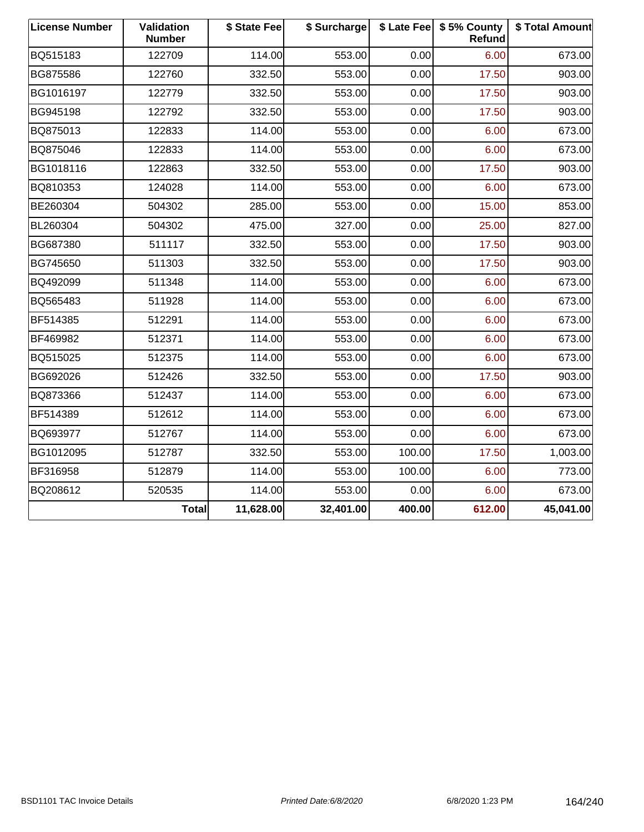| <b>License Number</b> | Validation<br><b>Number</b> | \$ State Fee | \$ Surcharge |        | \$ Late Fee   \$5% County<br>Refund | \$ Total Amount |
|-----------------------|-----------------------------|--------------|--------------|--------|-------------------------------------|-----------------|
| BQ515183              | 122709                      | 114.00       | 553.00       | 0.00   | 6.00                                | 673.00          |
| BG875586              | 122760                      | 332.50       | 553.00       | 0.00   | 17.50                               | 903.00          |
| BG1016197             | 122779                      | 332.50       | 553.00       | 0.00   | 17.50                               | 903.00          |
| BG945198              | 122792                      | 332.50       | 553.00       | 0.00   | 17.50                               | 903.00          |
| BQ875013              | 122833                      | 114.00       | 553.00       | 0.00   | 6.00                                | 673.00          |
| BQ875046              | 122833                      | 114.00       | 553.00       | 0.00   | 6.00                                | 673.00          |
| BG1018116             | 122863                      | 332.50       | 553.00       | 0.00   | 17.50                               | 903.00          |
| BQ810353              | 124028                      | 114.00       | 553.00       | 0.00   | 6.00                                | 673.00          |
| BE260304              | 504302                      | 285.00       | 553.00       | 0.00   | 15.00                               | 853.00          |
| BL260304              | 504302                      | 475.00       | 327.00       | 0.00   | 25.00                               | 827.00          |
| BG687380              | 511117                      | 332.50       | 553.00       | 0.00   | 17.50                               | 903.00          |
| BG745650              | 511303                      | 332.50       | 553.00       | 0.00   | 17.50                               | 903.00          |
| BQ492099              | 511348                      | 114.00       | 553.00       | 0.00   | 6.00                                | 673.00          |
| BQ565483              | 511928                      | 114.00       | 553.00       | 0.00   | 6.00                                | 673.00          |
| BF514385              | 512291                      | 114.00       | 553.00       | 0.00   | 6.00                                | 673.00          |
| BF469982              | 512371                      | 114.00       | 553.00       | 0.00   | 6.00                                | 673.00          |
| BQ515025              | 512375                      | 114.00       | 553.00       | 0.00   | 6.00                                | 673.00          |
| BG692026              | 512426                      | 332.50       | 553.00       | 0.00   | 17.50                               | 903.00          |
| BQ873366              | 512437                      | 114.00       | 553.00       | 0.00   | 6.00                                | 673.00          |
| BF514389              | 512612                      | 114.00       | 553.00       | 0.00   | 6.00                                | 673.00          |
| BQ693977              | 512767                      | 114.00       | 553.00       | 0.00   | 6.00                                | 673.00          |
| BG1012095             | 512787                      | 332.50       | 553.00       | 100.00 | 17.50                               | 1,003.00        |
| BF316958              | 512879                      | 114.00       | 553.00       | 100.00 | 6.00                                | 773.00          |
| BQ208612              | 520535                      | 114.00       | 553.00       | 0.00   | 6.00                                | 673.00          |
|                       | <b>Total</b>                | 11,628.00    | 32,401.00    | 400.00 | 612.00                              | 45,041.00       |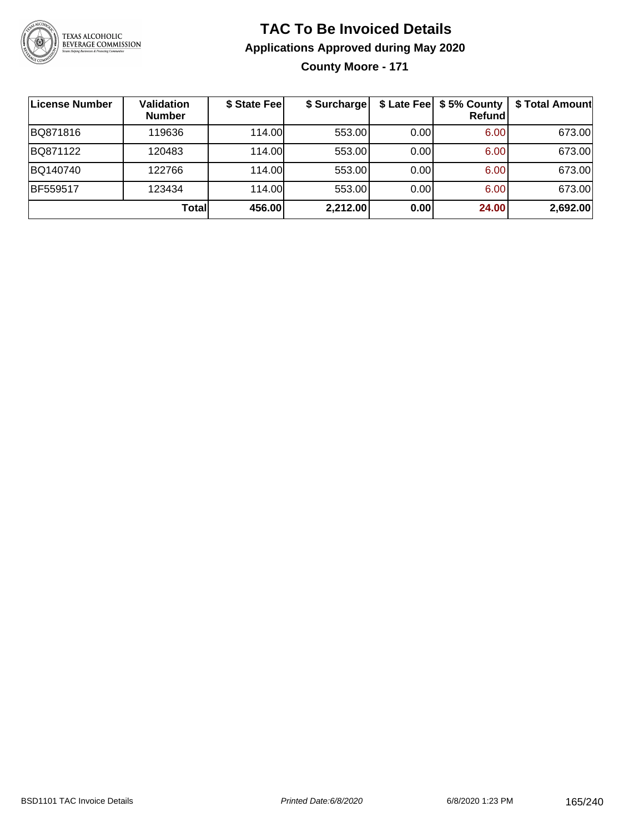

**County Moore - 171**

| License Number | <b>Validation</b><br><b>Number</b> | \$ State Fee | \$ Surcharge |      | \$ Late Fee   \$5% County  <br><b>Refund</b> | \$ Total Amount |
|----------------|------------------------------------|--------------|--------------|------|----------------------------------------------|-----------------|
| BQ871816       | 119636                             | 114.00L      | 553.00       | 0.00 | 6.00                                         | 673.00          |
| BQ871122       | 120483                             | 114.00L      | 553.00       | 0.00 | 6.00                                         | 673.00          |
| BQ140740       | 122766                             | 114.00L      | 553.00       | 0.00 | 6.00                                         | 673.00          |
| BF559517       | 123434                             | 114.00       | 553.00       | 0.00 | 6.00                                         | 673.00          |
|                | Totall                             | 456.00       | 2,212.00     | 0.00 | 24.00                                        | 2,692.00        |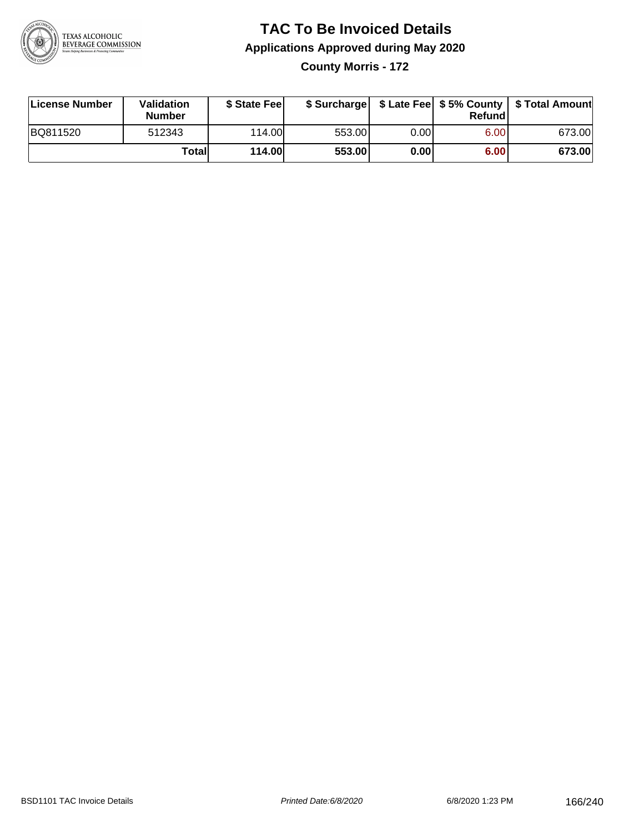

**County Morris - 172**

| License Number | <b>Validation</b><br><b>Number</b> | \$ State Fee  |        |      | Refundl | \$ Surcharge   \$ Late Fee   \$5% County   \$ Total Amount |
|----------------|------------------------------------|---------------|--------|------|---------|------------------------------------------------------------|
| BQ811520       | 512343                             | 114.00L       | 553.00 | 0.00 | 6.00    | 673.00                                                     |
|                | Totall                             | <b>114.00</b> | 553.00 | 0.00 | 6.00    | 673.00                                                     |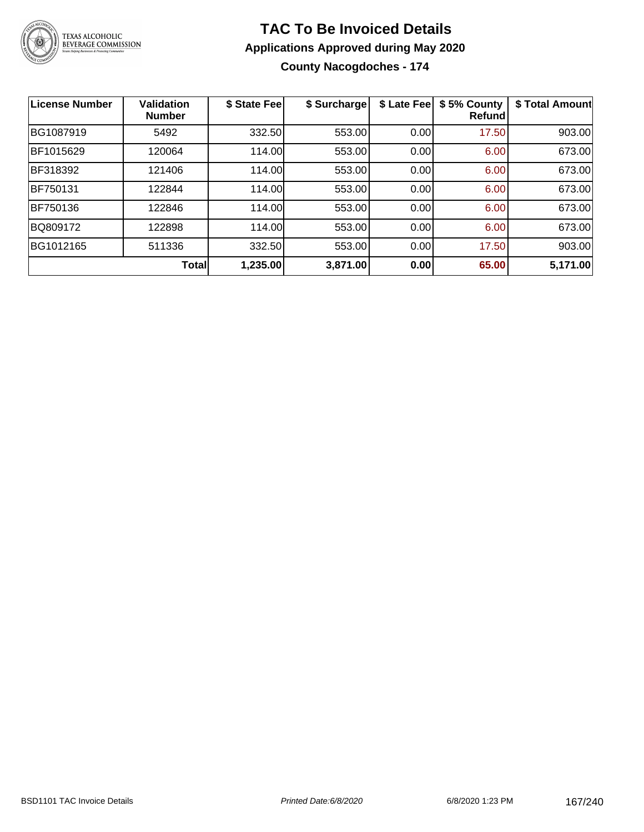

**County Nacogdoches - 174**

| <b>License Number</b> | <b>Validation</b><br><b>Number</b> | \$ State Fee | \$ Surcharge | \$ Late Fee | \$5% County<br>Refundl | \$ Total Amount |
|-----------------------|------------------------------------|--------------|--------------|-------------|------------------------|-----------------|
| BG1087919             | 5492                               | 332.50       | 553.00       | 0.00        | 17.50                  | 903.00          |
| BF1015629             | 120064                             | 114.00       | 553.00       | 0.00        | 6.00                   | 673.00          |
| BF318392              | 121406                             | 114.00       | 553.00       | 0.00        | 6.00                   | 673.00          |
| BF750131              | 122844                             | 114.00       | 553.00       | 0.00        | 6.00                   | 673.00          |
| <b>BF750136</b>       | 122846                             | 114.00       | 553.00       | 0.00        | 6.00                   | 673.00          |
| BQ809172              | 122898                             | 114.00       | 553.00       | 0.00        | 6.00                   | 673.00          |
| BG1012165             | 511336                             | 332.50       | 553.00       | 0.00        | 17.50                  | 903.00          |
|                       | <b>Total</b>                       | 1,235.00     | 3,871.00     | 0.00        | 65.00                  | 5,171.00        |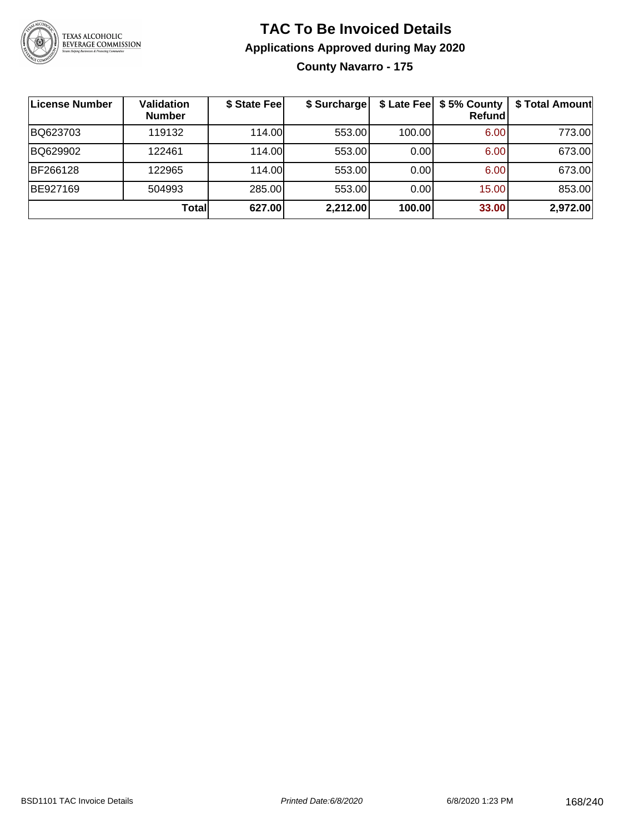

## **TAC To Be Invoiced Details Applications Approved during May 2020 County Navarro - 175**

| License Number | <b>Validation</b><br><b>Number</b> | \$ State Fee | \$ Surcharge |        | \$ Late Fee   \$5% County<br>Refund | \$ Total Amount |
|----------------|------------------------------------|--------------|--------------|--------|-------------------------------------|-----------------|
| BQ623703       | 119132                             | 114.00       | 553.00       | 100.00 | 6.00                                | 773.00          |
| BQ629902       | 122461                             | 114.00       | 553.00       | 0.00   | 6.00                                | 673.00          |
| BF266128       | 122965                             | 114.00       | 553.00       | 0.00   | 6.00                                | 673.00          |
| BE927169       | 504993                             | 285.00       | 553.00       | 0.00   | 15.00                               | 853.00          |
|                | Total                              | 627.00       | 2,212.00     | 100.00 | 33.00                               | 2,972.00        |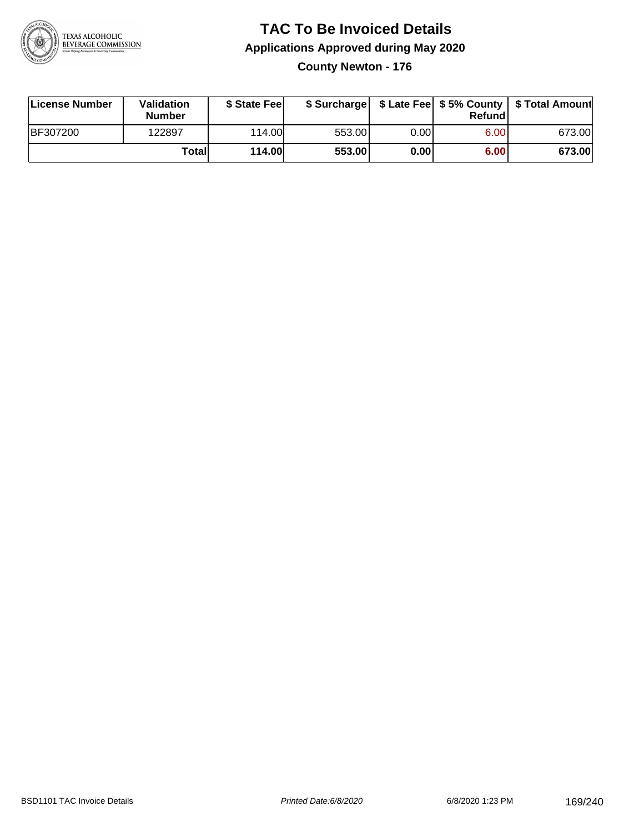

**County Newton - 176**

| License Number  | <b>Validation</b><br><b>Number</b> | \$ State Feel |        |      | Refundl | \$ Surcharge   \$ Late Fee   \$5% County   \$ Total Amount |
|-----------------|------------------------------------|---------------|--------|------|---------|------------------------------------------------------------|
| <b>BF307200</b> | 122897                             | 114.00        | 553.00 | 0.00 | 6.00    | 673.00                                                     |
|                 | Totall                             | <b>114.00</b> | 553.00 | 0.00 | 6.00    | 673.00                                                     |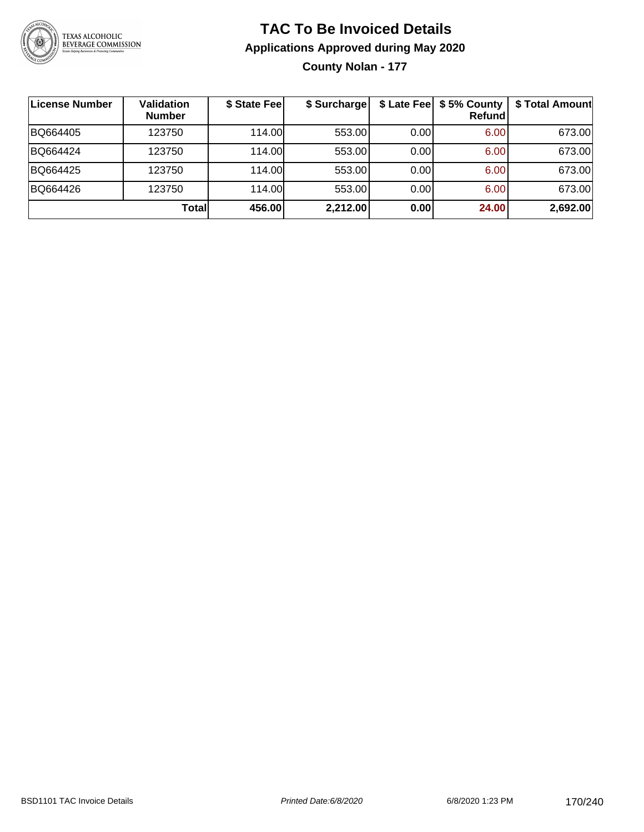

**County Nolan - 177**

| ∣License Number | <b>Validation</b><br><b>Number</b> | \$ State Fee | \$ Surcharge |      | \$ Late Fee   \$5% County<br><b>Refund</b> | \$ Total Amount |
|-----------------|------------------------------------|--------------|--------------|------|--------------------------------------------|-----------------|
| BQ664405        | 123750                             | 114.00       | 553.00       | 0.00 | 6.00                                       | 673.00          |
| BQ664424        | 123750                             | 114.00       | 553.00       | 0.00 | 6.00                                       | 673.00          |
| BQ664425        | 123750                             | 114.00       | 553.00       | 0.00 | 6.00                                       | 673.00          |
| BQ664426        | 123750                             | 114.00       | 553.00       | 0.00 | 6.00                                       | 673.00          |
|                 | Totall                             | 456.00       | 2,212.00     | 0.00 | 24.00                                      | 2,692.00        |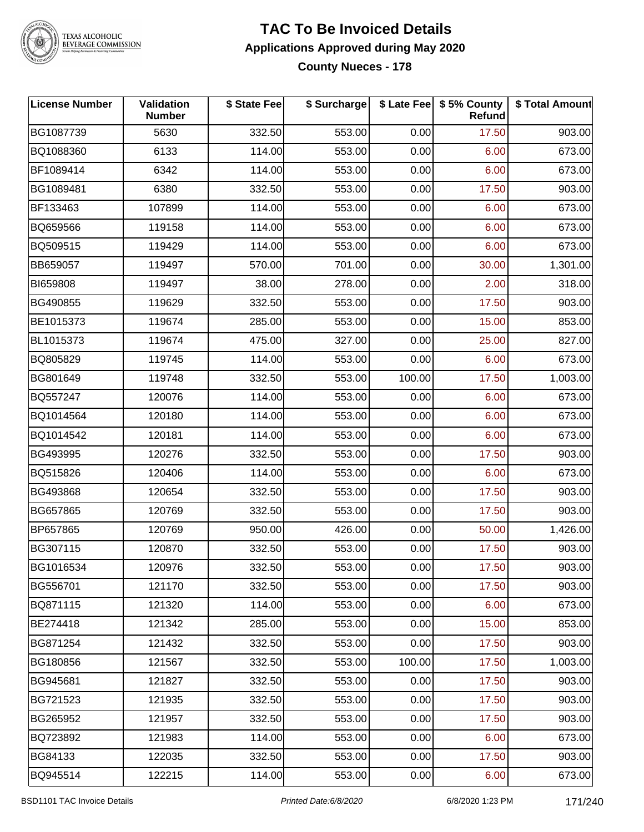

# TEXAS ALCOHOLIC<br>BEVERAGE COMMISSION

#### **TAC To Be Invoiced Details Applications Approved during May 2020 County Nueces - 178**

| <b>License Number</b> | Validation<br><b>Number</b> | \$ State Fee | \$ Surcharge |        | \$ Late Fee   \$5% County  <br>Refund | \$ Total Amount |
|-----------------------|-----------------------------|--------------|--------------|--------|---------------------------------------|-----------------|
| BG1087739             | 5630                        | 332.50       | 553.00       | 0.00   | 17.50                                 | 903.00          |
| BQ1088360             | 6133                        | 114.00       | 553.00       | 0.00   | 6.00                                  | 673.00          |
| BF1089414             | 6342                        | 114.00       | 553.00       | 0.00   | 6.00                                  | 673.00          |
| BG1089481             | 6380                        | 332.50       | 553.00       | 0.00   | 17.50                                 | 903.00          |
| BF133463              | 107899                      | 114.00       | 553.00       | 0.00   | 6.00                                  | 673.00          |
| BQ659566              | 119158                      | 114.00       | 553.00       | 0.00   | 6.00                                  | 673.00          |
| BQ509515              | 119429                      | 114.00       | 553.00       | 0.00   | 6.00                                  | 673.00          |
| BB659057              | 119497                      | 570.00       | 701.00       | 0.00   | 30.00                                 | 1,301.00        |
| BI659808              | 119497                      | 38.00        | 278.00       | 0.00   | 2.00                                  | 318.00          |
| BG490855              | 119629                      | 332.50       | 553.00       | 0.00   | 17.50                                 | 903.00          |
| BE1015373             | 119674                      | 285.00       | 553.00       | 0.00   | 15.00                                 | 853.00          |
| BL1015373             | 119674                      | 475.00       | 327.00       | 0.00   | 25.00                                 | 827.00          |
| BQ805829              | 119745                      | 114.00       | 553.00       | 0.00   | 6.00                                  | 673.00          |
| BG801649              | 119748                      | 332.50       | 553.00       | 100.00 | 17.50                                 | 1,003.00        |
| BQ557247              | 120076                      | 114.00       | 553.00       | 0.00   | 6.00                                  | 673.00          |
| BQ1014564             | 120180                      | 114.00       | 553.00       | 0.00   | 6.00                                  | 673.00          |
| BQ1014542             | 120181                      | 114.00       | 553.00       | 0.00   | 6.00                                  | 673.00          |
| BG493995              | 120276                      | 332.50       | 553.00       | 0.00   | 17.50                                 | 903.00          |
| BQ515826              | 120406                      | 114.00       | 553.00       | 0.00   | 6.00                                  | 673.00          |
| BG493868              | 120654                      | 332.50       | 553.00       | 0.00   | 17.50                                 | 903.00          |
| BG657865              | 120769                      | 332.50       | 553.00       | 0.00   | 17.50                                 | 903.00          |
| BP657865              | 120769                      | 950.00       | 426.00       | 0.00   | 50.00                                 | 1,426.00        |
| BG307115              | 120870                      | 332.50       | 553.00       | 0.00   | 17.50                                 | 903.00          |
| BG1016534             | 120976                      | 332.50       | 553.00       | 0.00   | 17.50                                 | 903.00          |
| BG556701              | 121170                      | 332.50       | 553.00       | 0.00   | 17.50                                 | 903.00          |
| BQ871115              | 121320                      | 114.00       | 553.00       | 0.00   | 6.00                                  | 673.00          |
| BE274418              | 121342                      | 285.00       | 553.00       | 0.00   | 15.00                                 | 853.00          |
| BG871254              | 121432                      | 332.50       | 553.00       | 0.00   | 17.50                                 | 903.00          |
| BG180856              | 121567                      | 332.50       | 553.00       | 100.00 | 17.50                                 | 1,003.00        |
| BG945681              | 121827                      | 332.50       | 553.00       | 0.00   | 17.50                                 | 903.00          |
| BG721523              | 121935                      | 332.50       | 553.00       | 0.00   | 17.50                                 | 903.00          |
| BG265952              | 121957                      | 332.50       | 553.00       | 0.00   | 17.50                                 | 903.00          |
| BQ723892              | 121983                      | 114.00       | 553.00       | 0.00   | 6.00                                  | 673.00          |
| BG84133               | 122035                      | 332.50       | 553.00       | 0.00   | 17.50                                 | 903.00          |
| BQ945514              | 122215                      | 114.00       | 553.00       | 0.00   | 6.00                                  | 673.00          |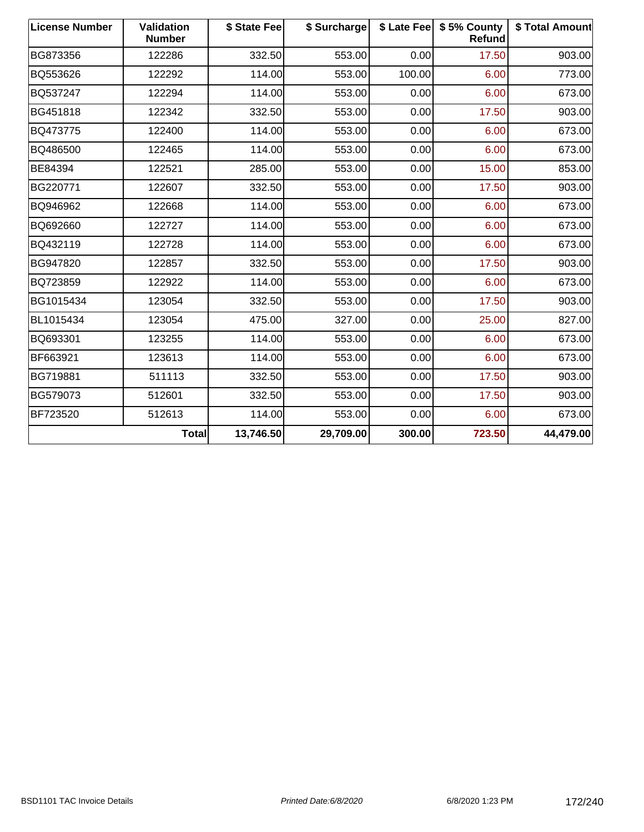| <b>License Number</b> | <b>Validation</b><br><b>Number</b> | \$ State Fee | \$ Surcharge | \$ Late Fee | \$5% County<br>Refund | \$ Total Amount |
|-----------------------|------------------------------------|--------------|--------------|-------------|-----------------------|-----------------|
| BG873356              | 122286                             | 332.50       | 553.00       | 0.00        | 17.50                 | 903.00          |
| BQ553626              | 122292                             | 114.00       | 553.00       | 100.00      | 6.00                  | 773.00          |
| BQ537247              | 122294                             | 114.00       | 553.00       | 0.00        | 6.00                  | 673.00          |
| BG451818              | 122342                             | 332.50       | 553.00       | 0.00        | 17.50                 | 903.00          |
| BQ473775              | 122400                             | 114.00       | 553.00       | 0.00        | 6.00                  | 673.00          |
| BQ486500              | 122465                             | 114.00       | 553.00       | 0.00        | 6.00                  | 673.00          |
| BE84394               | 122521                             | 285.00       | 553.00       | 0.00        | 15.00                 | 853.00          |
| BG220771              | 122607                             | 332.50       | 553.00       | 0.00        | 17.50                 | 903.00          |
| BQ946962              | 122668                             | 114.00       | 553.00       | 0.00        | 6.00                  | 673.00          |
| BQ692660              | 122727                             | 114.00       | 553.00       | 0.00        | 6.00                  | 673.00          |
| BQ432119              | 122728                             | 114.00       | 553.00       | 0.00        | 6.00                  | 673.00          |
| BG947820              | 122857                             | 332.50       | 553.00       | 0.00        | 17.50                 | 903.00          |
| BQ723859              | 122922                             | 114.00       | 553.00       | 0.00        | 6.00                  | 673.00          |
| BG1015434             | 123054                             | 332.50       | 553.00       | 0.00        | 17.50                 | 903.00          |
| BL1015434             | 123054                             | 475.00       | 327.00       | 0.00        | 25.00                 | 827.00          |
| BQ693301              | 123255                             | 114.00       | 553.00       | 0.00        | 6.00                  | 673.00          |
| BF663921              | 123613                             | 114.00       | 553.00       | 0.00        | 6.00                  | 673.00          |
| BG719881              | 511113                             | 332.50       | 553.00       | 0.00        | 17.50                 | 903.00          |
| BG579073              | 512601                             | 332.50       | 553.00       | 0.00        | 17.50                 | 903.00          |
| BF723520              | 512613                             | 114.00       | 553.00       | 0.00        | 6.00                  | 673.00          |
|                       | Total                              | 13,746.50    | 29,709.00    | 300.00      | 723.50                | 44,479.00       |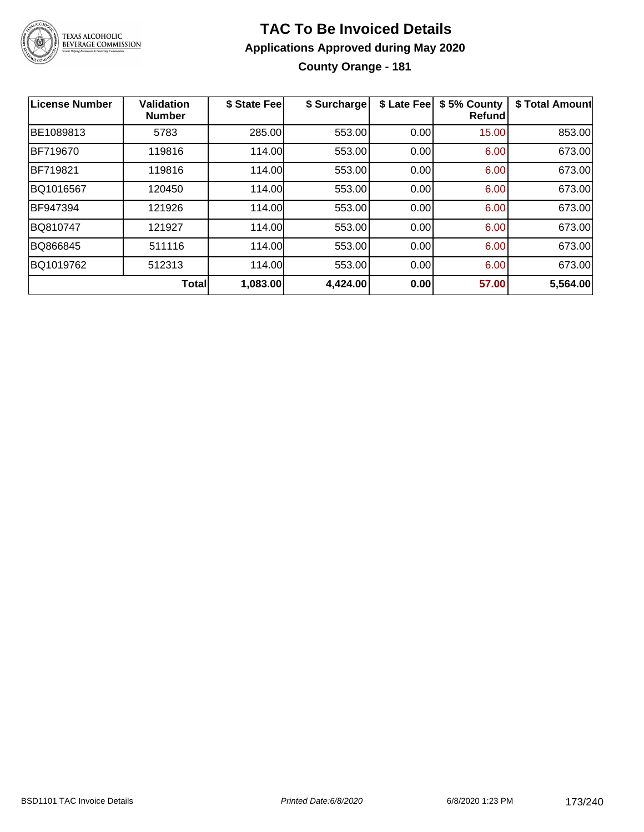

## **TAC To Be Invoiced Details Applications Approved during May 2020 County Orange - 181**

| License Number | <b>Validation</b><br><b>Number</b> | \$ State Fee | \$ Surcharge | \$ Late Fee | \$5% County<br>Refund | \$ Total Amount |
|----------------|------------------------------------|--------------|--------------|-------------|-----------------------|-----------------|
| BE1089813      | 5783                               | 285.00       | 553.00       | 0.00        | 15.00                 | 853.00          |
| BF719670       | 119816                             | 114.00       | 553.00       | 0.00        | 6.00                  | 673.00          |
| BF719821       | 119816                             | 114.00       | 553.00       | 0.00        | 6.00                  | 673.00          |
| BQ1016567      | 120450                             | 114.00       | 553.00       | 0.00        | 6.00                  | 673.00          |
| BF947394       | 121926                             | 114.00       | 553.00       | 0.00        | 6.00                  | 673.00          |
| BQ810747       | 121927                             | 114.00       | 553.00       | 0.00        | 6.00                  | 673.00          |
| BQ866845       | 511116                             | 114.00       | 553.00       | 0.00        | 6.00                  | 673.00          |
| BQ1019762      | 512313                             | 114.00       | 553.00       | 0.00        | 6.00                  | 673.00          |
|                | Total                              | 1,083.00     | 4,424.00     | 0.00        | 57.00                 | 5,564.00        |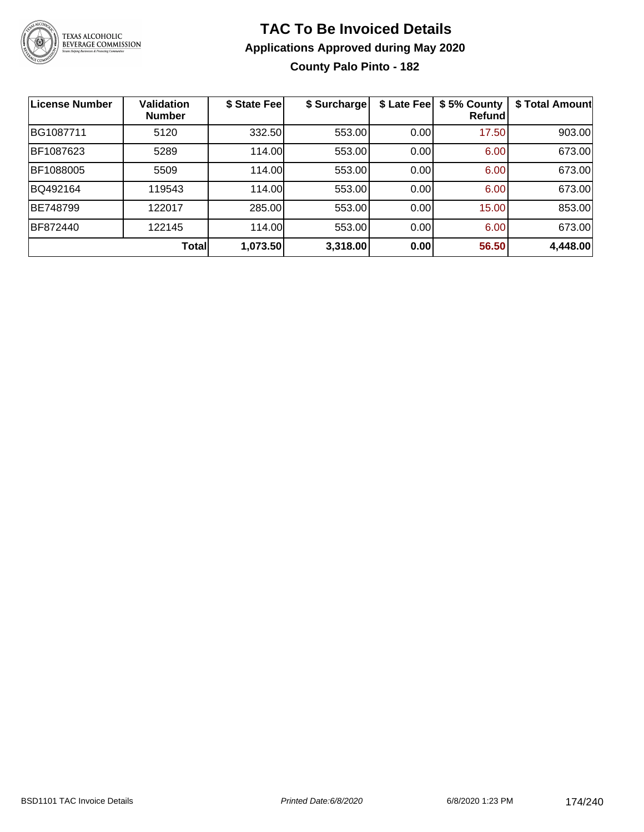

## **TAC To Be Invoiced Details Applications Approved during May 2020 County Palo Pinto - 182**

| <b>License Number</b> | <b>Validation</b><br><b>Number</b> | \$ State Fee | \$ Surcharge | \$ Late Fee | \$5% County<br><b>Refund</b> | \$ Total Amount |
|-----------------------|------------------------------------|--------------|--------------|-------------|------------------------------|-----------------|
| BG1087711             | 5120                               | 332.50       | 553.00       | 0.00        | 17.50                        | 903.00          |
| BF1087623             | 5289                               | 114.00       | 553.00       | 0.00        | 6.00                         | 673.00          |
| BF1088005             | 5509                               | 114.00       | 553.00       | 0.00        | 6.00                         | 673.00          |
| BQ492164              | 119543                             | 114.00       | 553.00       | 0.00        | 6.00                         | 673.00          |
| BE748799              | 122017                             | 285.00       | 553.00       | 0.00        | 15.00                        | 853.00          |
| BF872440              | 122145                             | 114.00       | 553.00       | 0.00        | 6.00                         | 673.00          |
|                       | <b>Total</b>                       | 1,073.50     | 3,318.00     | 0.00        | 56.50                        | 4,448.00        |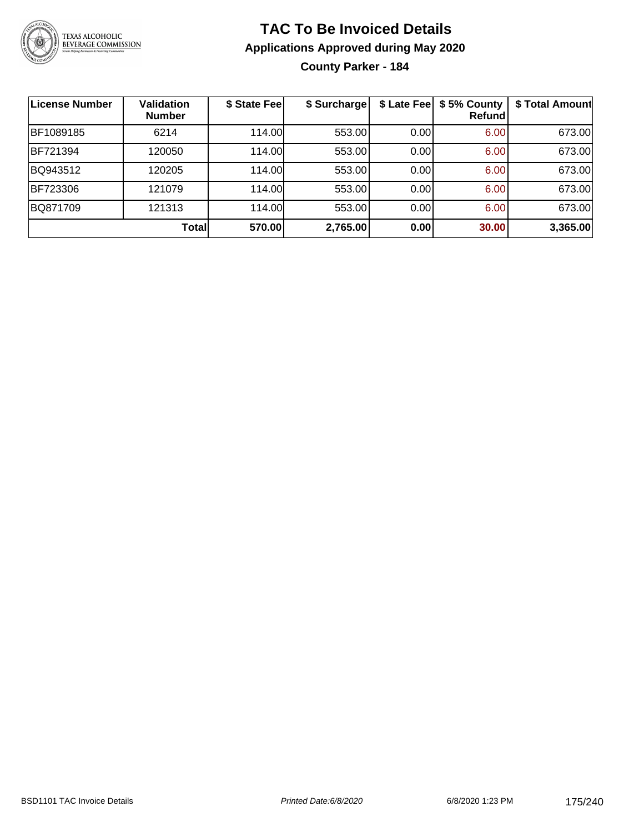

**County Parker - 184**

| License Number | <b>Validation</b><br><b>Number</b> | \$ State Fee | \$ Surcharge |      | \$ Late Fee   \$5% County<br>Refund | \$ Total Amount |
|----------------|------------------------------------|--------------|--------------|------|-------------------------------------|-----------------|
| BF1089185      | 6214                               | 114.00       | 553.00       | 0.00 | 6.00                                | 673.00          |
| BF721394       | 120050                             | 114.00       | 553.00       | 0.00 | 6.00                                | 673.00          |
| BQ943512       | 120205                             | 114.00       | 553.00       | 0.00 | 6.00                                | 673.00          |
| BF723306       | 121079                             | 114.00       | 553.00       | 0.00 | 6.00                                | 673.00          |
| BQ871709       | 121313                             | 114.00       | 553.00       | 0.00 | 6.00                                | 673.00          |
|                | Total                              | 570.00       | 2,765.00     | 0.00 | 30.00                               | 3,365.00        |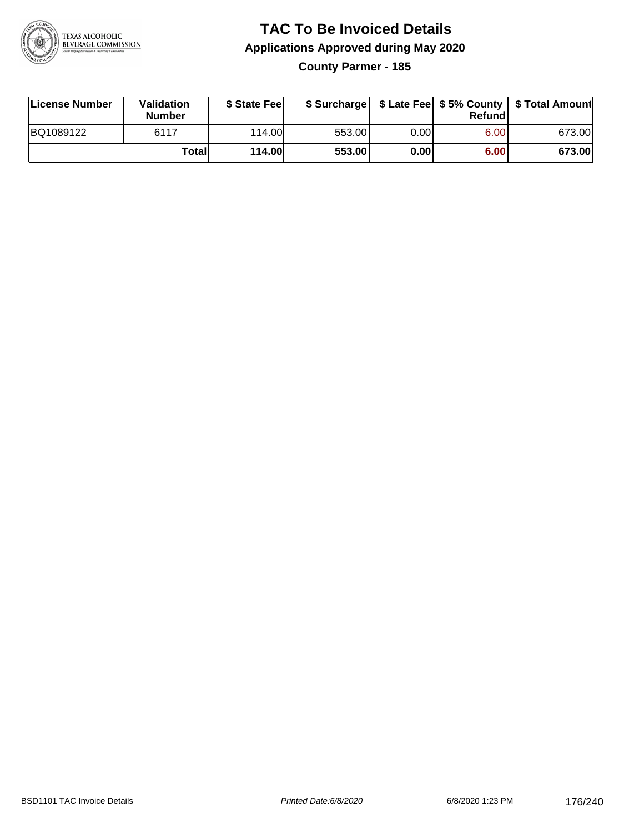

## **TAC To Be Invoiced Details Applications Approved during May 2020 County Parmer - 185**

| License Number | <b>Validation</b><br><b>Number</b> | \$ State Feel |        |      | Refund | \$ Surcharge   \$ Late Fee   \$5% County   \$ Total Amount |
|----------------|------------------------------------|---------------|--------|------|--------|------------------------------------------------------------|
| BQ1089122      | 6117                               | 114.00L       | 553.00 | 0.00 | 6.00   | 673.00                                                     |
|                | Total                              | 114.00        | 553.00 | 0.00 | 6.00   | 673.00                                                     |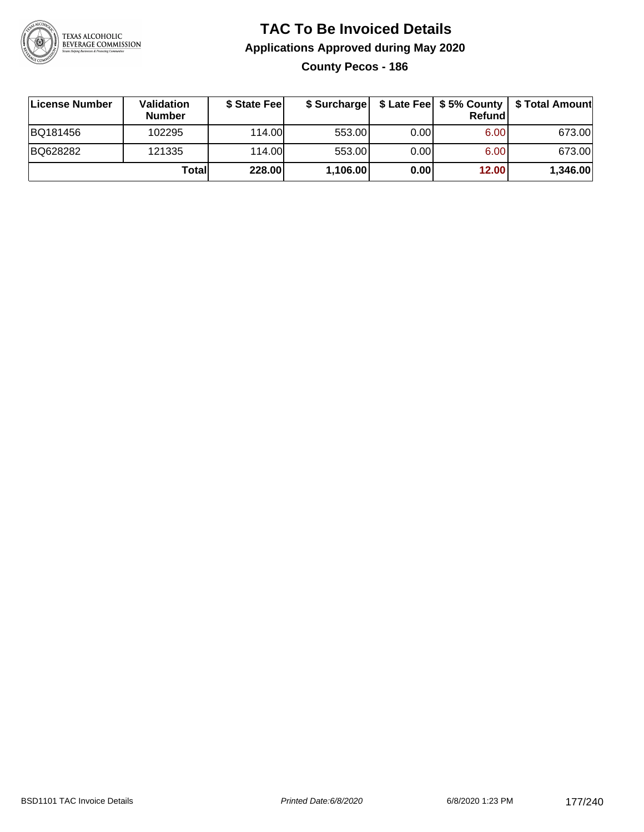

**County Pecos - 186**

| ∣License Number | <b>Validation</b><br><b>Number</b> | \$ State Fee | \$ Surcharge |       | <b>Refund</b> | \$ Late Fee   \$5% County   \$ Total Amount |
|-----------------|------------------------------------|--------------|--------------|-------|---------------|---------------------------------------------|
| BQ181456        | 102295                             | 114.00       | 553.00       | 0.001 | 6.00          | 673.00                                      |
| BQ628282        | 121335                             | 114.00       | 553.00       | 0.001 | 6.00          | 673.00                                      |
|                 | Totall                             | 228.00       | 1,106.00     | 0.00  | 12.00         | 1,346.00                                    |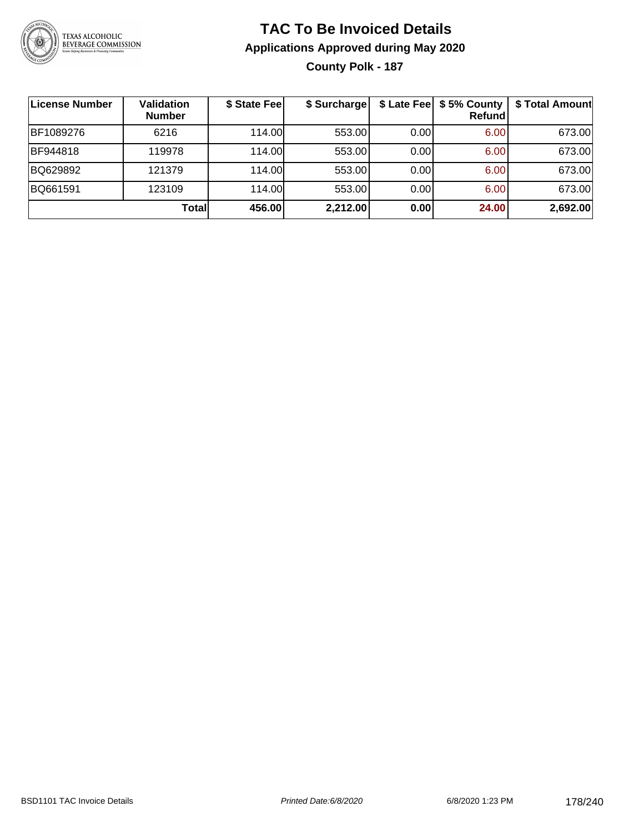

## **TAC To Be Invoiced Details Applications Approved during May 2020 County Polk - 187**

| <b>License Number</b> | Validation<br><b>Number</b> | \$ State Fee | \$ Surcharge |      | \$ Late Fee   \$5% County<br><b>Refund</b> | \$ Total Amount |
|-----------------------|-----------------------------|--------------|--------------|------|--------------------------------------------|-----------------|
| BF1089276             | 6216                        | 114.00       | 553.00       | 0.00 | 6.00                                       | 673.00          |
| BF944818              | 119978                      | 114.00L      | 553.00       | 0.00 | 6.00                                       | 673.00          |
| BQ629892              | 121379                      | 114.00L      | 553.00       | 0.00 | 6.00                                       | 673.00          |
| BQ661591              | 123109                      | 114.00L      | 553.00       | 0.00 | 6.00                                       | 673.00          |
|                       | Totall                      | 456.00       | 2,212.00     | 0.00 | 24.00                                      | 2,692.00        |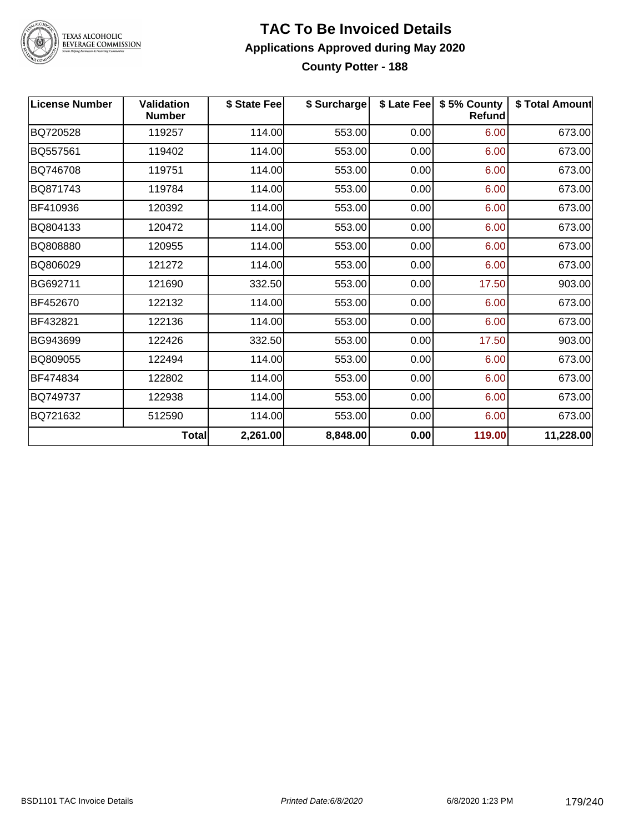

# TEXAS ALCOHOLIC<br>BEVERAGE COMMISSION

#### **TAC To Be Invoiced Details Applications Approved during May 2020 County Potter - 188**

| <b>License Number</b> | <b>Validation</b><br><b>Number</b> | \$ State Fee | \$ Surcharge |      | \$ Late Fee   \$5% County<br><b>Refund</b> | \$ Total Amount |
|-----------------------|------------------------------------|--------------|--------------|------|--------------------------------------------|-----------------|
| BQ720528              | 119257                             | 114.00       | 553.00       | 0.00 | 6.00                                       | 673.00          |
| BQ557561              | 119402                             | 114.00       | 553.00       | 0.00 | 6.00                                       | 673.00          |
| BQ746708              | 119751                             | 114.00       | 553.00       | 0.00 | 6.00                                       | 673.00          |
| BQ871743              | 119784                             | 114.00       | 553.00       | 0.00 | 6.00                                       | 673.00          |
| BF410936              | 120392                             | 114.00       | 553.00       | 0.00 | 6.00                                       | 673.00          |
| BQ804133              | 120472                             | 114.00       | 553.00       | 0.00 | 6.00                                       | 673.00          |
| BQ808880              | 120955                             | 114.00       | 553.00       | 0.00 | 6.00                                       | 673.00          |
| BQ806029              | 121272                             | 114.00       | 553.00       | 0.00 | 6.00                                       | 673.00          |
| BG692711              | 121690                             | 332.50       | 553.00       | 0.00 | 17.50                                      | 903.00          |
| BF452670              | 122132                             | 114.00       | 553.00       | 0.00 | 6.00                                       | 673.00          |
| BF432821              | 122136                             | 114.00       | 553.00       | 0.00 | 6.00                                       | 673.00          |
| BG943699              | 122426                             | 332.50       | 553.00       | 0.00 | 17.50                                      | 903.00          |
| BQ809055              | 122494                             | 114.00       | 553.00       | 0.00 | 6.00                                       | 673.00          |
| BF474834              | 122802                             | 114.00       | 553.00       | 0.00 | 6.00                                       | 673.00          |
| BQ749737              | 122938                             | 114.00       | 553.00       | 0.00 | 6.00                                       | 673.00          |
| BQ721632              | 512590                             | 114.00       | 553.00       | 0.00 | 6.00                                       | 673.00          |
|                       | Total                              | 2,261.00     | 8,848.00     | 0.00 | 119.00                                     | 11,228.00       |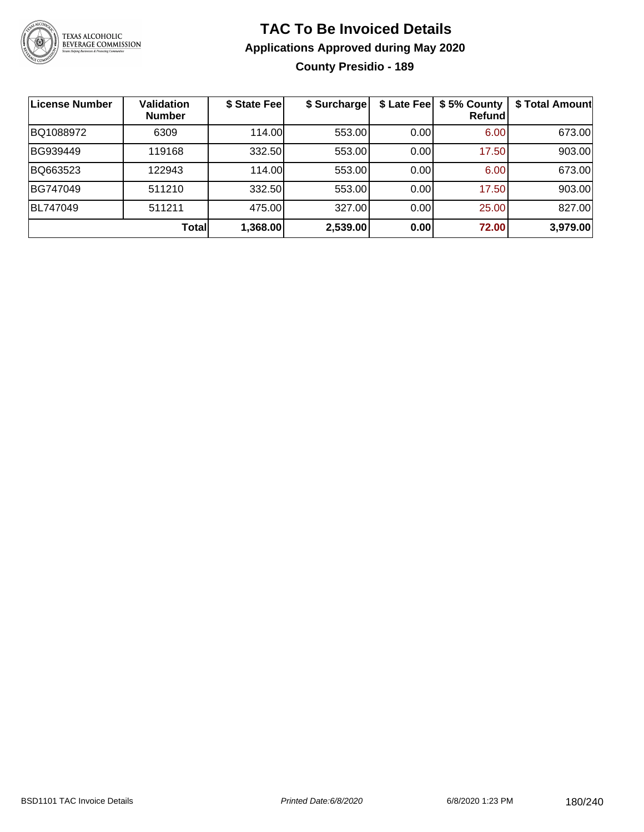

## **TAC To Be Invoiced Details Applications Approved during May 2020 County Presidio - 189**

| License Number | Validation<br><b>Number</b> | \$ State Fee | \$ Surcharge | \$ Late Fee | \$5% County<br>Refund | \$ Total Amount |
|----------------|-----------------------------|--------------|--------------|-------------|-----------------------|-----------------|
| BQ1088972      | 6309                        | 114.00       | 553.00       | 0.00        | 6.00                  | 673.00          |
| BG939449       | 119168                      | 332.50       | 553.00       | 0.00        | 17.50                 | 903.00          |
| BQ663523       | 122943                      | 114.00       | 553.00       | 0.00        | 6.00                  | 673.00          |
| BG747049       | 511210                      | 332.50       | 553.00       | 0.00        | 17.50                 | 903.00          |
| BL747049       | 511211                      | 475.00       | 327.00       | 0.00        | 25.00                 | 827.00          |
|                | Totall                      | 1,368.00     | 2,539.00     | 0.00        | 72.00                 | 3,979.00        |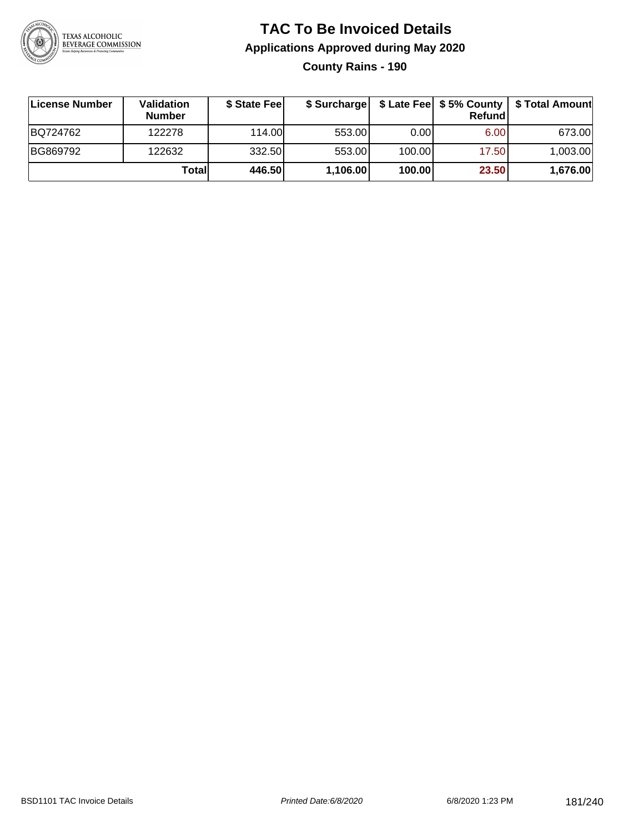

**County Rains - 190**

| ∣License Number | Validation<br><b>Number</b> | \$ State Feel | \$ Surcharge |        | Refund |          |
|-----------------|-----------------------------|---------------|--------------|--------|--------|----------|
| BQ724762        | 122278                      | 114.00L       | 553.00       | 0.00   | 6.00   | 673.00   |
| BG869792        | 122632                      | 332.50        | 553.00       | 100.00 | 17.50  | 1,003.00 |
|                 | Totall                      | 446.50        | 1,106.00     | 100.00 | 23.50  | 1,676.00 |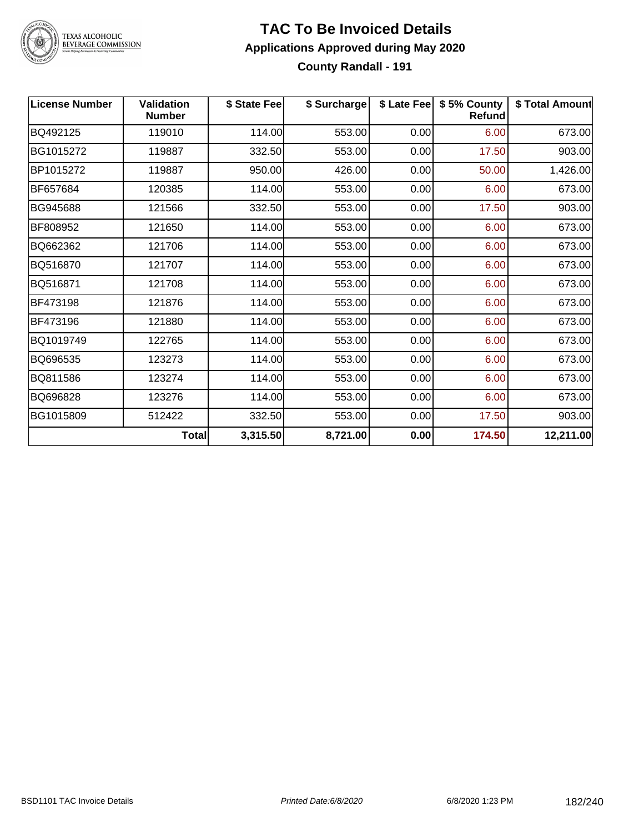

## **TAC To Be Invoiced Details Applications Approved during May 2020 County Randall - 191**

| <b>License Number</b> | <b>Validation</b><br><b>Number</b> | \$ State Fee | \$ Surcharge |      | \$ Late Fee   \$5% County<br><b>Refund</b> | \$ Total Amount |
|-----------------------|------------------------------------|--------------|--------------|------|--------------------------------------------|-----------------|
| BQ492125              | 119010                             | 114.00       | 553.00       | 0.00 | 6.00                                       | 673.00          |
| BG1015272             | 119887                             | 332.50       | 553.00       | 0.00 | 17.50                                      | 903.00          |
| BP1015272             | 119887                             | 950.00       | 426.00       | 0.00 | 50.00                                      | 1,426.00        |
| BF657684              | 120385                             | 114.00       | 553.00       | 0.00 | 6.00                                       | 673.00          |
| BG945688              | 121566                             | 332.50       | 553.00       | 0.00 | 17.50                                      | 903.00          |
| BF808952              | 121650                             | 114.00       | 553.00       | 0.00 | 6.00                                       | 673.00          |
| BQ662362              | 121706                             | 114.00       | 553.00       | 0.00 | 6.00                                       | 673.00          |
| BQ516870              | 121707                             | 114.00       | 553.00       | 0.00 | 6.00                                       | 673.00          |
| BQ516871              | 121708                             | 114.00       | 553.00       | 0.00 | 6.00                                       | 673.00          |
| BF473198              | 121876                             | 114.00       | 553.00       | 0.00 | 6.00                                       | 673.00          |
| BF473196              | 121880                             | 114.00       | 553.00       | 0.00 | 6.00                                       | 673.00          |
| BQ1019749             | 122765                             | 114.00       | 553.00       | 0.00 | 6.00                                       | 673.00          |
| BQ696535              | 123273                             | 114.00       | 553.00       | 0.00 | 6.00                                       | 673.00          |
| BQ811586              | 123274                             | 114.00       | 553.00       | 0.00 | 6.00                                       | 673.00          |
| BQ696828              | 123276                             | 114.00       | 553.00       | 0.00 | 6.00                                       | 673.00          |
| BG1015809             | 512422                             | 332.50       | 553.00       | 0.00 | 17.50                                      | 903.00          |
|                       | <b>Total</b>                       | 3,315.50     | 8,721.00     | 0.00 | 174.50                                     | 12,211.00       |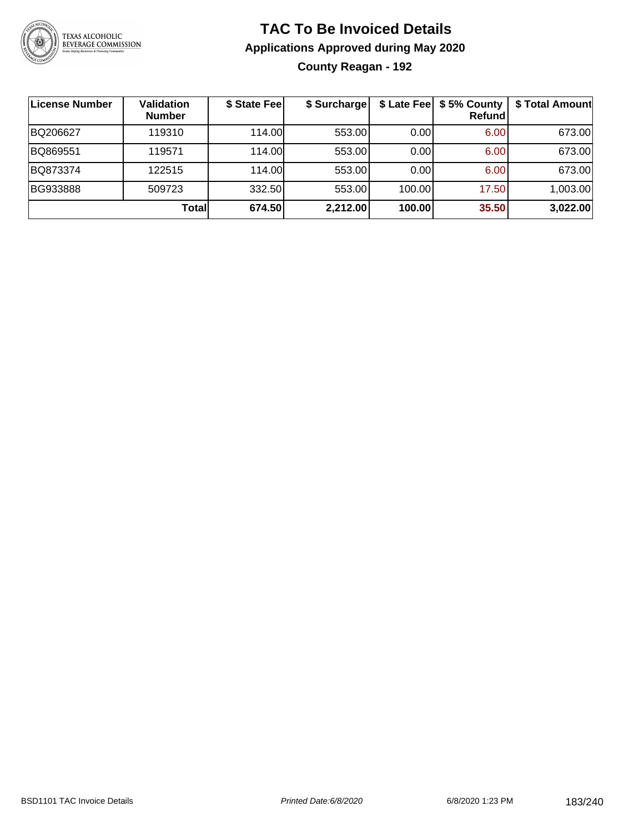

## **TAC To Be Invoiced Details Applications Approved during May 2020 County Reagan - 192**

| <b>License Number</b> | Validation<br><b>Number</b> | \$ State Fee | \$ Surcharge |        | \$ Late Fee   \$5% County<br>Refundl | \$ Total Amount |
|-----------------------|-----------------------------|--------------|--------------|--------|--------------------------------------|-----------------|
| BQ206627              | 119310                      | 114.00       | 553.00       | 0.00   | 6.00                                 | 673.00          |
| BQ869551              | 119571                      | 114.00       | 553.00       | 0.00   | 6.00                                 | 673.00          |
| BQ873374              | 122515                      | 114.00       | 553.00       | 0.00   | 6.00                                 | 673.00          |
| BG933888              | 509723                      | 332.50       | 553.00       | 100.00 | 17.50                                | 1,003.00        |
|                       | Total                       | 674.50       | 2,212.00     | 100.00 | 35.50                                | 3,022.00        |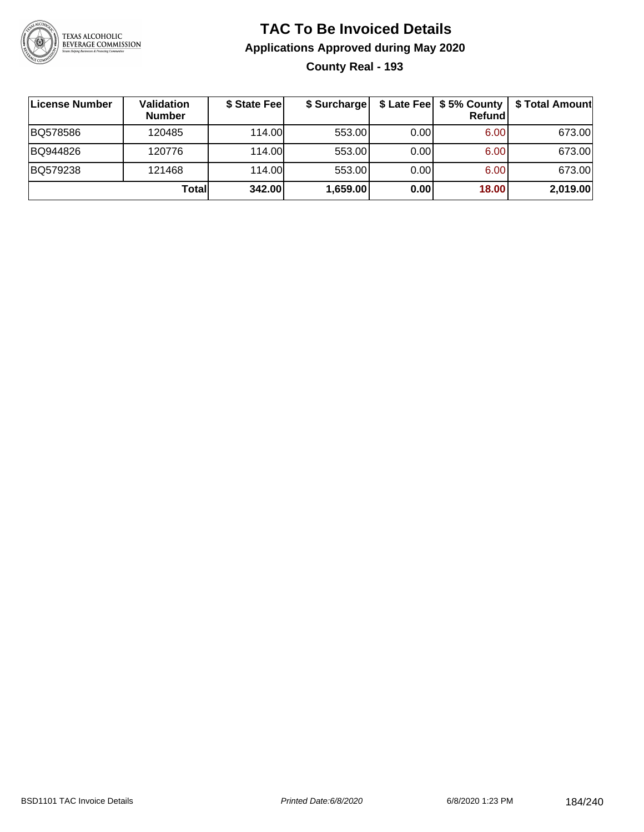

## **TAC To Be Invoiced Details Applications Approved during May 2020 County Real - 193**

| License Number | Validation<br><b>Number</b> | \$ State Fee | \$ Surcharge |      | \$ Late Fee   \$5% County  <br><b>Refund</b> | \$ Total Amount |
|----------------|-----------------------------|--------------|--------------|------|----------------------------------------------|-----------------|
| BQ578586       | 120485                      | 114.00L      | 553.00       | 0.00 | 6.00                                         | 673.00          |
| BQ944826       | 120776                      | 114.00L      | 553.00       | 0.00 | 6.00                                         | 673.00          |
| BQ579238       | 121468                      | 114.00       | 553.00       | 0.00 | 6.00                                         | 673.00          |
|                | Totall                      | 342.00       | 1,659.00     | 0.00 | 18.00                                        | 2,019.00        |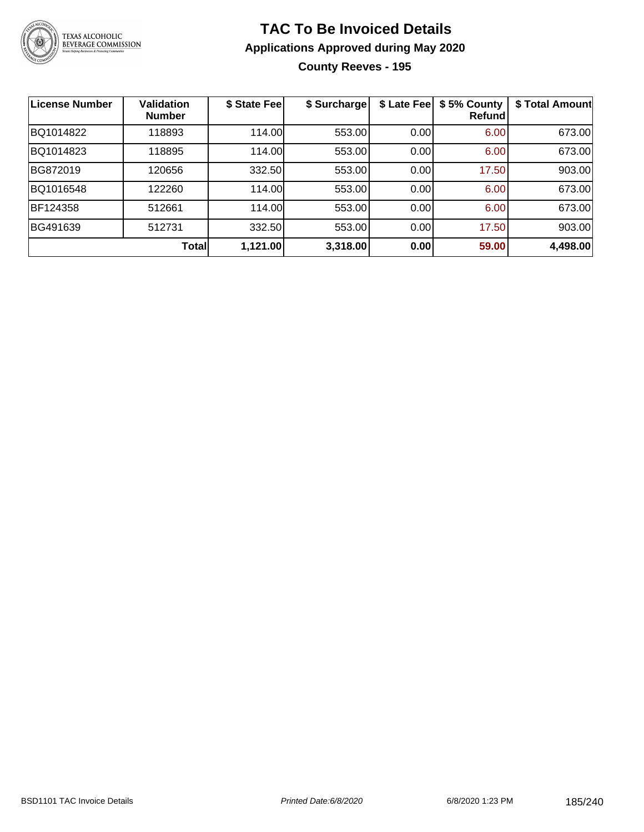

## **TAC To Be Invoiced Details Applications Approved during May 2020 County Reeves - 195**

| <b>License Number</b> | <b>Validation</b><br><b>Number</b> | \$ State Fee | \$ Surcharge | \$ Late Fee | \$5% County<br>Refund | \$ Total Amount |
|-----------------------|------------------------------------|--------------|--------------|-------------|-----------------------|-----------------|
| BQ1014822             | 118893                             | 114.00       | 553.00       | 0.00        | 6.00                  | 673.00          |
| BQ1014823             | 118895                             | 114.00       | 553.00       | 0.00        | 6.00                  | 673.00          |
| BG872019              | 120656                             | 332.50       | 553.00       | 0.00        | 17.50                 | 903.00          |
| BQ1016548             | 122260                             | 114.00       | 553.00       | 0.00        | 6.00                  | 673.00          |
| BF124358              | 512661                             | 114.00       | 553.00       | 0.00        | 6.00                  | 673.00          |
| BG491639              | 512731                             | 332.50       | 553.00       | 0.00        | 17.50                 | 903.00          |
|                       | Total                              | 1,121.00     | 3,318.00     | 0.00        | 59.00                 | 4,498.00        |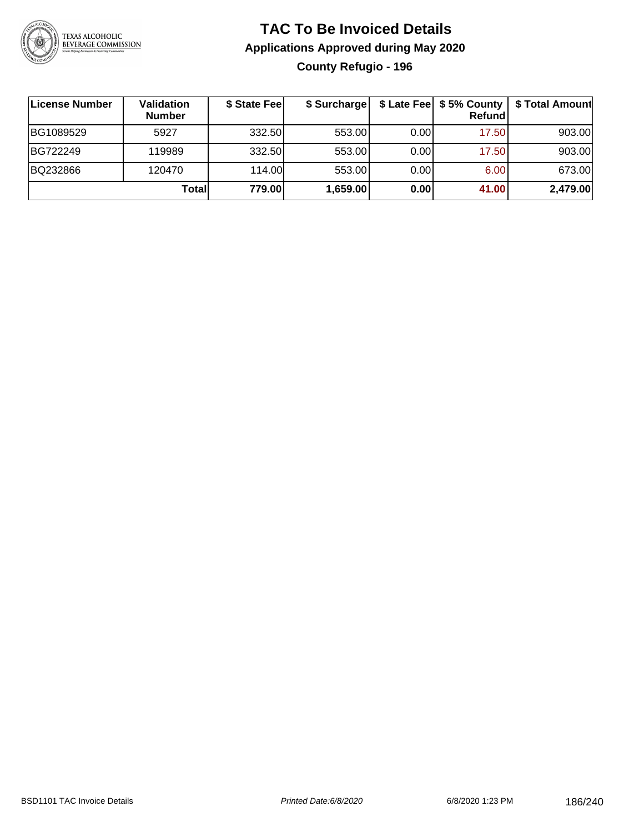

## **TAC To Be Invoiced Details Applications Approved during May 2020 County Refugio - 196**

| License Number | Validation<br><b>Number</b> | \$ State Fee | \$ Surcharge |      | \$ Late Fee   \$5% County<br>Refundl | \$ Total Amount |
|----------------|-----------------------------|--------------|--------------|------|--------------------------------------|-----------------|
| BG1089529      | 5927                        | 332.50       | 553.00       | 0.00 | 17.50                                | 903.00          |
| BG722249       | 119989                      | 332.50       | 553.00       | 0.00 | 17.50                                | 903.00          |
| BQ232866       | 120470                      | 114.00       | 553.00       | 0.00 | 6.00                                 | 673.00          |
|                | Totall                      | 779.00       | 1,659.00     | 0.00 | 41.00                                | 2,479.00        |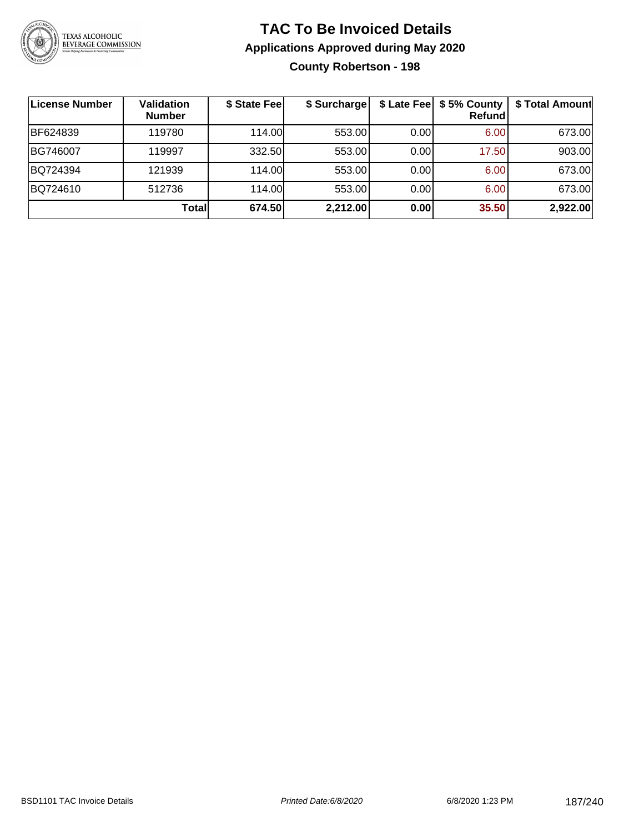

### **TAC To Be Invoiced Details Applications Approved during May 2020 County Robertson - 198**

| <b>License Number</b> | <b>Validation</b><br><b>Number</b> | \$ State Fee | \$ Surcharge |      | \$ Late Fee   \$5% County<br><b>Refund</b> | \$ Total Amount |
|-----------------------|------------------------------------|--------------|--------------|------|--------------------------------------------|-----------------|
| BF624839              | 119780                             | 114.00L      | 553.00       | 0.00 | 6.00                                       | 673.00          |
| BG746007              | 119997                             | 332.50       | 553.00       | 0.00 | 17.50                                      | 903.00          |
| BQ724394              | 121939                             | 114.00       | 553.00       | 0.00 | 6.00                                       | 673.00          |
| BQ724610              | 512736                             | 114.00L      | 553.00       | 0.00 | 6.00                                       | 673.00          |
|                       | Totall                             | 674.50       | 2,212.00     | 0.00 | 35.50                                      | 2,922.00        |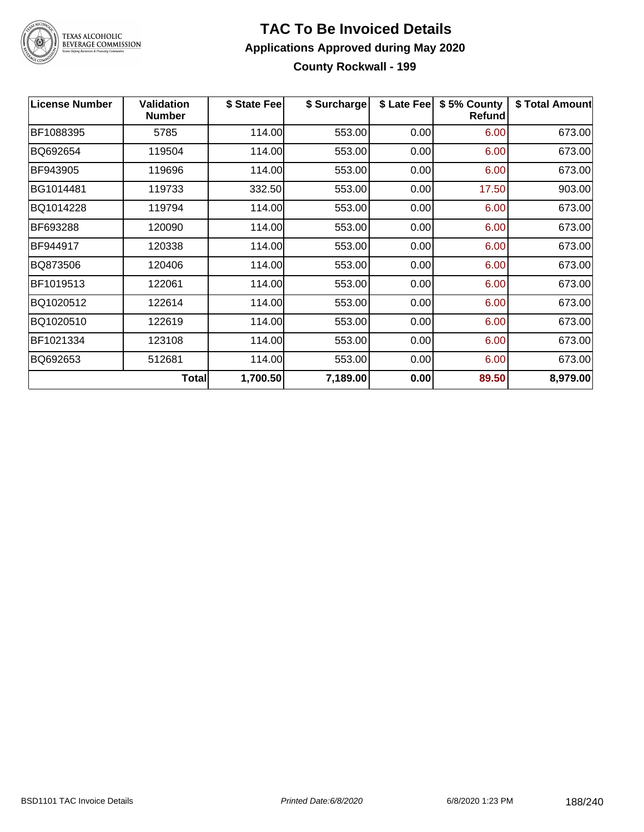

#### **TAC To Be Invoiced Details Applications Approved during May 2020 County Rockwall - 199**

| <b>License Number</b> | <b>Validation</b><br><b>Number</b> | \$ State Fee | \$ Surcharge | \$ Late Fee | \$5% County<br>Refund | \$ Total Amount |
|-----------------------|------------------------------------|--------------|--------------|-------------|-----------------------|-----------------|
| BF1088395             | 5785                               | 114.00       | 553.00       | 0.00        | 6.00                  | 673.00          |
| BQ692654              | 119504                             | 114.00       | 553.00       | 0.00        | 6.00                  | 673.00          |
| BF943905              | 119696                             | 114.00       | 553.00       | 0.00        | 6.00                  | 673.00          |
| BG1014481             | 119733                             | 332.50       | 553.00       | 0.00        | 17.50                 | 903.00          |
| BQ1014228             | 119794                             | 114.00       | 553.00       | 0.00        | 6.00                  | 673.00          |
| BF693288              | 120090                             | 114.00       | 553.00       | 0.00        | 6.00                  | 673.00          |
| BF944917              | 120338                             | 114.00       | 553.00       | 0.00        | 6.00                  | 673.00          |
| BQ873506              | 120406                             | 114.00       | 553.00       | 0.00        | 6.00                  | 673.00          |
| BF1019513             | 122061                             | 114.00       | 553.00       | 0.00        | 6.00                  | 673.00          |
| BQ1020512             | 122614                             | 114.00       | 553.00       | 0.00        | 6.00                  | 673.00          |
| BQ1020510             | 122619                             | 114.00       | 553.00       | 0.00        | 6.00                  | 673.00          |
| BF1021334             | 123108                             | 114.00       | 553.00       | 0.00        | 6.00                  | 673.00          |
| BQ692653              | 512681                             | 114.00       | 553.00       | 0.00        | 6.00                  | 673.00          |
|                       | Total                              | 1,700.50     | 7,189.00     | 0.00        | 89.50                 | 8,979.00        |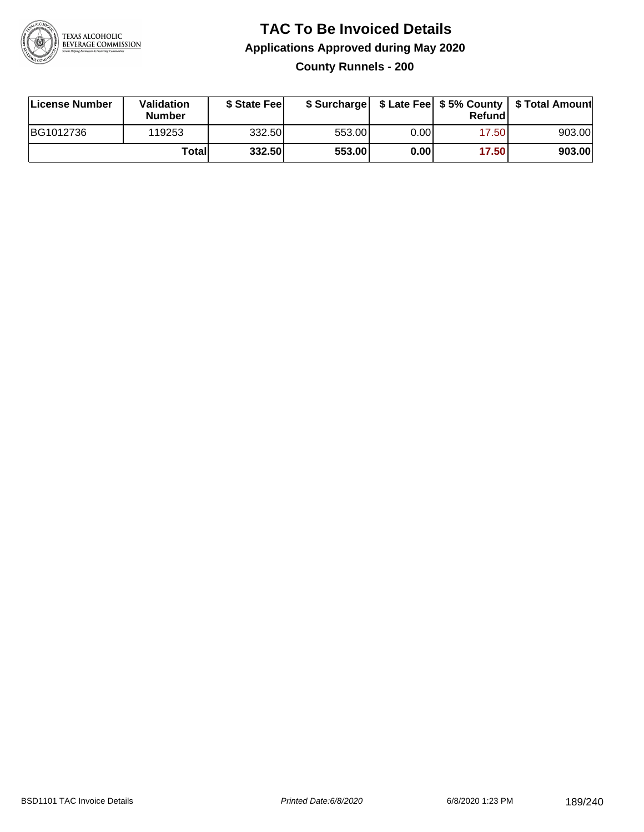

## **TAC To Be Invoiced Details Applications Approved during May 2020 County Runnels - 200**

| License Number | Validation<br><b>Number</b> | \$ State Fee |        |      | Refund | \$ Surcharge   \$ Late Fee   \$5% County   \$ Total Amount |
|----------------|-----------------------------|--------------|--------|------|--------|------------------------------------------------------------|
| BG1012736      | 119253                      | 332.50       | 553.00 | 0.00 | 17.50  | 903.00                                                     |
|                | Totall                      | 332.50       | 553.00 | 0.00 | 17.50  | 903.00                                                     |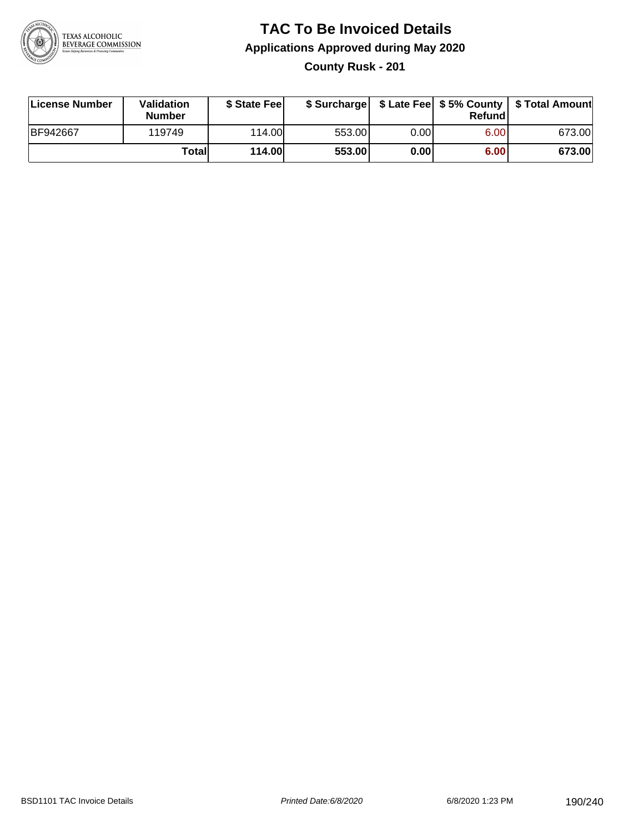

**County Rusk - 201**

| License Number | <b>Validation</b><br><b>Number</b> | \$ State Feel |        |      | Refundl | \$ Surcharge   \$ Late Fee   \$5% County   \$ Total Amount |
|----------------|------------------------------------|---------------|--------|------|---------|------------------------------------------------------------|
| BF942667       | 119749                             | 114.00        | 553.00 | 0.00 | 6.00    | 673.00                                                     |
|                | Totall                             | <b>114.00</b> | 553.00 | 0.00 | 6.00    | 673.00                                                     |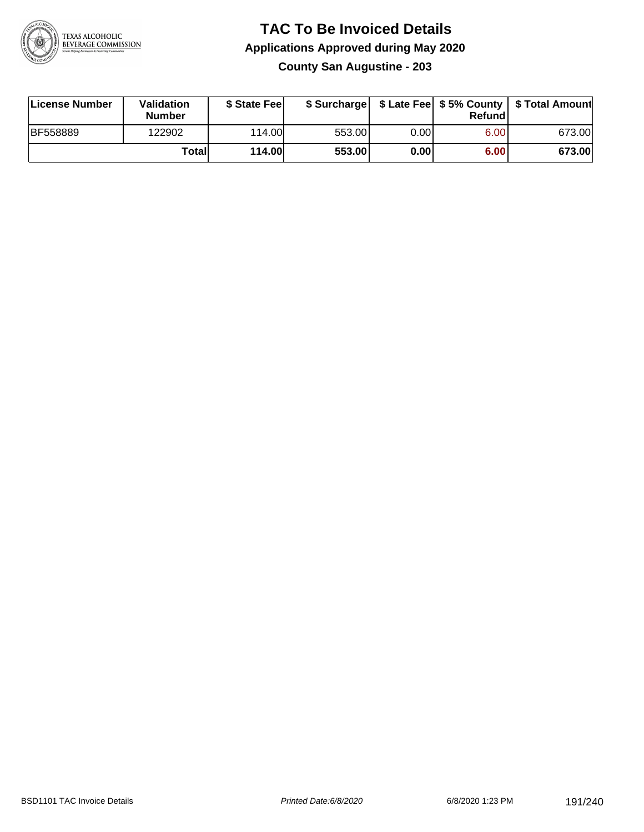

### **TAC To Be Invoiced Details Applications Approved during May 2020 County San Augustine - 203**

| License Number  | Validation<br><b>Number</b> | \$ State Feel |        |      | Refund | \$ Surcharge   \$ Late Fee   \$5% County   \$ Total Amount |
|-----------------|-----------------------------|---------------|--------|------|--------|------------------------------------------------------------|
| <b>BF558889</b> | 122902                      | 114.00L       | 553.00 | 0.00 | 6.00   | 673.00                                                     |
|                 | Totall                      | 114.00        | 553.00 | 0.00 | 6.00   | 673.00                                                     |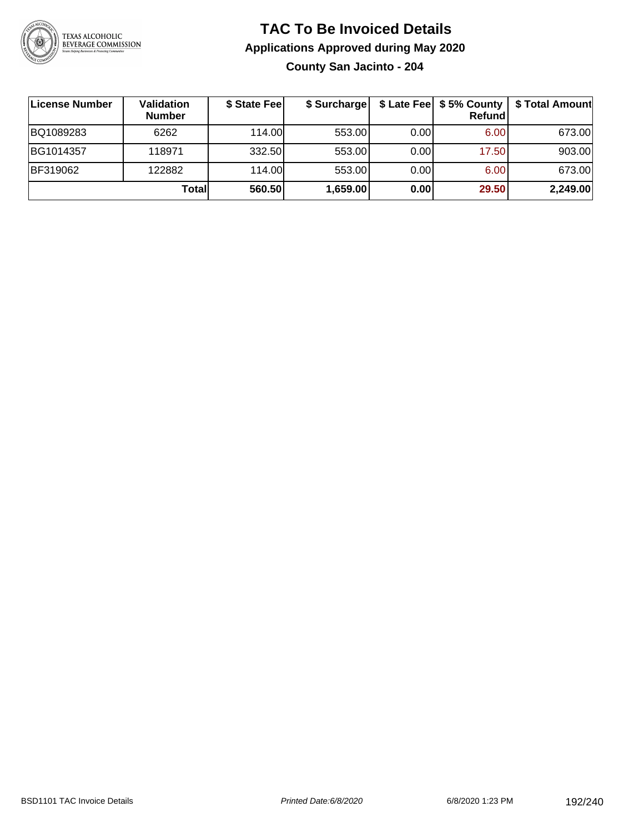

## **TAC To Be Invoiced Details Applications Approved during May 2020 County San Jacinto - 204**

| License Number | <b>Validation</b><br><b>Number</b> | \$ State Feel | \$ Surcharge |       | \$ Late Fee   \$5% County  <br>Refund | \$ Total Amount |
|----------------|------------------------------------|---------------|--------------|-------|---------------------------------------|-----------------|
| BQ1089283      | 6262                               | 114.00        | 553.00       | 0.001 | 6.00                                  | 673.00          |
| BG1014357      | 118971                             | 332.50        | 553.00       | 0.00  | 17.50                                 | 903.00          |
| BF319062       | 122882                             | 114.00        | 553.00       | 0.00  | 6.00                                  | 673.00          |
|                | Total                              | 560.50        | 1,659.00     | 0.00  | 29.50                                 | 2,249.00        |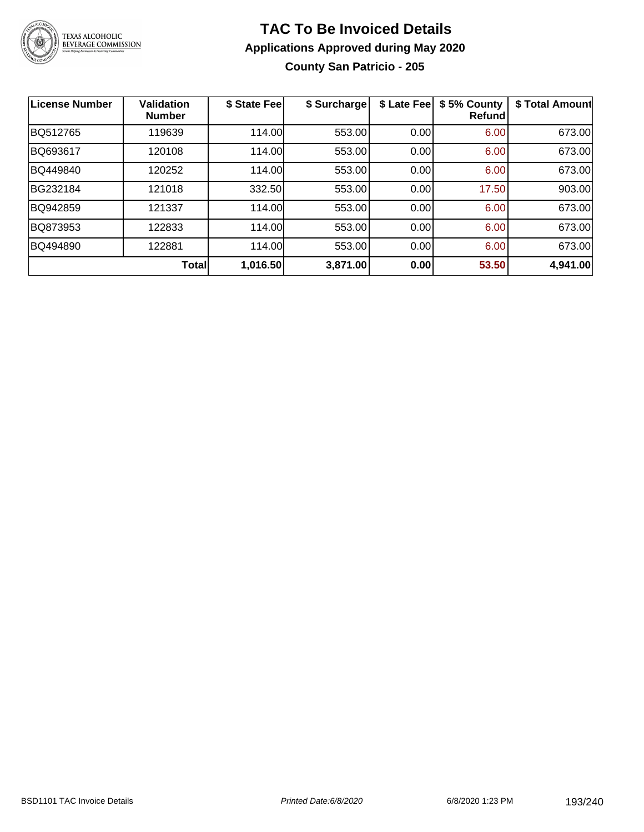

## **TAC To Be Invoiced Details Applications Approved during May 2020 County San Patricio - 205**

| <b>License Number</b> | <b>Validation</b><br><b>Number</b> | \$ State Fee | \$ Surcharge | \$ Late Fee | \$5% County<br><b>Refund</b> | \$ Total Amount |
|-----------------------|------------------------------------|--------------|--------------|-------------|------------------------------|-----------------|
| BQ512765              | 119639                             | 114.00       | 553.00       | 0.00        | 6.00                         | 673.00          |
| BQ693617              | 120108                             | 114.00       | 553.00       | 0.00        | 6.00                         | 673.00          |
| BQ449840              | 120252                             | 114.00       | 553.00       | 0.00        | 6.00                         | 673.00          |
| BG232184              | 121018                             | 332.50       | 553.00       | 0.00        | 17.50                        | 903.00          |
| BQ942859              | 121337                             | 114.00       | 553.00       | 0.00        | 6.00                         | 673.00          |
| BQ873953              | 122833                             | 114.00       | 553.00       | 0.00        | 6.00                         | 673.00          |
| BQ494890              | 122881                             | 114.00       | 553.00       | 0.00        | 6.00                         | 673.00          |
|                       | <b>Total</b>                       | 1,016.50     | 3,871.00     | 0.00        | 53.50                        | 4,941.00        |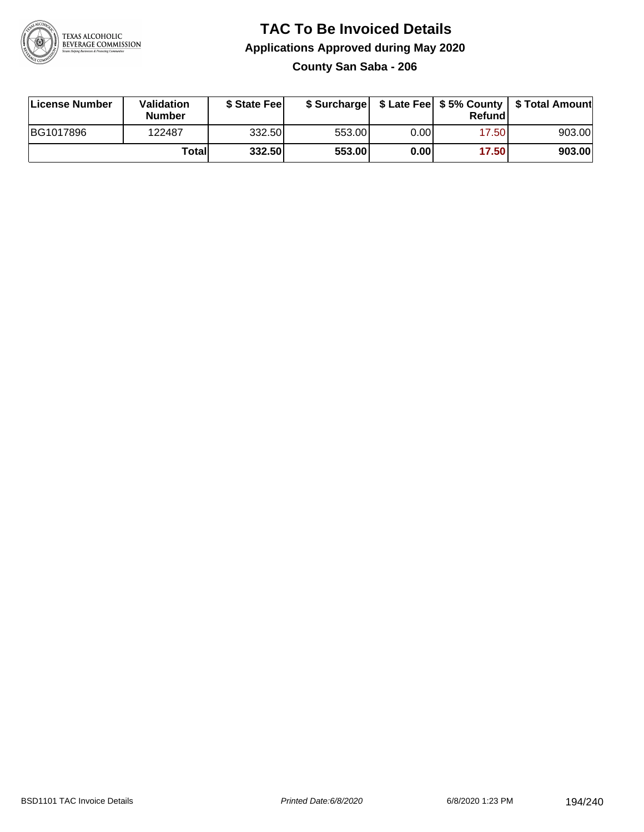

## **TAC To Be Invoiced Details Applications Approved during May 2020 County San Saba - 206**

| License Number | Validation<br><b>Number</b> | \$ State Feel |        |      | Refund | \$ Surcharge   \$ Late Fee   \$5% County   \$ Total Amount |
|----------------|-----------------------------|---------------|--------|------|--------|------------------------------------------------------------|
| BG1017896      | 122487                      | 332.50        | 553.00 | 0.00 | 17.50  | 903.00                                                     |
|                | Totall                      | 332.50        | 553.00 | 0.00 | 17.50  | 903.00                                                     |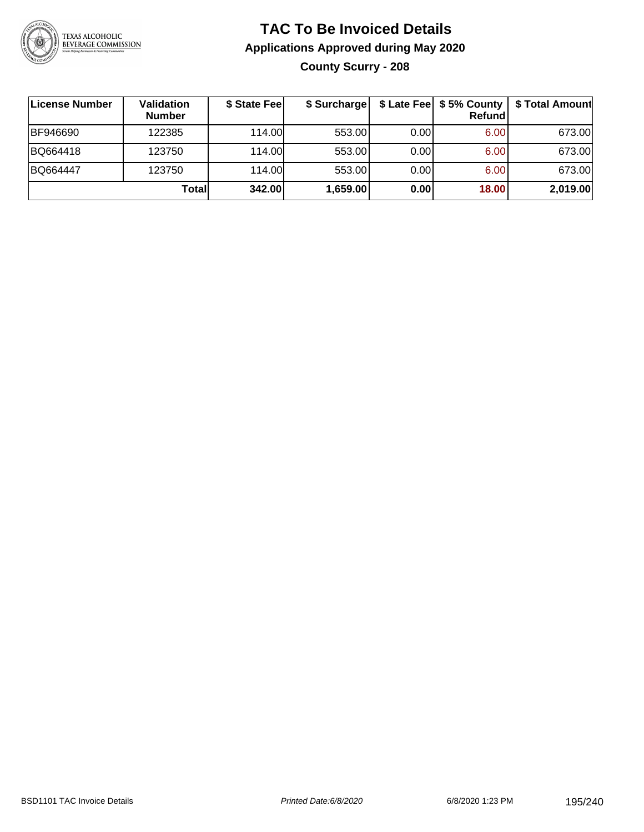

## **TAC To Be Invoiced Details Applications Approved during May 2020 County Scurry - 208**

| License Number | Validation<br><b>Number</b> | \$ State Fee | \$ Surcharge |      | $$$ Late Fee $$$ 5% County $ $<br>Refundl | \$ Total Amount |
|----------------|-----------------------------|--------------|--------------|------|-------------------------------------------|-----------------|
| BF946690       | 122385                      | 114.00       | 553.00       | 0.00 | 6.00                                      | 673.00          |
| BQ664418       | 123750                      | 114.00       | 553.00       | 0.00 | 6.00                                      | 673.00          |
| BQ664447       | 123750                      | 114.00       | 553.00       | 0.00 | 6.00                                      | 673.00          |
|                | Totall                      | 342.00       | 1,659.00     | 0.00 | 18.00                                     | 2,019.00        |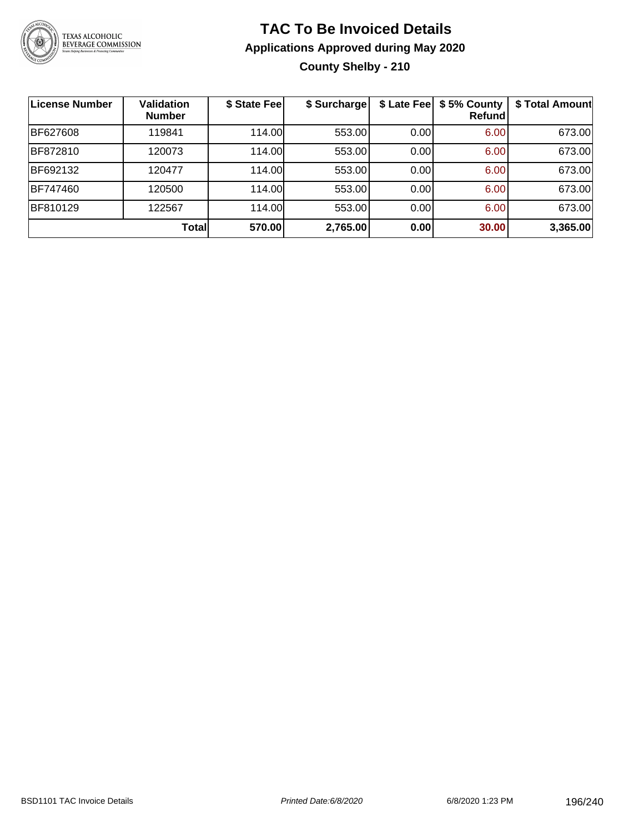

## **TAC To Be Invoiced Details Applications Approved during May 2020 County Shelby - 210**

| License Number | <b>Validation</b><br><b>Number</b> | \$ State Fee | \$ Surcharge |      | \$ Late Fee   \$5% County<br><b>Refund</b> | \$ Total Amount |
|----------------|------------------------------------|--------------|--------------|------|--------------------------------------------|-----------------|
| BF627608       | 119841                             | 114.00       | 553.00       | 0.00 | 6.00                                       | 673.00          |
| BF872810       | 120073                             | 114.00       | 553.00       | 0.00 | 6.00                                       | 673.00          |
| BF692132       | 120477                             | 114.00       | 553.00       | 0.00 | 6.00                                       | 673.00          |
| BF747460       | 120500                             | 114.00       | 553.00       | 0.00 | 6.00                                       | 673.00          |
| BF810129       | 122567                             | 114.00       | 553.00       | 0.00 | 6.00                                       | 673.00          |
|                | <b>Total</b>                       | 570.00       | 2,765.00     | 0.00 | 30.00                                      | 3,365.00        |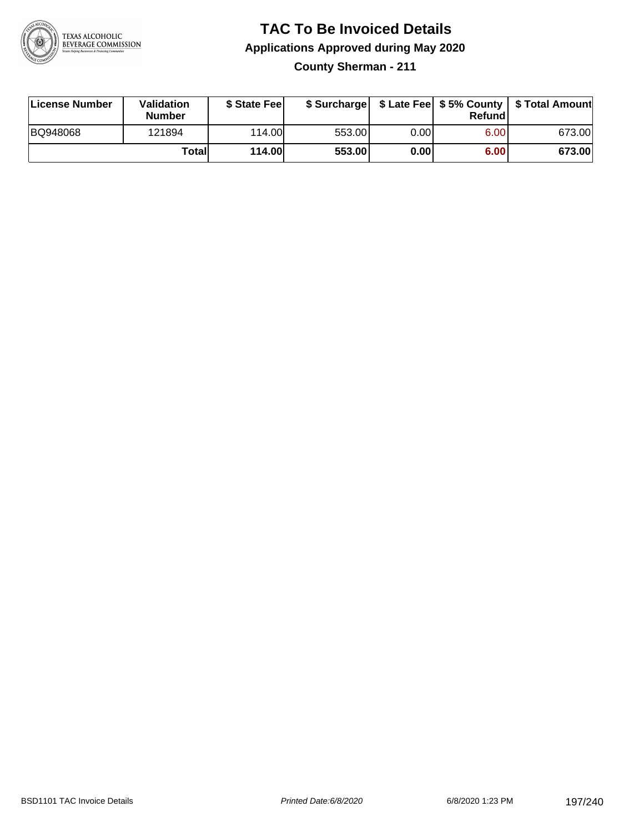

**County Sherman - 211**

| License Number | Validation<br><b>Number</b> | \$ State Feel | \$ Surcharge |      | Refundl |        |
|----------------|-----------------------------|---------------|--------------|------|---------|--------|
| BQ948068       | 121894                      | 114.00        | 553.00       | 0.00 | 6.00    | 673.00 |
|                | Totall                      | <b>114.00</b> | 553.00       | 0.00 | 6.00    | 673.00 |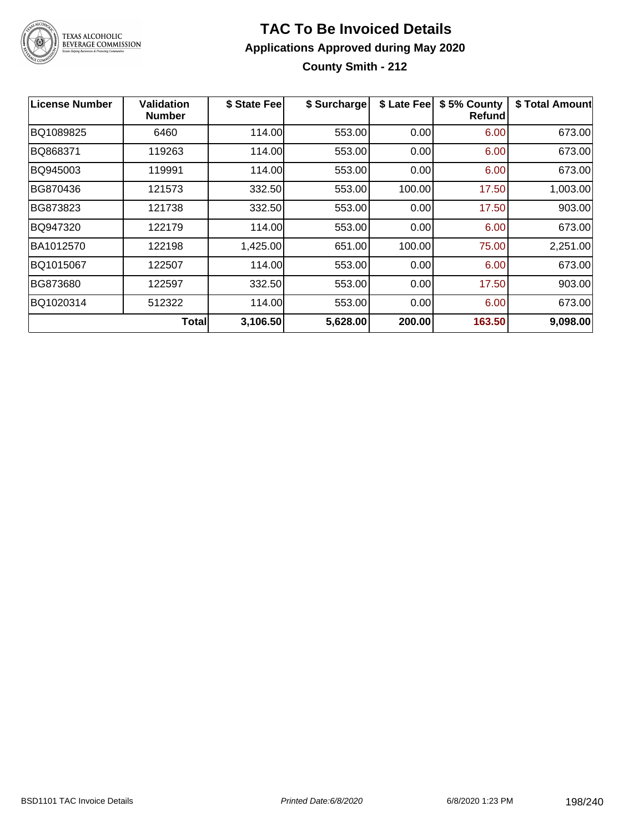

**County Smith - 212**

| License Number | <b>Validation</b><br><b>Number</b> | \$ State Fee | \$ Surcharge | \$ Late Fee | \$5% County<br><b>Refund</b> | \$ Total Amount |
|----------------|------------------------------------|--------------|--------------|-------------|------------------------------|-----------------|
| BQ1089825      | 6460                               | 114.00       | 553.00       | 0.00        | 6.00                         | 673.00          |
| BQ868371       | 119263                             | 114.00       | 553.00       | 0.00        | 6.00                         | 673.00          |
| BQ945003       | 119991                             | 114.00       | 553.00       | 0.00        | 6.00                         | 673.00          |
| BG870436       | 121573                             | 332.50       | 553.00       | 100.00      | 17.50                        | 1,003.00        |
| BG873823       | 121738                             | 332.50       | 553.00       | 0.00        | 17.50                        | 903.00          |
| BQ947320       | 122179                             | 114.00       | 553.00       | 0.00        | 6.00                         | 673.00          |
| BA1012570      | 122198                             | 1,425.00     | 651.00       | 100.00      | 75.00                        | 2,251.00        |
| BQ1015067      | 122507                             | 114.00       | 553.00       | 0.00        | 6.00                         | 673.00          |
| BG873680       | 122597                             | 332.50       | 553.00       | 0.00        | 17.50                        | 903.00          |
| BQ1020314      | 512322                             | 114.00       | 553.00       | 0.00        | 6.00                         | 673.00          |
|                | <b>Total</b>                       | 3,106.50     | 5,628.00     | 200.00      | 163.50                       | 9,098.00        |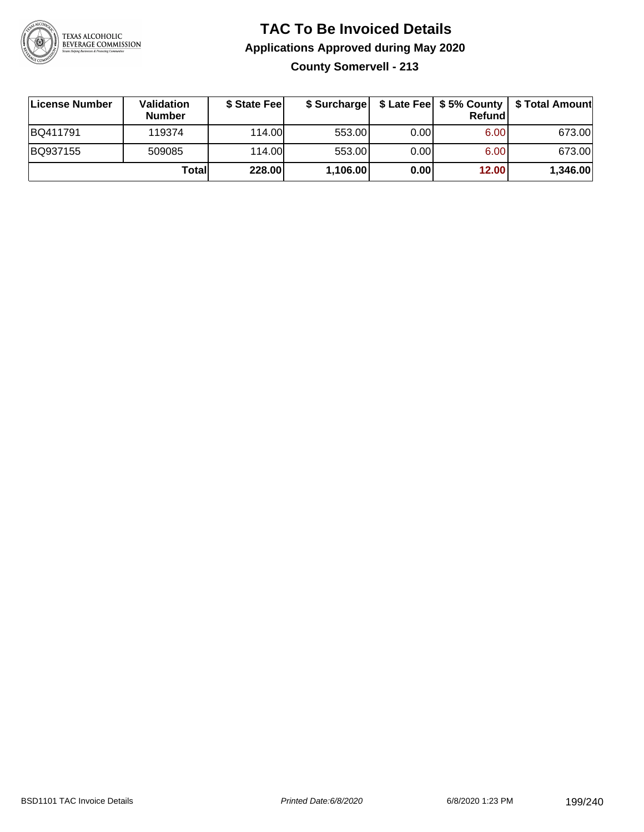

**County Somervell - 213**

| License Number | <b>Validation</b><br><b>Number</b> | \$ State Fee | \$ Surcharge |       | Refundl | \$ Late Fee   \$5% County   \$ Total Amount |
|----------------|------------------------------------|--------------|--------------|-------|---------|---------------------------------------------|
| BQ411791       | 119374                             | 114.00       | 553.00       | 0.001 | 6.00    | 673.00                                      |
| BQ937155       | 509085                             | 114.00       | 553.00       | 0.001 | 6.00    | 673.00                                      |
|                | Totall                             | 228.00       | 1,106.00     | 0.00  | 12.00   | 1,346.00                                    |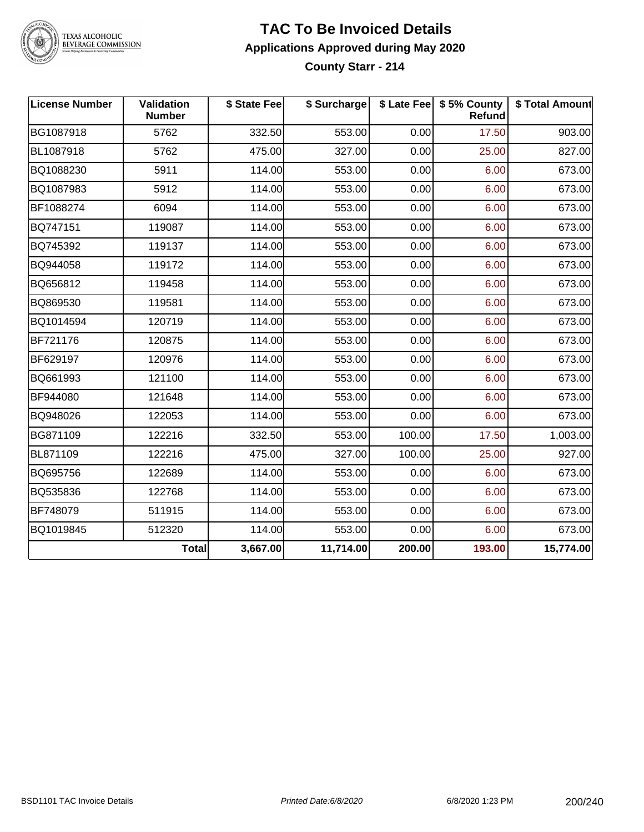

## **TAC To Be Invoiced Details Applications Approved during May 2020**

**County Starr - 214**

| <b>License Number</b> | Validation<br><b>Number</b> | \$ State Fee | \$ Surcharge |        | \$ Late Fee   \$5% County<br><b>Refund</b> | \$ Total Amount |
|-----------------------|-----------------------------|--------------|--------------|--------|--------------------------------------------|-----------------|
| BG1087918             | 5762                        | 332.50       | 553.00       | 0.00   | 17.50                                      | 903.00          |
| BL1087918             | 5762                        | 475.00       | 327.00       | 0.00   | 25.00                                      | 827.00          |
| BQ1088230             | 5911                        | 114.00       | 553.00       | 0.00   | 6.00                                       | 673.00          |
| BQ1087983             | 5912                        | 114.00       | 553.00       | 0.00   | 6.00                                       | 673.00          |
| BF1088274             | 6094                        | 114.00       | 553.00       | 0.00   | 6.00                                       | 673.00          |
| BQ747151              | 119087                      | 114.00       | 553.00       | 0.00   | 6.00                                       | 673.00          |
| BQ745392              | 119137                      | 114.00       | 553.00       | 0.00   | 6.00                                       | 673.00          |
| BQ944058              | 119172                      | 114.00       | 553.00       | 0.00   | 6.00                                       | 673.00          |
| BQ656812              | 119458                      | 114.00       | 553.00       | 0.00   | 6.00                                       | 673.00          |
| BQ869530              | 119581                      | 114.00       | 553.00       | 0.00   | 6.00                                       | 673.00          |
| BQ1014594             | 120719                      | 114.00       | 553.00       | 0.00   | 6.00                                       | 673.00          |
| BF721176              | 120875                      | 114.00       | 553.00       | 0.00   | 6.00                                       | 673.00          |
| BF629197              | 120976                      | 114.00       | 553.00       | 0.00   | 6.00                                       | 673.00          |
| BQ661993              | 121100                      | 114.00       | 553.00       | 0.00   | 6.00                                       | 673.00          |
| BF944080              | 121648                      | 114.00       | 553.00       | 0.00   | 6.00                                       | 673.00          |
| BQ948026              | 122053                      | 114.00       | 553.00       | 0.00   | 6.00                                       | 673.00          |
| BG871109              | 122216                      | 332.50       | 553.00       | 100.00 | 17.50                                      | 1,003.00        |
| BL871109              | 122216                      | 475.00       | 327.00       | 100.00 | 25.00                                      | 927.00          |
| BQ695756              | 122689                      | 114.00       | 553.00       | 0.00   | 6.00                                       | 673.00          |
| BQ535836              | 122768                      | 114.00       | 553.00       | 0.00   | 6.00                                       | 673.00          |
| BF748079              | 511915                      | 114.00       | 553.00       | 0.00   | 6.00                                       | 673.00          |
| BQ1019845             | 512320                      | 114.00       | 553.00       | 0.00   | 6.00                                       | 673.00          |
|                       | Total                       | 3,667.00     | 11,714.00    | 200.00 | 193.00                                     | 15,774.00       |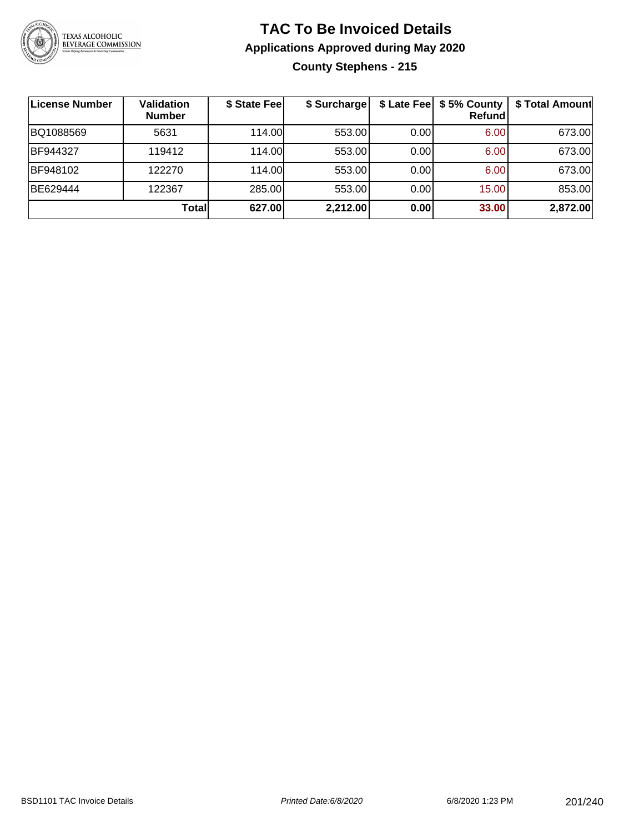

## **TAC To Be Invoiced Details Applications Approved during May 2020 County Stephens - 215**

| License Number | <b>Validation</b><br><b>Number</b> | \$ State Fee | \$ Surcharge | \$ Late Fee | \$5% County<br>Refund | \$ Total Amount |
|----------------|------------------------------------|--------------|--------------|-------------|-----------------------|-----------------|
| BQ1088569      | 5631                               | 114.00       | 553.00       | 0.00        | 6.00                  | 673.00          |
| BF944327       | 119412                             | 114.00       | 553.00       | 0.00        | 6.00                  | 673.00          |
| BF948102       | 122270                             | 114.00       | 553.00       | 0.00        | 6.00                  | 673.00          |
| BE629444       | 122367                             | 285.00       | 553.00       | 0.00        | 15.00                 | 853.00          |
|                | Total                              | 627.00       | 2,212.00     | 0.00        | 33.00                 | 2,872.00        |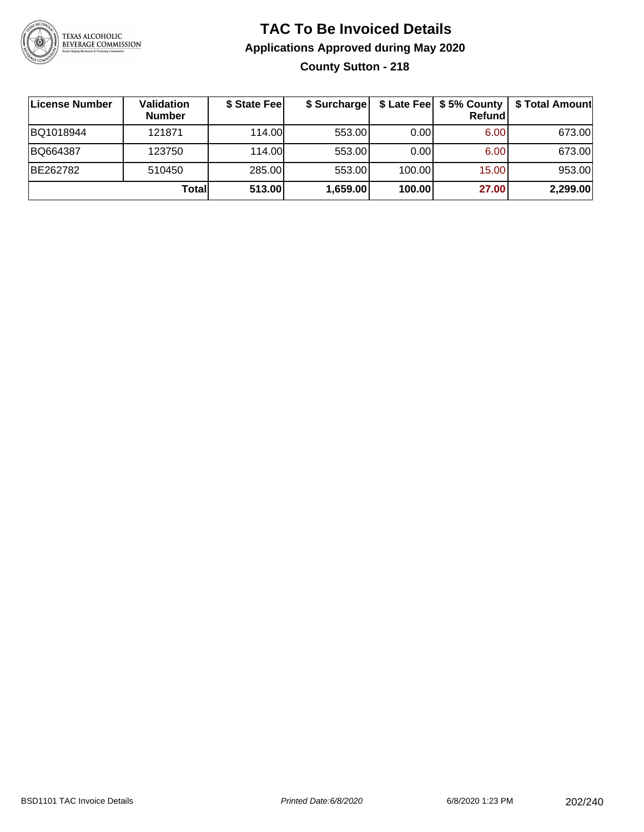

## **TAC To Be Invoiced Details Applications Approved during May 2020 County Sutton - 218**

| ∣License Number | <b>Validation</b><br><b>Number</b> | \$ State Fee | \$ Surcharge |        | \$ Late Fee   \$5% County  <br><b>Refund</b> | \$ Total Amount |
|-----------------|------------------------------------|--------------|--------------|--------|----------------------------------------------|-----------------|
| BQ1018944       | 121871                             | 114.00       | 553.00       | 0.001  | 6.00                                         | 673.00          |
| BQ664387        | 123750                             | 114.00       | 553.00       | 0.001  | 6.00                                         | 673.00          |
| BE262782        | 510450                             | 285.00       | 553.00       | 100.00 | 15.00                                        | 953.00          |
|                 | Totall                             | 513.00       | 1,659.00     | 100.00 | 27.00                                        | 2,299.00        |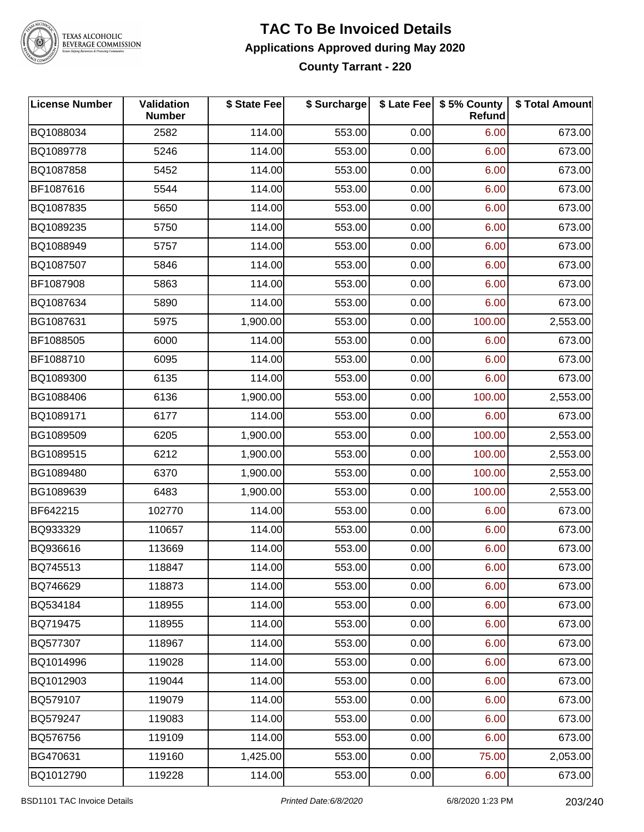

#### **TAC To Be Invoiced Details Applications Approved during May 2020 County Tarrant - 220**

| <b>License Number</b> | Validation<br><b>Number</b> | \$ State Fee | \$ Surcharge |      | \$ Late Fee   \$5% County<br>Refund | \$ Total Amount |
|-----------------------|-----------------------------|--------------|--------------|------|-------------------------------------|-----------------|
| BQ1088034             | 2582                        | 114.00       | 553.00       | 0.00 | 6.00                                | 673.00          |
| BQ1089778             | 5246                        | 114.00       | 553.00       | 0.00 | 6.00                                | 673.00          |
| BQ1087858             | 5452                        | 114.00       | 553.00       | 0.00 | 6.00                                | 673.00          |
| BF1087616             | 5544                        | 114.00       | 553.00       | 0.00 | 6.00                                | 673.00          |
| BQ1087835             | 5650                        | 114.00       | 553.00       | 0.00 | 6.00                                | 673.00          |
| BQ1089235             | 5750                        | 114.00       | 553.00       | 0.00 | 6.00                                | 673.00          |
| BQ1088949             | 5757                        | 114.00       | 553.00       | 0.00 | 6.00                                | 673.00          |
| BQ1087507             | 5846                        | 114.00       | 553.00       | 0.00 | 6.00                                | 673.00          |
| BF1087908             | 5863                        | 114.00       | 553.00       | 0.00 | 6.00                                | 673.00          |
| BQ1087634             | 5890                        | 114.00       | 553.00       | 0.00 | 6.00                                | 673.00          |
| BG1087631             | 5975                        | 1,900.00     | 553.00       | 0.00 | 100.00                              | 2,553.00        |
| BF1088505             | 6000                        | 114.00       | 553.00       | 0.00 | 6.00                                | 673.00          |
| BF1088710             | 6095                        | 114.00       | 553.00       | 0.00 | 6.00                                | 673.00          |
| BQ1089300             | 6135                        | 114.00       | 553.00       | 0.00 | 6.00                                | 673.00          |
| BG1088406             | 6136                        | 1,900.00     | 553.00       | 0.00 | 100.00                              | 2,553.00        |
| BQ1089171             | 6177                        | 114.00       | 553.00       | 0.00 | 6.00                                | 673.00          |
| BG1089509             | 6205                        | 1,900.00     | 553.00       | 0.00 | 100.00                              | 2,553.00        |
| BG1089515             | 6212                        | 1,900.00     | 553.00       | 0.00 | 100.00                              | 2,553.00        |
| BG1089480             | 6370                        | 1,900.00     | 553.00       | 0.00 | 100.00                              | 2,553.00        |
| BG1089639             | 6483                        | 1,900.00     | 553.00       | 0.00 | 100.00                              | 2,553.00        |
| BF642215              | 102770                      | 114.00       | 553.00       | 0.00 | 6.00                                | 673.00          |
| BQ933329              | 110657                      | 114.00       | 553.00       | 0.00 | 6.00                                | 673.00          |
| BQ936616              | 113669                      | 114.00       | 553.00       | 0.00 | 6.00                                | 673.00          |
| BQ745513              | 118847                      | 114.00       | 553.00       | 0.00 | 6.00                                | 673.00          |
| BQ746629              | 118873                      | 114.00       | 553.00       | 0.00 | 6.00                                | 673.00          |
| BQ534184              | 118955                      | 114.00       | 553.00       | 0.00 | 6.00                                | 673.00          |
| BQ719475              | 118955                      | 114.00       | 553.00       | 0.00 | 6.00                                | 673.00          |
| BQ577307              | 118967                      | 114.00       | 553.00       | 0.00 | 6.00                                | 673.00          |
| BQ1014996             | 119028                      | 114.00       | 553.00       | 0.00 | 6.00                                | 673.00          |
| BQ1012903             | 119044                      | 114.00       | 553.00       | 0.00 | 6.00                                | 673.00          |
| BQ579107              | 119079                      | 114.00       | 553.00       | 0.00 | 6.00                                | 673.00          |
| BQ579247              | 119083                      | 114.00       | 553.00       | 0.00 | 6.00                                | 673.00          |
| BQ576756              | 119109                      | 114.00       | 553.00       | 0.00 | 6.00                                | 673.00          |
| BG470631              | 119160                      | 1,425.00     | 553.00       | 0.00 | 75.00                               | 2,053.00        |
| BQ1012790             | 119228                      | 114.00       | 553.00       | 0.00 | 6.00                                | 673.00          |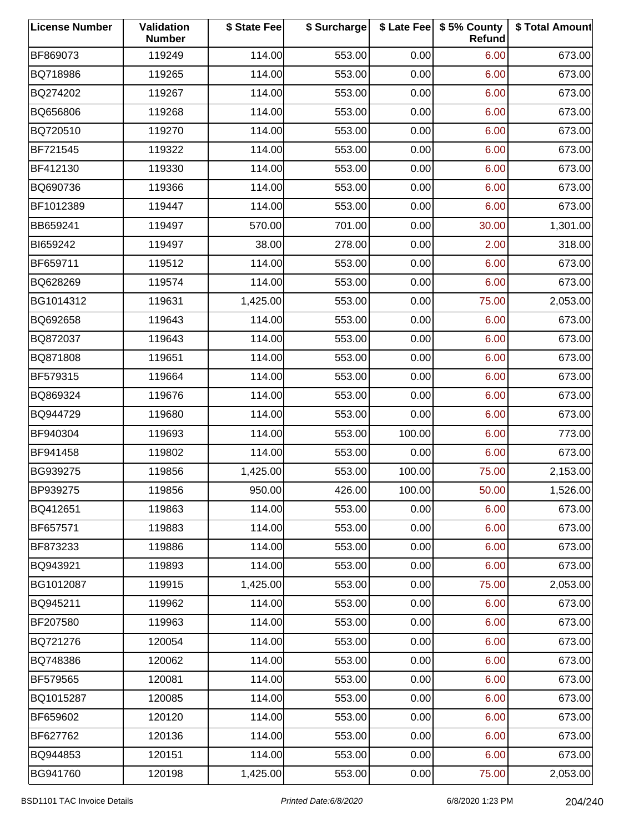| <b>License Number</b> | Validation<br><b>Number</b> | \$ State Fee | \$ Surcharge |        | \$ Late Fee   \$5% County<br>Refund | \$ Total Amount |
|-----------------------|-----------------------------|--------------|--------------|--------|-------------------------------------|-----------------|
| BF869073              | 119249                      | 114.00       | 553.00       | 0.00   | 6.00                                | 673.00          |
| BQ718986              | 119265                      | 114.00       | 553.00       | 0.00   | 6.00                                | 673.00          |
| BQ274202              | 119267                      | 114.00       | 553.00       | 0.00   | 6.00                                | 673.00          |
| BQ656806              | 119268                      | 114.00       | 553.00       | 0.00   | 6.00                                | 673.00          |
| BQ720510              | 119270                      | 114.00       | 553.00       | 0.00   | 6.00                                | 673.00          |
| BF721545              | 119322                      | 114.00       | 553.00       | 0.00   | 6.00                                | 673.00          |
| BF412130              | 119330                      | 114.00       | 553.00       | 0.00   | 6.00                                | 673.00          |
| BQ690736              | 119366                      | 114.00       | 553.00       | 0.00   | 6.00                                | 673.00          |
| BF1012389             | 119447                      | 114.00       | 553.00       | 0.00   | 6.00                                | 673.00          |
| BB659241              | 119497                      | 570.00       | 701.00       | 0.00   | 30.00                               | 1,301.00        |
| BI659242              | 119497                      | 38.00        | 278.00       | 0.00   | 2.00                                | 318.00          |
| BF659711              | 119512                      | 114.00       | 553.00       | 0.00   | 6.00                                | 673.00          |
| BQ628269              | 119574                      | 114.00       | 553.00       | 0.00   | 6.00                                | 673.00          |
| BG1014312             | 119631                      | 1,425.00     | 553.00       | 0.00   | 75.00                               | 2,053.00        |
| BQ692658              | 119643                      | 114.00       | 553.00       | 0.00   | 6.00                                | 673.00          |
| BQ872037              | 119643                      | 114.00       | 553.00       | 0.00   | 6.00                                | 673.00          |
| BQ871808              | 119651                      | 114.00       | 553.00       | 0.00   | 6.00                                | 673.00          |
| BF579315              | 119664                      | 114.00       | 553.00       | 0.00   | 6.00                                | 673.00          |
| BQ869324              | 119676                      | 114.00       | 553.00       | 0.00   | 6.00                                | 673.00          |
| BQ944729              | 119680                      | 114.00       | 553.00       | 0.00   | 6.00                                | 673.00          |
| BF940304              | 119693                      | 114.00       | 553.00       | 100.00 | 6.00                                | 773.00          |
| BF941458              | 119802                      | 114.00       | 553.00       | 0.00   | 6.00                                | 673.00          |
| BG939275              | 119856                      | 1,425.00     | 553.00       | 100.00 | 75.00                               | 2,153.00        |
| BP939275              | 119856                      | 950.00       | 426.00       | 100.00 | 50.00                               | 1,526.00        |
| BQ412651              | 119863                      | 114.00       | 553.00       | 0.00   | 6.00                                | 673.00          |
| BF657571              | 119883                      | 114.00       | 553.00       | 0.00   | 6.00                                | 673.00          |
| BF873233              | 119886                      | 114.00       | 553.00       | 0.00   | 6.00                                | 673.00          |
| BQ943921              | 119893                      | 114.00       | 553.00       | 0.00   | 6.00                                | 673.00          |
| BG1012087             | 119915                      | 1,425.00     | 553.00       | 0.00   | 75.00                               | 2,053.00        |
| BQ945211              | 119962                      | 114.00       | 553.00       | 0.00   | 6.00                                | 673.00          |
| BF207580              | 119963                      | 114.00       | 553.00       | 0.00   | 6.00                                | 673.00          |
| BQ721276              | 120054                      | 114.00       | 553.00       | 0.00   | 6.00                                | 673.00          |
| BQ748386              | 120062                      | 114.00       | 553.00       | 0.00   | 6.00                                | 673.00          |
| BF579565              | 120081                      | 114.00       | 553.00       | 0.00   | 6.00                                | 673.00          |
| BQ1015287             | 120085                      | 114.00       | 553.00       | 0.00   | 6.00                                | 673.00          |
| BF659602              | 120120                      | 114.00       | 553.00       | 0.00   | 6.00                                | 673.00          |
| BF627762              | 120136                      | 114.00       | 553.00       | 0.00   | 6.00                                | 673.00          |
| BQ944853              | 120151                      | 114.00       | 553.00       | 0.00   | 6.00                                | 673.00          |
| BG941760              | 120198                      | 1,425.00     | 553.00       | 0.00   | 75.00                               | 2,053.00        |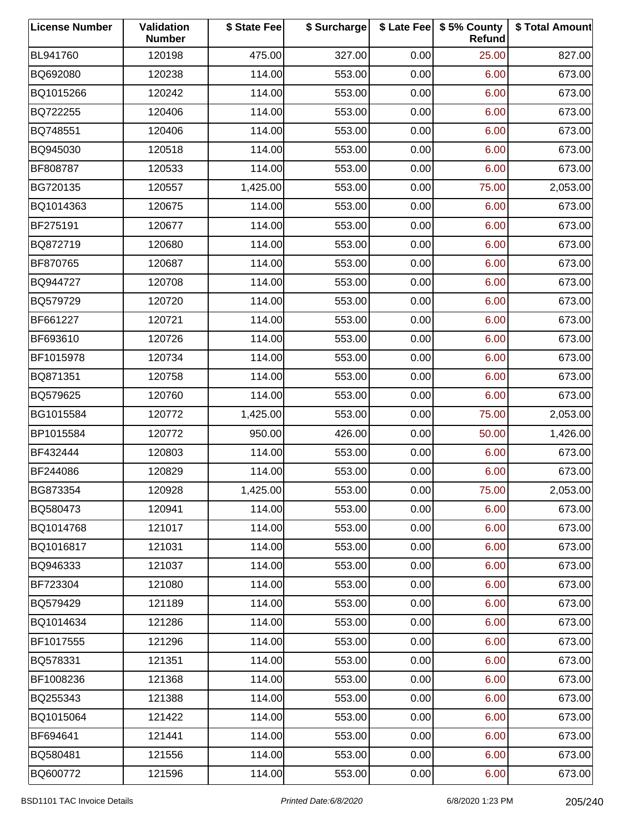| <b>License Number</b> | Validation<br><b>Number</b> | \$ State Fee | \$ Surcharge |      | \$ Late Fee   \$5% County<br>Refund | \$ Total Amount |
|-----------------------|-----------------------------|--------------|--------------|------|-------------------------------------|-----------------|
| BL941760              | 120198                      | 475.00       | 327.00       | 0.00 | 25.00                               | 827.00          |
| BQ692080              | 120238                      | 114.00       | 553.00       | 0.00 | 6.00                                | 673.00          |
| BQ1015266             | 120242                      | 114.00       | 553.00       | 0.00 | 6.00                                | 673.00          |
| BQ722255              | 120406                      | 114.00       | 553.00       | 0.00 | 6.00                                | 673.00          |
| BQ748551              | 120406                      | 114.00       | 553.00       | 0.00 | 6.00                                | 673.00          |
| BQ945030              | 120518                      | 114.00       | 553.00       | 0.00 | 6.00                                | 673.00          |
| BF808787              | 120533                      | 114.00       | 553.00       | 0.00 | 6.00                                | 673.00          |
| BG720135              | 120557                      | 1,425.00     | 553.00       | 0.00 | 75.00                               | 2,053.00        |
| BQ1014363             | 120675                      | 114.00       | 553.00       | 0.00 | 6.00                                | 673.00          |
| BF275191              | 120677                      | 114.00       | 553.00       | 0.00 | 6.00                                | 673.00          |
| BQ872719              | 120680                      | 114.00       | 553.00       | 0.00 | 6.00                                | 673.00          |
| BF870765              | 120687                      | 114.00       | 553.00       | 0.00 | 6.00                                | 673.00          |
| BQ944727              | 120708                      | 114.00       | 553.00       | 0.00 | 6.00                                | 673.00          |
| BQ579729              | 120720                      | 114.00       | 553.00       | 0.00 | 6.00                                | 673.00          |
| BF661227              | 120721                      | 114.00       | 553.00       | 0.00 | 6.00                                | 673.00          |
| BF693610              | 120726                      | 114.00       | 553.00       | 0.00 | 6.00                                | 673.00          |
| BF1015978             | 120734                      | 114.00       | 553.00       | 0.00 | 6.00                                | 673.00          |
| BQ871351              | 120758                      | 114.00       | 553.00       | 0.00 | 6.00                                | 673.00          |
| BQ579625              | 120760                      | 114.00       | 553.00       | 0.00 | 6.00                                | 673.00          |
| BG1015584             | 120772                      | 1,425.00     | 553.00       | 0.00 | 75.00                               | 2,053.00        |
| BP1015584             | 120772                      | 950.00       | 426.00       | 0.00 | 50.00                               | 1,426.00        |
| BF432444              | 120803                      | 114.00       | 553.00       | 0.00 | 6.00                                | 673.00          |
| BF244086              | 120829                      | 114.00       | 553.00       | 0.00 | 6.00                                | 673.00          |
| BG873354              | 120928                      | 1,425.00     | 553.00       | 0.00 | 75.00                               | 2,053.00        |
| BQ580473              | 120941                      | 114.00       | 553.00       | 0.00 | 6.00                                | 673.00          |
| BQ1014768             | 121017                      | 114.00       | 553.00       | 0.00 | 6.00                                | 673.00          |
| BQ1016817             | 121031                      | 114.00       | 553.00       | 0.00 | 6.00                                | 673.00          |
| BQ946333              | 121037                      | 114.00       | 553.00       | 0.00 | 6.00                                | 673.00          |
| BF723304              | 121080                      | 114.00       | 553.00       | 0.00 | 6.00                                | 673.00          |
| BQ579429              | 121189                      | 114.00       | 553.00       | 0.00 | 6.00                                | 673.00          |
| BQ1014634             | 121286                      | 114.00       | 553.00       | 0.00 | 6.00                                | 673.00          |
| BF1017555             | 121296                      | 114.00       | 553.00       | 0.00 | 6.00                                | 673.00          |
| BQ578331              | 121351                      | 114.00       | 553.00       | 0.00 | 6.00                                | 673.00          |
| BF1008236             | 121368                      | 114.00       | 553.00       | 0.00 | 6.00                                | 673.00          |
| BQ255343              | 121388                      | 114.00       | 553.00       | 0.00 | 6.00                                | 673.00          |
| BQ1015064             | 121422                      | 114.00       | 553.00       | 0.00 | 6.00                                | 673.00          |
| BF694641              | 121441                      | 114.00       | 553.00       | 0.00 | 6.00                                | 673.00          |
| BQ580481              | 121556                      | 114.00       | 553.00       | 0.00 | 6.00                                | 673.00          |
| BQ600772              | 121596                      | 114.00       | 553.00       | 0.00 | 6.00                                | 673.00          |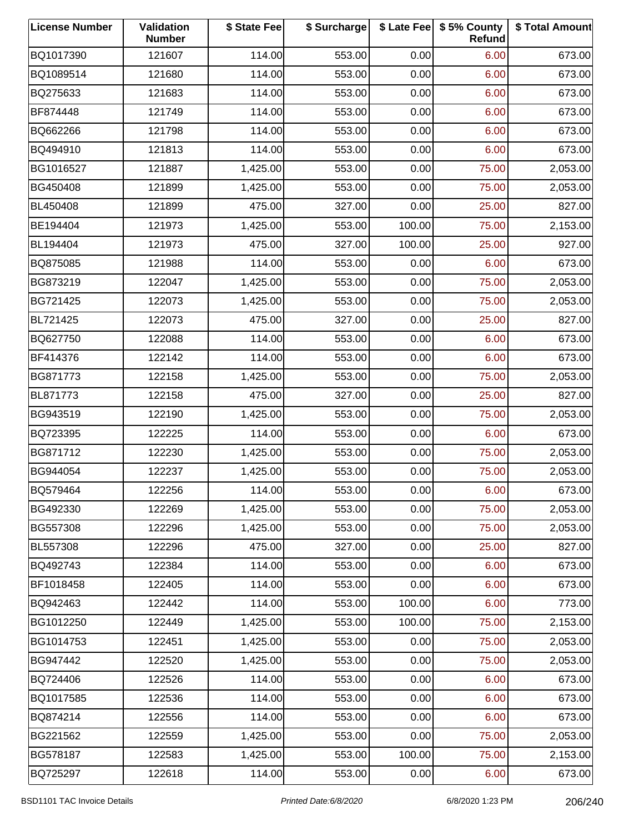| <b>License Number</b> | Validation<br><b>Number</b> | \$ State Fee | \$ Surcharge |        | \$ Late Fee   \$5% County<br>Refund | \$ Total Amount |
|-----------------------|-----------------------------|--------------|--------------|--------|-------------------------------------|-----------------|
| BQ1017390             | 121607                      | 114.00       | 553.00       | 0.00   | 6.00                                | 673.00          |
| BQ1089514             | 121680                      | 114.00       | 553.00       | 0.00   | 6.00                                | 673.00          |
| BQ275633              | 121683                      | 114.00       | 553.00       | 0.00   | 6.00                                | 673.00          |
| BF874448              | 121749                      | 114.00       | 553.00       | 0.00   | 6.00                                | 673.00          |
| BQ662266              | 121798                      | 114.00       | 553.00       | 0.00   | 6.00                                | 673.00          |
| BQ494910              | 121813                      | 114.00       | 553.00       | 0.00   | 6.00                                | 673.00          |
| BG1016527             | 121887                      | 1,425.00     | 553.00       | 0.00   | 75.00                               | 2,053.00        |
| BG450408              | 121899                      | 1,425.00     | 553.00       | 0.00   | 75.00                               | 2,053.00        |
| BL450408              | 121899                      | 475.00       | 327.00       | 0.00   | 25.00                               | 827.00          |
| BE194404              | 121973                      | 1,425.00     | 553.00       | 100.00 | 75.00                               | 2,153.00        |
| BL194404              | 121973                      | 475.00       | 327.00       | 100.00 | 25.00                               | 927.00          |
| BQ875085              | 121988                      | 114.00       | 553.00       | 0.00   | 6.00                                | 673.00          |
| BG873219              | 122047                      | 1,425.00     | 553.00       | 0.00   | 75.00                               | 2,053.00        |
| BG721425              | 122073                      | 1,425.00     | 553.00       | 0.00   | 75.00                               | 2,053.00        |
| BL721425              | 122073                      | 475.00       | 327.00       | 0.00   | 25.00                               | 827.00          |
| BQ627750              | 122088                      | 114.00       | 553.00       | 0.00   | 6.00                                | 673.00          |
| BF414376              | 122142                      | 114.00       | 553.00       | 0.00   | 6.00                                | 673.00          |
| BG871773              | 122158                      | 1,425.00     | 553.00       | 0.00   | 75.00                               | 2,053.00        |
| BL871773              | 122158                      | 475.00       | 327.00       | 0.00   | 25.00                               | 827.00          |
| BG943519              | 122190                      | 1,425.00     | 553.00       | 0.00   | 75.00                               | 2,053.00        |
| BQ723395              | 122225                      | 114.00       | 553.00       | 0.00   | 6.00                                | 673.00          |
| BG871712              | 122230                      | 1,425.00     | 553.00       | 0.00   | 75.00                               | 2,053.00        |
| BG944054              | 122237                      | 1,425.00     | 553.00       | 0.00   | 75.00                               | 2,053.00        |
| BQ579464              | 122256                      | 114.00       | 553.00       | 0.00   | 6.00                                | 673.00          |
| BG492330              | 122269                      | 1,425.00     | 553.00       | 0.00   | 75.00                               | 2,053.00        |
| BG557308              | 122296                      | 1,425.00     | 553.00       | 0.00   | 75.00                               | 2,053.00        |
| BL557308              | 122296                      | 475.00       | 327.00       | 0.00   | 25.00                               | 827.00          |
| BQ492743              | 122384                      | 114.00       | 553.00       | 0.00   | 6.00                                | 673.00          |
| BF1018458             | 122405                      | 114.00       | 553.00       | 0.00   | 6.00                                | 673.00          |
| BQ942463              | 122442                      | 114.00       | 553.00       | 100.00 | 6.00                                | 773.00          |
| BG1012250             | 122449                      | 1,425.00     | 553.00       | 100.00 | 75.00                               | 2,153.00        |
| BG1014753             | 122451                      | 1,425.00     | 553.00       | 0.00   | 75.00                               | 2,053.00        |
| BG947442              | 122520                      | 1,425.00     | 553.00       | 0.00   | 75.00                               | 2,053.00        |
| BQ724406              | 122526                      | 114.00       | 553.00       | 0.00   | 6.00                                | 673.00          |
| BQ1017585             | 122536                      | 114.00       | 553.00       | 0.00   | 6.00                                | 673.00          |
| BQ874214              | 122556                      | 114.00       | 553.00       | 0.00   | 6.00                                | 673.00          |
| BG221562              | 122559                      | 1,425.00     | 553.00       | 0.00   | 75.00                               | 2,053.00        |
| BG578187              | 122583                      | 1,425.00     | 553.00       | 100.00 | 75.00                               | 2,153.00        |
| BQ725297              | 122618                      | 114.00       | 553.00       | 0.00   | 6.00                                | 673.00          |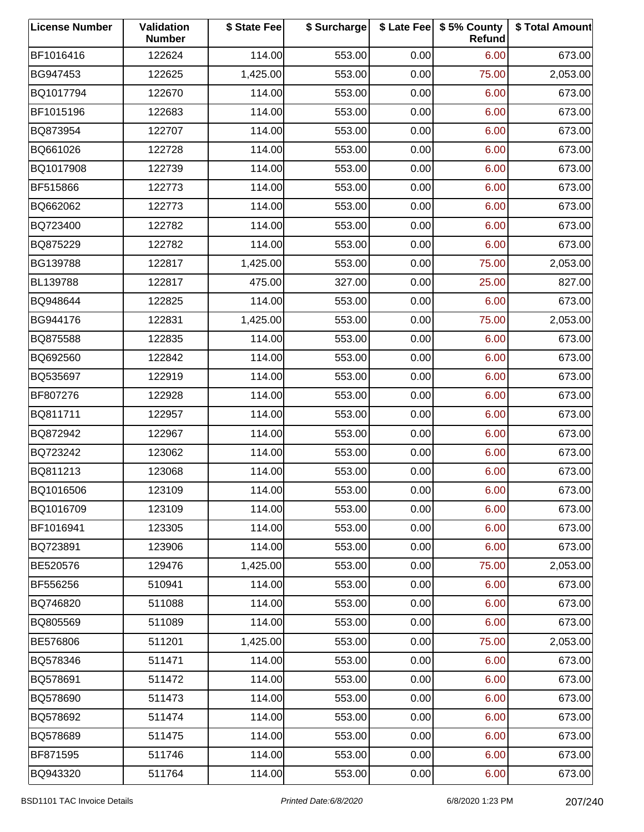| <b>License Number</b> | Validation<br><b>Number</b> | \$ State Fee | \$ Surcharge |      | \$ Late Fee   \$5% County<br>Refund | \$ Total Amount |
|-----------------------|-----------------------------|--------------|--------------|------|-------------------------------------|-----------------|
| BF1016416             | 122624                      | 114.00       | 553.00       | 0.00 | 6.00                                | 673.00          |
| BG947453              | 122625                      | 1,425.00     | 553.00       | 0.00 | 75.00                               | 2,053.00        |
| BQ1017794             | 122670                      | 114.00       | 553.00       | 0.00 | 6.00                                | 673.00          |
| BF1015196             | 122683                      | 114.00       | 553.00       | 0.00 | 6.00                                | 673.00          |
| BQ873954              | 122707                      | 114.00       | 553.00       | 0.00 | 6.00                                | 673.00          |
| BQ661026              | 122728                      | 114.00       | 553.00       | 0.00 | 6.00                                | 673.00          |
| BQ1017908             | 122739                      | 114.00       | 553.00       | 0.00 | 6.00                                | 673.00          |
| BF515866              | 122773                      | 114.00       | 553.00       | 0.00 | 6.00                                | 673.00          |
| BQ662062              | 122773                      | 114.00       | 553.00       | 0.00 | 6.00                                | 673.00          |
| BQ723400              | 122782                      | 114.00       | 553.00       | 0.00 | 6.00                                | 673.00          |
| BQ875229              | 122782                      | 114.00       | 553.00       | 0.00 | 6.00                                | 673.00          |
| BG139788              | 122817                      | 1,425.00     | 553.00       | 0.00 | 75.00                               | 2,053.00        |
| BL139788              | 122817                      | 475.00       | 327.00       | 0.00 | 25.00                               | 827.00          |
| BQ948644              | 122825                      | 114.00       | 553.00       | 0.00 | 6.00                                | 673.00          |
| BG944176              | 122831                      | 1,425.00     | 553.00       | 0.00 | 75.00                               | 2,053.00        |
| BQ875588              | 122835                      | 114.00       | 553.00       | 0.00 | 6.00                                | 673.00          |
| BQ692560              | 122842                      | 114.00       | 553.00       | 0.00 | 6.00                                | 673.00          |
| BQ535697              | 122919                      | 114.00       | 553.00       | 0.00 | 6.00                                | 673.00          |
| BF807276              | 122928                      | 114.00       | 553.00       | 0.00 | 6.00                                | 673.00          |
| BQ811711              | 122957                      | 114.00       | 553.00       | 0.00 | 6.00                                | 673.00          |
| BQ872942              | 122967                      | 114.00       | 553.00       | 0.00 | 6.00                                | 673.00          |
| BQ723242              | 123062                      | 114.00       | 553.00       | 0.00 | 6.00                                | 673.00          |
| BQ811213              | 123068                      | 114.00       | 553.00       | 0.00 | 6.00                                | 673.00          |
| BQ1016506             | 123109                      | 114.00       | 553.00       | 0.00 | 6.00                                | 673.00          |
| BQ1016709             | 123109                      | 114.00       | 553.00       | 0.00 | 6.00                                | 673.00          |
| BF1016941             | 123305                      | 114.00       | 553.00       | 0.00 | 6.00                                | 673.00          |
| BQ723891              | 123906                      | 114.00       | 553.00       | 0.00 | 6.00                                | 673.00          |
| BE520576              | 129476                      | 1,425.00     | 553.00       | 0.00 | 75.00                               | 2,053.00        |
| BF556256              | 510941                      | 114.00       | 553.00       | 0.00 | 6.00                                | 673.00          |
| BQ746820              | 511088                      | 114.00       | 553.00       | 0.00 | 6.00                                | 673.00          |
| BQ805569              | 511089                      | 114.00       | 553.00       | 0.00 | 6.00                                | 673.00          |
| BE576806              | 511201                      | 1,425.00     | 553.00       | 0.00 | 75.00                               | 2,053.00        |
| BQ578346              | 511471                      | 114.00       | 553.00       | 0.00 | 6.00                                | 673.00          |
| BQ578691              | 511472                      | 114.00       | 553.00       | 0.00 | 6.00                                | 673.00          |
| BQ578690              | 511473                      | 114.00       | 553.00       | 0.00 | 6.00                                | 673.00          |
| BQ578692              | 511474                      | 114.00       | 553.00       | 0.00 | 6.00                                | 673.00          |
| BQ578689              | 511475                      | 114.00       | 553.00       | 0.00 | 6.00                                | 673.00          |
| BF871595              | 511746                      | 114.00       | 553.00       | 0.00 | 6.00                                | 673.00          |
| BQ943320              | 511764                      | 114.00       | 553.00       | 0.00 | 6.00                                | 673.00          |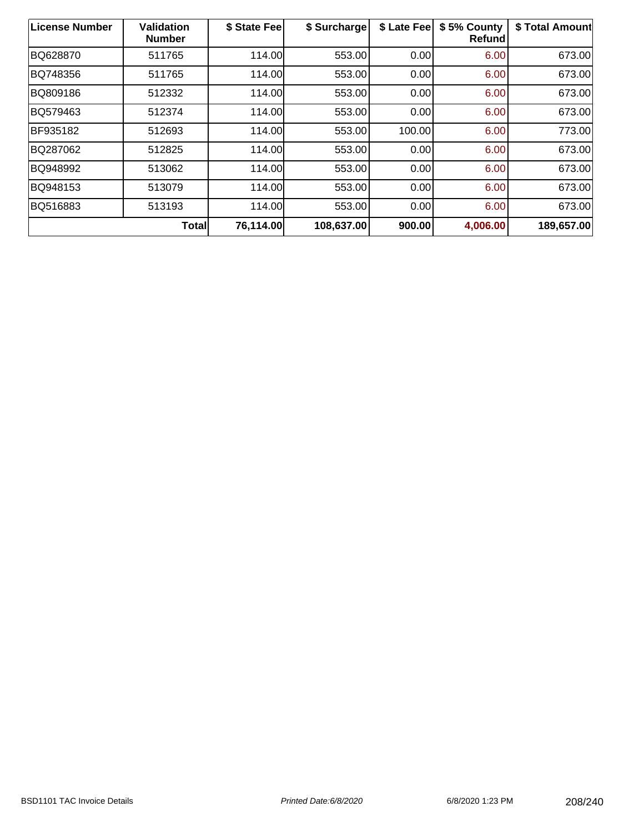| <b>License Number</b> | <b>Validation</b><br><b>Number</b> | \$ State Fee | \$ Surcharge | \$ Late Fee | \$5% County<br><b>Refund</b> | \$ Total Amount |
|-----------------------|------------------------------------|--------------|--------------|-------------|------------------------------|-----------------|
| BQ628870              | 511765                             | 114.00       | 553.00       | 0.00        | 6.00                         | 673.00          |
| BQ748356              | 511765                             | 114.00       | 553.00       | 0.00        | 6.00                         | 673.00          |
| BQ809186              | 512332                             | 114.00       | 553.00       | 0.00        | 6.00                         | 673.00          |
| BQ579463              | 512374                             | 114.00       | 553.00       | 0.00        | 6.00                         | 673.00          |
| BF935182              | 512693                             | 114.00       | 553.00       | 100.00      | 6.00                         | 773.00          |
| BQ287062              | 512825                             | 114.00       | 553.00       | 0.00        | 6.00                         | 673.00          |
| BQ948992              | 513062                             | 114.00       | 553.00       | 0.00        | 6.00                         | 673.00          |
| BQ948153              | 513079                             | 114.00       | 553.00       | 0.00        | 6.00                         | 673.00          |
| BQ516883              | 513193                             | 114.00       | 553.00       | 0.00        | 6.00                         | 673.00          |
|                       | <b>Total</b>                       | 76,114.00    | 108,637.00   | 900.00      | 4,006.00                     | 189,657.00      |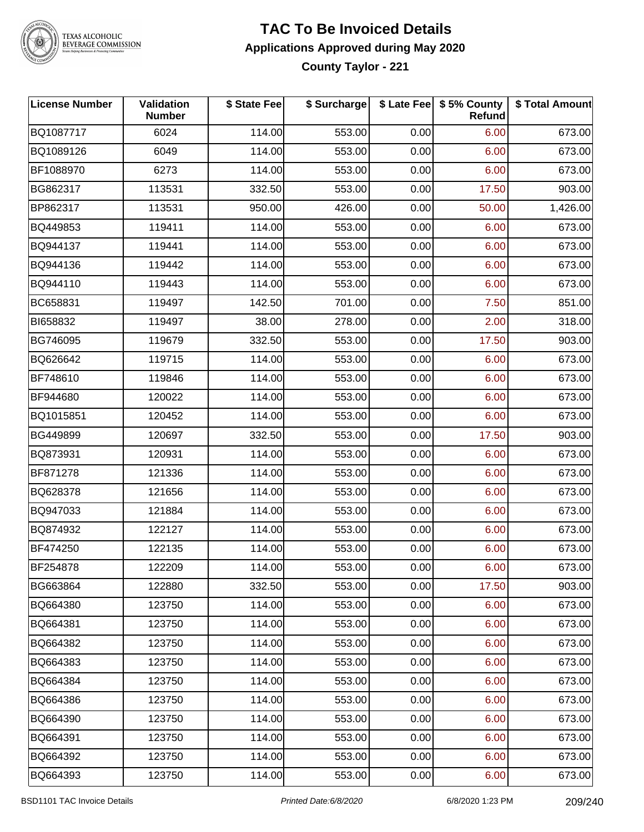

## **TAC To Be Invoiced Details Applications Approved during May 2020**

**County Taylor - 221**

| <b>License Number</b> | <b>Validation</b><br><b>Number</b> | \$ State Fee | \$ Surcharge |      | \$ Late Fee   \$5% County<br>Refund | \$ Total Amount |
|-----------------------|------------------------------------|--------------|--------------|------|-------------------------------------|-----------------|
| BQ1087717             | 6024                               | 114.00       | 553.00       | 0.00 | 6.00                                | 673.00          |
| BQ1089126             | 6049                               | 114.00       | 553.00       | 0.00 | 6.00                                | 673.00          |
| BF1088970             | 6273                               | 114.00       | 553.00       | 0.00 | 6.00                                | 673.00          |
| BG862317              | 113531                             | 332.50       | 553.00       | 0.00 | 17.50                               | 903.00          |
| BP862317              | 113531                             | 950.00       | 426.00       | 0.00 | 50.00                               | 1,426.00        |
| BQ449853              | 119411                             | 114.00       | 553.00       | 0.00 | 6.00                                | 673.00          |
| BQ944137              | 119441                             | 114.00       | 553.00       | 0.00 | 6.00                                | 673.00          |
| BQ944136              | 119442                             | 114.00       | 553.00       | 0.00 | 6.00                                | 673.00          |
| BQ944110              | 119443                             | 114.00       | 553.00       | 0.00 | 6.00                                | 673.00          |
| BC658831              | 119497                             | 142.50       | 701.00       | 0.00 | 7.50                                | 851.00          |
| BI658832              | 119497                             | 38.00        | 278.00       | 0.00 | 2.00                                | 318.00          |
| BG746095              | 119679                             | 332.50       | 553.00       | 0.00 | 17.50                               | 903.00          |
| BQ626642              | 119715                             | 114.00       | 553.00       | 0.00 | 6.00                                | 673.00          |
| BF748610              | 119846                             | 114.00       | 553.00       | 0.00 | 6.00                                | 673.00          |
| BF944680              | 120022                             | 114.00       | 553.00       | 0.00 | 6.00                                | 673.00          |
| BQ1015851             | 120452                             | 114.00       | 553.00       | 0.00 | 6.00                                | 673.00          |
| BG449899              | 120697                             | 332.50       | 553.00       | 0.00 | 17.50                               | 903.00          |
| BQ873931              | 120931                             | 114.00       | 553.00       | 0.00 | 6.00                                | 673.00          |
| BF871278              | 121336                             | 114.00       | 553.00       | 0.00 | 6.00                                | 673.00          |
| BQ628378              | 121656                             | 114.00       | 553.00       | 0.00 | 6.00                                | 673.00          |
| BQ947033              | 121884                             | 114.00       | 553.00       | 0.00 | 6.00                                | 673.00          |
| BQ874932              | 122127                             | 114.00       | 553.00       | 0.00 | 6.00                                | 673.00          |
| BF474250              | 122135                             | 114.00       | 553.00       | 0.00 | 6.00                                | 673.00          |
| BF254878              | 122209                             | 114.00       | 553.00       | 0.00 | 6.00                                | 673.00          |
| BG663864              | 122880                             | 332.50       | 553.00       | 0.00 | 17.50                               | 903.00          |
| BQ664380              | 123750                             | 114.00       | 553.00       | 0.00 | 6.00                                | 673.00          |
| BQ664381              | 123750                             | 114.00       | 553.00       | 0.00 | 6.00                                | 673.00          |
| BQ664382              | 123750                             | 114.00       | 553.00       | 0.00 | 6.00                                | 673.00          |
| BQ664383              | 123750                             | 114.00       | 553.00       | 0.00 | 6.00                                | 673.00          |
| BQ664384              | 123750                             | 114.00       | 553.00       | 0.00 | 6.00                                | 673.00          |
| BQ664386              | 123750                             | 114.00       | 553.00       | 0.00 | 6.00                                | 673.00          |
| BQ664390              | 123750                             | 114.00       | 553.00       | 0.00 | 6.00                                | 673.00          |
| BQ664391              | 123750                             | 114.00       | 553.00       | 0.00 | 6.00                                | 673.00          |
| BQ664392              | 123750                             | 114.00       | 553.00       | 0.00 | 6.00                                | 673.00          |
| BQ664393              | 123750                             | 114.00       | 553.00       | 0.00 | 6.00                                | 673.00          |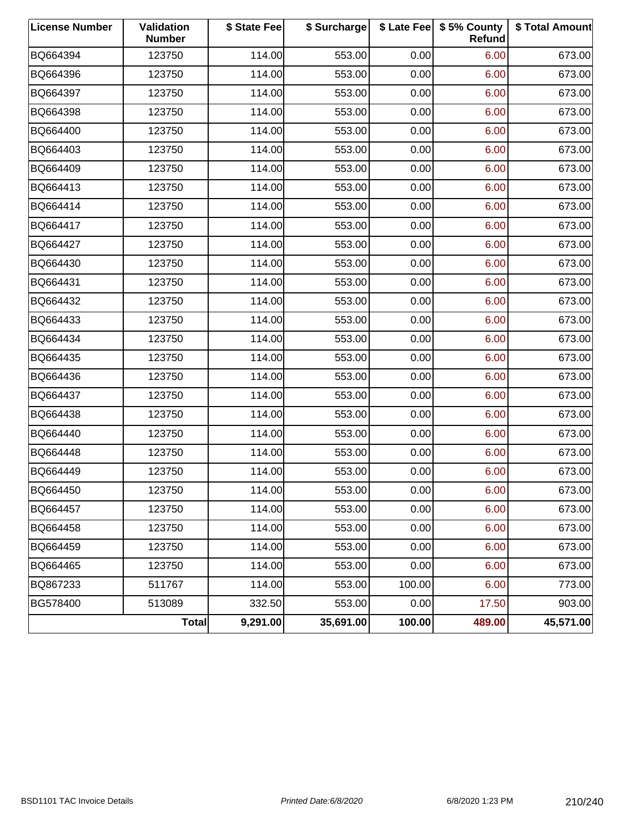| <b>License Number</b> | Validation<br><b>Number</b> | \$ State Fee | \$ Surcharge |        | \$ Late Fee   \$5% County<br><b>Refund</b> | \$ Total Amount |
|-----------------------|-----------------------------|--------------|--------------|--------|--------------------------------------------|-----------------|
| BQ664394              | 123750                      | 114.00       | 553.00       | 0.00   | 6.00                                       | 673.00          |
| BQ664396              | 123750                      | 114.00       | 553.00       | 0.00   | 6.00                                       | 673.00          |
| BQ664397              | 123750                      | 114.00       | 553.00       | 0.00   | 6.00                                       | 673.00          |
| BQ664398              | 123750                      | 114.00       | 553.00       | 0.00   | 6.00                                       | 673.00          |
| BQ664400              | 123750                      | 114.00       | 553.00       | 0.00   | 6.00                                       | 673.00          |
| BQ664403              | 123750                      | 114.00       | 553.00       | 0.00   | 6.00                                       | 673.00          |
| BQ664409              | 123750                      | 114.00       | 553.00       | 0.00   | 6.00                                       | 673.00          |
| BQ664413              | 123750                      | 114.00       | 553.00       | 0.00   | 6.00                                       | 673.00          |
| BQ664414              | 123750                      | 114.00       | 553.00       | 0.00   | 6.00                                       | 673.00          |
| BQ664417              | 123750                      | 114.00       | 553.00       | 0.00   | 6.00                                       | 673.00          |
| BQ664427              | 123750                      | 114.00       | 553.00       | 0.00   | 6.00                                       | 673.00          |
| BQ664430              | 123750                      | 114.00       | 553.00       | 0.00   | 6.00                                       | 673.00          |
| BQ664431              | 123750                      | 114.00       | 553.00       | 0.00   | 6.00                                       | 673.00          |
| BQ664432              | 123750                      | 114.00       | 553.00       | 0.00   | 6.00                                       | 673.00          |
| BQ664433              | 123750                      | 114.00       | 553.00       | 0.00   | 6.00                                       | 673.00          |
| BQ664434              | 123750                      | 114.00       | 553.00       | 0.00   | 6.00                                       | 673.00          |
| BQ664435              | 123750                      | 114.00       | 553.00       | 0.00   | 6.00                                       | 673.00          |
| BQ664436              | 123750                      | 114.00       | 553.00       | 0.00   | 6.00                                       | 673.00          |
| BQ664437              | 123750                      | 114.00       | 553.00       | 0.00   | 6.00                                       | 673.00          |
| BQ664438              | 123750                      | 114.00       | 553.00       | 0.00   | 6.00                                       | 673.00          |
| BQ664440              | 123750                      | 114.00       | 553.00       | 0.00   | 6.00                                       | 673.00          |
| BQ664448              | 123750                      | 114.00       | 553.00       | 0.00   | 6.00                                       | 673.00          |
| BQ664449              | 123750                      | 114.00       | 553.00       | 0.00   | 6.00                                       | 673.00          |
| BQ664450              | 123750                      | 114.00       | 553.00       | 0.00   | 6.00                                       | 673.00          |
| BQ664457              | 123750                      | 114.00       | 553.00       | 0.00   | 6.00                                       | 673.00          |
| BQ664458              | 123750                      | 114.00       | 553.00       | 0.00   | 6.00                                       | 673.00          |
| BQ664459              | 123750                      | 114.00       | 553.00       | 0.00   | 6.00                                       | 673.00          |
| BQ664465              | 123750                      | 114.00       | 553.00       | 0.00   | 6.00                                       | 673.00          |
| BQ867233              | 511767                      | 114.00       | 553.00       | 100.00 | 6.00                                       | 773.00          |
| BG578400              | 513089                      | 332.50       | 553.00       | 0.00   | 17.50                                      | 903.00          |
|                       | <b>Total</b>                | 9,291.00     | 35,691.00    | 100.00 | 489.00                                     | 45,571.00       |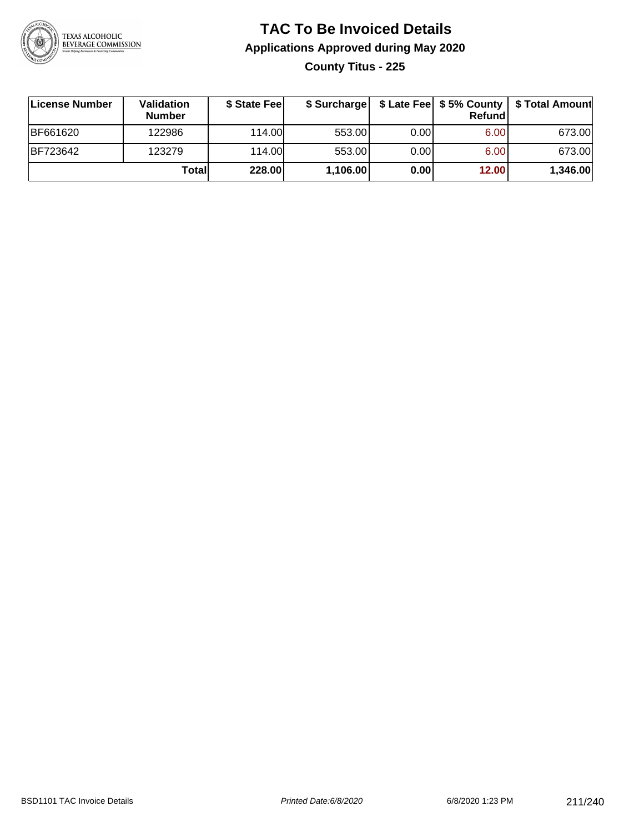

## **TAC To Be Invoiced Details Applications Approved during May 2020 County Titus - 225**

| License Number  | Validation<br><b>Number</b> | \$ State Fee |          |       | Refundl | \$ Surcharge   \$ Late Fee   \$5% County   \$ Total Amount |
|-----------------|-----------------------------|--------------|----------|-------|---------|------------------------------------------------------------|
| <b>BF661620</b> | 122986                      | 114.00L      | 553.00   | 0.001 | 6.00    | 673.00                                                     |
| <b>BF723642</b> | 123279                      | 114.00L      | 553.00   | 0.00  | 6.00    | 673.00                                                     |
|                 | Total                       | 228.00       | 1,106.00 | 0.00  | 12.00   | 1,346.00                                                   |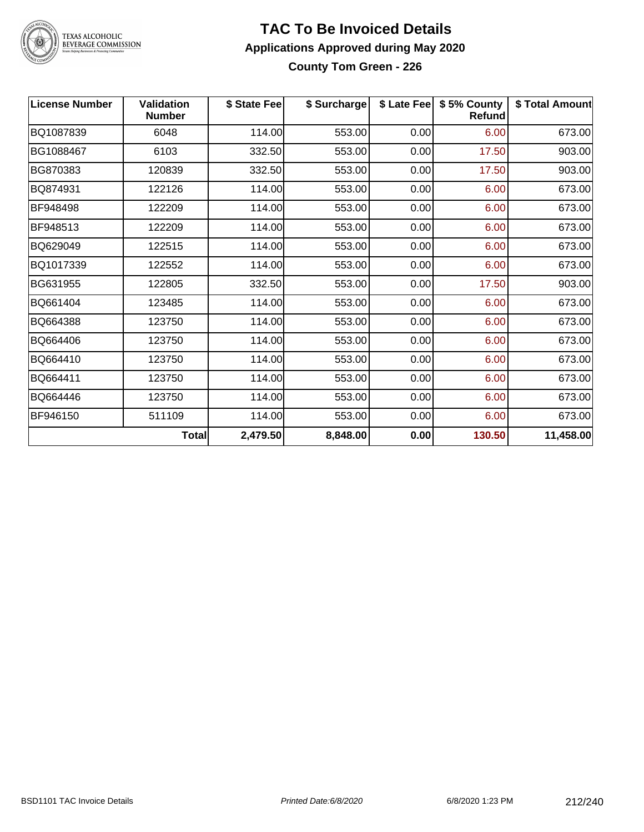

#### **TAC To Be Invoiced Details Applications Approved during May 2020 County Tom Green - 226**

| ∣License Number | <b>Validation</b><br><b>Number</b> | \$ State Fee | \$ Surcharge |      | \$ Late Fee   \$5% County<br><b>Refund</b> | \$ Total Amount |
|-----------------|------------------------------------|--------------|--------------|------|--------------------------------------------|-----------------|
| BQ1087839       | 6048                               | 114.00       | 553.00       | 0.00 | 6.00                                       | 673.00          |
| BG1088467       | 6103                               | 332.50       | 553.00       | 0.00 | 17.50                                      | 903.00          |
| BG870383        | 120839                             | 332.50       | 553.00       | 0.00 | 17.50                                      | 903.00          |
| BQ874931        | 122126                             | 114.00       | 553.00       | 0.00 | 6.00                                       | 673.00          |
| BF948498        | 122209                             | 114.00       | 553.00       | 0.00 | 6.00                                       | 673.00          |
| BF948513        | 122209                             | 114.00       | 553.00       | 0.00 | 6.00                                       | 673.00          |
| BQ629049        | 122515                             | 114.00       | 553.00       | 0.00 | 6.00                                       | 673.00          |
| BQ1017339       | 122552                             | 114.00       | 553.00       | 0.00 | 6.00                                       | 673.00          |
| BG631955        | 122805                             | 332.50       | 553.00       | 0.00 | 17.50                                      | 903.00          |
| BQ661404        | 123485                             | 114.00       | 553.00       | 0.00 | 6.00                                       | 673.00          |
| BQ664388        | 123750                             | 114.00       | 553.00       | 0.00 | 6.00                                       | 673.00          |
| BQ664406        | 123750                             | 114.00       | 553.00       | 0.00 | 6.00                                       | 673.00          |
| BQ664410        | 123750                             | 114.00       | 553.00       | 0.00 | 6.00                                       | 673.00          |
| BQ664411        | 123750                             | 114.00       | 553.00       | 0.00 | 6.00                                       | 673.00          |
| BQ664446        | 123750                             | 114.00       | 553.00       | 0.00 | 6.00                                       | 673.00          |
| BF946150        | 511109                             | 114.00       | 553.00       | 0.00 | 6.00                                       | 673.00          |
|                 | Total                              | 2,479.50     | 8,848.00     | 0.00 | 130.50                                     | 11,458.00       |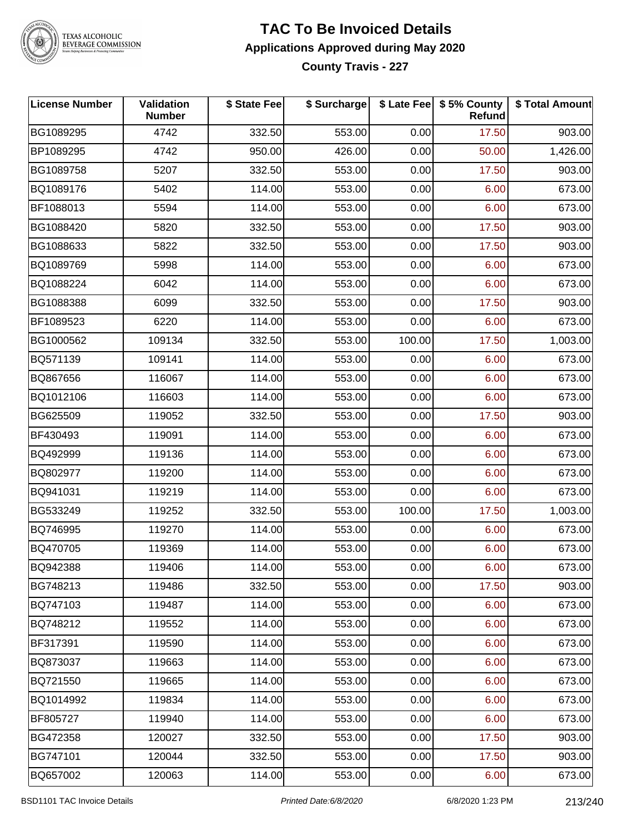

## **TAC To Be Invoiced Details Applications Approved during May 2020**

**County Travis - 227**

| <b>License Number</b> | Validation<br><b>Number</b> | \$ State Fee | \$ Surcharge |        | \$ Late Fee   \$5% County<br>Refund | \$ Total Amount |
|-----------------------|-----------------------------|--------------|--------------|--------|-------------------------------------|-----------------|
| BG1089295             | 4742                        | 332.50       | 553.00       | 0.00   | 17.50                               | 903.00          |
| BP1089295             | 4742                        | 950.00       | 426.00       | 0.00   | 50.00                               | 1,426.00        |
| BG1089758             | 5207                        | 332.50       | 553.00       | 0.00   | 17.50                               | 903.00          |
| BQ1089176             | 5402                        | 114.00       | 553.00       | 0.00   | 6.00                                | 673.00          |
| BF1088013             | 5594                        | 114.00       | 553.00       | 0.00   | 6.00                                | 673.00          |
| BG1088420             | 5820                        | 332.50       | 553.00       | 0.00   | 17.50                               | 903.00          |
| BG1088633             | 5822                        | 332.50       | 553.00       | 0.00   | 17.50                               | 903.00          |
| BQ1089769             | 5998                        | 114.00       | 553.00       | 0.00   | 6.00                                | 673.00          |
| BQ1088224             | 6042                        | 114.00       | 553.00       | 0.00   | 6.00                                | 673.00          |
| BG1088388             | 6099                        | 332.50       | 553.00       | 0.00   | 17.50                               | 903.00          |
| BF1089523             | 6220                        | 114.00       | 553.00       | 0.00   | 6.00                                | 673.00          |
| BG1000562             | 109134                      | 332.50       | 553.00       | 100.00 | 17.50                               | 1,003.00        |
| BQ571139              | 109141                      | 114.00       | 553.00       | 0.00   | 6.00                                | 673.00          |
| BQ867656              | 116067                      | 114.00       | 553.00       | 0.00   | 6.00                                | 673.00          |
| BQ1012106             | 116603                      | 114.00       | 553.00       | 0.00   | 6.00                                | 673.00          |
| BG625509              | 119052                      | 332.50       | 553.00       | 0.00   | 17.50                               | 903.00          |
| BF430493              | 119091                      | 114.00       | 553.00       | 0.00   | 6.00                                | 673.00          |
| BQ492999              | 119136                      | 114.00       | 553.00       | 0.00   | 6.00                                | 673.00          |
| BQ802977              | 119200                      | 114.00       | 553.00       | 0.00   | 6.00                                | 673.00          |
| BQ941031              | 119219                      | 114.00       | 553.00       | 0.00   | 6.00                                | 673.00          |
| BG533249              | 119252                      | 332.50       | 553.00       | 100.00 | 17.50                               | 1,003.00        |
| BQ746995              | 119270                      | 114.00       | 553.00       | 0.00   | 6.00                                | 673.00          |
| BQ470705              | 119369                      | 114.00       | 553.00       | 0.00   | 6.00                                | 673.00          |
| BQ942388              | 119406                      | 114.00       | 553.00       | 0.00   | 6.00                                | 673.00          |
| BG748213              | 119486                      | 332.50       | 553.00       | 0.00   | 17.50                               | 903.00          |
| BQ747103              | 119487                      | 114.00       | 553.00       | 0.00   | 6.00                                | 673.00          |
| BQ748212              | 119552                      | 114.00       | 553.00       | 0.00   | 6.00                                | 673.00          |
| BF317391              | 119590                      | 114.00       | 553.00       | 0.00   | 6.00                                | 673.00          |
| BQ873037              | 119663                      | 114.00       | 553.00       | 0.00   | 6.00                                | 673.00          |
| BQ721550              | 119665                      | 114.00       | 553.00       | 0.00   | 6.00                                | 673.00          |
| BQ1014992             | 119834                      | 114.00       | 553.00       | 0.00   | 6.00                                | 673.00          |
| BF805727              | 119940                      | 114.00       | 553.00       | 0.00   | 6.00                                | 673.00          |
| BG472358              | 120027                      | 332.50       | 553.00       | 0.00   | 17.50                               | 903.00          |
| BG747101              | 120044                      | 332.50       | 553.00       | 0.00   | 17.50                               | 903.00          |
| BQ657002              | 120063                      | 114.00       | 553.00       | 0.00   | 6.00                                | 673.00          |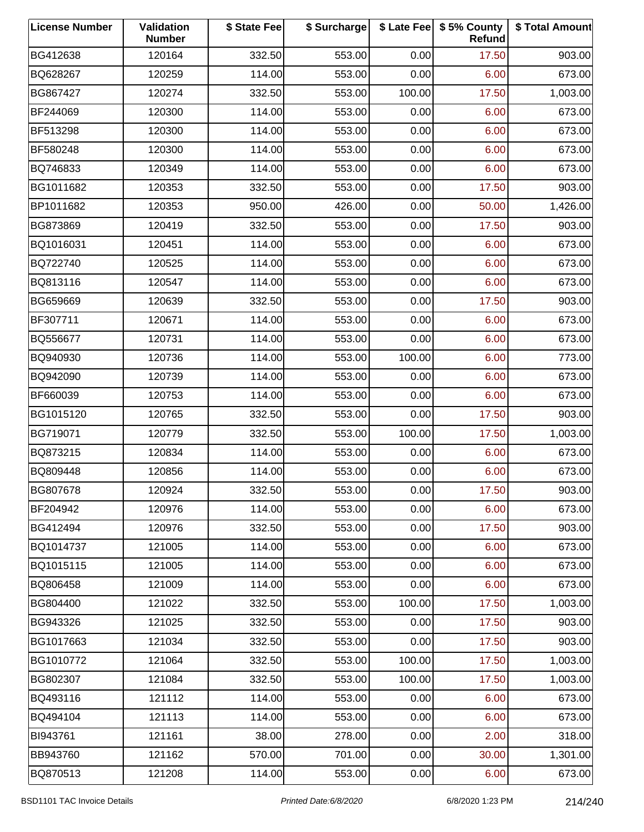| <b>License Number</b> | Validation<br><b>Number</b> | \$ State Fee | \$ Surcharge |        | \$ Late Fee   \$5% County<br>Refund | \$ Total Amount |
|-----------------------|-----------------------------|--------------|--------------|--------|-------------------------------------|-----------------|
| BG412638              | 120164                      | 332.50       | 553.00       | 0.00   | 17.50                               | 903.00          |
| BQ628267              | 120259                      | 114.00       | 553.00       | 0.00   | 6.00                                | 673.00          |
| BG867427              | 120274                      | 332.50       | 553.00       | 100.00 | 17.50                               | 1,003.00        |
| BF244069              | 120300                      | 114.00       | 553.00       | 0.00   | 6.00                                | 673.00          |
| BF513298              | 120300                      | 114.00       | 553.00       | 0.00   | 6.00                                | 673.00          |
| BF580248              | 120300                      | 114.00       | 553.00       | 0.00   | 6.00                                | 673.00          |
| BQ746833              | 120349                      | 114.00       | 553.00       | 0.00   | 6.00                                | 673.00          |
| BG1011682             | 120353                      | 332.50       | 553.00       | 0.00   | 17.50                               | 903.00          |
| BP1011682             | 120353                      | 950.00       | 426.00       | 0.00   | 50.00                               | 1,426.00        |
| BG873869              | 120419                      | 332.50       | 553.00       | 0.00   | 17.50                               | 903.00          |
| BQ1016031             | 120451                      | 114.00       | 553.00       | 0.00   | 6.00                                | 673.00          |
| BQ722740              | 120525                      | 114.00       | 553.00       | 0.00   | 6.00                                | 673.00          |
| BQ813116              | 120547                      | 114.00       | 553.00       | 0.00   | 6.00                                | 673.00          |
| BG659669              | 120639                      | 332.50       | 553.00       | 0.00   | 17.50                               | 903.00          |
| BF307711              | 120671                      | 114.00       | 553.00       | 0.00   | 6.00                                | 673.00          |
| BQ556677              | 120731                      | 114.00       | 553.00       | 0.00   | 6.00                                | 673.00          |
| BQ940930              | 120736                      | 114.00       | 553.00       | 100.00 | 6.00                                | 773.00          |
| BQ942090              | 120739                      | 114.00       | 553.00       | 0.00   | 6.00                                | 673.00          |
| BF660039              | 120753                      | 114.00       | 553.00       | 0.00   | 6.00                                | 673.00          |
| BG1015120             | 120765                      | 332.50       | 553.00       | 0.00   | 17.50                               | 903.00          |
| BG719071              | 120779                      | 332.50       | 553.00       | 100.00 | 17.50                               | 1,003.00        |
| BQ873215              | 120834                      | 114.00       | 553.00       | 0.00   | 6.00                                | 673.00          |
| BQ809448              | 120856                      | 114.00       | 553.00       | 0.00   | 6.00                                | 673.00          |
| BG807678              | 120924                      | 332.50       | 553.00       | 0.00   | 17.50                               | 903.00          |
| BF204942              | 120976                      | 114.00       | 553.00       | 0.00   | 6.00                                | 673.00          |
| BG412494              | 120976                      | 332.50       | 553.00       | 0.00   | 17.50                               | 903.00          |
| BQ1014737             | 121005                      | 114.00       | 553.00       | 0.00   | 6.00                                | 673.00          |
| BQ1015115             | 121005                      | 114.00       | 553.00       | 0.00   | 6.00                                | 673.00          |
| BQ806458              | 121009                      | 114.00       | 553.00       | 0.00   | 6.00                                | 673.00          |
| BG804400              | 121022                      | 332.50       | 553.00       | 100.00 | 17.50                               | 1,003.00        |
| BG943326              | 121025                      | 332.50       | 553.00       | 0.00   | 17.50                               | 903.00          |
| BG1017663             | 121034                      | 332.50       | 553.00       | 0.00   | 17.50                               | 903.00          |
| BG1010772             | 121064                      | 332.50       | 553.00       | 100.00 | 17.50                               | 1,003.00        |
| BG802307              | 121084                      | 332.50       | 553.00       | 100.00 | 17.50                               | 1,003.00        |
| BQ493116              | 121112                      | 114.00       | 553.00       | 0.00   | 6.00                                | 673.00          |
| BQ494104              | 121113                      | 114.00       | 553.00       | 0.00   | 6.00                                | 673.00          |
| BI943761              | 121161                      | 38.00        | 278.00       | 0.00   | 2.00                                | 318.00          |
| BB943760              | 121162                      | 570.00       | 701.00       | 0.00   | 30.00                               | 1,301.00        |
| BQ870513              | 121208                      | 114.00       | 553.00       | 0.00   | 6.00                                | 673.00          |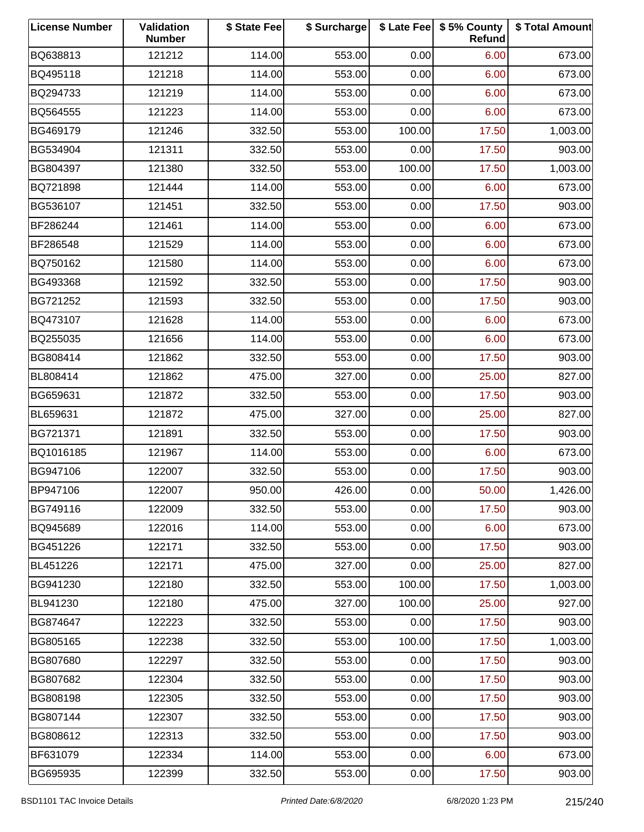| <b>License Number</b> | Validation<br><b>Number</b> | \$ State Fee | \$ Surcharge |        | \$ Late Fee   \$5% County<br>Refund | \$ Total Amount |
|-----------------------|-----------------------------|--------------|--------------|--------|-------------------------------------|-----------------|
| BQ638813              | 121212                      | 114.00       | 553.00       | 0.00   | 6.00                                | 673.00          |
| BQ495118              | 121218                      | 114.00       | 553.00       | 0.00   | 6.00                                | 673.00          |
| BQ294733              | 121219                      | 114.00       | 553.00       | 0.00   | 6.00                                | 673.00          |
| BQ564555              | 121223                      | 114.00       | 553.00       | 0.00   | 6.00                                | 673.00          |
| BG469179              | 121246                      | 332.50       | 553.00       | 100.00 | 17.50                               | 1,003.00        |
| BG534904              | 121311                      | 332.50       | 553.00       | 0.00   | 17.50                               | 903.00          |
| BG804397              | 121380                      | 332.50       | 553.00       | 100.00 | 17.50                               | 1,003.00        |
| BQ721898              | 121444                      | 114.00       | 553.00       | 0.00   | 6.00                                | 673.00          |
| BG536107              | 121451                      | 332.50       | 553.00       | 0.00   | 17.50                               | 903.00          |
| BF286244              | 121461                      | 114.00       | 553.00       | 0.00   | 6.00                                | 673.00          |
| BF286548              | 121529                      | 114.00       | 553.00       | 0.00   | 6.00                                | 673.00          |
| BQ750162              | 121580                      | 114.00       | 553.00       | 0.00   | 6.00                                | 673.00          |
| BG493368              | 121592                      | 332.50       | 553.00       | 0.00   | 17.50                               | 903.00          |
| BG721252              | 121593                      | 332.50       | 553.00       | 0.00   | 17.50                               | 903.00          |
| BQ473107              | 121628                      | 114.00       | 553.00       | 0.00   | 6.00                                | 673.00          |
| BQ255035              | 121656                      | 114.00       | 553.00       | 0.00   | 6.00                                | 673.00          |
| BG808414              | 121862                      | 332.50       | 553.00       | 0.00   | 17.50                               | 903.00          |
| BL808414              | 121862                      | 475.00       | 327.00       | 0.00   | 25.00                               | 827.00          |
| BG659631              | 121872                      | 332.50       | 553.00       | 0.00   | 17.50                               | 903.00          |
| BL659631              | 121872                      | 475.00       | 327.00       | 0.00   | 25.00                               | 827.00          |
| BG721371              | 121891                      | 332.50       | 553.00       | 0.00   | 17.50                               | 903.00          |
| BQ1016185             | 121967                      | 114.00       | 553.00       | 0.00   | 6.00                                | 673.00          |
| BG947106              | 122007                      | 332.50       | 553.00       | 0.00   | 17.50                               | 903.00          |
| BP947106              | 122007                      | 950.00       | 426.00       | 0.00   | 50.00                               | 1,426.00        |
| BG749116              | 122009                      | 332.50       | 553.00       | 0.00   | 17.50                               | 903.00          |
| BQ945689              | 122016                      | 114.00       | 553.00       | 0.00   | 6.00                                | 673.00          |
| BG451226              | 122171                      | 332.50       | 553.00       | 0.00   | 17.50                               | 903.00          |
| BL451226              | 122171                      | 475.00       | 327.00       | 0.00   | 25.00                               | 827.00          |
| BG941230              | 122180                      | 332.50       | 553.00       | 100.00 | 17.50                               | 1,003.00        |
| BL941230              | 122180                      | 475.00       | 327.00       | 100.00 | 25.00                               | 927.00          |
| BG874647              | 122223                      | 332.50       | 553.00       | 0.00   | 17.50                               | 903.00          |
| BG805165              | 122238                      | 332.50       | 553.00       | 100.00 | 17.50                               | 1,003.00        |
| BG807680              | 122297                      | 332.50       | 553.00       | 0.00   | 17.50                               | 903.00          |
| BG807682              | 122304                      | 332.50       | 553.00       | 0.00   | 17.50                               | 903.00          |
| BG808198              | 122305                      | 332.50       | 553.00       | 0.00   | 17.50                               | 903.00          |
| BG807144              | 122307                      | 332.50       | 553.00       | 0.00   | 17.50                               | 903.00          |
| BG808612              | 122313                      | 332.50       | 553.00       | 0.00   | 17.50                               | 903.00          |
| BF631079              | 122334                      | 114.00       | 553.00       | 0.00   | 6.00                                | 673.00          |
| BG695935              | 122399                      | 332.50       | 553.00       | 0.00   | 17.50                               | 903.00          |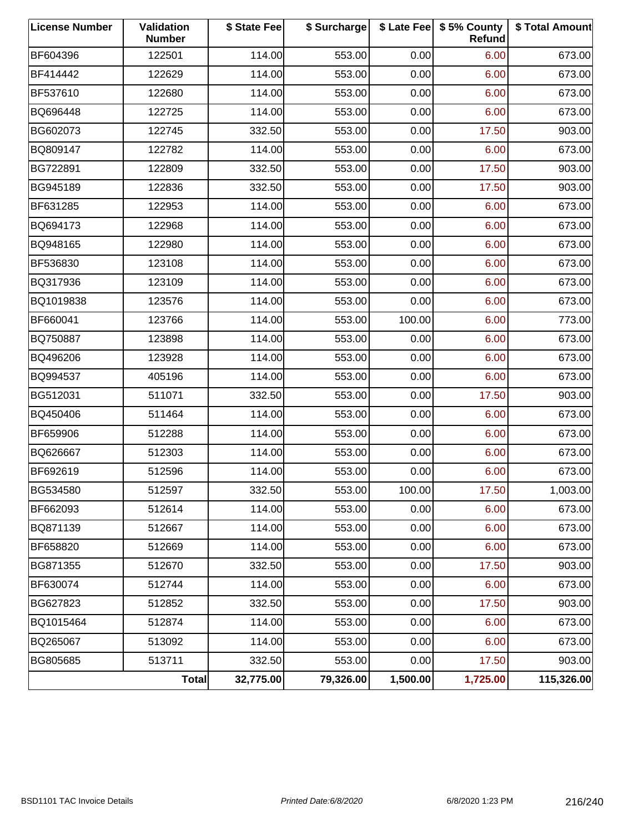| <b>License Number</b> | <b>Validation</b><br><b>Number</b> | \$ State Fee | \$ Surcharge |          | \$ Late Fee   \$5% County<br>Refund | \$ Total Amount |
|-----------------------|------------------------------------|--------------|--------------|----------|-------------------------------------|-----------------|
| BF604396              | 122501                             | 114.00       | 553.00       | 0.00     | 6.00                                | 673.00          |
| BF414442              | 122629                             | 114.00       | 553.00       | 0.00     | 6.00                                | 673.00          |
| BF537610              | 122680                             | 114.00       | 553.00       | 0.00     | 6.00                                | 673.00          |
| BQ696448              | 122725                             | 114.00       | 553.00       | 0.00     | 6.00                                | 673.00          |
| BG602073              | 122745                             | 332.50       | 553.00       | 0.00     | 17.50                               | 903.00          |
| BQ809147              | 122782                             | 114.00       | 553.00       | 0.00     | 6.00                                | 673.00          |
| BG722891              | 122809                             | 332.50       | 553.00       | 0.00     | 17.50                               | 903.00          |
| BG945189              | 122836                             | 332.50       | 553.00       | 0.00     | 17.50                               | 903.00          |
| BF631285              | 122953                             | 114.00       | 553.00       | 0.00     | 6.00                                | 673.00          |
| BQ694173              | 122968                             | 114.00       | 553.00       | 0.00     | 6.00                                | 673.00          |
| BQ948165              | 122980                             | 114.00       | 553.00       | 0.00     | 6.00                                | 673.00          |
| BF536830              | 123108                             | 114.00       | 553.00       | 0.00     | 6.00                                | 673.00          |
| BQ317936              | 123109                             | 114.00       | 553.00       | 0.00     | 6.00                                | 673.00          |
| BQ1019838             | 123576                             | 114.00       | 553.00       | 0.00     | 6.00                                | 673.00          |
| BF660041              | 123766                             | 114.00       | 553.00       | 100.00   | 6.00                                | 773.00          |
| BQ750887              | 123898                             | 114.00       | 553.00       | 0.00     | 6.00                                | 673.00          |
| BQ496206              | 123928                             | 114.00       | 553.00       | 0.00     | 6.00                                | 673.00          |
| BQ994537              | 405196                             | 114.00       | 553.00       | 0.00     | 6.00                                | 673.00          |
| BG512031              | 511071                             | 332.50       | 553.00       | 0.00     | 17.50                               | 903.00          |
| BQ450406              | 511464                             | 114.00       | 553.00       | 0.00     | 6.00                                | 673.00          |
| BF659906              | 512288                             | 114.00       | 553.00       | 0.00     | 6.00                                | 673.00          |
| BQ626667              | 512303                             | 114.00       | 553.00       | 0.00     | 6.00                                | 673.00          |
| BF692619              | 512596                             | 114.00       | 553.00       | 0.00     | 6.00                                | 673.00          |
| BG534580              | 512597                             | 332.50       | 553.00       | 100.00   | 17.50                               | 1,003.00        |
| BF662093              | 512614                             | 114.00       | 553.00       | 0.00     | 6.00                                | 673.00          |
| BQ871139              | 512667                             | 114.00       | 553.00       | 0.00     | 6.00                                | 673.00          |
| BF658820              | 512669                             | 114.00       | 553.00       | 0.00     | 6.00                                | 673.00          |
| BG871355              | 512670                             | 332.50       | 553.00       | 0.00     | 17.50                               | 903.00          |
| BF630074              | 512744                             | 114.00       | 553.00       | 0.00     | 6.00                                | 673.00          |
| BG627823              | 512852                             | 332.50       | 553.00       | 0.00     | 17.50                               | 903.00          |
| BQ1015464             | 512874                             | 114.00       | 553.00       | 0.00     | 6.00                                | 673.00          |
| BQ265067              | 513092                             | 114.00       | 553.00       | 0.00     | 6.00                                | 673.00          |
| BG805685              | 513711                             | 332.50       | 553.00       | 0.00     | 17.50                               | 903.00          |
|                       | Total                              | 32,775.00    | 79,326.00    | 1,500.00 | 1,725.00                            | 115,326.00      |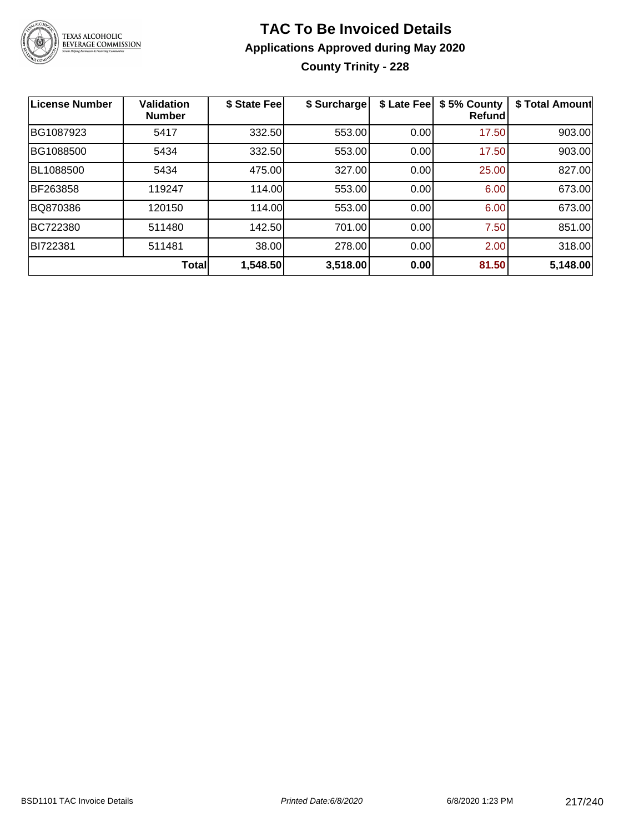

### **TAC To Be Invoiced Details Applications Approved during May 2020**

**County Trinity - 228**

| <b>License Number</b> | <b>Validation</b><br><b>Number</b> | \$ State Fee | \$ Surcharge | \$ Late Fee | \$5% County<br>Refundl | \$ Total Amount |
|-----------------------|------------------------------------|--------------|--------------|-------------|------------------------|-----------------|
| BG1087923             | 5417                               | 332.50       | 553.00       | 0.00        | 17.50                  | 903.00          |
| BG1088500             | 5434                               | 332.50       | 553.00       | 0.00        | 17.50                  | 903.00          |
| BL1088500             | 5434                               | 475.00       | 327.00       | 0.00        | 25.00                  | 827.00          |
| BF263858              | 119247                             | 114.00       | 553.00       | 0.00        | 6.00                   | 673.00          |
| BQ870386              | 120150                             | 114.00       | 553.00       | 0.00        | 6.00                   | 673.00          |
| BC722380              | 511480                             | 142.50       | 701.00       | 0.00        | 7.50                   | 851.00          |
| BI722381              | 511481                             | 38.00        | 278.00       | 0.00        | 2.00                   | 318.00          |
|                       | <b>Total</b>                       | 1,548.50     | 3,518.00     | 0.00        | 81.50                  | 5,148.00        |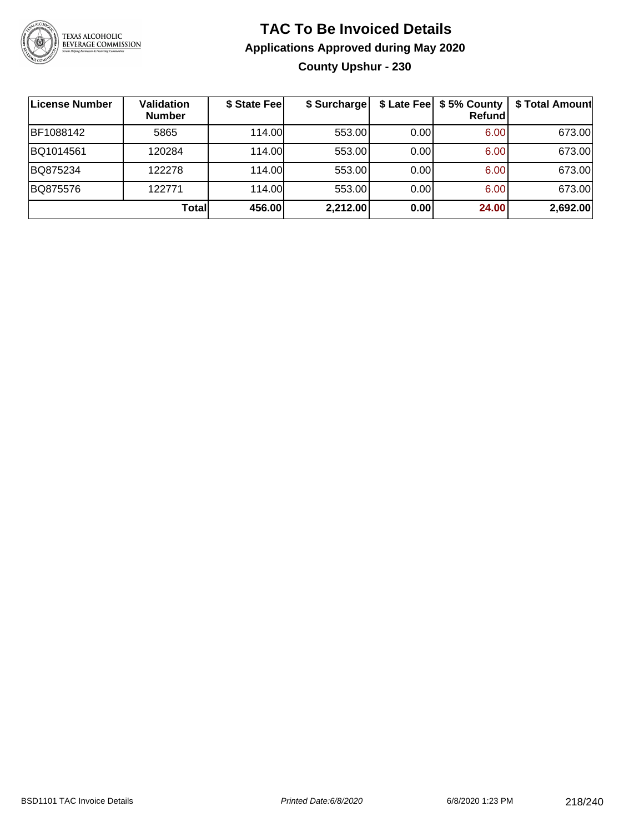

### **TAC To Be Invoiced Details Applications Approved during May 2020 County Upshur - 230**

| <b>License Number</b> | Validation<br><b>Number</b> | \$ State Fee | \$ Surcharge |      | \$ Late Fee   \$5% County<br>Refundl | \$ Total Amount |
|-----------------------|-----------------------------|--------------|--------------|------|--------------------------------------|-----------------|
| BF1088142             | 5865                        | 114.00       | 553.00       | 0.00 | 6.00                                 | 673.00          |
| BQ1014561             | 120284                      | 114.00       | 553.00       | 0.00 | 6.00                                 | 673.00          |
| BQ875234              | 122278                      | 114.00       | 553.00       | 0.00 | 6.00                                 | 673.00          |
| BQ875576              | 122771                      | 114.00       | 553.00       | 0.00 | 6.00                                 | 673.00          |
|                       | Total                       | 456.00       | 2,212.00     | 0.00 | 24.00                                | 2,692.00        |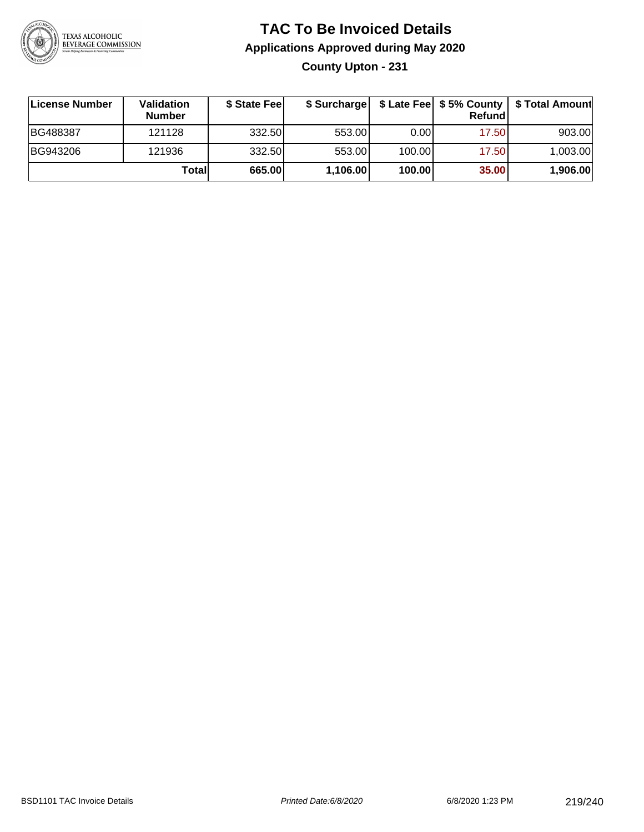

### **TAC To Be Invoiced Details Applications Approved during May 2020**

**County Upton - 231**

| ∣License Number | Validation<br><b>Number</b> | \$ State Feel | \$ Surcharge |        | Refund | \$ Late Fee   \$5% County   \$ Total Amount |
|-----------------|-----------------------------|---------------|--------------|--------|--------|---------------------------------------------|
| BG488387        | 121128                      | 332.50        | 553.00       | 0.001  | 17.50  | 903.00                                      |
| BG943206        | 121936                      | 332.50        | 553.00       | 100.00 | 17.50  | 1,003.00                                    |
|                 | Totall                      | 665.00        | 1,106.00     | 100.00 | 35.00  | 1,906.00                                    |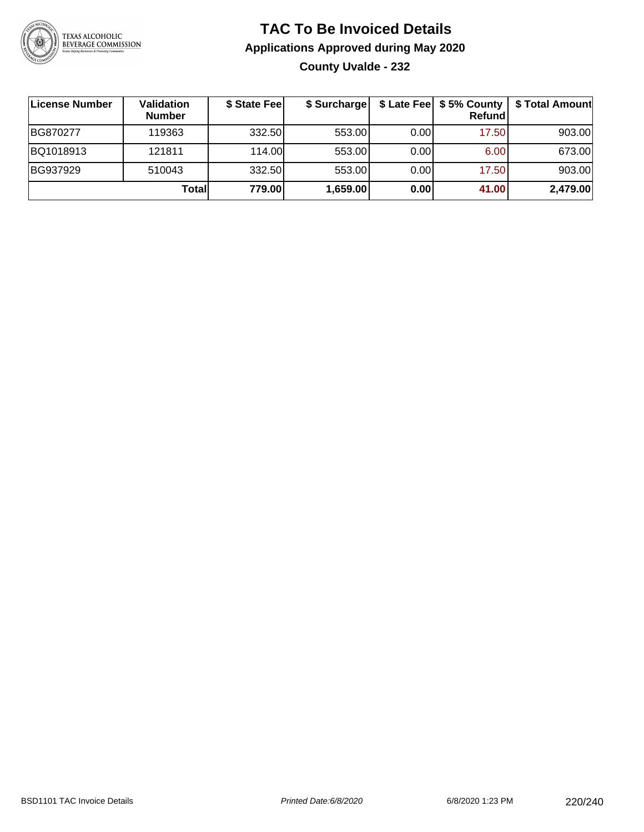

### **TAC To Be Invoiced Details Applications Approved during May 2020 County Uvalde - 232**

| License Number | Validation<br><b>Number</b> | \$ State Fee | \$ Surcharge |      | $$$ Late Fee $$5%$ County<br><b>Refund</b> | \$ Total Amount |
|----------------|-----------------------------|--------------|--------------|------|--------------------------------------------|-----------------|
| BG870277       | 119363                      | 332.50       | 553.00       | 0.00 | 17.50                                      | 903.00          |
| BQ1018913      | 121811                      | 114.00L      | 553.00       | 0.00 | 6.00                                       | 673.00          |
| BG937929       | 510043                      | 332.50       | 553.00       | 0.00 | 17.50                                      | 903.00          |
|                | Total                       | 779.00       | 1,659.00     | 0.00 | 41.00                                      | 2,479.00        |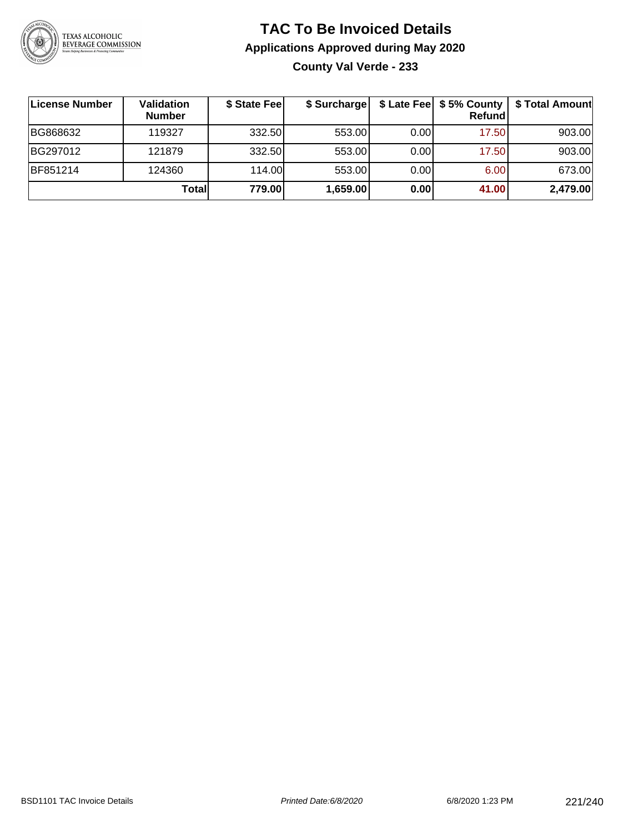

### **TAC To Be Invoiced Details Applications Approved during May 2020 County Val Verde - 233**

| License Number | Validation<br><b>Number</b> | \$ State Feel | \$ Surcharge |      | \$ Late Fee   \$5% County  <br>Refund | \$ Total Amount |
|----------------|-----------------------------|---------------|--------------|------|---------------------------------------|-----------------|
| BG868632       | 119327                      | 332.50        | 553.00       | 0.00 | 17.50                                 | 903.00          |
| BG297012       | 121879                      | 332.50        | 553.00       | 0.00 | 17.50                                 | 903.00          |
| BF851214       | 124360                      | 114.00        | 553.00       | 0.00 | 6.00                                  | 673.00          |
|                | Total                       | 779.00        | 1,659.00     | 0.00 | 41.00                                 | 2,479.00        |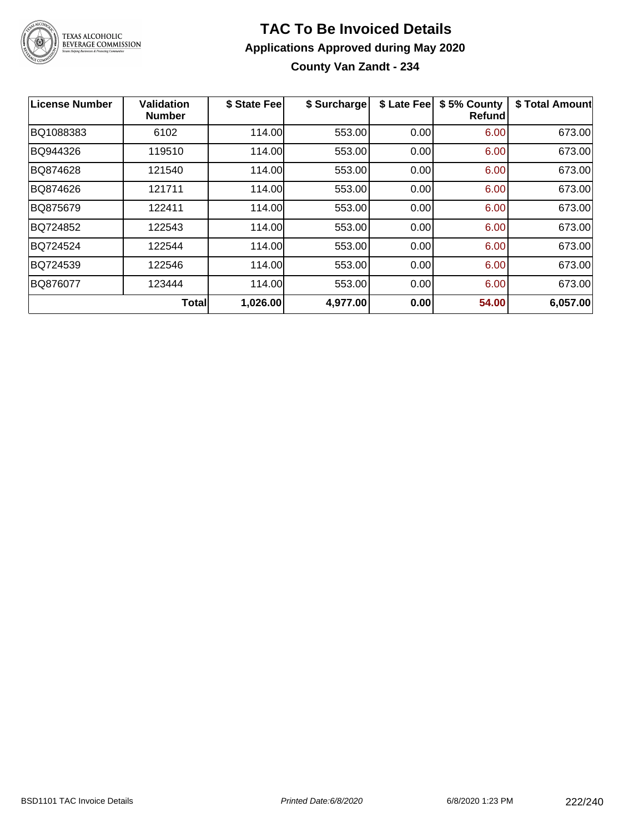

### **TAC To Be Invoiced Details Applications Approved during May 2020 County Van Zandt - 234**

| License Number | <b>Validation</b><br><b>Number</b> | \$ State Fee | \$ Surcharge | \$ Late Fee | \$5% County<br><b>Refund</b> | \$ Total Amount |
|----------------|------------------------------------|--------------|--------------|-------------|------------------------------|-----------------|
| BQ1088383      | 6102                               | 114.00       | 553.00       | 0.00        | 6.00                         | 673.00          |
| BQ944326       | 119510                             | 114.00       | 553.00       | 0.00        | 6.00                         | 673.00          |
| BQ874628       | 121540                             | 114.00       | 553.00       | 0.00        | 6.00                         | 673.00          |
| BQ874626       | 121711                             | 114.00       | 553.00       | 0.00        | 6.00                         | 673.00          |
| BQ875679       | 122411                             | 114.00       | 553.00       | 0.00        | 6.00                         | 673.00          |
| BQ724852       | 122543                             | 114.00       | 553.00       | 0.00        | 6.00                         | 673.00          |
| BQ724524       | 122544                             | 114.00       | 553.00       | 0.00        | 6.00                         | 673.00          |
| BQ724539       | 122546                             | 114.00       | 553.00       | 0.00        | 6.00                         | 673.00          |
| BQ876077       | 123444                             | 114.00       | 553.00       | 0.00        | 6.00                         | 673.00          |
|                | <b>Total</b>                       | 1,026.00     | 4,977.00     | 0.00        | 54.00                        | 6,057.00        |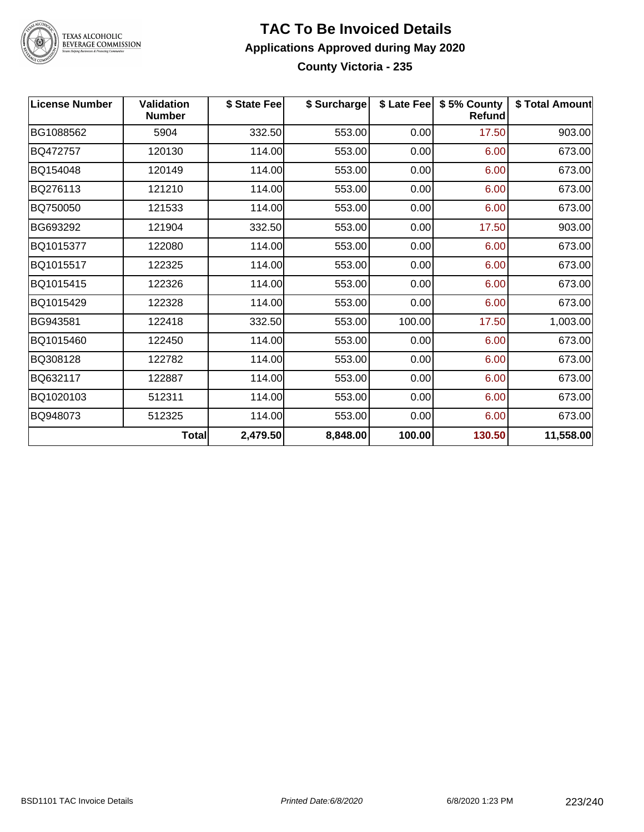

# TEXAS ALCOHOLIC<br>BEVERAGE COMMISSION

#### **TAC To Be Invoiced Details Applications Approved during May 2020 County Victoria - 235**

| <b>License Number</b> | <b>Validation</b><br><b>Number</b> | \$ State Fee | \$ Surcharge |        | \$ Late Fee   \$5% County<br><b>Refund</b> | \$ Total Amount |
|-----------------------|------------------------------------|--------------|--------------|--------|--------------------------------------------|-----------------|
| BG1088562             | 5904                               | 332.50       | 553.00       | 0.00   | 17.50                                      | 903.00          |
| BQ472757              | 120130                             | 114.00       | 553.00       | 0.00   | 6.00                                       | 673.00          |
| BQ154048              | 120149                             | 114.00       | 553.00       | 0.00   | 6.00                                       | 673.00          |
| BQ276113              | 121210                             | 114.00       | 553.00       | 0.00   | 6.00                                       | 673.00          |
| BQ750050              | 121533                             | 114.00       | 553.00       | 0.00   | 6.00                                       | 673.00          |
| BG693292              | 121904                             | 332.50       | 553.00       | 0.00   | 17.50                                      | 903.00          |
| BQ1015377             | 122080                             | 114.00       | 553.00       | 0.00   | 6.00                                       | 673.00          |
| BQ1015517             | 122325                             | 114.00       | 553.00       | 0.00   | 6.00                                       | 673.00          |
| BQ1015415             | 122326                             | 114.00       | 553.00       | 0.00   | 6.00                                       | 673.00          |
| BQ1015429             | 122328                             | 114.00       | 553.00       | 0.00   | 6.00                                       | 673.00          |
| BG943581              | 122418                             | 332.50       | 553.00       | 100.00 | 17.50                                      | 1,003.00        |
| BQ1015460             | 122450                             | 114.00       | 553.00       | 0.00   | 6.00                                       | 673.00          |
| BQ308128              | 122782                             | 114.00       | 553.00       | 0.00   | 6.00                                       | 673.00          |
| BQ632117              | 122887                             | 114.00       | 553.00       | 0.00   | 6.00                                       | 673.00          |
| BQ1020103             | 512311                             | 114.00       | 553.00       | 0.00   | 6.00                                       | 673.00          |
| BQ948073              | 512325                             | 114.00       | 553.00       | 0.00   | 6.00                                       | 673.00          |
|                       | <b>Total</b>                       | 2,479.50     | 8,848.00     | 100.00 | 130.50                                     | 11,558.00       |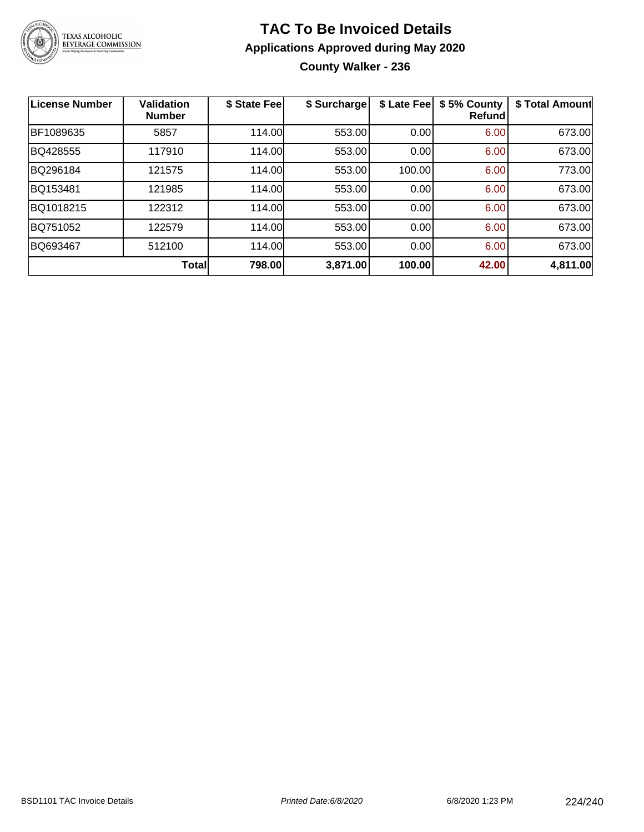

### **TAC To Be Invoiced Details Applications Approved during May 2020 County Walker - 236**

| <b>License Number</b> | <b>Validation</b><br><b>Number</b> | \$ State Fee | \$ Surcharge | \$ Late Fee | \$5% County<br>Refundl | \$ Total Amount |
|-----------------------|------------------------------------|--------------|--------------|-------------|------------------------|-----------------|
| BF1089635             | 5857                               | 114.00       | 553.00       | 0.00        | 6.00                   | 673.00          |
| BQ428555              | 117910                             | 114.00       | 553.00       | 0.00        | 6.00                   | 673.00          |
| BQ296184              | 121575                             | 114.00       | 553.00       | 100.00      | 6.00                   | 773.00          |
| BQ153481              | 121985                             | 114.00       | 553.00       | 0.00        | 6.00                   | 673.00          |
| BQ1018215             | 122312                             | 114.00       | 553.00       | 0.00        | 6.00                   | 673.00          |
| BQ751052              | 122579                             | 114.00       | 553.00       | 0.00        | 6.00                   | 673.00          |
| BQ693467              | 512100                             | 114.00       | 553.00       | 0.00        | 6.00                   | 673.00          |
|                       | <b>Total</b>                       | 798.00       | 3,871.00     | 100.00      | 42.00                  | 4,811.00        |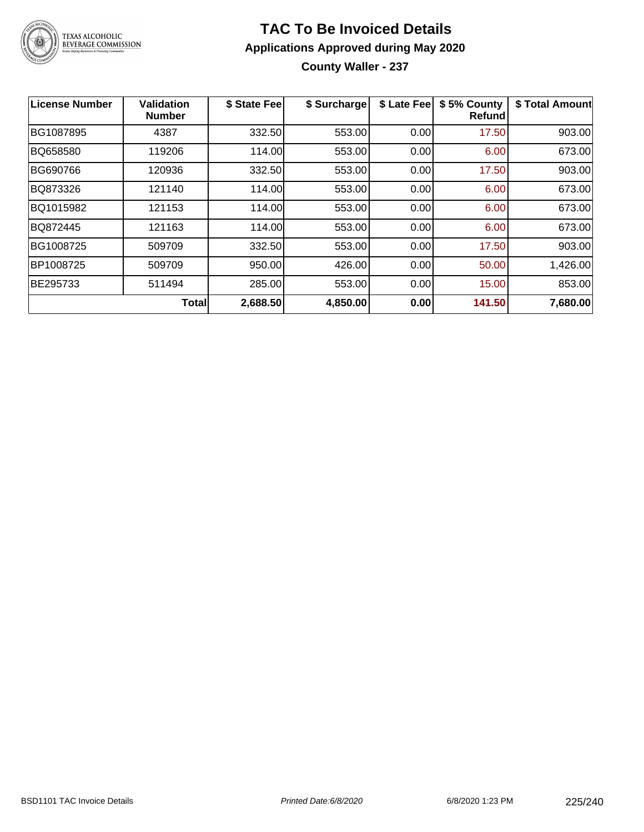

### **TAC To Be Invoiced Details Applications Approved during May 2020**

**County Waller - 237**

| <b>License Number</b> | <b>Validation</b><br><b>Number</b> | \$ State Fee | \$ Surcharge | \$ Late Fee | \$5% County<br>Refundl | \$ Total Amount |
|-----------------------|------------------------------------|--------------|--------------|-------------|------------------------|-----------------|
| BG1087895             | 4387                               | 332.50       | 553.00       | 0.00        | 17.50                  | 903.00          |
| BQ658580              | 119206                             | 114.00       | 553.00       | 0.00        | 6.00                   | 673.00          |
| BG690766              | 120936                             | 332.50       | 553.00       | 0.00        | 17.50                  | 903.00          |
| BQ873326              | 121140                             | 114.00       | 553.00       | 0.00        | 6.00                   | 673.00          |
| BQ1015982             | 121153                             | 114.00       | 553.00       | 0.00        | 6.00                   | 673.00          |
| BQ872445              | 121163                             | 114.00       | 553.00       | 0.00        | 6.00                   | 673.00          |
| BG1008725             | 509709                             | 332.50       | 553.00       | 0.00        | 17.50                  | 903.00          |
| BP1008725             | 509709                             | 950.00       | 426.00       | 0.00        | 50.00                  | 1,426.00        |
| BE295733              | 511494                             | 285.00       | 553.00       | 0.00        | 15.00                  | 853.00          |
|                       | <b>Total</b>                       | 2,688.50     | 4,850.00     | 0.00        | 141.50                 | 7,680.00        |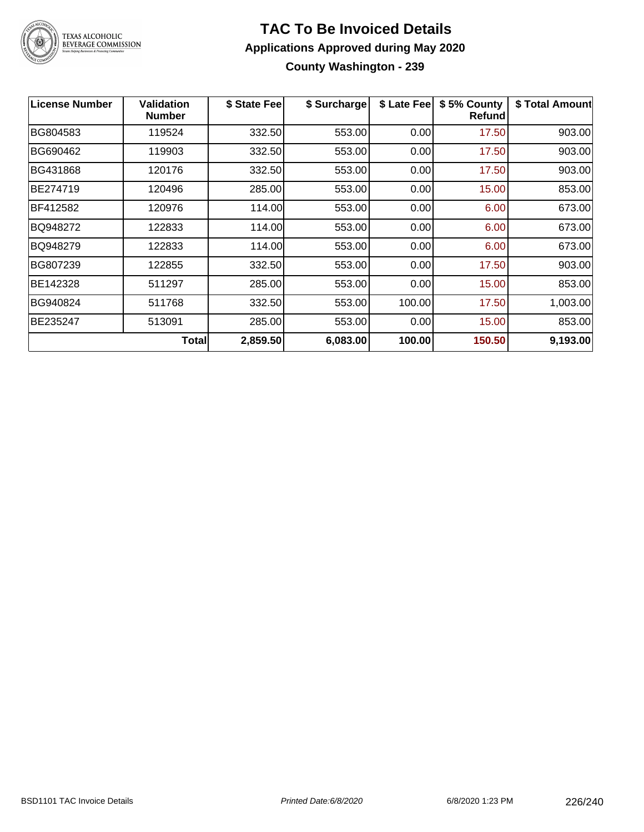

### **TAC To Be Invoiced Details Applications Approved during May 2020 County Washington - 239**

| <b>License Number</b> | Validation<br><b>Number</b> | \$ State Fee | \$ Surcharge | \$ Late Fee | \$5% County<br>Refund | \$ Total Amount |
|-----------------------|-----------------------------|--------------|--------------|-------------|-----------------------|-----------------|
| BG804583              | 119524                      | 332.50       | 553.00       | 0.00        | 17.50                 | 903.00          |
| BG690462              | 119903                      | 332.50       | 553.00       | 0.00        | 17.50                 | 903.00          |
| BG431868              | 120176                      | 332.50       | 553.00       | 0.00        | 17.50                 | 903.00          |
| BE274719              | 120496                      | 285.00       | 553.00       | 0.00        | 15.00                 | 853.00          |
| BF412582              | 120976                      | 114.00       | 553.00       | 0.00        | 6.00                  | 673.00          |
| BQ948272              | 122833                      | 114.00       | 553.00       | 0.00        | 6.00                  | 673.00          |
| BQ948279              | 122833                      | 114.00       | 553.00       | 0.00        | 6.00                  | 673.00          |
| BG807239              | 122855                      | 332.50       | 553.00       | 0.00        | 17.50                 | 903.00          |
| BE142328              | 511297                      | 285.00       | 553.00       | 0.00        | 15.00                 | 853.00          |
| BG940824              | 511768                      | 332.50       | 553.00       | 100.00      | 17.50                 | 1,003.00        |
| BE235247              | 513091                      | 285.00       | 553.00       | 0.00        | 15.00                 | 853.00          |
|                       | <b>Total</b>                | 2,859.50     | 6,083.00     | 100.00      | 150.50                | 9,193.00        |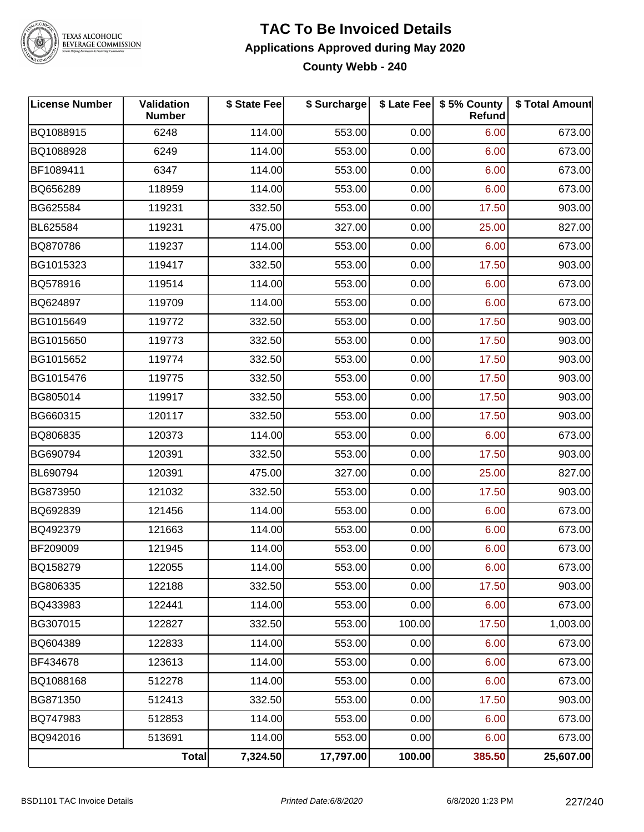

#### **TEXAS ALCOHOLIC BEVERAGE COMMISSION**

#### **TAC To Be Invoiced Details Applications Approved during May 2020 County Webb - 240**

**License Number Validation Number \$ State Fee \$ Surcharge \$ Late Fee \$ 5% County Refund \$ Total Amount** BQ1088915 6248 114.00 553.00 0.00 6.00 673.00 BQ1088928 6249 114.00 553.00 0.00 6.00 673.00 BF1089411 6347 114.00 553.00 0.00 6.00 673.00 BQ656289 118959 114.00 553.00 0.00 6.00 673.00 BG625584 | 119231 | 332.50| 553.00| 0.00| 17.50| 903.00 BL625584 119231 475.00 327.00 0.00 25.00 827.00 BQ870786 119237 114.00 553.00 0.00 6.00 673.00 BG1015323 119417 332.50 553.00 0.00 17.50 903.00 BQ578916 119514 114.00 553.00 0.00 6.00 673.00 BQ624897 119709 114.00 553.00 0.00 6.00 673.00 BG1015649 119772 332.50 553.00 0.00 17.50 903.00 BG1015650 | 119773 | 332.50| 553.00| 0.00| 17.50| 903.00 BG1015652 | 119774 | 332.50| 553.00| 0.00| 17.50| 903.00 BG1015476 | 119775 | 332.50| 553.00| 0.00| 17.50| 903.00 BG805014 119917 332.50 553.00 0.00 17.50 903.00 BG660315 120117 332.50 553.00 0.00 17.50 903.00 BQ806835 120373 114.00 553.00 0.00 6.00 673.00 BG690794 | 120391 | 332.50| 553.00| 0.00| 17.50| 903.00 BL690794 120391 475.00 327.00 0.00 25.00 827.00 BG873950 | 121032 | 332.50| 553.00| 0.00| 17.50| 903.00 BQ692839 121456 114.00 553.00 0.00 6.00 673.00 BQ492379 | 121663 | 114.00| 553.00| 0.00| 6.00| 673.00 BF209009 121945 114.00 553.00 0.00 6.00 673.00 BQ158279 | 122055 | 114.00| 553.00| 0.00| 6.00| 673.00 BG806335 | 122188 | 332.50| 553.00| 0.00| 17.50| 903.00 BQ433983 122441 114.00 553.00 0.00 6.00 673.00 BG307015 122827 332.50 553.00 100.00 17.50 1,003.00 BQ604389 | 122833 | 114.00| 553.00| 0.00| 6.00| 673.00 BF434678 123613 114.00 553.00 0.00 6.00 673.00 BQ1088168 512278 114.00 553.00 0.00 6.00 673.00 BG871350 | 512413 | 332.50| 553.00| 0.00| 17.50| 903.00 BQ747983 | 512853 | 114.00| 553.00| 0.00| 6.00| 673.00 BQ942016 513691 114.00 553.00 0.00 6.00 673.00 **Total 7,324.50 17,797.00 100.00 385.50 25,607.00**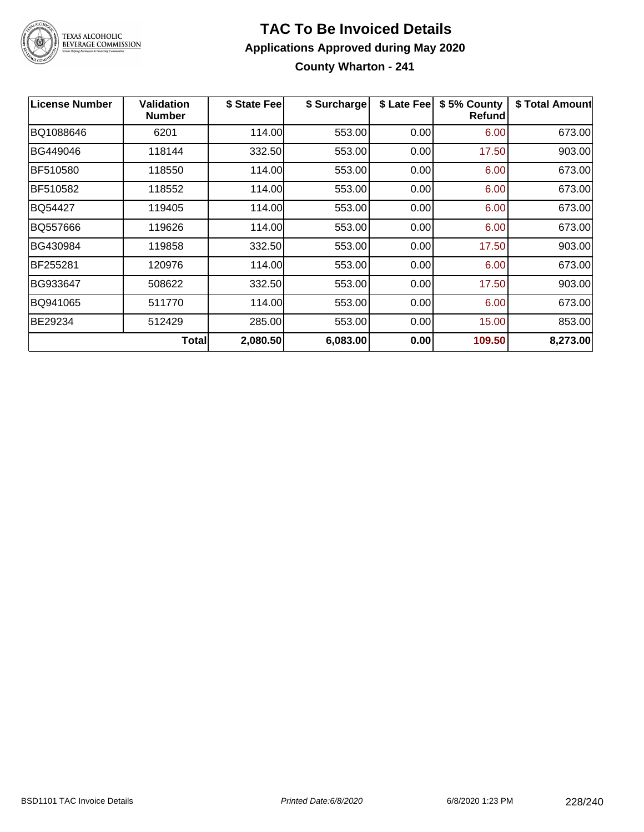

### **TAC To Be Invoiced Details Applications Approved during May 2020 County Wharton - 241**

| <b>License Number</b> | <b>Validation</b><br><b>Number</b> | \$ State Fee | \$ Surcharge | \$ Late Fee | \$5% County<br>Refund | \$ Total Amount |
|-----------------------|------------------------------------|--------------|--------------|-------------|-----------------------|-----------------|
| BQ1088646             | 6201                               | 114.00       | 553.00       | 0.00        | 6.00                  | 673.00          |
| BG449046              | 118144                             | 332.50       | 553.00       | 0.00        | 17.50                 | 903.00          |
| BF510580              | 118550                             | 114.00       | 553.00       | 0.00        | 6.00                  | 673.00          |
| BF510582              | 118552                             | 114.00       | 553.00       | 0.00        | 6.00                  | 673.00          |
| BQ54427               | 119405                             | 114.00       | 553.00       | 0.00        | 6.00                  | 673.00          |
| BQ557666              | 119626                             | 114.00       | 553.00       | 0.00        | 6.00                  | 673.00          |
| BG430984              | 119858                             | 332.50       | 553.00       | 0.00        | 17.50                 | 903.00          |
| BF255281              | 120976                             | 114.00       | 553.00       | 0.00        | 6.00                  | 673.00          |
| BG933647              | 508622                             | 332.50       | 553.00       | 0.00        | 17.50                 | 903.00          |
| BQ941065              | 511770                             | 114.00       | 553.00       | 0.00        | 6.00                  | 673.00          |
| BE29234               | 512429                             | 285.00       | 553.00       | 0.00        | 15.00                 | 853.00          |
|                       | <b>Total</b>                       | 2,080.50     | 6,083.00     | 0.00        | 109.50                | 8,273.00        |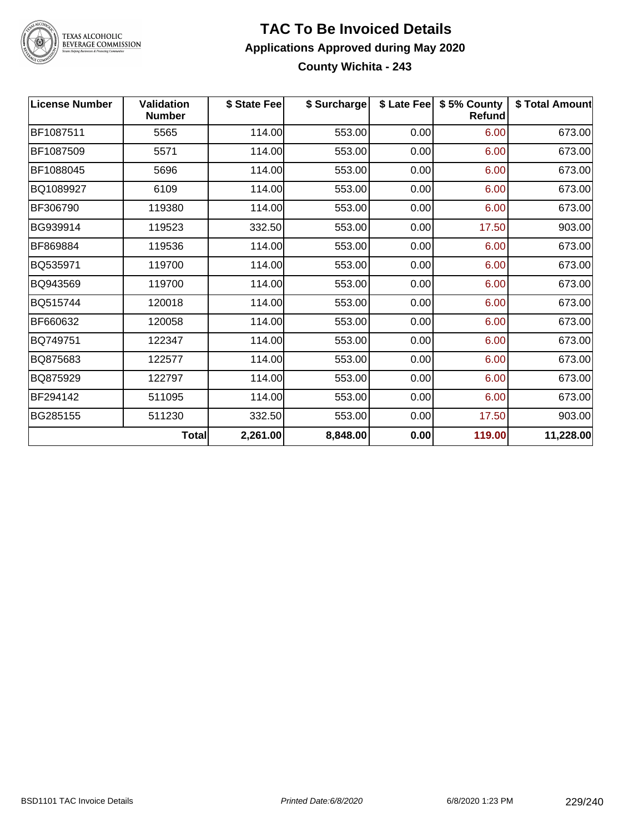

### TEXAS ALCOHOLIC<br>BEVERAGE COMMISSION

#### **TAC To Be Invoiced Details Applications Approved during May 2020 County Wichita - 243**

| <b>License Number</b> | <b>Validation</b><br><b>Number</b> | \$ State Fee | \$ Surcharge |      | \$ Late Fee   \$5% County<br><b>Refund</b> | \$ Total Amount |
|-----------------------|------------------------------------|--------------|--------------|------|--------------------------------------------|-----------------|
| BF1087511             | 5565                               | 114.00       | 553.00       | 0.00 | 6.00                                       | 673.00          |
| BF1087509             | 5571                               | 114.00       | 553.00       | 0.00 | 6.00                                       | 673.00          |
| BF1088045             | 5696                               | 114.00       | 553.00       | 0.00 | 6.00                                       | 673.00          |
| BQ1089927             | 6109                               | 114.00       | 553.00       | 0.00 | 6.00                                       | 673.00          |
| BF306790              | 119380                             | 114.00       | 553.00       | 0.00 | 6.00                                       | 673.00          |
| BG939914              | 119523                             | 332.50       | 553.00       | 0.00 | 17.50                                      | 903.00          |
| BF869884              | 119536                             | 114.00       | 553.00       | 0.00 | 6.00                                       | 673.00          |
| BQ535971              | 119700                             | 114.00       | 553.00       | 0.00 | 6.00                                       | 673.00          |
| BQ943569              | 119700                             | 114.00       | 553.00       | 0.00 | 6.00                                       | 673.00          |
| BQ515744              | 120018                             | 114.00       | 553.00       | 0.00 | 6.00                                       | 673.00          |
| BF660632              | 120058                             | 114.00       | 553.00       | 0.00 | 6.00                                       | 673.00          |
| BQ749751              | 122347                             | 114.00       | 553.00       | 0.00 | 6.00                                       | 673.00          |
| BQ875683              | 122577                             | 114.00       | 553.00       | 0.00 | 6.00                                       | 673.00          |
| BQ875929              | 122797                             | 114.00       | 553.00       | 0.00 | 6.00                                       | 673.00          |
| BF294142              | 511095                             | 114.00       | 553.00       | 0.00 | 6.00                                       | 673.00          |
| BG285155              | 511230                             | 332.50       | 553.00       | 0.00 | 17.50                                      | 903.00          |
|                       | <b>Total</b>                       | 2,261.00     | 8,848.00     | 0.00 | 119.00                                     | 11,228.00       |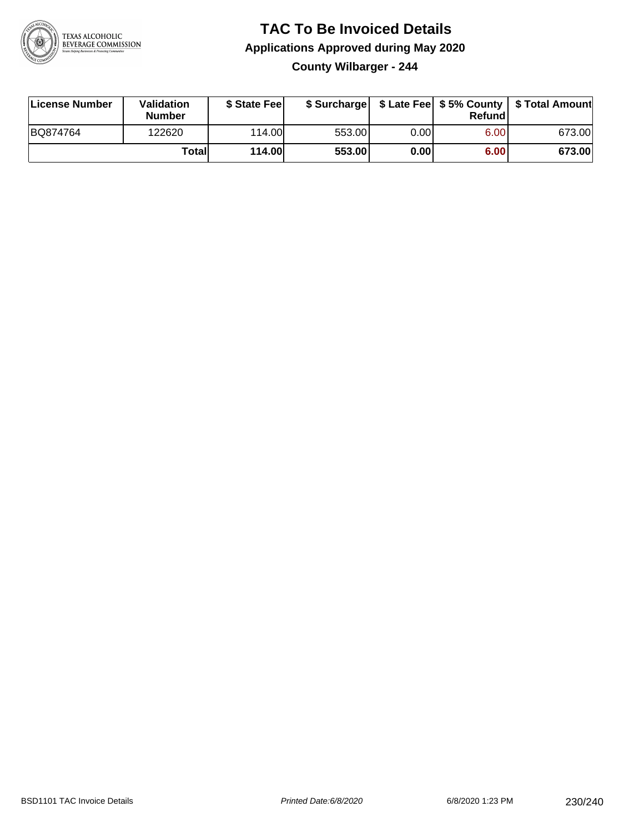

### **TAC To Be Invoiced Details Applications Approved during May 2020 County Wilbarger - 244**

| License Number | <b>Validation</b><br><b>Number</b> | \$ State Feel |        |      | Refund | \$ Surcharge   \$ Late Fee   \$5% County   \$ Total Amount |
|----------------|------------------------------------|---------------|--------|------|--------|------------------------------------------------------------|
| BQ874764       | 122620                             | 114.00L       | 553.00 | 0.00 | 6.00   | 673.00                                                     |
|                | Totall                             | <b>114.00</b> | 553.00 | 0.00 | 6.00   | 673.00                                                     |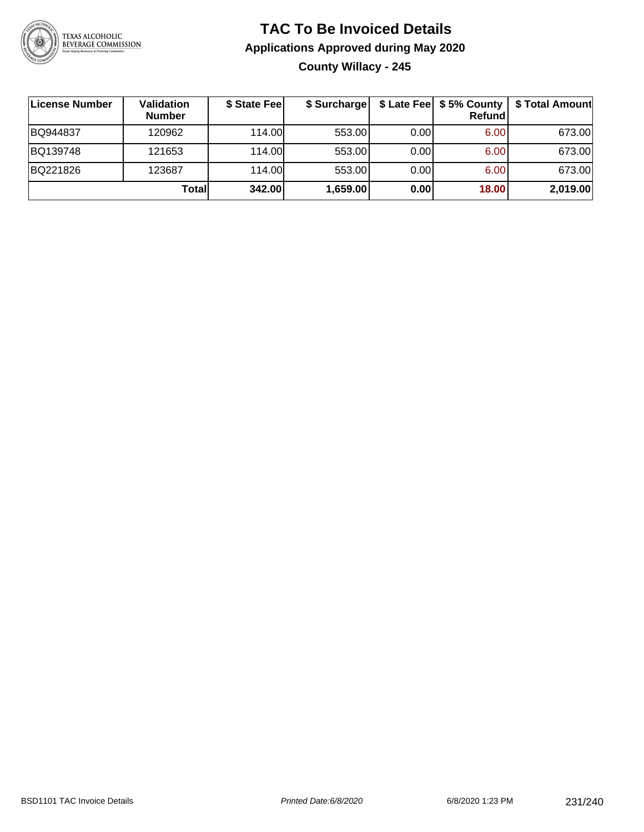

### **TAC To Be Invoiced Details Applications Approved during May 2020 County Willacy - 245**

| License Number | <b>Validation</b><br><b>Number</b> | \$ State Fee | \$ Surcharge |       | \$ Late Fee   \$5% County  <br>Refundl | \$ Total Amount |
|----------------|------------------------------------|--------------|--------------|-------|----------------------------------------|-----------------|
| BQ944837       | 120962                             | 114.00       | 553.00       | 0.001 | 6.00                                   | 673.00          |
| BQ139748       | 121653                             | 114.00       | 553.00       | 0.001 | 6.00                                   | 673.00          |
| BQ221826       | 123687                             | 114.00       | 553.00       | 0.001 | 6.00                                   | 673.00          |
|                | Totall                             | 342.00       | 1,659.00     | 0.00  | 18.00                                  | 2,019.00        |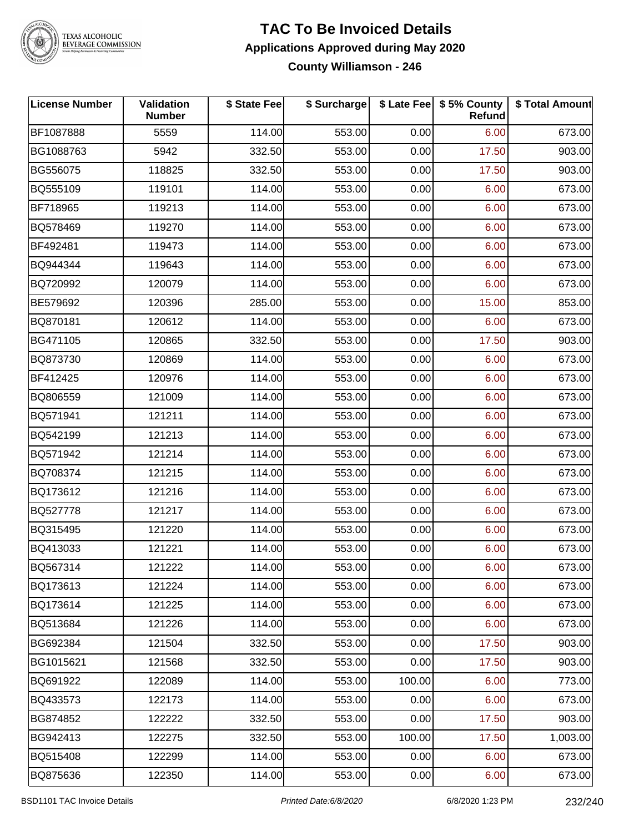

## TEXAS ALCOHOLIC<br>BEVERAGE COMMISSION

#### **TAC To Be Invoiced Details Applications Approved during May 2020 County Williamson - 246**

| <b>License Number</b> | Validation<br><b>Number</b> | \$ State Fee | \$ Surcharge |        | \$ Late Fee   \$5% County<br><b>Refund</b> | \$ Total Amount |
|-----------------------|-----------------------------|--------------|--------------|--------|--------------------------------------------|-----------------|
| BF1087888             | 5559                        | 114.00       | 553.00       | 0.00   | 6.00                                       | 673.00          |
| BG1088763             | 5942                        | 332.50       | 553.00       | 0.00   | 17.50                                      | 903.00          |
| BG556075              | 118825                      | 332.50       | 553.00       | 0.00   | 17.50                                      | 903.00          |
| BQ555109              | 119101                      | 114.00       | 553.00       | 0.00   | 6.00                                       | 673.00          |
| BF718965              | 119213                      | 114.00       | 553.00       | 0.00   | 6.00                                       | 673.00          |
| BQ578469              | 119270                      | 114.00       | 553.00       | 0.00   | 6.00                                       | 673.00          |
| BF492481              | 119473                      | 114.00       | 553.00       | 0.00   | 6.00                                       | 673.00          |
| BQ944344              | 119643                      | 114.00       | 553.00       | 0.00   | 6.00                                       | 673.00          |
| BQ720992              | 120079                      | 114.00       | 553.00       | 0.00   | 6.00                                       | 673.00          |
| BE579692              | 120396                      | 285.00       | 553.00       | 0.00   | 15.00                                      | 853.00          |
| BQ870181              | 120612                      | 114.00       | 553.00       | 0.00   | 6.00                                       | 673.00          |
| BG471105              | 120865                      | 332.50       | 553.00       | 0.00   | 17.50                                      | 903.00          |
| BQ873730              | 120869                      | 114.00       | 553.00       | 0.00   | 6.00                                       | 673.00          |
| BF412425              | 120976                      | 114.00       | 553.00       | 0.00   | 6.00                                       | 673.00          |
| BQ806559              | 121009                      | 114.00       | 553.00       | 0.00   | 6.00                                       | 673.00          |
| BQ571941              | 121211                      | 114.00       | 553.00       | 0.00   | 6.00                                       | 673.00          |
| BQ542199              | 121213                      | 114.00       | 553.00       | 0.00   | 6.00                                       | 673.00          |
| BQ571942              | 121214                      | 114.00       | 553.00       | 0.00   | 6.00                                       | 673.00          |
| BQ708374              | 121215                      | 114.00       | 553.00       | 0.00   | 6.00                                       | 673.00          |
| BQ173612              | 121216                      | 114.00       | 553.00       | 0.00   | 6.00                                       | 673.00          |
| BQ527778              | 121217                      | 114.00       | 553.00       | 0.00   | 6.00                                       | 673.00          |
| BQ315495              | 121220                      | 114.00       | 553.00       | 0.00   | 6.00                                       | 673.00          |
| BQ413033              | 121221                      | 114.00       | 553.00       | 0.00   | 6.00                                       | 673.00          |
| BQ567314              | 121222                      | 114.00       | 553.00       | 0.00   | 6.00                                       | 673.00          |
| BQ173613              | 121224                      | 114.00       | 553.00       | 0.00   | 6.00                                       | 673.00          |
| BQ173614              | 121225                      | 114.00       | 553.00       | 0.00   | 6.00                                       | 673.00          |
| BQ513684              | 121226                      | 114.00       | 553.00       | 0.00   | 6.00                                       | 673.00          |
| BG692384              | 121504                      | 332.50       | 553.00       | 0.00   | 17.50                                      | 903.00          |
| BG1015621             | 121568                      | 332.50       | 553.00       | 0.00   | 17.50                                      | 903.00          |
| BQ691922              | 122089                      | 114.00       | 553.00       | 100.00 | 6.00                                       | 773.00          |
| BQ433573              | 122173                      | 114.00       | 553.00       | 0.00   | 6.00                                       | 673.00          |
| BG874852              | 122222                      | 332.50       | 553.00       | 0.00   | 17.50                                      | 903.00          |
| BG942413              | 122275                      | 332.50       | 553.00       | 100.00 | 17.50                                      | 1,003.00        |
| BQ515408              | 122299                      | 114.00       | 553.00       | 0.00   | 6.00                                       | 673.00          |
| BQ875636              | 122350                      | 114.00       | 553.00       | 0.00   | 6.00                                       | 673.00          |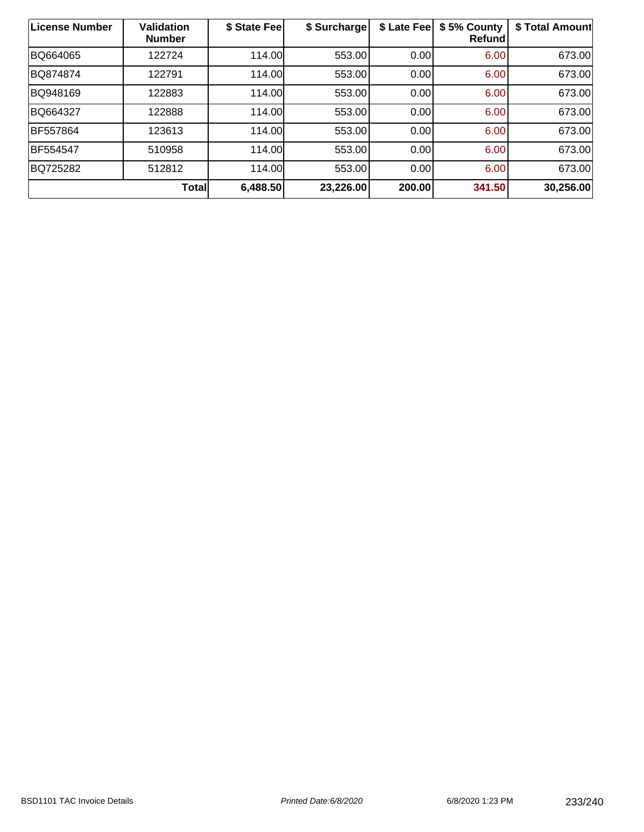| License Number | <b>Validation</b><br><b>Number</b> | \$ State Fee | \$ Surcharge | \$ Late Fee | \$5% County<br><b>Refund</b> | \$ Total Amount |
|----------------|------------------------------------|--------------|--------------|-------------|------------------------------|-----------------|
| BQ664065       | 122724                             | 114.00       | 553.00       | 0.00        | 6.00                         | 673.00          |
| BQ874874       | 122791                             | 114.00       | 553.00       | 0.00        | 6.00                         | 673.00          |
| BQ948169       | 122883                             | 114.00       | 553.00       | 0.00        | 6.00                         | 673.00          |
| BQ664327       | 122888                             | 114.00       | 553.00       | 0.00        | 6.00                         | 673.00          |
| BF557864       | 123613                             | 114.00       | 553.00       | 0.00        | 6.00                         | 673.00          |
| BF554547       | 510958                             | 114.00       | 553.00       | 0.00        | 6.00                         | 673.00          |
| BQ725282       | 512812                             | 114.00L      | 553.00       | 0.00        | 6.00                         | 673.00          |
|                | <b>Total</b>                       | 6,488.50     | 23,226.00    | 200.00      | 341.50                       | 30,256.00       |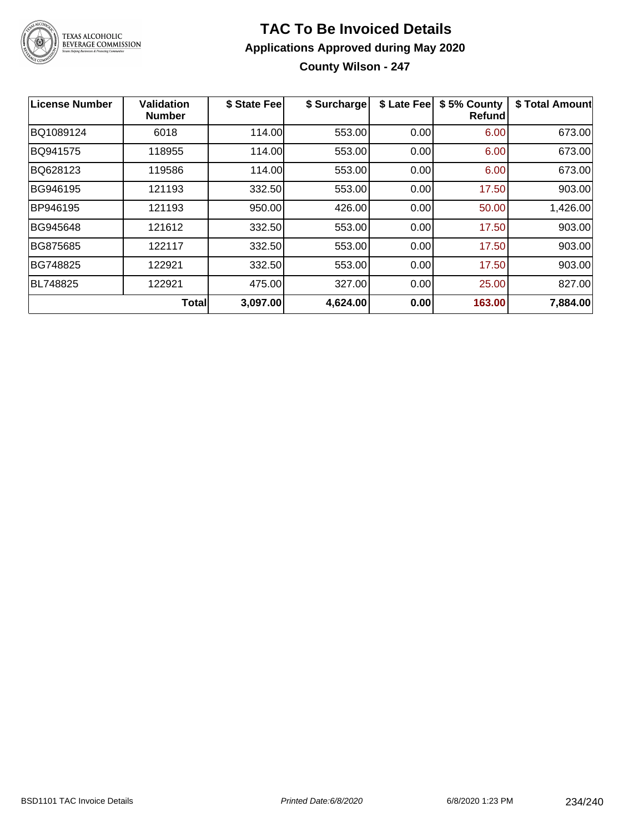

### **TAC To Be Invoiced Details Applications Approved during May 2020 County Wilson - 247**

| License Number | <b>Validation</b><br><b>Number</b> | \$ State Fee | \$ Surcharge | \$ Late Fee | \$5% County<br><b>Refund</b> | \$ Total Amount |
|----------------|------------------------------------|--------------|--------------|-------------|------------------------------|-----------------|
| BQ1089124      | 6018                               | 114.00       | 553.00       | 0.00        | 6.00                         | 673.00          |
| BQ941575       | 118955                             | 114.00       | 553.00       | 0.00        | 6.00                         | 673.00          |
| BQ628123       | 119586                             | 114.00       | 553.00       | 0.00        | 6.00                         | 673.00          |
| BG946195       | 121193                             | 332.50       | 553.00       | 0.00        | 17.50                        | 903.00          |
| BP946195       | 121193                             | 950.00       | 426.00       | 0.00        | 50.00                        | 1,426.00        |
| BG945648       | 121612                             | 332.50       | 553.00       | 0.00        | 17.50                        | 903.00          |
| BG875685       | 122117                             | 332.50       | 553.00       | 0.00        | 17.50                        | 903.00          |
| BG748825       | 122921                             | 332.50       | 553.00       | 0.00        | 17.50                        | 903.00          |
| BL748825       | 122921                             | 475.00       | 327.00       | 0.00        | 25.00                        | 827.00          |
|                | <b>Total</b>                       | 3,097.00     | 4,624.00     | 0.00        | 163.00                       | 7,884.00        |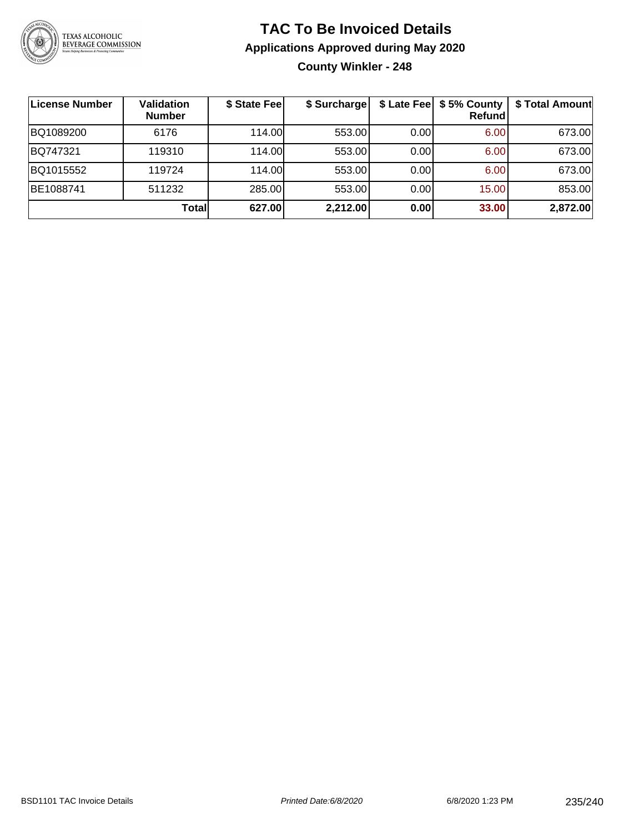

### **TAC To Be Invoiced Details Applications Approved during May 2020 County Winkler - 248**

| ∣License Number | Validation<br><b>Number</b> | \$ State Fee | \$ Surcharge |      | \$ Late Fee   \$5% County<br><b>Refund</b> | \$ Total Amount |
|-----------------|-----------------------------|--------------|--------------|------|--------------------------------------------|-----------------|
| BQ1089200       | 6176                        | 114.00       | 553.00       | 0.00 | 6.00                                       | 673.00          |
| BQ747321        | 119310                      | 114.00L      | 553.00       | 0.00 | 6.00                                       | 673.00          |
| BQ1015552       | 119724                      | 114.00       | 553.00       | 0.00 | 6.00                                       | 673.00          |
| BE1088741       | 511232                      | 285.00       | 553.00       | 0.00 | 15.00                                      | 853.00          |
|                 | <b>Total</b>                | 627.00       | 2,212.00     | 0.00 | 33.00                                      | 2,872.00        |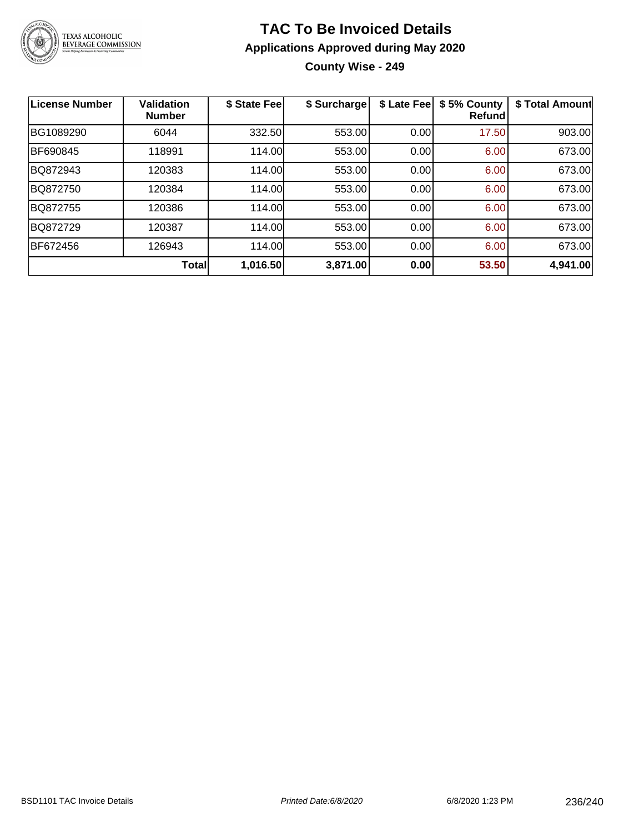

### **TAC To Be Invoiced Details Applications Approved during May 2020 County Wise - 249**

| <b>License Number</b> | <b>Validation</b><br><b>Number</b> | \$ State Fee | \$ Surcharge | \$ Late Fee | \$5% County<br>Refundl | \$ Total Amount |
|-----------------------|------------------------------------|--------------|--------------|-------------|------------------------|-----------------|
| BG1089290             | 6044                               | 332.50       | 553.00       | 0.00        | 17.50                  | 903.00          |
| BF690845              | 118991                             | 114.00       | 553.00       | 0.00        | 6.00                   | 673.00          |
| BQ872943              | 120383                             | 114.00       | 553.00       | 0.00        | 6.00                   | 673.00          |
| BQ872750              | 120384                             | 114.00       | 553.00       | 0.00        | 6.00                   | 673.00          |
| BQ872755              | 120386                             | 114.00       | 553.00       | 0.00        | 6.00                   | 673.00          |
| BQ872729              | 120387                             | 114.00       | 553.00       | 0.00        | 6.00                   | 673.00          |
| <b>BF672456</b>       | 126943                             | 114.00       | 553.00       | 0.00        | 6.00                   | 673.00          |
|                       | <b>Total</b>                       | 1,016.50     | 3,871.00     | 0.00        | 53.50                  | 4,941.00        |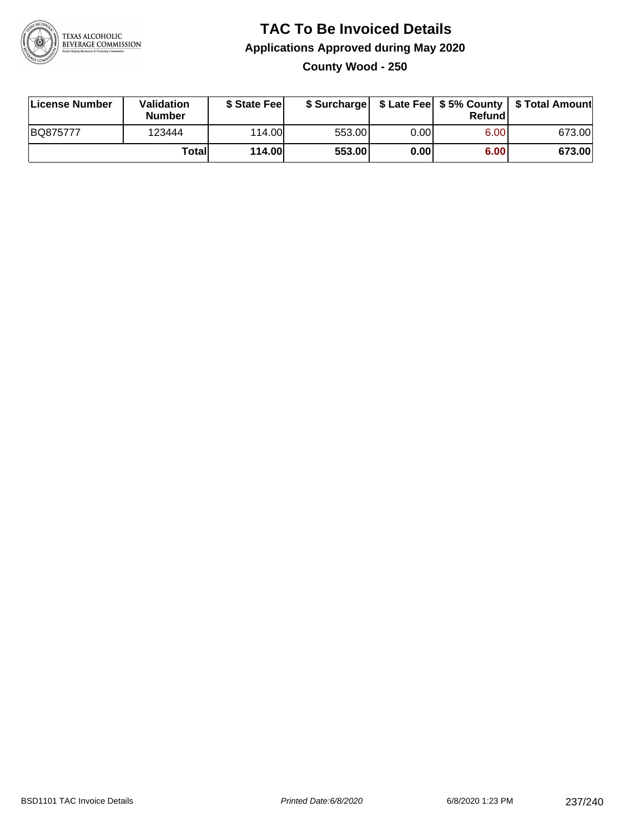

### **TAC To Be Invoiced Details Applications Approved during May 2020 County Wood - 250**

| License Number | Validation<br><b>Number</b> | \$ State Fee  |        |      | Refund | \$ Surcharge   \$ Late Fee   \$5% County   \$ Total Amount |
|----------------|-----------------------------|---------------|--------|------|--------|------------------------------------------------------------|
| BQ875777       | 123444                      | 114.00        | 553.00 | 0.00 | 6.00   | 673.00                                                     |
|                | Totall                      | <b>114.00</b> | 553.00 | 0.00 | 6.00   | 673.00                                                     |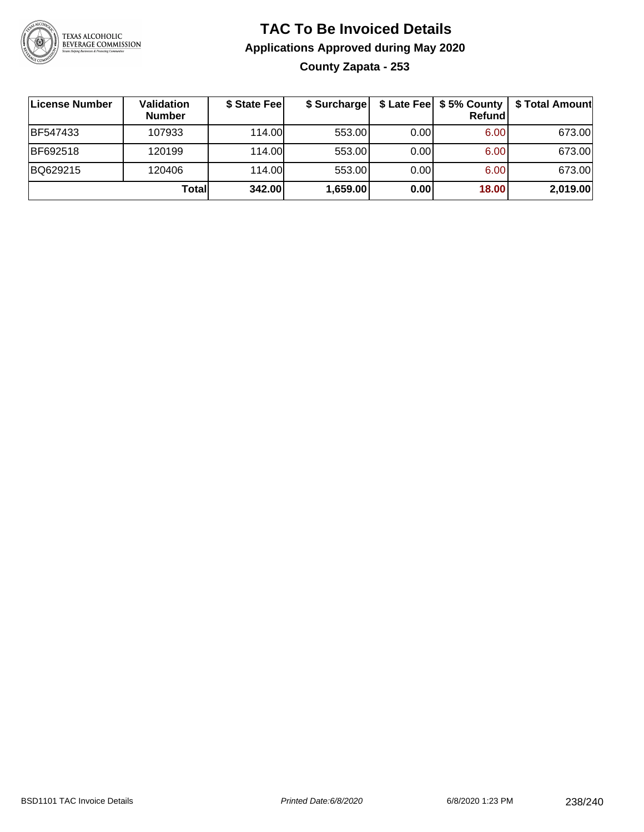

### **TAC To Be Invoiced Details Applications Approved during May 2020 County Zapata - 253**

| License Number | <b>Validation</b><br><b>Number</b> | \$ State Fee | \$ Surcharge |      | \$ Late Fee   \$5% County<br>Refundl | \$ Total Amount |
|----------------|------------------------------------|--------------|--------------|------|--------------------------------------|-----------------|
| BF547433       | 107933                             | 114.00       | 553.00       | 0.00 | 6.00                                 | 673.00          |
| BF692518       | 120199                             | 114.00       | 553.00       | 0.00 | 6.00                                 | 673.00          |
| BQ629215       | 120406                             | 114.00       | 553.00       | 0.00 | 6.00                                 | 673.00          |
|                | Totall                             | 342.00       | 1,659.00     | 0.00 | 18.00                                | 2,019.00        |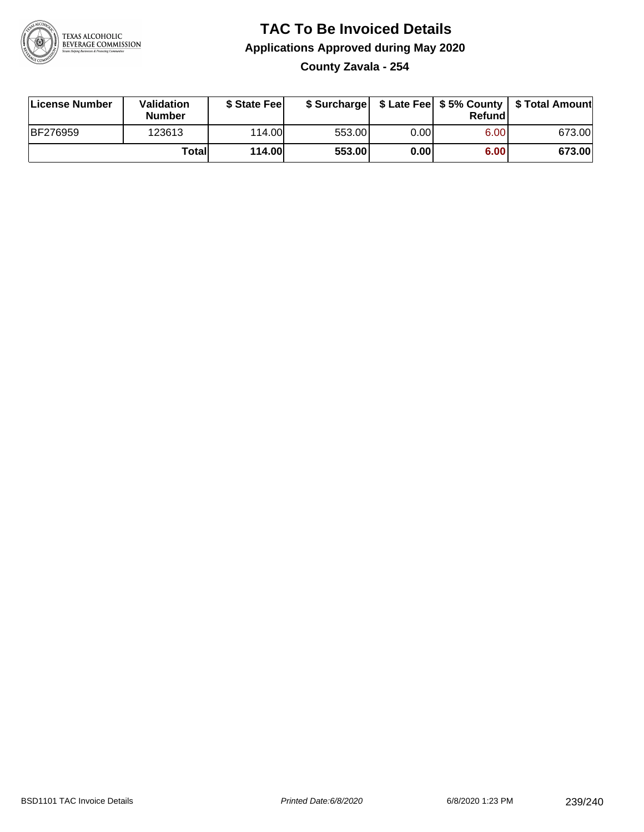

### **TAC To Be Invoiced Details Applications Approved during May 2020**

**County Zavala - 254**

| License Number | <b>Validation</b><br><b>Number</b> | \$ State Feel |        |      | Refundl | \$ Surcharge   \$ Late Fee   \$5% County   \$ Total Amount |
|----------------|------------------------------------|---------------|--------|------|---------|------------------------------------------------------------|
| BF276959       | 123613                             | 114.00L       | 553.00 | 0.00 | 6.00    | 673.00                                                     |
|                | Totall                             | <b>114.00</b> | 553.00 | 0.00 | 6.00    | 673.00                                                     |